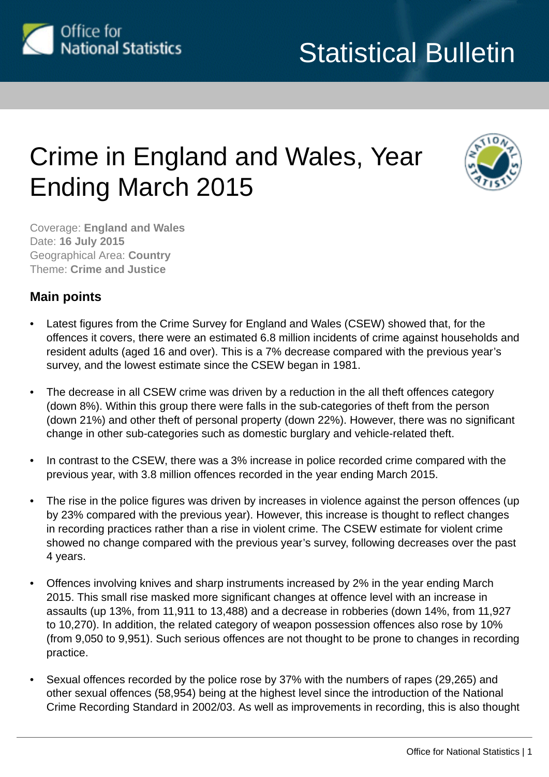<span id="page-0-0"></span>

# Crime in England and Wales, Year Ending March 2015



Coverage: **England and Wales** Date: **16 July 2015** Geographical Area: **Country** Theme: **Crime and Justice**

# **Main points**

- Latest figures from the Crime Survey for England and Wales (CSEW) showed that, for the offences it covers, there were an estimated 6.8 million incidents of crime against households and resident adults (aged 16 and over). This is a 7% decrease compared with the previous year's survey, and the lowest estimate since the CSEW began in 1981.
- The decrease in all CSEW crime was driven by a reduction in the all theft offences category (down 8%). Within this group there were falls in the sub-categories of theft from the person (down 21%) and other theft of personal property (down 22%). However, there was no significant change in other sub-categories such as domestic burglary and vehicle-related theft.
- In contrast to the CSEW, there was a 3% increase in police recorded crime compared with the previous year, with 3.8 million offences recorded in the year ending March 2015.
- The rise in the police figures was driven by increases in violence against the person offences (up by 23% compared with the previous year). However, this increase is thought to reflect changes in recording practices rather than a rise in violent crime. The CSEW estimate for violent crime showed no change compared with the previous year's survey, following decreases over the past 4 years.
- Offences involving knives and sharp instruments increased by 2% in the year ending March 2015. This small rise masked more significant changes at offence level with an increase in assaults (up 13%, from 11,911 to 13,488) and a decrease in robberies (down 14%, from 11,927 to 10,270). In addition, the related category of weapon possession offences also rose by 10% (from 9,050 to 9,951). Such serious offences are not thought to be prone to changes in recording practice.
- Sexual offences recorded by the police rose by 37% with the numbers of rapes (29,265) and other sexual offences (58,954) being at the highest level since the introduction of the National Crime Recording Standard in 2002/03. As well as improvements in recording, this is also thought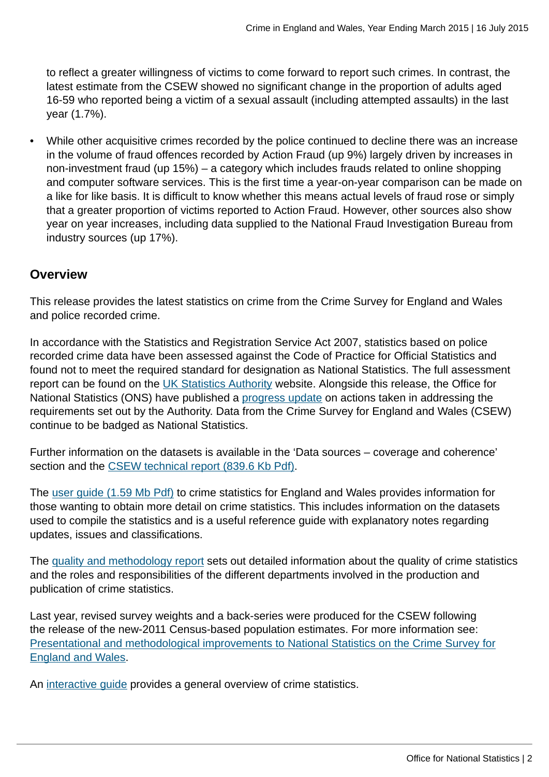to reflect a greater willingness of victims to come forward to report such crimes. In contrast, the latest estimate from the CSEW showed no significant change in the proportion of adults aged 16-59 who reported being a victim of a sexual assault (including attempted assaults) in the last year (1.7%).

• While other acquisitive crimes recorded by the police continued to decline there was an increase in the volume of fraud offences recorded by Action Fraud (up 9%) largely driven by increases in non-investment fraud (up 15%) – a category which includes frauds related to online shopping and computer software services. This is the first time a year-on-year comparison can be made on a like for like basis. It is difficult to know whether this means actual levels of fraud rose or simply that a greater proportion of victims reported to Action Fraud. However, other sources also show year on year increases, including data supplied to the National Fraud Investigation Bureau from industry sources (up 17%).

# **Overview**

This release provides the latest statistics on crime from the Crime Survey for England and Wales and police recorded crime.

In accordance with the Statistics and Registration Service Act 2007, statistics based on police recorded crime data have been assessed against the Code of Practice for Official Statistics and found not to meet the required standard for designation as National Statistics. The full assessment report can be found on the [UK Statistics Authority](http://www.statisticsauthority.gov.uk/assessment/assessment/assessment-reports/) website. Alongside this release, the Office for National Statistics (ONS) have published a [progress update](http://www.ons.gov.uk:80/ons/guide-method/method-quality/specific/crime-statistics-methodology/uk-statistics-authority-assessment/index.html) on actions taken in addressing the requirements set out by the Authority. Data from the Crime Survey for England and Wales (CSEW) continue to be badged as National Statistics.

Further information on the datasets is available in the 'Data sources – coverage and coherence' section and the [CSEW technical report \(839.6 Kb Pdf\).](http://www.ons.gov.uk:80/ons/guide-method/method-quality/specific/crime-statistics-methodology/2013-14-crime-survey-for-england-and-wales-technical-report---volume-1.pdf)

The [user guide \(1.59 Mb Pdf\)](http://www.ons.gov.uk:80/ons/guide-method/method-quality/specific/crime-statistics-methodology/user-guides/user-guide-to-crime-statistics.pdf) to crime statistics for England and Wales provides information for those wanting to obtain more detail on crime statistics. This includes information on the datasets used to compile the statistics and is a useful reference guide with explanatory notes regarding updates, issues and classifications.

The [quality and methodology report](http://www.ons.gov.uk:80/ons/guide-method/method-quality/quality/quality-information/crime-and-justice/index.html) sets out detailed information about the quality of crime statistics and the roles and responsibilities of the different departments involved in the production and publication of crime statistics.

Last year, revised survey weights and a back-series were produced for the CSEW following the release of the new-2011 Census-based population estimates. For more information see: [Presentational and methodological improvements to National Statistics on the Crime Survey for](http://www.ons.gov.uk:80/ons/guide-method/method-quality/specific/crime-statistics-methodology/methodological-notes/index.html) [England and Wales.](http://www.ons.gov.uk:80/ons/guide-method/method-quality/specific/crime-statistics-methodology/methodological-notes/index.html)

An [interactive guide](http://www.ons.gov.uk:80/ons/guide-method/method-quality/specific/crime-statistics-methodology/guide-to-finding-crime-statistics/index.html) provides a general overview of crime statistics.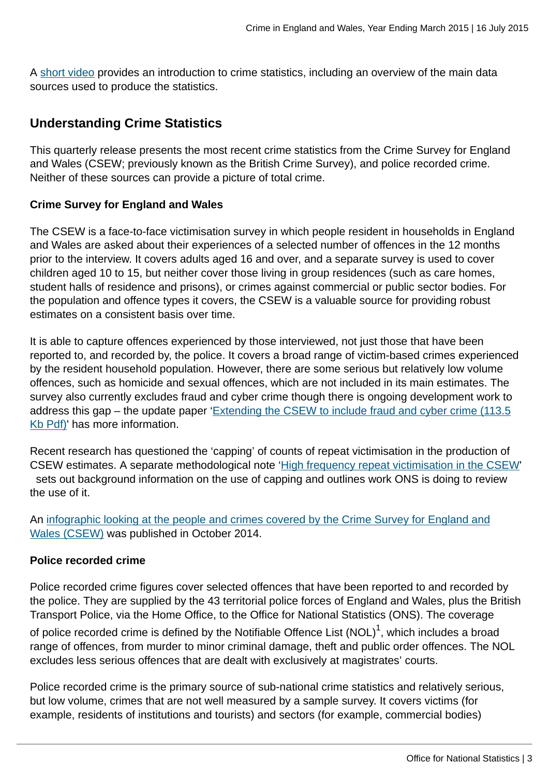A [short video](http://www.ons.gov.uk:80/ons/rel/crime-stats/crime-statistics/period-ending-december-2012/video-summary--a-guide-to-crime-statistics.html) provides an introduction to crime statistics, including an overview of the main data sources used to produce the statistics.

# **Understanding Crime Statistics**

This quarterly release presents the most recent crime statistics from the Crime Survey for England and Wales (CSEW; previously known as the British Crime Survey), and police recorded crime. Neither of these sources can provide a picture of total crime.

## **Crime Survey for England and Wales**

The CSEW is a face-to-face victimisation survey in which people resident in households in England and Wales are asked about their experiences of a selected number of offences in the 12 months prior to the interview. It covers adults aged 16 and over, and a separate survey is used to cover children aged 10 to 15, but neither cover those living in group residences (such as care homes, student halls of residence and prisons), or crimes against commercial or public sector bodies. For the population and offence types it covers, the CSEW is a valuable source for providing robust estimates on a consistent basis over time.

It is able to capture offences experienced by those interviewed, not just those that have been reported to, and recorded by, the police. It covers a broad range of victim-based crimes experienced by the resident household population. However, there are some serious but relatively low volume offences, such as homicide and sexual offences, which are not included in its main estimates. The survey also currently excludes fraud and cyber crime though there is ongoing development work to address this gap – the update paper ['Extending the CSEW to include fraud and cyber crime \(113.5](http://www.ons.gov.uk:80/ons/guide-method/method-quality/specific/crime-statistics-methodology/methodological-notes/update---extending-the-csew-to-include-fraud-and-cyber-crime.pdf)) [Kb Pdf\)](http://www.ons.gov.uk:80/ons/guide-method/method-quality/specific/crime-statistics-methodology/methodological-notes/update---extending-the-csew-to-include-fraud-and-cyber-crime.pdf)' has more information.

Recent research has questioned the 'capping' of counts of repeat victimisation in the production of CSEW estimates. A separate methodological note ['High frequency repeat victimisation in the CSEW](http://www.ons.gov.uk:80/ons/guide-method/method-quality/specific/crime-statistics-methodology/methodological-notes/index.html)' sets out background information on the use of capping and outlines work ONS is doing to review the use of it.

An [infographic looking at the people and crimes covered by the Crime Survey for England and](http://www.ons.gov.uk:80/ons/rel/crime-stats/crime-statistics/period-ending-june-2014/info-what-does-csew-cover.html) [Wales \(CSEW\)](http://www.ons.gov.uk:80/ons/rel/crime-stats/crime-statistics/period-ending-june-2014/info-what-does-csew-cover.html) was published in October 2014.

#### **Police recorded crime**

Police recorded crime figures cover selected offences that have been reported to and recorded by the police. They are supplied by the 43 territorial police forces of England and Wales, plus the British Transport Police, via the Home Office, to the Office for National Statistics (ONS). The coverage

of police recorded crime is defined by the Notifiable Offence List (NOL) $^{\rm 1}$ , which includes a broad range of offences, from murder to minor criminal damage, theft and public order offences. The NOL excludes less serious offences that are dealt with exclusively at magistrates' courts.

Police recorded crime is the primary source of sub-national crime statistics and relatively serious, but low volume, crimes that are not well measured by a sample survey. It covers victims (for example, residents of institutions and tourists) and sectors (for example, commercial bodies)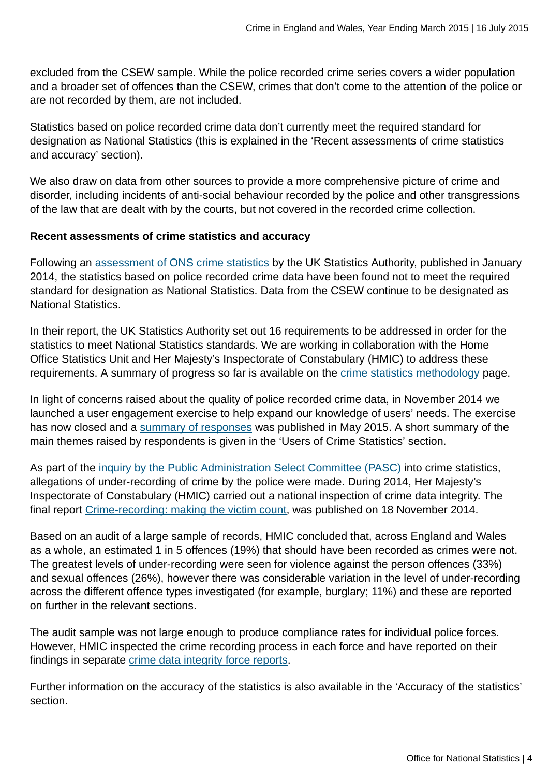excluded from the CSEW sample. While the police recorded crime series covers a wider population and a broader set of offences than the CSEW, crimes that don't come to the attention of the police or are not recorded by them, are not included.

Statistics based on police recorded crime data don't currently meet the required standard for designation as National Statistics (this is explained in the 'Recent assessments of crime statistics and accuracy' section).

We also draw on data from other sources to provide a more comprehensive picture of crime and disorder, including incidents of anti-social behaviour recorded by the police and other transgressions of the law that are dealt with by the courts, but not covered in the recorded crime collection.

## **Recent assessments of crime statistics and accuracy**

Following an [assessment of ONS crime statistics](http://www.statisticsauthority.gov.uk/assessment/assessment/assessment-reports/assessment-report-268---statistics-on-crime-in-england-and-wales.pdf) by the UK Statistics Authority, published in January 2014, the statistics based on police recorded crime data have been found not to meet the required standard for designation as National Statistics. Data from the CSEW continue to be designated as National Statistics.

In their report, the UK Statistics Authority set out 16 requirements to be addressed in order for the statistics to meet National Statistics standards. We are working in collaboration with the Home Office Statistics Unit and Her Majesty's Inspectorate of Constabulary (HMIC) to address these requirements. A summary of progress so far is available on the [crime statistics methodology](http://www.ons.gov.uk:80/ons/guide-method/method-quality/specific/crime-statistics-methodology/uk-statistics-authority-assessment/index.html) page.

In light of concerns raised about the quality of police recorded crime data, in November 2014 we launched a user engagement exercise to help expand our knowledge of users' needs. The exercise has now closed and a [summary of responses](http://www.ons.gov.uk:80/ons/about-ons/get-involved/consultations-and-user-surveys/satisfaction-surveys/crime-statistics-survey/index.html) was published in May 2015. A short summary of the main themes raised by respondents is given in the 'Users of Crime Statistics' section.

As part of the [inquiry by the Public Administration Select Committee \(PASC\)](http://www.publications.parliament.uk/pa/cm201314/cmselect/cmpubadm/760/760.pdf) into crime statistics, allegations of under-recording of crime by the police were made. During 2014, Her Majesty's Inspectorate of Constabulary (HMIC) carried out a national inspection of crime data integrity. The final report [Crime-recording: making the victim count](https://www.justiceinspectorates.gov.uk/hmic/publication/crime-recording-making-the-victim-count/), was published on 18 November 2014.

Based on an audit of a large sample of records, HMIC concluded that, across England and Wales as a whole, an estimated 1 in 5 offences (19%) that should have been recorded as crimes were not. The greatest levels of under-recording were seen for violence against the person offences (33%) and sexual offences (26%), however there was considerable variation in the level of under-recording across the different offence types investigated (for example, burglary; 11%) and these are reported on further in the relevant sections.

The audit sample was not large enough to produce compliance rates for individual police forces. However, HMIC inspected the crime recording process in each force and have reported on their findings in separate [crime data integrity force reports.](https://www.justiceinspectorates.gov.uk/hmic/publication/crime-data-integrity-force-reports/)

Further information on the accuracy of the statistics is also available in the 'Accuracy of the statistics' section.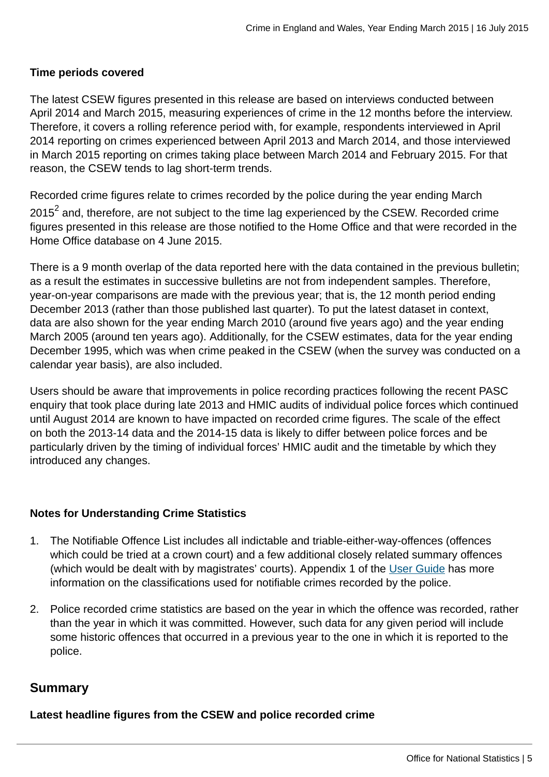#### **Time periods covered**

The latest CSEW figures presented in this release are based on interviews conducted between April 2014 and March 2015, measuring experiences of crime in the 12 months before the interview. Therefore, it covers a rolling reference period with, for example, respondents interviewed in April 2014 reporting on crimes experienced between April 2013 and March 2014, and those interviewed in March 2015 reporting on crimes taking place between March 2014 and February 2015. For that reason, the CSEW tends to lag short-term trends.

Recorded crime figures relate to crimes recorded by the police during the year ending March 2015 $^{\sf 2}$  and, therefore, are not subject to the time lag experienced by the CSEW. Recorded crime figures presented in this release are those notified to the Home Office and that were recorded in the Home Office database on 4 June 2015.

There is a 9 month overlap of the data reported here with the data contained in the previous bulletin; as a result the estimates in successive bulletins are not from independent samples. Therefore, year-on-year comparisons are made with the previous year; that is, the 12 month period ending December 2013 (rather than those published last quarter). To put the latest dataset in context, data are also shown for the year ending March 2010 (around five years ago) and the year ending March 2005 (around ten years ago). Additionally, for the CSEW estimates, data for the year ending December 1995, which was when crime peaked in the CSEW (when the survey was conducted on a calendar year basis), are also included.

Users should be aware that improvements in police recording practices following the recent PASC enquiry that took place during late 2013 and HMIC audits of individual police forces which continued until August 2014 are known to have impacted on recorded crime figures. The scale of the effect on both the 2013-14 data and the 2014-15 data is likely to differ between police forces and be particularly driven by the timing of individual forces' HMIC audit and the timetable by which they introduced any changes.

#### **Notes for Understanding Crime Statistics**

- 1. The Notifiable Offence List includes all indictable and triable-either-way-offences (offences which could be tried at a crown court) and a few additional closely related summary offences (which would be dealt with by magistrates' courts). Appendix 1 of the [User Guide](http://www.ons.gov.uk:80/ons/guide-method/method-quality/specific/crime-statistics-methodology/user-guides/index.html) has more information on the classifications used for notifiable crimes recorded by the police.
- 2. Police recorded crime statistics are based on the year in which the offence was recorded, rather than the year in which it was committed. However, such data for any given period will include some historic offences that occurred in a previous year to the one in which it is reported to the police.

## **Summary**

**Latest headline figures from the CSEW and police recorded crime**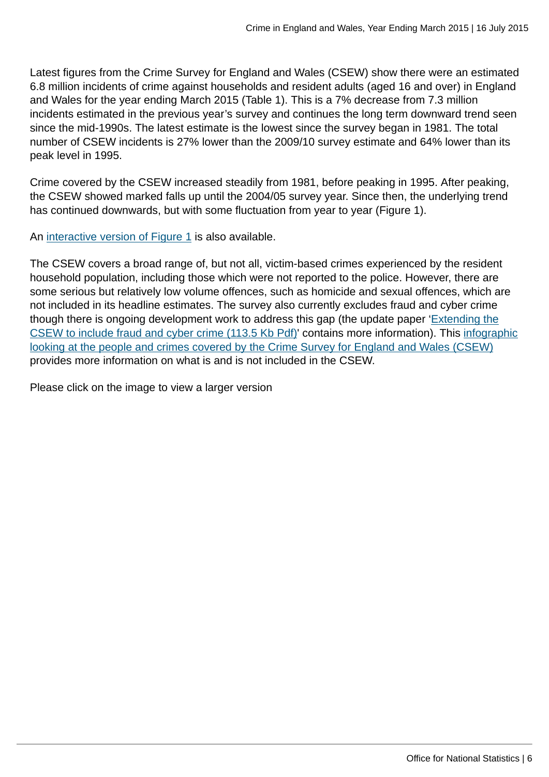Latest figures from the Crime Survey for England and Wales (CSEW) show there were an estimated 6.8 million incidents of crime against households and resident adults (aged 16 and over) in England and Wales for the year ending March 2015 (Table 1). This is a 7% decrease from 7.3 million incidents estimated in the previous year's survey and continues the long term downward trend seen since the mid-1990s. The latest estimate is the lowest since the survey began in 1981. The total number of CSEW incidents is 27% lower than the 2009/10 survey estimate and 64% lower than its peak level in 1995.

Crime covered by the CSEW increased steadily from 1981, before peaking in 1995. After peaking, the CSEW showed marked falls up until the 2004/05 survey year. Since then, the underlying trend has continued downwards, but with some fluctuation from year to year (Figure 1).

An [interactive version of Figure 1](http://www.neighbourhood.statistics.gov.uk/HTMLDocs/dvc188/index.html) is also available.

The CSEW covers a broad range of, but not all, victim-based crimes experienced by the resident household population, including those which were not reported to the police. However, there are some serious but relatively low volume offences, such as homicide and sexual offences, which are not included in its headline estimates. The survey also currently excludes fraud and cyber crime though there is ongoing development work to address this gap (the update paper ['Extending the](http://www.ons.gov.uk:80/ons/guide-method/method-quality/specific/crime-statistics-methodology/methodological-notes/update---extending-the-csew-to-include-fraud-and-cyber-crime.pdf) [CSEW to include fraud and cyber crime \(113.5 Kb Pdf\)](http://www.ons.gov.uk:80/ons/guide-method/method-quality/specific/crime-statistics-methodology/methodological-notes/update---extending-the-csew-to-include-fraud-and-cyber-crime.pdf)' contains more information). This [infographic](http://www.ons.gov.uk:80/ons/rel/crime-stats/crime-statistics/period-ending-june-2014/info-what-does-csew-cover.html) [looking at the people and crimes covered by the Crime Survey for England and Wales \(CSEW\)](http://www.ons.gov.uk:80/ons/rel/crime-stats/crime-statistics/period-ending-june-2014/info-what-does-csew-cover.html) provides more information on what is and is not included in the CSEW.

Please click on the image to view a larger version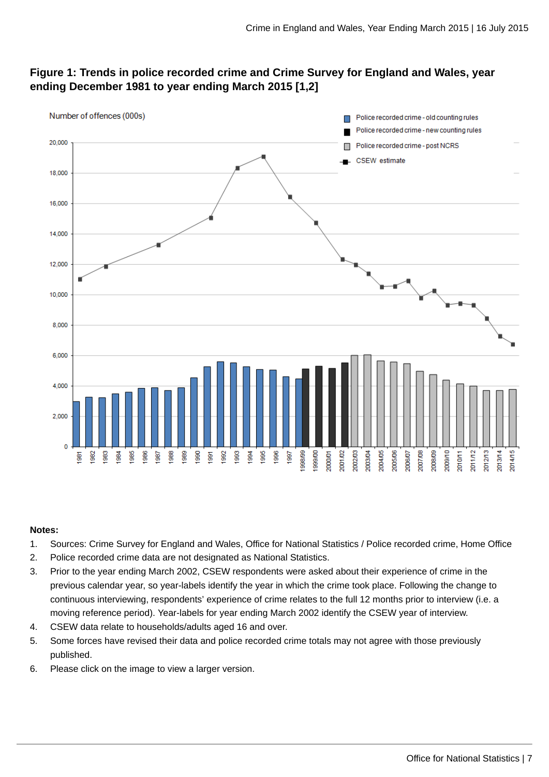## **Figure 1: Trends in police recorded crime and Crime Survey for England and Wales, year ending December 1981 to year ending March 2015 [1,2]**



#### **Notes:**

- 1. Sources: Crime Survey for England and Wales, Office for National Statistics / Police recorded crime, Home Office
- 2. Police recorded crime data are not designated as National Statistics.
- 3. Prior to the year ending March 2002, CSEW respondents were asked about their experience of crime in the previous calendar year, so year-labels identify the year in which the crime took place. Following the change to continuous interviewing, respondents' experience of crime relates to the full 12 months prior to interview (i.e. a moving reference period). Year-labels for year ending March 2002 identify the CSEW year of interview.
- 4. CSEW data relate to households/adults aged 16 and over.
- 5. Some forces have revised their data and police recorded crime totals may not agree with those previously published.
- 6. Please click on the image to view a larger version.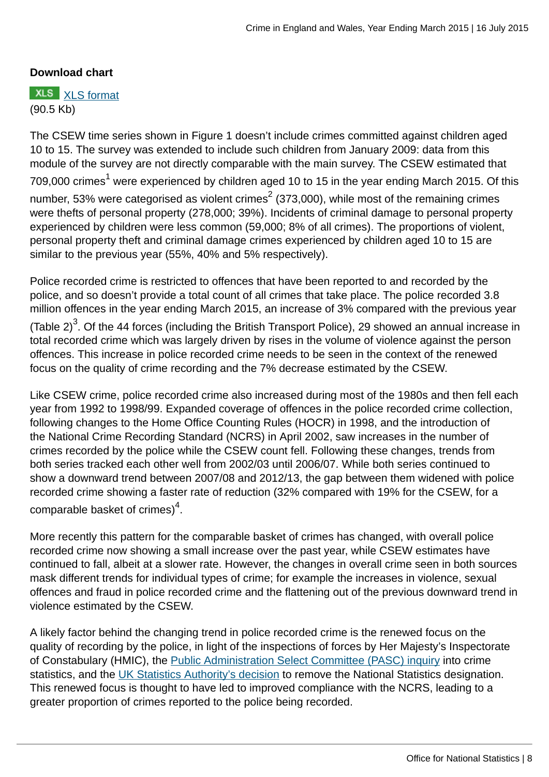## **Download chart**

**XLS** [XLS format](http://www.ons.gov.uk:80/ons/rel/crime-stats/crime-statistics/year-ending-march-2015/chd-1.xls) (90.5 Kb)

The CSEW time series shown in Figure 1 doesn't include crimes committed against children aged 10 to 15. The survey was extended to include such children from January 2009: data from this module of the survey are not directly comparable with the main survey. The CSEW estimated that 709,000 crimes $^{\rm 1}$  were experienced by children aged 10 to 15 in the year ending March 2015. Of this number, 53% were categorised as violent crimes $^2$  (373,000), while most of the remaining crimes were thefts of personal property (278,000; 39%). Incidents of criminal damage to personal property experienced by children were less common (59,000; 8% of all crimes). The proportions of violent, personal property theft and criminal damage crimes experienced by children aged 10 to 15 are similar to the previous year (55%, 40% and 5% respectively).

Police recorded crime is restricted to offences that have been reported to and recorded by the police, and so doesn't provide a total count of all crimes that take place. The police recorded 3.8 million offences in the year ending March 2015, an increase of 3% compared with the previous year (Table 2) $^3$ . Of the 44 forces (including the British Transport Police), 29 showed an annual increase in total recorded crime which was largely driven by rises in the volume of violence against the person offences. This increase in police recorded crime needs to be seen in the context of the renewed focus on the quality of crime recording and the 7% decrease estimated by the CSEW.

Like CSEW crime, police recorded crime also increased during most of the 1980s and then fell each year from 1992 to 1998/99. Expanded coverage of offences in the police recorded crime collection, following changes to the Home Office Counting Rules (HOCR) in 1998, and the introduction of the National Crime Recording Standard (NCRS) in April 2002, saw increases in the number of crimes recorded by the police while the CSEW count fell. Following these changes, trends from both series tracked each other well from 2002/03 until 2006/07. While both series continued to show a downward trend between 2007/08 and 2012/13, the gap between them widened with police recorded crime showing a faster rate of reduction (32% compared with 19% for the CSEW, for a comparable basket of crimes) $^4$ .

More recently this pattern for the comparable basket of crimes has changed, with overall police recorded crime now showing a small increase over the past year, while CSEW estimates have continued to fall, albeit at a slower rate. However, the changes in overall crime seen in both sources mask different trends for individual types of crime; for example the increases in violence, sexual offences and fraud in police recorded crime and the flattening out of the previous downward trend in violence estimated by the CSEW.

A likely factor behind the changing trend in police recorded crime is the renewed focus on the quality of recording by the police, in light of the inspections of forces by Her Majesty's Inspectorate of Constabulary (HMIC), the **Public Administration Select Committee (PASC)** inquiry into crime statistics, and the [UK Statistics Authority's decision](http://www.statisticsauthority.gov.uk/assessment/assessment/assessment-reports/assessment-report-268---statistics-on-crime-in-england-and-wales.pdf) to remove the National Statistics designation. This renewed focus is thought to have led to improved compliance with the NCRS, leading to a greater proportion of crimes reported to the police being recorded.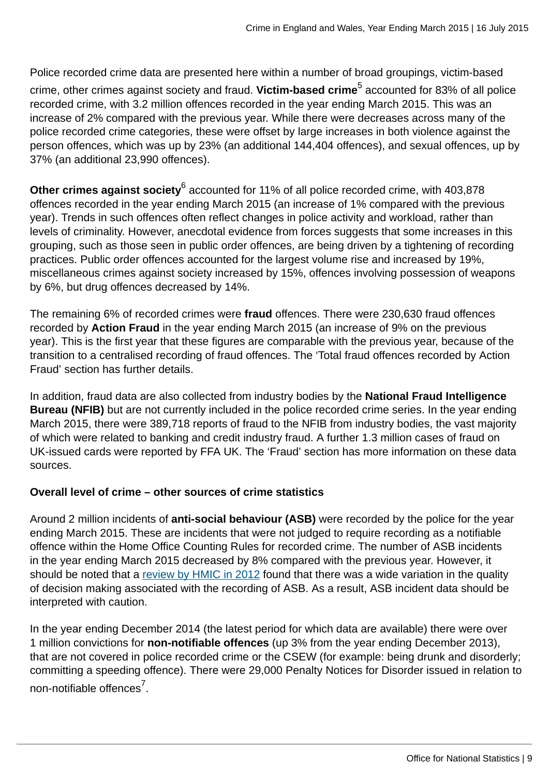Police recorded crime data are presented here within a number of broad groupings, victim-based crime, other crimes against society and fraud. **Victim-based crime**<sup>5</sup> accounted for 83% of all police recorded crime, with 3.2 million offences recorded in the year ending March 2015. This was an increase of 2% compared with the previous year. While there were decreases across many of the police recorded crime categories, these were offset by large increases in both violence against the person offences, which was up by 23% (an additional 144,404 offences), and sexual offences, up by 37% (an additional 23,990 offences).

**Other crimes against society<sup>6</sup> accounted for 11% of all police recorded crime, with 403,878** offences recorded in the year ending March 2015 (an increase of 1% compared with the previous year). Trends in such offences often reflect changes in police activity and workload, rather than levels of criminality. However, anecdotal evidence from forces suggests that some increases in this grouping, such as those seen in public order offences, are being driven by a tightening of recording practices. Public order offences accounted for the largest volume rise and increased by 19%, miscellaneous crimes against society increased by 15%, offences involving possession of weapons by 6%, but drug offences decreased by 14%.

The remaining 6% of recorded crimes were **fraud** offences. There were 230,630 fraud offences recorded by **Action Fraud** in the year ending March 2015 (an increase of 9% on the previous year). This is the first year that these figures are comparable with the previous year, because of the transition to a centralised recording of fraud offences. The 'Total fraud offences recorded by Action Fraud' section has further details.

In addition, fraud data are also collected from industry bodies by the **National Fraud Intelligence Bureau (NFIB)** but are not currently included in the police recorded crime series. In the year ending March 2015, there were 389,718 reports of fraud to the NFIB from industry bodies, the vast majority of which were related to banking and credit industry fraud. A further 1.3 million cases of fraud on UK-issued cards were reported by FFA UK. The 'Fraud' section has more information on these data sources.

## **Overall level of crime – other sources of crime statistics**

Around 2 million incidents of **anti-social behaviour (ASB)** were recorded by the police for the year ending March 2015. These are incidents that were not judged to require recording as a notifiable offence within the Home Office Counting Rules for recorded crime. The number of ASB incidents in the year ending March 2015 decreased by 8% compared with the previous year. However, it should be noted that a [review by HMIC in 2012](http://www.justiceinspectorates.gov.uk/hmic/publication/a-step-in-the-right-direction-the-policing-of-anti-social-behaviour/) found that there was a wide variation in the quality of decision making associated with the recording of ASB. As a result, ASB incident data should be interpreted with caution.

In the year ending December 2014 (the latest period for which data are available) there were over 1 million convictions for **non-notifiable offences** (up 3% from the year ending December 2013), that are not covered in police recorded crime or the CSEW (for example: being drunk and disorderly; committing a speeding offence). There were 29,000 Penalty Notices for Disorder issued in relation to non-notifiable offences<sup>7</sup>.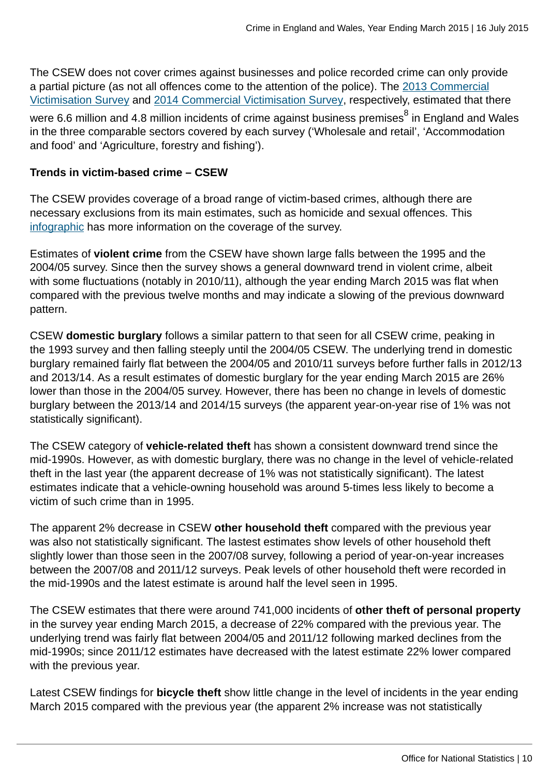The CSEW does not cover crimes against businesses and police recorded crime can only provide a partial picture (as not all offences come to the attention of the police). The [2013 Commercial](https://www.gov.uk/government/publications/crime-against-businesses-detailed-findings-from-the-2013-commercial-victimisation-survey) [Victimisation Survey](https://www.gov.uk/government/publications/crime-against-businesses-detailed-findings-from-the-2013-commercial-victimisation-survey) and [2014 Commercial Victimisation Survey,](https://www.gov.uk/government/statistics/crime-against-businesses-findings-from-the-2014-commercial-victimisation-survey) respectively, estimated that there were 6.6 million and 4.8 million incidents of crime against business premises $^8$  in England and Wales in the three comparable sectors covered by each survey ('Wholesale and retail', 'Accommodation and food' and 'Agriculture, forestry and fishing').

#### **Trends in victim-based crime – CSEW**

The CSEW provides coverage of a broad range of victim-based crimes, although there are necessary exclusions from its main estimates, such as homicide and sexual offences. This [infographic](http://www.ons.gov.uk:80/ons/rel/crime-stats/crime-statistics/period-ending-june-2014/info-what-does-csew-cover.html) has more information on the coverage of the survey.

Estimates of **violent crime** from the CSEW have shown large falls between the 1995 and the 2004/05 survey. Since then the survey shows a general downward trend in violent crime, albeit with some fluctuations (notably in 2010/11), although the year ending March 2015 was flat when compared with the previous twelve months and may indicate a slowing of the previous downward pattern.

CSEW **domestic burglary** follows a similar pattern to that seen for all CSEW crime, peaking in the 1993 survey and then falling steeply until the 2004/05 CSEW. The underlying trend in domestic burglary remained fairly flat between the 2004/05 and 2010/11 surveys before further falls in 2012/13 and 2013/14. As a result estimates of domestic burglary for the year ending March 2015 are 26% lower than those in the 2004/05 survey. However, there has been no change in levels of domestic burglary between the 2013/14 and 2014/15 surveys (the apparent year-on-year rise of 1% was not statistically significant).

The CSEW category of **vehicle-related theft** has shown a consistent downward trend since the mid-1990s. However, as with domestic burglary, there was no change in the level of vehicle-related theft in the last year (the apparent decrease of 1% was not statistically significant). The latest estimates indicate that a vehicle-owning household was around 5-times less likely to become a victim of such crime than in 1995.

The apparent 2% decrease in CSEW **other household theft** compared with the previous year was also not statistically significant. The lastest estimates show levels of other household theft slightly lower than those seen in the 2007/08 survey, following a period of year-on-year increases between the 2007/08 and 2011/12 surveys. Peak levels of other household theft were recorded in the mid-1990s and the latest estimate is around half the level seen in 1995.

The CSEW estimates that there were around 741,000 incidents of **other theft of personal property** in the survey year ending March 2015, a decrease of 22% compared with the previous year. The underlying trend was fairly flat between 2004/05 and 2011/12 following marked declines from the mid-1990s; since 2011/12 estimates have decreased with the latest estimate 22% lower compared with the previous year.

Latest CSEW findings for **bicycle theft** show little change in the level of incidents in the year ending March 2015 compared with the previous year (the apparent 2% increase was not statistically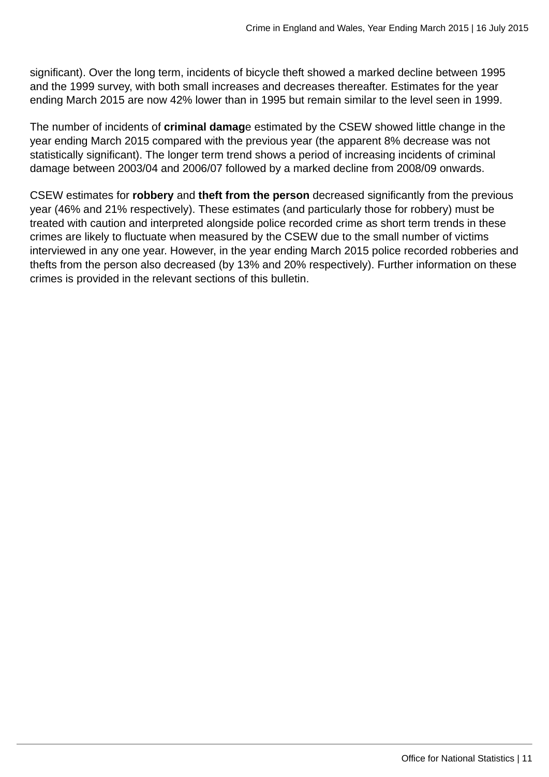significant). Over the long term, incidents of bicycle theft showed a marked decline between 1995 and the 1999 survey, with both small increases and decreases thereafter. Estimates for the year ending March 2015 are now 42% lower than in 1995 but remain similar to the level seen in 1999.

The number of incidents of **criminal damag**e estimated by the CSEW showed little change in the year ending March 2015 compared with the previous year (the apparent 8% decrease was not statistically significant). The longer term trend shows a period of increasing incidents of criminal damage between 2003/04 and 2006/07 followed by a marked decline from 2008/09 onwards.

CSEW estimates for **robbery** and **theft from the person** decreased significantly from the previous year (46% and 21% respectively). These estimates (and particularly those for robbery) must be treated with caution and interpreted alongside police recorded crime as short term trends in these crimes are likely to fluctuate when measured by the CSEW due to the small number of victims interviewed in any one year. However, in the year ending March 2015 police recorded robberies and thefts from the person also decreased (by 13% and 20% respectively). Further information on these crimes is provided in the relevant sections of this bulletin.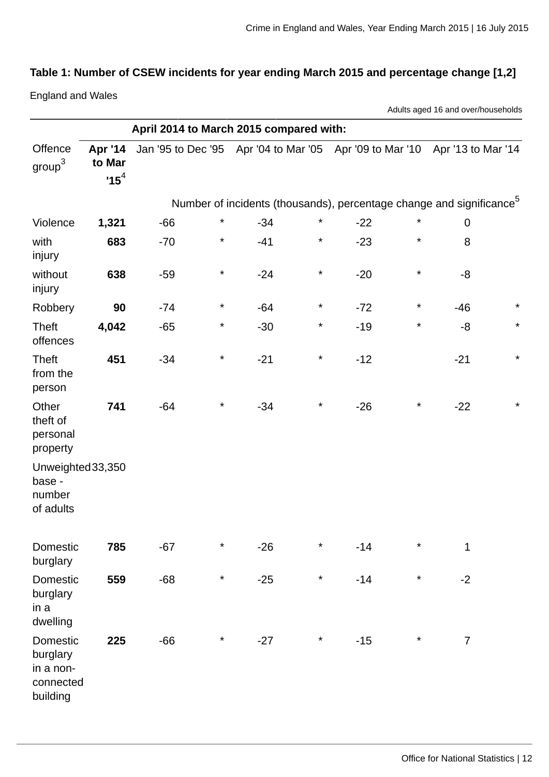# **Table 1: Number of CSEW incidents for year ending March 2015 and percentage change [1,2]**

England and Wales

Adults aged 16 and over/households

|                                                            |                             | April 2014 to March 2015 compared with:                                     |         |                                                                                  |         |       |          |                |         |
|------------------------------------------------------------|-----------------------------|-----------------------------------------------------------------------------|---------|----------------------------------------------------------------------------------|---------|-------|----------|----------------|---------|
| Offence<br>$\text{group}^3$                                | Apr '14<br>to Mar<br>$15^4$ | Jan '95 to Dec '95 Apr '04 to Mar '05 Apr '09 to Mar '10 Apr '13 to Mar '14 |         |                                                                                  |         |       |          |                |         |
|                                                            |                             |                                                                             |         | Number of incidents (thousands), percentage change and significance <sup>5</sup> |         |       |          |                |         |
| Violence                                                   | 1,321                       | $-66$                                                                       | $\star$ | $-34$                                                                            | $\star$ | $-22$ | $\star$  | $\mathbf 0$    |         |
| with<br>injury                                             | 683                         | $-70$                                                                       | $\star$ | $-41$                                                                            | $\ast$  | $-23$ | $^\star$ | 8              |         |
| without<br>injury                                          | 638                         | $-59$                                                                       | $\star$ | $-24$                                                                            | $\star$ | $-20$ | $\star$  | -8             |         |
| Robbery                                                    | 90                          | $-74$                                                                       | $\star$ | $-64$                                                                            | $\star$ | $-72$ | $\star$  | $-46$          | $\star$ |
| <b>Theft</b><br>offences                                   | 4,042                       | $-65$                                                                       | $\star$ | $-30$                                                                            | $\star$ | $-19$ | $\star$  | $-8$           | $\star$ |
| <b>Theft</b><br>from the<br>person                         | 451                         | $-34$                                                                       | $\star$ | $-21$                                                                            | $\star$ | $-12$ |          | $-21$          | $\star$ |
| Other<br>theft of<br>personal<br>property                  | 741                         | $-64$                                                                       | $\star$ | $-34$                                                                            | $\star$ | $-26$ | $\star$  | $-22$          | $\star$ |
| Unweighted 33,350<br>base -<br>number<br>of adults         |                             |                                                                             |         |                                                                                  |         |       |          |                |         |
| Domestic<br>burglary                                       | 785                         | $-67$                                                                       | $\star$ | $-26$                                                                            | $\star$ | $-14$ | $\star$  | $\mathbf{1}$   |         |
| Domestic<br>burglary<br>in a<br>dwelling                   | 559                         | $-68$                                                                       | $\star$ | $-25$                                                                            | $\star$ | $-14$ | $\star$  | $-2$           |         |
| Domestic<br>burglary<br>in a non-<br>connected<br>building | 225                         | $-66$                                                                       | $\star$ | $-27$                                                                            | $\star$ | $-15$ | $\star$  | $\overline{7}$ |         |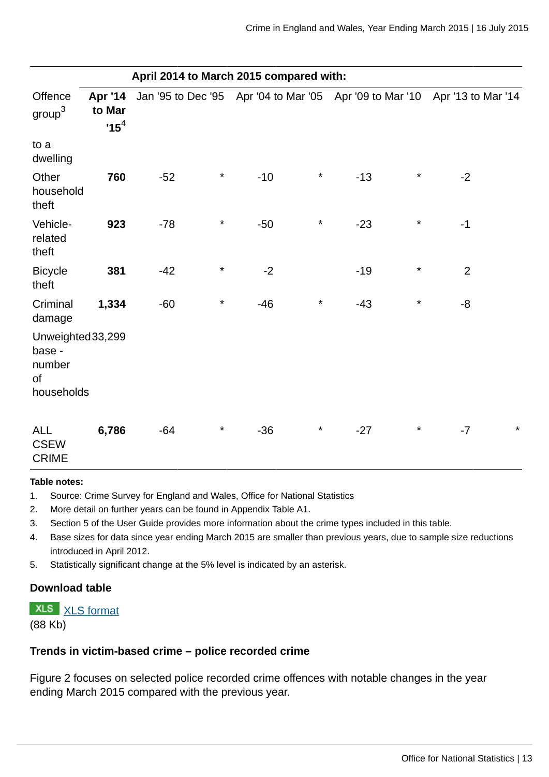|                                                                      | April 2014 to March 2015 compared with: |       |          |       |          |       |          |                                                                             |         |
|----------------------------------------------------------------------|-----------------------------------------|-------|----------|-------|----------|-------|----------|-----------------------------------------------------------------------------|---------|
| Offence<br>group <sup>3</sup>                                        | Apr '14<br>to Mar<br>$15^4$             |       |          |       |          |       |          | Jan '95 to Dec '95 Apr '04 to Mar '05 Apr '09 to Mar '10 Apr '13 to Mar '14 |         |
| to a<br>dwelling                                                     |                                         |       |          |       |          |       |          |                                                                             |         |
| Other<br>household<br>theft                                          | 760                                     | $-52$ | $\star$  | $-10$ | $\star$  | $-13$ | $\star$  | $-2$                                                                        |         |
| Vehicle-<br>related<br>theft                                         | 923                                     | $-78$ | $\star$  | $-50$ | $^\star$ | $-23$ | $\star$  | $-1$                                                                        |         |
| <b>Bicycle</b><br>theft                                              | 381                                     | $-42$ | $^\star$ | $-2$  |          | $-19$ | $^\star$ | $\overline{2}$                                                              |         |
| Criminal<br>damage                                                   | 1,334                                   | $-60$ | $\star$  | $-46$ | $^\star$ | $-43$ | $^\star$ | $-8$                                                                        |         |
| Unweighted 33,299<br>base -<br>number<br><sub>of</sub><br>households |                                         |       |          |       |          |       |          |                                                                             |         |
| <b>ALL</b><br><b>CSEW</b><br><b>CRIME</b>                            | 6,786                                   | $-64$ | $\star$  | $-36$ | $\star$  | $-27$ | $\star$  | $-7$                                                                        | $\star$ |

#### **Table notes:**

- 1. Source: Crime Survey for England and Wales, Office for National Statistics
- 2. More detail on further years can be found in Appendix Table A1.
- 3. Section 5 of the User Guide provides more information about the crime types included in this table.
- 4. Base sizes for data since year ending March 2015 are smaller than previous years, due to sample size reductions introduced in April 2012.
- 5. Statistically significant change at the 5% level is indicated by an asterisk.

## **Download table**

**XLS** [XLS format](http://www.ons.gov.uk:80/ons/rel/crime-stats/crime-statistics/year-ending-march-2015/prt-1.xls) (88 Kb)

#### **Trends in victim-based crime – police recorded crime**

Figure 2 focuses on selected police recorded crime offences with notable changes in the year ending March 2015 compared with the previous year.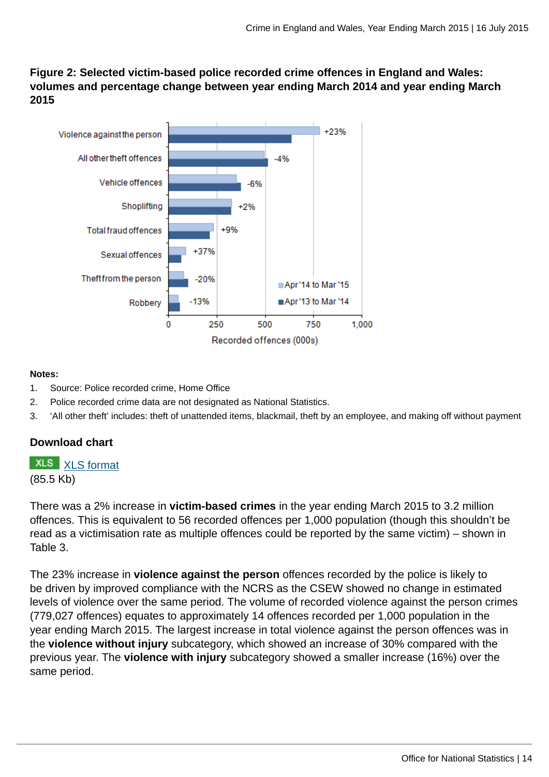**Figure 2: Selected victim-based police recorded crime offences in England and Wales: volumes and percentage change between year ending March 2014 and year ending March 2015**



#### **Notes:**

- 1. Source: Police recorded crime, Home Office
- 2. Police recorded crime data are not designated as National Statistics.
- 3. 'All other theft' includes: theft of unattended items, blackmail, theft by an employee, and making off without payment

## **Download chart**

**XLS** [XLS format](http://www.ons.gov.uk:80/ons/rel/crime-stats/crime-statistics/year-ending-march-2015/chd-2.xls) (85.5 Kb)

There was a 2% increase in **victim-based crimes** in the year ending March 2015 to 3.2 million offences. This is equivalent to 56 recorded offences per 1,000 population (though this shouldn't be read as a victimisation rate as multiple offences could be reported by the same victim) – shown in Table 3.

The 23% increase in **violence against the person** offences recorded by the police is likely to be driven by improved compliance with the NCRS as the CSEW showed no change in estimated levels of violence over the same period. The volume of recorded violence against the person crimes (779,027 offences) equates to approximately 14 offences recorded per 1,000 population in the year ending March 2015. The largest increase in total violence against the person offences was in the **violence without injury** subcategory, which showed an increase of 30% compared with the previous year. The **violence with injury** subcategory showed a smaller increase (16%) over the same period.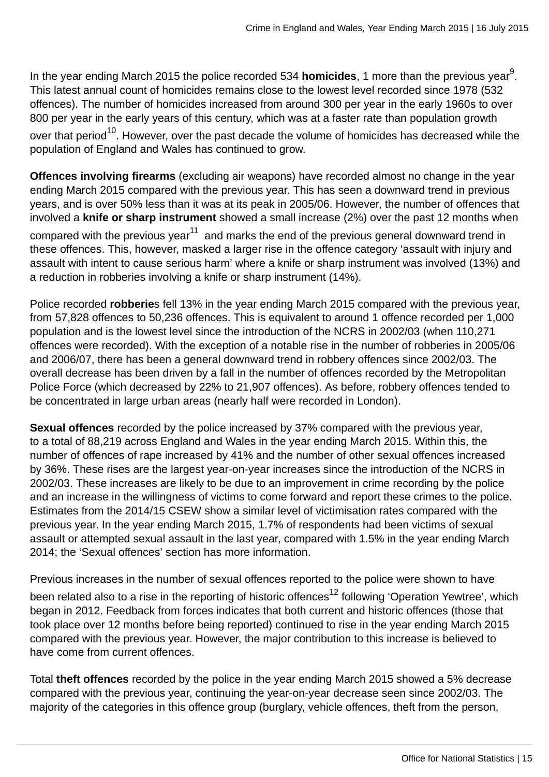In the year ending March 2015 the police recorded 534 **homicides**, 1 more than the previous year<sup>9</sup>. This latest annual count of homicides remains close to the lowest level recorded since 1978 (532 offences). The number of homicides increased from around 300 per year in the early 1960s to over 800 per year in the early years of this century, which was at a faster rate than population growth over that period<sup>10</sup>. However, over the past decade the volume of homicides has decreased while the population of England and Wales has continued to grow.

**Offences involving firearms** (excluding air weapons) have recorded almost no change in the year ending March 2015 compared with the previous year. This has seen a downward trend in previous years, and is over 50% less than it was at its peak in 2005/06. However, the number of offences that involved a **knife or sharp instrument** showed a small increase (2%) over the past 12 months when compared with the previous year $11$  and marks the end of the previous general downward trend in these offences. This, however, masked a larger rise in the offence category 'assault with injury and assault with intent to cause serious harm' where a knife or sharp instrument was involved (13%) and a reduction in robberies involving a knife or sharp instrument (14%).

Police recorded **robberie**s fell 13% in the year ending March 2015 compared with the previous year, from 57,828 offences to 50,236 offences. This is equivalent to around 1 offence recorded per 1,000 population and is the lowest level since the introduction of the NCRS in 2002/03 (when 110,271 offences were recorded). With the exception of a notable rise in the number of robberies in 2005/06 and 2006/07, there has been a general downward trend in robbery offences since 2002/03. The overall decrease has been driven by a fall in the number of offences recorded by the Metropolitan Police Force (which decreased by 22% to 21,907 offences). As before, robbery offences tended to be concentrated in large urban areas (nearly half were recorded in London).

**Sexual offences** recorded by the police increased by 37% compared with the previous year, to a total of 88,219 across England and Wales in the year ending March 2015. Within this, the number of offences of rape increased by 41% and the number of other sexual offences increased by 36%. These rises are the largest year-on-year increases since the introduction of the NCRS in 2002/03. These increases are likely to be due to an improvement in crime recording by the police and an increase in the willingness of victims to come forward and report these crimes to the police. Estimates from the 2014/15 CSEW show a similar level of victimisation rates compared with the previous year. In the year ending March 2015, 1.7% of respondents had been victims of sexual assault or attempted sexual assault in the last year, compared with 1.5% in the year ending March 2014; the 'Sexual offences' section has more information.

Previous increases in the number of sexual offences reported to the police were shown to have

been related also to a rise in the reporting of historic offences<sup>12</sup> following 'Operation Yewtree', which began in 2012. Feedback from forces indicates that both current and historic offences (those that took place over 12 months before being reported) continued to rise in the year ending March 2015 compared with the previous year. However, the major contribution to this increase is believed to have come from current offences.

Total **theft offences** recorded by the police in the year ending March 2015 showed a 5% decrease compared with the previous year, continuing the year-on-year decrease seen since 2002/03. The majority of the categories in this offence group (burglary, vehicle offences, theft from the person,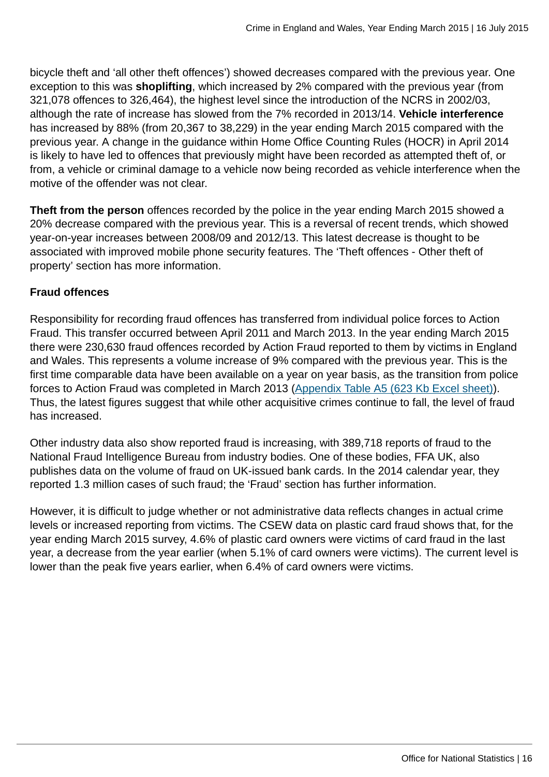bicycle theft and 'all other theft offences') showed decreases compared with the previous year. One exception to this was **shoplifting**, which increased by 2% compared with the previous year (from 321,078 offences to 326,464), the highest level since the introduction of the NCRS in 2002/03, although the rate of increase has slowed from the 7% recorded in 2013/14. **Vehicle interference** has increased by 88% (from 20,367 to 38,229) in the year ending March 2015 compared with the previous year. A change in the guidance within Home Office Counting Rules (HOCR) in April 2014 is likely to have led to offences that previously might have been recorded as attempted theft of, or from, a vehicle or criminal damage to a vehicle now being recorded as vehicle interference when the motive of the offender was not clear.

**Theft from the person** offences recorded by the police in the year ending March 2015 showed a 20% decrease compared with the previous year. This is a reversal of recent trends, which showed year-on-year increases between 2008/09 and 2012/13. This latest decrease is thought to be associated with improved mobile phone security features. The 'Theft offences - Other theft of property' section has more information.

# **Fraud offences**

Responsibility for recording fraud offences has transferred from individual police forces to Action Fraud. This transfer occurred between April 2011 and March 2013. In the year ending March 2015 there were 230,630 fraud offences recorded by Action Fraud reported to them by victims in England and Wales. This represents a volume increase of 9% compared with the previous year. This is the first time comparable data have been available on a year on year basis, as the transition from police forces to Action Fraud was completed in March 2013 ([Appendix Table A5 \(623 Kb Excel sheet\)](http://www.ons.gov.uk:80/ons/rel/crime-stats/crime-statistics/year-ending-march-2015/rft-02.xls)). Thus, the latest figures suggest that while other acquisitive crimes continue to fall, the level of fraud has increased.

Other industry data also show reported fraud is increasing, with 389,718 reports of fraud to the National Fraud Intelligence Bureau from industry bodies. One of these bodies, FFA UK, also publishes data on the volume of fraud on UK-issued bank cards. In the 2014 calendar year, they reported 1.3 million cases of such fraud; the 'Fraud' section has further information.

However, it is difficult to judge whether or not administrative data reflects changes in actual crime levels or increased reporting from victims. The CSEW data on plastic card fraud shows that, for the year ending March 2015 survey, 4.6% of plastic card owners were victims of card fraud in the last year, a decrease from the year earlier (when 5.1% of card owners were victims). The current level is lower than the peak five years earlier, when 6.4% of card owners were victims.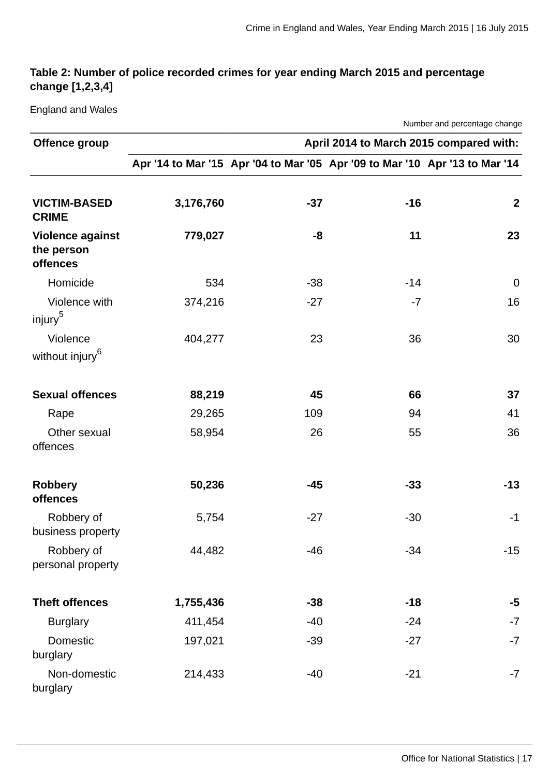# **Table 2: Number of police recorded crimes for year ending March 2015 and percentage change [1,2,3,4]**

England and Wales

| Number and percentage change                      |                                         |       |                                                                             |                |  |  |  |  |  |
|---------------------------------------------------|-----------------------------------------|-------|-----------------------------------------------------------------------------|----------------|--|--|--|--|--|
| Offence group                                     | April 2014 to March 2015 compared with: |       |                                                                             |                |  |  |  |  |  |
|                                                   |                                         |       | Apr '14 to Mar '15 Apr '04 to Mar '05 Apr '09 to Mar '10 Apr '13 to Mar '14 |                |  |  |  |  |  |
| <b>VICTIM-BASED</b><br><b>CRIME</b>               | 3,176,760                               | $-37$ | $-16$                                                                       | $\overline{2}$ |  |  |  |  |  |
| <b>Violence against</b><br>the person<br>offences | 779,027                                 | -8    | 11                                                                          | 23             |  |  |  |  |  |
| Homicide                                          | 534                                     | $-38$ | $-14$                                                                       | $\mathbf 0$    |  |  |  |  |  |
| Violence with<br>injury <sup>5</sup>              | 374,216                                 | $-27$ | $-7$                                                                        | 16             |  |  |  |  |  |
| Violence<br>without injury <sup>6</sup>           | 404,277                                 | 23    | 36                                                                          | 30             |  |  |  |  |  |
| <b>Sexual offences</b>                            | 88,219                                  | 45    | 66                                                                          | 37             |  |  |  |  |  |
| Rape                                              | 29,265                                  | 109   | 94                                                                          | 41             |  |  |  |  |  |
| Other sexual<br>offences                          | 58,954                                  | 26    | 55                                                                          | 36             |  |  |  |  |  |
| <b>Robbery</b><br>offences                        | 50,236                                  | -45   | $-33$                                                                       | $-13$          |  |  |  |  |  |
| Robbery of<br>business property                   | 5,754                                   | $-27$ | $-30$                                                                       | $-1$           |  |  |  |  |  |
| Robbery of<br>personal property                   | 44,482                                  | $-46$ | $-34$                                                                       | $-15$          |  |  |  |  |  |
| <b>Theft offences</b>                             | 1,755,436                               | $-38$ | $-18$                                                                       | $-5$           |  |  |  |  |  |
| <b>Burglary</b>                                   | 411,454                                 | $-40$ | $-24$                                                                       | $-7$           |  |  |  |  |  |
| Domestic<br>burglary                              | 197,021                                 | $-39$ | $-27$                                                                       | $-7$           |  |  |  |  |  |
| Non-domestic<br>burglary                          | 214,433                                 | $-40$ | $-21$                                                                       | $-7$           |  |  |  |  |  |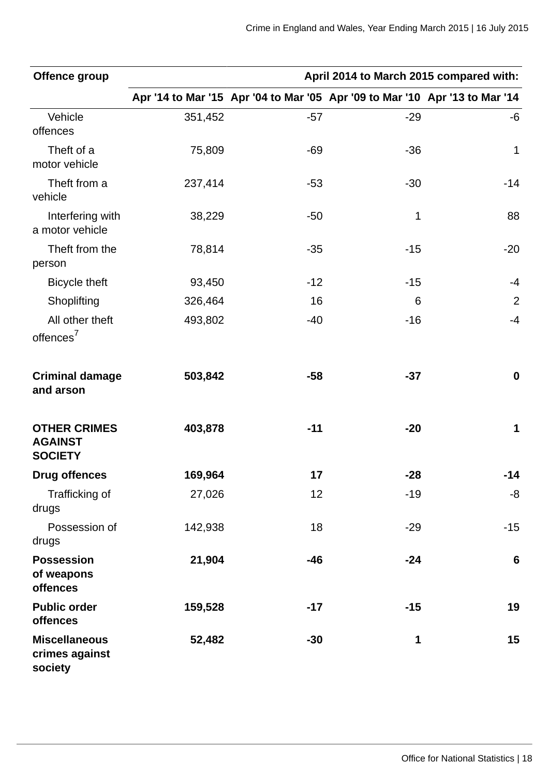| Offence group                                           | April 2014 to March 2015 compared with: |       |                                                                             |                  |  |  |  |  |
|---------------------------------------------------------|-----------------------------------------|-------|-----------------------------------------------------------------------------|------------------|--|--|--|--|
|                                                         |                                         |       | Apr '14 to Mar '15 Apr '04 to Mar '05 Apr '09 to Mar '10 Apr '13 to Mar '14 |                  |  |  |  |  |
| Vehicle<br>offences                                     | 351,452                                 | $-57$ | $-29$                                                                       | -6               |  |  |  |  |
| Theft of a<br>motor vehicle                             | 75,809                                  | $-69$ | $-36$                                                                       | $\mathbf 1$      |  |  |  |  |
| Theft from a<br>vehicle                                 | 237,414                                 | $-53$ | $-30$                                                                       | $-14$            |  |  |  |  |
| Interfering with<br>a motor vehicle                     | 38,229                                  | $-50$ | $\mathbf{1}$                                                                | 88               |  |  |  |  |
| Theft from the<br>person                                | 78,814                                  | $-35$ | $-15$                                                                       | $-20$            |  |  |  |  |
| <b>Bicycle theft</b>                                    | 93,450                                  | $-12$ | $-15$                                                                       | $-4$             |  |  |  |  |
| Shoplifting                                             | 326,464                                 | 16    | 6                                                                           | $\overline{2}$   |  |  |  |  |
| All other theft<br>offences <sup>7</sup>                | 493,802                                 | $-40$ | $-16$                                                                       | $-4$             |  |  |  |  |
| <b>Criminal damage</b><br>and arson                     | 503,842                                 | $-58$ | $-37$                                                                       | $\boldsymbol{0}$ |  |  |  |  |
| <b>OTHER CRIMES</b><br><b>AGAINST</b><br><b>SOCIETY</b> | 403,878                                 | $-11$ | $-20$                                                                       | $\mathbf 1$      |  |  |  |  |
| <b>Drug offences</b>                                    | 169,964                                 | 17    | $-28$                                                                       | $-14$            |  |  |  |  |
| Trafficking of<br>drugs                                 | 27,026                                  | 12    | $-19$                                                                       | -8               |  |  |  |  |
| Possession of<br>drugs                                  | 142,938                                 | 18    | $-29$                                                                       | $-15$            |  |  |  |  |
| <b>Possession</b><br>of weapons<br>offences             | 21,904                                  | $-46$ | $-24$                                                                       | 6                |  |  |  |  |
| <b>Public order</b><br>offences                         | 159,528                                 | $-17$ | $-15$                                                                       | 19               |  |  |  |  |
| <b>Miscellaneous</b><br>crimes against<br>society       | 52,482                                  | $-30$ | $\mathbf{1}$                                                                | 15               |  |  |  |  |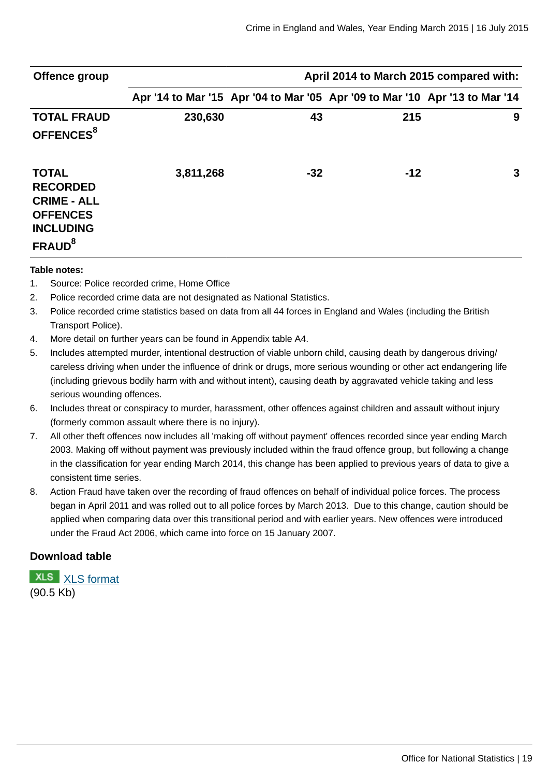| Offence group                                                                                                      | April 2014 to March 2015 compared with: |       |                                                                             |   |  |  |  |
|--------------------------------------------------------------------------------------------------------------------|-----------------------------------------|-------|-----------------------------------------------------------------------------|---|--|--|--|
|                                                                                                                    |                                         |       | Apr '14 to Mar '15 Apr '04 to Mar '05 Apr '09 to Mar '10 Apr '13 to Mar '14 |   |  |  |  |
| <b>TOTAL FRAUD</b><br>OFFENCES <sup>8</sup>                                                                        | 230,630                                 | 43    | 215                                                                         | 9 |  |  |  |
| <b>TOTAL</b><br><b>RECORDED</b><br><b>CRIME - ALL</b><br><b>OFFENCES</b><br><b>INCLUDING</b><br>FRAUD <sup>8</sup> | 3,811,268                               | $-32$ | $-12$                                                                       | 3 |  |  |  |

#### **Table notes:**

- 1. Source: Police recorded crime, Home Office
- 2. Police recorded crime data are not designated as National Statistics.
- 3. Police recorded crime statistics based on data from all 44 forces in England and Wales (including the British Transport Police).
- 4. More detail on further years can be found in Appendix table A4.
- 5. Includes attempted murder, intentional destruction of viable unborn child, causing death by dangerous driving/ careless driving when under the influence of drink or drugs, more serious wounding or other act endangering life (including grievous bodily harm with and without intent), causing death by aggravated vehicle taking and less serious wounding offences.
- 6. Includes threat or conspiracy to murder, harassment, other offences against children and assault without injury (formerly common assault where there is no injury).
- 7. All other theft offences now includes all 'making off without payment' offences recorded since year ending March 2003. Making off without payment was previously included within the fraud offence group, but following a change in the classification for year ending March 2014, this change has been applied to previous years of data to give a consistent time series.
- 8. Action Fraud have taken over the recording of fraud offences on behalf of individual police forces. The process began in April 2011 and was rolled out to all police forces by March 2013. Due to this change, caution should be applied when comparing data over this transitional period and with earlier years. New offences were introduced under the Fraud Act 2006, which came into force on 15 January 2007.

#### **Download table**

**XLS** [XLS format](http://www.ons.gov.uk:80/ons/rel/crime-stats/crime-statistics/year-ending-march-2015/prt-2.xls) (90.5 Kb)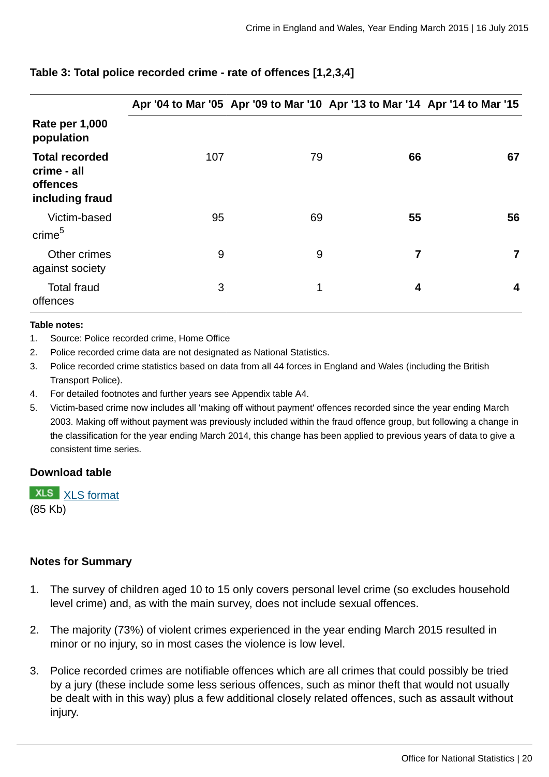|                                                                     |     |    | Apr '04 to Mar '05 Apr '09 to Mar '10 Apr '13 to Mar '14 Apr '14 to Mar '15 |    |
|---------------------------------------------------------------------|-----|----|-----------------------------------------------------------------------------|----|
| <b>Rate per 1,000</b><br>population                                 |     |    |                                                                             |    |
| <b>Total recorded</b><br>crime - all<br>offences<br>including fraud | 107 | 79 | 66                                                                          | 67 |
| Victim-based<br>crime <sup>5</sup>                                  | 95  | 69 | 55                                                                          | 56 |
| Other crimes<br>against society                                     | 9   | 9  | 7                                                                           | 7  |
| <b>Total fraud</b><br>offences                                      | 3   | 1  | 4                                                                           | 4  |

# **Table 3: Total police recorded crime - rate of offences [1,2,3,4]**

#### **Table notes:**

- 1. Source: Police recorded crime, Home Office
- 2. Police recorded crime data are not designated as National Statistics.
- 3. Police recorded crime statistics based on data from all 44 forces in England and Wales (including the British Transport Police).
- 4. For detailed footnotes and further years see Appendix table A4.
- 5. Victim-based crime now includes all 'making off without payment' offences recorded since the year ending March 2003. Making off without payment was previously included within the fraud offence group, but following a change in the classification for the year ending March 2014, this change has been applied to previous years of data to give a consistent time series.

## **Download table**

**XLS** [XLS format](http://www.ons.gov.uk:80/ons/rel/crime-stats/crime-statistics/year-ending-march-2015/prt-3.xls) (85 Kb)

## **Notes for Summary**

- 1. The survey of children aged 10 to 15 only covers personal level crime (so excludes household level crime) and, as with the main survey, does not include sexual offences.
- 2. The majority (73%) of violent crimes experienced in the year ending March 2015 resulted in minor or no injury, so in most cases the violence is low level.
- 3. Police recorded crimes are notifiable offences which are all crimes that could possibly be tried by a jury (these include some less serious offences, such as minor theft that would not usually be dealt with in this way) plus a few additional closely related offences, such as assault without injury.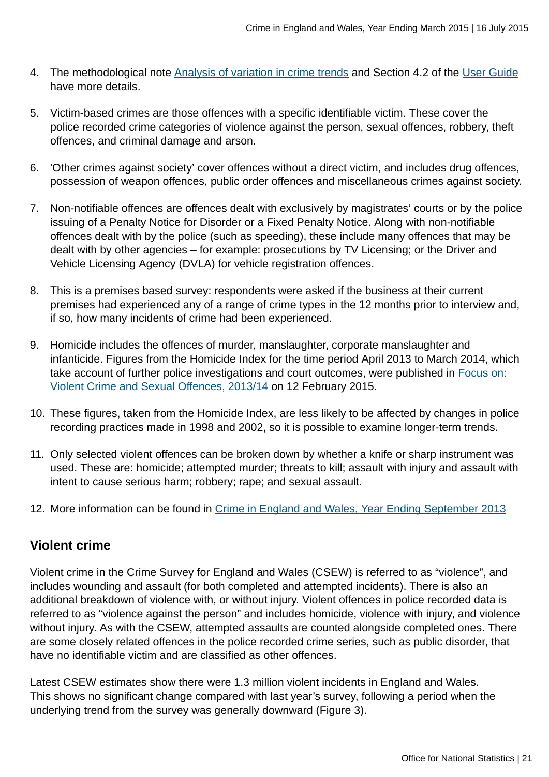- 4. The methodological note [Analysis of variation in crime trends](http://www.ons.gov.uk:80/ons/guide-method/method-quality/specific/crime-statistics-methodology/methodological-notes/index.html) and Section 4.2 of the [User Guide](http://www.ons.gov.uk:80/ons/guide-method/method-quality/specific/crime-statistics-methodology/user-guides/index.html) have more details.
- 5. Victim-based crimes are those offences with a specific identifiable victim. These cover the police recorded crime categories of violence against the person, sexual offences, robbery, theft offences, and criminal damage and arson.
- 6. 'Other crimes against society' cover offences without a direct victim, and includes drug offences, possession of weapon offences, public order offences and miscellaneous crimes against society.
- 7. Non-notifiable offences are offences dealt with exclusively by magistrates' courts or by the police issuing of a Penalty Notice for Disorder or a Fixed Penalty Notice. Along with non-notifiable offences dealt with by the police (such as speeding), these include many offences that may be dealt with by other agencies – for example: prosecutions by TV Licensing; or the Driver and Vehicle Licensing Agency (DVLA) for vehicle registration offences.
- 8. This is a premises based survey: respondents were asked if the business at their current premises had experienced any of a range of crime types in the 12 months prior to interview and, if so, how many incidents of crime had been experienced.
- 9. Homicide includes the offences of murder, manslaughter, corporate manslaughter and infanticide. Figures from the Homicide Index for the time period April 2013 to March 2014, which take account of further police investigations and court outcomes, were published in [Focus on:](http://www.ons.gov.uk:80/ons/rel/crime-stats/crime-statistics/focus-on-violent-crime-and-sexual-offences--2013-14/index.html) [Violent Crime and Sexual Offences, 2013/14](http://www.ons.gov.uk:80/ons/rel/crime-stats/crime-statistics/focus-on-violent-crime-and-sexual-offences--2013-14/index.html) on 12 February 2015.
- 10. These figures, taken from the Homicide Index, are less likely to be affected by changes in police recording practices made in 1998 and 2002, so it is possible to examine longer-term trends.
- 11. Only selected violent offences can be broken down by whether a knife or sharp instrument was used. These are: homicide; attempted murder; threats to kill; assault with injury and assault with intent to cause serious harm; robbery; rape; and sexual assault.
- 12. More information can be found in [Crime in England and Wales, Year Ending September 2013](http://www.ons.gov.uk:80/ons/rel/crime-stats/crime-statistics/period-ending-september-2013/index.html)

# **Violent crime**

Violent crime in the Crime Survey for England and Wales (CSEW) is referred to as "violence", and includes wounding and assault (for both completed and attempted incidents). There is also an additional breakdown of violence with, or without injury. Violent offences in police recorded data is referred to as "violence against the person" and includes homicide, violence with injury, and violence without injury. As with the CSEW, attempted assaults are counted alongside completed ones. There are some closely related offences in the police recorded crime series, such as public disorder, that have no identifiable victim and are classified as other offences.

Latest CSEW estimates show there were 1.3 million violent incidents in England and Wales. This shows no significant change compared with last year's survey, following a period when the underlying trend from the survey was generally downward (Figure 3).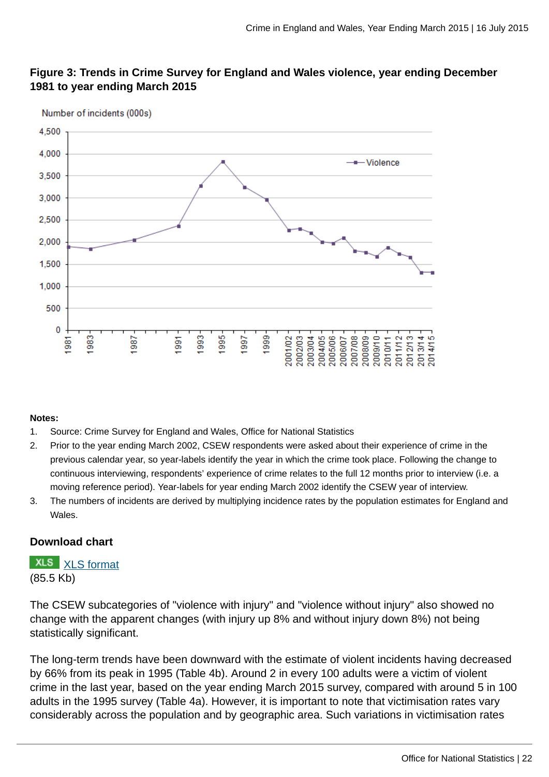

# **Figure 3: Trends in Crime Survey for England and Wales violence, year ending December 1981 to year ending March 2015**

#### **Notes:**

- 1. Source: Crime Survey for England and Wales, Office for National Statistics
- 2. Prior to the year ending March 2002, CSEW respondents were asked about their experience of crime in the previous calendar year, so year-labels identify the year in which the crime took place. Following the change to continuous interviewing, respondents' experience of crime relates to the full 12 months prior to interview (i.e. a moving reference period). Year-labels for year ending March 2002 identify the CSEW year of interview.
- 3. The numbers of incidents are derived by multiplying incidence rates by the population estimates for England and Wales.

#### **Download chart**

**XLS** [XLS format](http://www.ons.gov.uk:80/ons/rel/crime-stats/crime-statistics/year-ending-march-2015/chd-3.xls) (85.5 Kb)

The CSEW subcategories of "violence with injury" and "violence without injury" also showed no change with the apparent changes (with injury up 8% and without injury down 8%) not being statistically significant.

The long-term trends have been downward with the estimate of violent incidents having decreased by 66% from its peak in 1995 (Table 4b). Around 2 in every 100 adults were a victim of violent crime in the last year, based on the year ending March 2015 survey, compared with around 5 in 100 adults in the 1995 survey (Table 4a). However, it is important to note that victimisation rates vary considerably across the population and by geographic area. Such variations in victimisation rates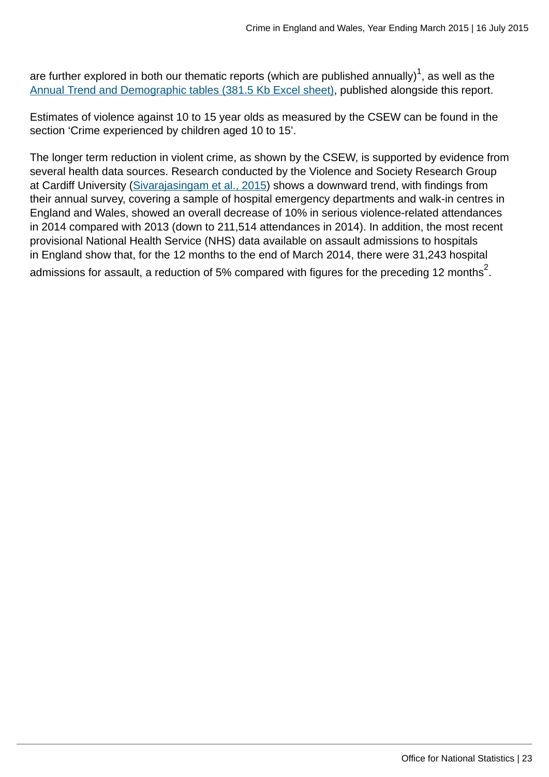are further explored in both our thematic reports (which are published annually) $^{\tt 1}$ , as well as the [Annual Trend and Demographic tables \(381.5 Kb Excel sheet\),](http://www.ons.gov.uk:80/ons/rel/crime-stats/crime-statistics/year-ending-march-2015/rft-3.xls) published alongside this report.

Estimates of violence against 10 to 15 year olds as measured by the CSEW can be found in the section 'Crime experienced by children aged 10 to 15'.

The longer term reduction in violent crime, as shown by the CSEW, is supported by evidence from several health data sources. Research conducted by the Violence and Society Research Group at Cardiff University [\(Sivarajasingam et al., 2015\)](http://www.cardiff.ac.uk/__data/assets/pdf_file/0009/95778/nvit_2014.pdf) shows a downward trend, with findings from their annual survey, covering a sample of hospital emergency departments and walk-in centres in England and Wales, showed an overall decrease of 10% in serious violence-related attendances in 2014 compared with 2013 (down to 211,514 attendances in 2014). In addition, the most recent provisional National Health Service (NHS) data available on assault admissions to hospitals in England show that, for the 12 months to the end of March 2014, there were 31,243 hospital admissions for assault, a reduction of 5% compared with figures for the preceding 12 months $^2\!$ .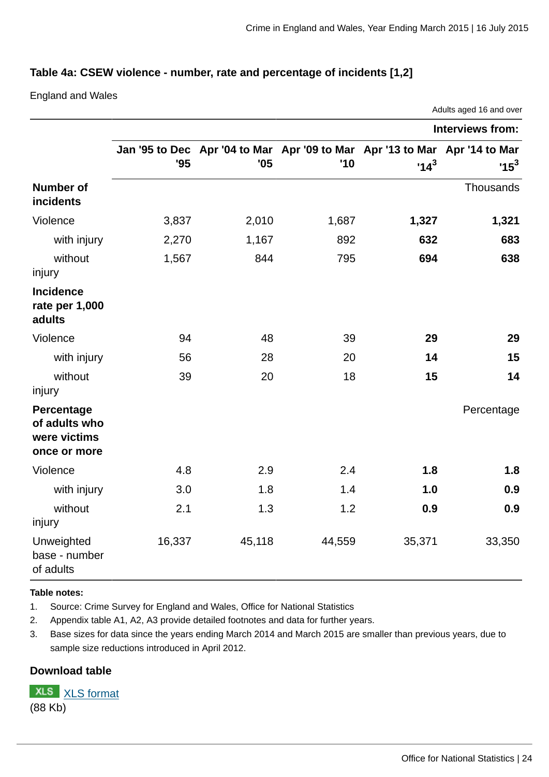## **Table 4a: CSEW violence - number, rate and percentage of incidents [1,2]**

England and Wales

|                                                             |        |                                                                                   |        |        | Adults aged 16 and over |
|-------------------------------------------------------------|--------|-----------------------------------------------------------------------------------|--------|--------|-------------------------|
|                                                             |        |                                                                                   |        |        | Interviews from:        |
|                                                             | '95    | Jan '95 to Dec Apr '04 to Mar Apr '09 to Mar Apr '13 to Mar Apr '14 to Mar<br>'05 | '10    | $14^3$ | ' $15^3$                |
| <b>Number of</b><br>incidents                               |        |                                                                                   |        |        | Thousands               |
| Violence                                                    | 3,837  | 2,010                                                                             | 1,687  | 1,327  | 1,321                   |
| with injury                                                 | 2,270  | 1,167                                                                             | 892    | 632    | 683                     |
| without<br>injury                                           | 1,567  | 844                                                                               | 795    | 694    | 638                     |
| <b>Incidence</b><br>rate per 1,000<br>adults                |        |                                                                                   |        |        |                         |
| Violence                                                    | 94     | 48                                                                                | 39     | 29     | 29                      |
| with injury                                                 | 56     | 28                                                                                | 20     | 14     | 15                      |
| without<br>injury                                           | 39     | 20                                                                                | 18     | 15     | 14                      |
| Percentage<br>of adults who<br>were victims<br>once or more |        |                                                                                   |        |        | Percentage              |
| Violence                                                    | 4.8    | 2.9                                                                               | 2.4    | 1.8    | 1.8                     |
| with injury                                                 | 3.0    | 1.8                                                                               | 1.4    | 1.0    | 0.9                     |
| without<br>injury                                           | 2.1    | 1.3                                                                               | 1.2    | 0.9    | 0.9                     |
| Unweighted<br>base - number<br>of adults                    | 16,337 | 45,118                                                                            | 44,559 | 35,371 | 33,350                  |

#### **Table notes:**

1. Source: Crime Survey for England and Wales, Office for National Statistics

2. Appendix table A1, A2, A3 provide detailed footnotes and data for further years.

3. Base sizes for data since the years ending March 2014 and March 2015 are smaller than previous years, due to sample size reductions introduced in April 2012.

#### **Download table**

**XLS** [XLS format](http://www.ons.gov.uk:80/ons/rel/crime-stats/crime-statistics/year-ending-march-2015/prt-4a.xls) (88 Kb)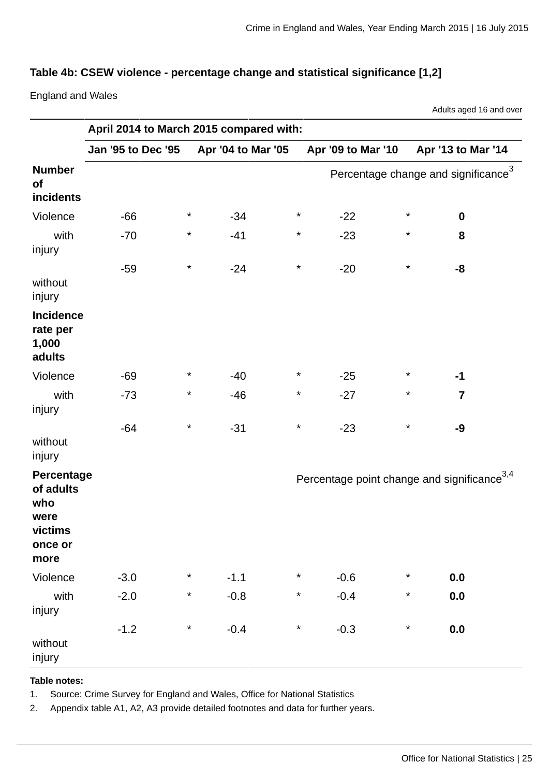## **Table 4b: CSEW violence - percentage change and statistical significance [1,2]**

England and Wales

Adults aged 16 and over

|                                                                      | April 2014 to March 2015 compared with: |          |                    |          |                                                         |          |                         |
|----------------------------------------------------------------------|-----------------------------------------|----------|--------------------|----------|---------------------------------------------------------|----------|-------------------------|
|                                                                      | <b>Jan '95 to Dec '95</b>               |          | Apr '04 to Mar '05 |          | Apr '09 to Mar '10                                      |          | Apr '13 to Mar '14      |
| <b>Number</b><br>of<br>incidents                                     |                                         |          |                    |          | Percentage change and significance <sup>3</sup>         |          |                         |
| Violence                                                             | $-66$                                   | $\star$  | $-34$              | $\star$  | $-22$                                                   | $\star$  | $\mathbf 0$             |
| with<br>injury                                                       | $-70$                                   | $\star$  | $-41$              | $\star$  | $-23$                                                   | $\star$  | 8                       |
| without<br>injury                                                    | $-59$                                   | $\star$  | $-24$              | $^\star$ | $-20$                                                   | $\star$  | -8                      |
| Incidence<br>rate per<br>1,000<br>adults                             |                                         |          |                    |          |                                                         |          |                         |
| Violence                                                             | $-69$                                   | $\ast$   | $-40$              | $\star$  | $-25$                                                   | $\star$  | $-1$                    |
| with<br>injury                                                       | $-73$                                   | $^\star$ | $-46$              | $^\star$ | $-27$                                                   | $^\star$ | $\overline{\mathbf{z}}$ |
| without<br>injury                                                    | $-64$                                   | $^\star$ | $-31$              | $^\star$ | $-23$                                                   | $\star$  | -9                      |
| Percentage<br>of adults<br>who<br>were<br>victims<br>once or<br>more |                                         |          |                    |          | Percentage point change and significance <sup>3,4</sup> |          |                         |
| Violence                                                             | $-3.0$                                  | $^\star$ | $-1.1$             | $\star$  | $-0.6$                                                  | $\star$  | 0.0                     |
| with<br>injury                                                       | $-2.0$                                  | $\star$  | $-0.8$             | $\star$  | $-0.4$                                                  | $\star$  | 0.0                     |
| without<br>injury                                                    | $-1.2$                                  | $\star$  | $-0.4$             | $^\star$ | $-0.3$                                                  | $\star$  | 0.0                     |

#### **Table notes:**

1. Source: Crime Survey for England and Wales, Office for National Statistics

2. Appendix table A1, A2, A3 provide detailed footnotes and data for further years.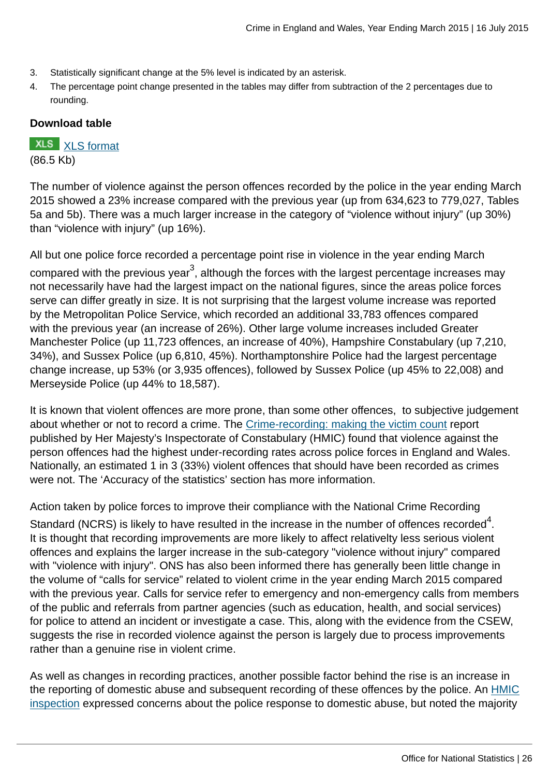- 3. Statistically significant change at the 5% level is indicated by an asterisk.
- 4. The percentage point change presented in the tables may differ from subtraction of the 2 percentages due to rounding.

## **Download table**

**XLS** [XLS format](http://www.ons.gov.uk:80/ons/rel/crime-stats/crime-statistics/year-ending-march-2015/prt-4b.xls)

(86.5 Kb)

The number of violence against the person offences recorded by the police in the year ending March 2015 showed a 23% increase compared with the previous year (up from 634,623 to 779,027, Tables 5a and 5b). There was a much larger increase in the category of "violence without injury" (up 30%) than "violence with injury" (up 16%).

All but one police force recorded a percentage point rise in violence in the year ending March compared with the previous year $^3$ , although the forces with the largest percentage increases may not necessarily have had the largest impact on the national figures, since the areas police forces serve can differ greatly in size. It is not surprising that the largest volume increase was reported by the Metropolitan Police Service, which recorded an additional 33,783 offences compared with the previous year (an increase of 26%). Other large volume increases included Greater Manchester Police (up 11,723 offences, an increase of 40%), Hampshire Constabulary (up 7,210, 34%), and Sussex Police (up 6,810, 45%). Northamptonshire Police had the largest percentage change increase, up 53% (or 3,935 offences), followed by Sussex Police (up 45% to 22,008) and Merseyside Police (up 44% to 18,587).

It is known that violent offences are more prone, than some other offences, to subjective judgement about whether or not to record a crime. The [Crime-recording: making the victim count](https://www.justiceinspectorates.gov.uk/hmic/publication/crime-recording-making-the-victim-count/) report published by Her Majesty's Inspectorate of Constabulary (HMIC) found that violence against the person offences had the highest under-recording rates across police forces in England and Wales. Nationally, an estimated 1 in 3 (33%) violent offences that should have been recorded as crimes were not. The 'Accuracy of the statistics' section has more information.

Action taken by police forces to improve their compliance with the National Crime Recording

Standard (NCRS) is likely to have resulted in the increase in the number of offences recorded $^4$ . It is thought that recording improvements are more likely to affect relativelty less serious violent offences and explains the larger increase in the sub-category "violence without injury" compared with "violence with injury". ONS has also been informed there has generally been little change in the volume of "calls for service" related to violent crime in the year ending March 2015 compared with the previous year. Calls for service refer to emergency and non-emergency calls from members of the public and referrals from partner agencies (such as education, health, and social services) for police to attend an incident or investigate a case. This, along with the evidence from the CSEW, suggests the rise in recorded violence against the person is largely due to process improvements rather than a genuine rise in violent crime.

As well as changes in recording practices, another possible factor behind the rise is an increase in the reporting of domestic abuse and subsequent recording of these offences by the police. An [HMIC](http://www.hmic.gov.uk/publication/improving-the-police-response-to-domestic-abuse/) [inspection](http://www.hmic.gov.uk/publication/improving-the-police-response-to-domestic-abuse/) expressed concerns about the police response to domestic abuse, but noted the majority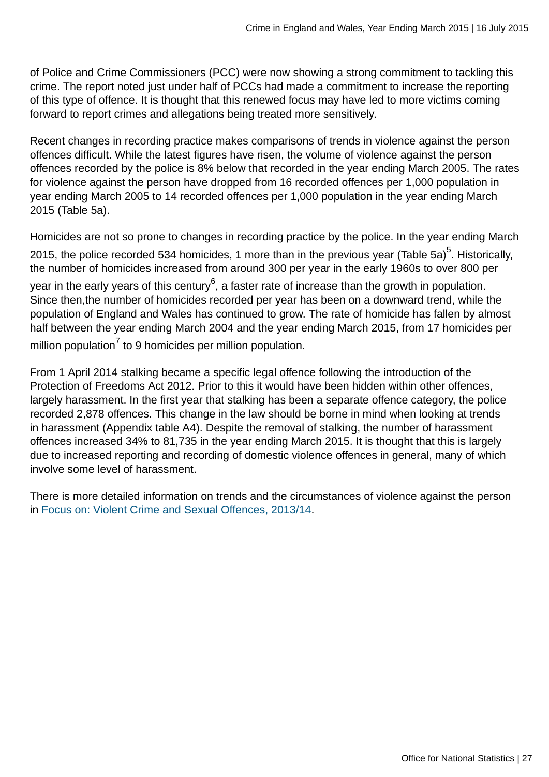of Police and Crime Commissioners (PCC) were now showing a strong commitment to tackling this crime. The report noted just under half of PCCs had made a commitment to increase the reporting of this type of offence. It is thought that this renewed focus may have led to more victims coming forward to report crimes and allegations being treated more sensitively.

Recent changes in recording practice makes comparisons of trends in violence against the person offences difficult. While the latest figures have risen, the volume of violence against the person offences recorded by the police is 8% below that recorded in the year ending March 2005. The rates for violence against the person have dropped from 16 recorded offences per 1,000 population in year ending March 2005 to 14 recorded offences per 1,000 population in the year ending March 2015 (Table 5a).

Homicides are not so prone to changes in recording practice by the police. In the year ending March 2015, the police recorded 534 homicides, 1 more than in the previous year (Table 5a)<sup>5</sup>. Historically, the number of homicides increased from around 300 per year in the early 1960s to over 800 per year in the early years of this century $^6$ , a faster rate of increase than the growth in population. Since then,the number of homicides recorded per year has been on a downward trend, while the population of England and Wales has continued to grow. The rate of homicide has fallen by almost half between the year ending March 2004 and the year ending March 2015, from 17 homicides per million population $^7$  to 9 homicides per million population.

From 1 April 2014 stalking became a specific legal offence following the introduction of the Protection of Freedoms Act 2012. Prior to this it would have been hidden within other offences, largely harassment. In the first year that stalking has been a separate offence category, the police recorded 2,878 offences. This change in the law should be borne in mind when looking at trends in harassment (Appendix table A4). Despite the removal of stalking, the number of harassment offences increased 34% to 81,735 in the year ending March 2015. It is thought that this is largely due to increased reporting and recording of domestic violence offences in general, many of which involve some level of harassment.

There is more detailed information on trends and the circumstances of violence against the person in [Focus on: Violent Crime and Sexual Offences, 2013/14](http://www.ons.gov.uk:80/ons/rel/crime-stats/crime-statistics/focus-on-violent-crime-and-sexual-offences--2013-14/index.html).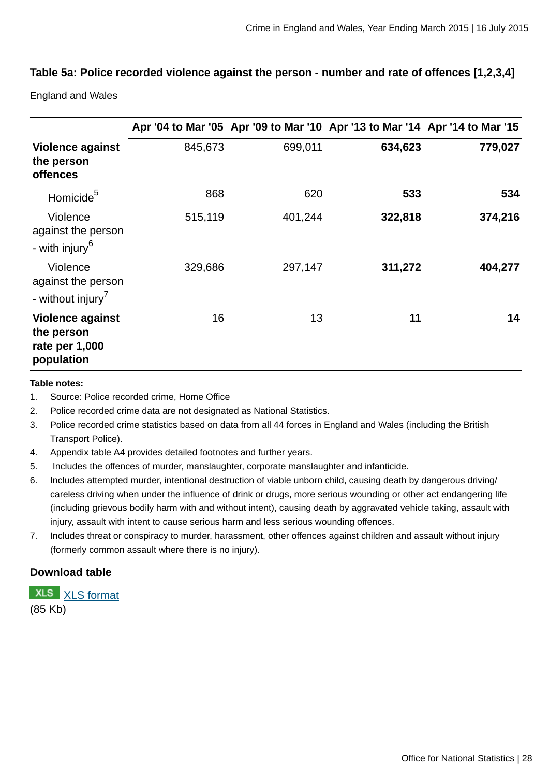## **Table 5a: Police recorded violence against the person - number and rate of offences [1,2,3,4]**

England and Wales

|                                                                       |         |         | Apr '04 to Mar '05 Apr '09 to Mar '10 Apr '13 to Mar '14 Apr '14 to Mar '15 |         |
|-----------------------------------------------------------------------|---------|---------|-----------------------------------------------------------------------------|---------|
| <b>Violence against</b><br>the person<br>offences                     | 845,673 | 699,011 | 634,623                                                                     | 779,027 |
| Homicide <sup>5</sup>                                                 | 868     | 620     | 533                                                                         | 534     |
| Violence<br>against the person<br>- with injury <sup>6</sup>          | 515,119 | 401,244 | 322,818                                                                     | 374,216 |
| Violence<br>against the person<br>- without injury <sup>7</sup>       | 329,686 | 297,147 | 311,272                                                                     | 404,277 |
| <b>Violence against</b><br>the person<br>rate per 1,000<br>population | 16      | 13      | 11                                                                          | 14      |

#### **Table notes:**

- 1. Source: Police recorded crime, Home Office
- 2. Police recorded crime data are not designated as National Statistics.
- 3. Police recorded crime statistics based on data from all 44 forces in England and Wales (including the British Transport Police).
- 4. Appendix table A4 provides detailed footnotes and further years.
- 5. Includes the offences of murder, manslaughter, corporate manslaughter and infanticide.
- 6. Includes attempted murder, intentional destruction of viable unborn child, causing death by dangerous driving/ careless driving when under the influence of drink or drugs, more serious wounding or other act endangering life (including grievous bodily harm with and without intent), causing death by aggravated vehicle taking, assault with injury, assault with intent to cause serious harm and less serious wounding offences.
- 7. Includes threat or conspiracy to murder, harassment, other offences against children and assault without injury (formerly common assault where there is no injury).

#### **Download table**

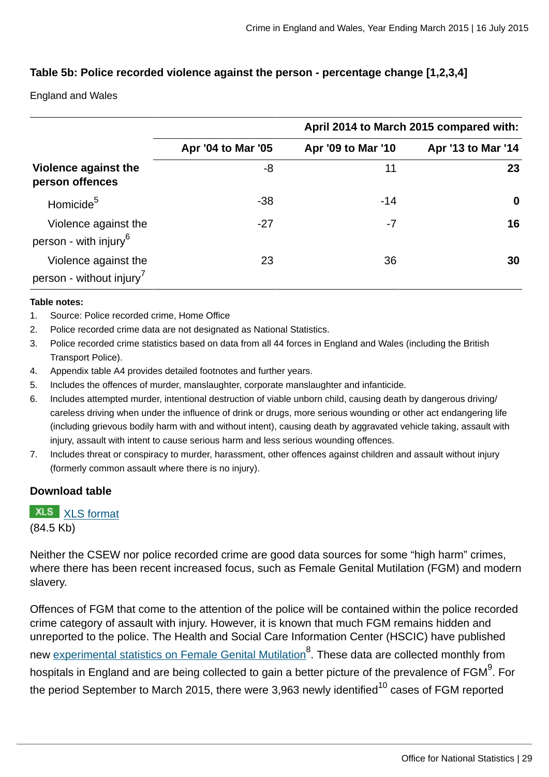## **Table 5b: Police recorded violence against the person - percentage change [1,2,3,4]**

England and Wales

|                                                              |                    | April 2014 to March 2015 compared with: |                    |  |  |
|--------------------------------------------------------------|--------------------|-----------------------------------------|--------------------|--|--|
|                                                              | Apr '04 to Mar '05 | Apr '09 to Mar '10                      | Apr '13 to Mar '14 |  |  |
| Violence against the<br>person offences                      | -8                 | 11                                      | 23                 |  |  |
| Homicide <sup>5</sup>                                        | $-38$              | $-14$                                   | $\bf{0}$           |  |  |
| Violence against the<br>person - with injury <sup>6</sup>    | $-27$              | -7                                      | 16                 |  |  |
| Violence against the<br>person - without injury <sup>7</sup> | 23                 | 36                                      | 30                 |  |  |

#### **Table notes:**

- 1. Source: Police recorded crime, Home Office
- 2. Police recorded crime data are not designated as National Statistics.
- 3. Police recorded crime statistics based on data from all 44 forces in England and Wales (including the British Transport Police).
- 4. Appendix table A4 provides detailed footnotes and further years.
- 5. Includes the offences of murder, manslaughter, corporate manslaughter and infanticide.
- 6. Includes attempted murder, intentional destruction of viable unborn child, causing death by dangerous driving/ careless driving when under the influence of drink or drugs, more serious wounding or other act endangering life (including grievous bodily harm with and without intent), causing death by aggravated vehicle taking, assault with injury, assault with intent to cause serious harm and less serious wounding offences.
- 7. Includes threat or conspiracy to murder, harassment, other offences against children and assault without injury (formerly common assault where there is no injury).

#### **Download table**

**XLS** [XLS format](http://www.ons.gov.uk:80/ons/rel/crime-stats/crime-statistics/year-ending-march-2015/prt-5b.xls) (84.5 Kb)

Neither the CSEW nor police recorded crime are good data sources for some "high harm" crimes, where there has been recent increased focus, such as Female Genital Mutilation (FGM) and modern slavery.

Offences of FGM that come to the attention of the police will be contained within the police recorded crime category of assault with injury. However, it is known that much FGM remains hidden and unreported to the police. The Health and Social Care Information Center (HSCIC) have published new <u>[experimental statistics on Female Genital Mutilation](http://www.hscic.gov.uk/catalogue/PUB17463)</u><sup>8</sup>. These data are collected monthly from hospitals in England and are being collected to gain a better picture of the prevalence of FGM $^9$ . For the period September to March 2015, there were 3,963 newly identified $^{10}$  cases of FGM reported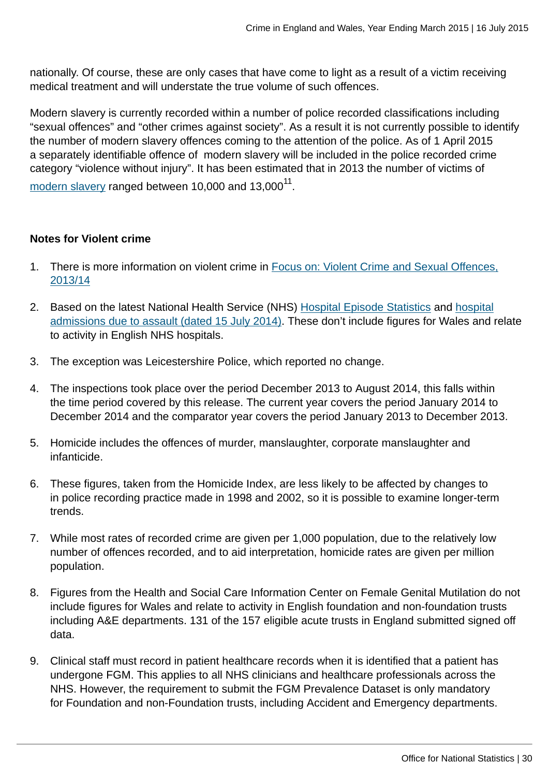nationally. Of course, these are only cases that have come to light as a result of a victim receiving medical treatment and will understate the true volume of such offences.

Modern slavery is currently recorded within a number of police recorded classifications including "sexual offences" and "other crimes against society". As a result it is not currently possible to identify the number of modern slavery offences coming to the attention of the police. As of 1 April 2015 a separately identifiable offence of modern slavery will be included in the police recorded crime category "violence without injury". It has been estimated that in 2013 the number of victims of  $\,$  [modern slavery](#page-0-0) ranged between 10,000 and 13,000 $^{11}.$ 

## **Notes for Violent crime**

- 1. There is more information on violent crime in [Focus on: Violent Crime and Sexual Offences,](http://www.ons.gov.uk:80/ons/rel/crime-stats/crime-statistics/focus-on-violent-crime-and-sexual-offences--2013-14/index.html) [2013/14](http://www.ons.gov.uk:80/ons/rel/crime-stats/crime-statistics/focus-on-violent-crime-and-sexual-offences--2013-14/index.html)
- 2. Based on the latest National Health Service (NHS) [Hospital Episode Statistics](http://www.hscic.gov.uk/catalogue/PUB17794) and [hospital](http://www.hscic.gov.uk/article/5317/2014-Supplementary-information-files) [admissions due to assault \(dated 15 July 2014\)](http://www.hscic.gov.uk/article/5317/2014-Supplementary-information-files). These don't include figures for Wales and relate to activity in English NHS hospitals.
- 3. The exception was Leicestershire Police, which reported no change.
- 4. The inspections took place over the period December 2013 to August 2014, this falls within the time period covered by this release. The current year covers the period January 2014 to December 2014 and the comparator year covers the period January 2013 to December 2013.
- 5. Homicide includes the offences of murder, manslaughter, corporate manslaughter and infanticide.
- 6. These figures, taken from the Homicide Index, are less likely to be affected by changes to in police recording practice made in 1998 and 2002, so it is possible to examine longer-term trends.
- 7. While most rates of recorded crime are given per 1,000 population, due to the relatively low number of offences recorded, and to aid interpretation, homicide rates are given per million population.
- 8. Figures from the Health and Social Care Information Center on Female Genital Mutilation do not include figures for Wales and relate to activity in English foundation and non-foundation trusts including A&E departments. 131 of the 157 eligible acute trusts in England submitted signed off data.
- 9. Clinical staff must record in patient healthcare records when it is identified that a patient has undergone FGM. This applies to all NHS clinicians and healthcare professionals across the NHS. However, the requirement to submit the FGM Prevalence Dataset is only mandatory for Foundation and non-Foundation trusts, including Accident and Emergency departments.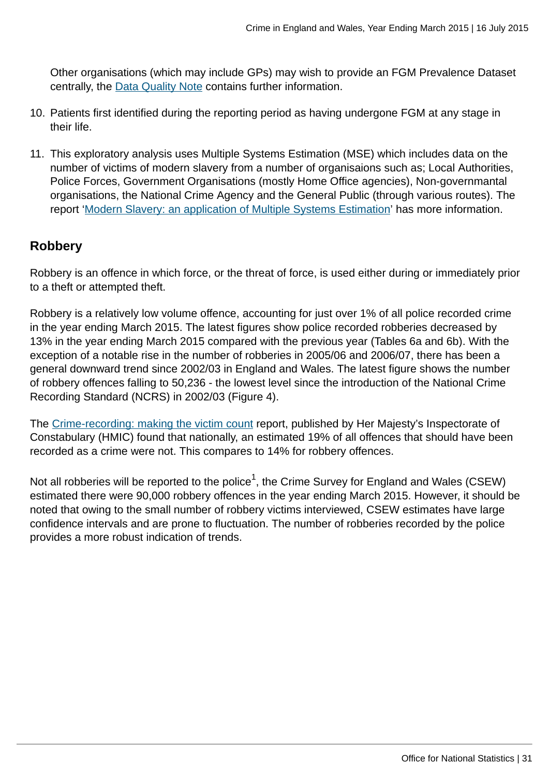Other organisations (which may include GPs) may wish to provide an FGM Prevalence Dataset centrally, the [Data Quality Note](http://www.hscic.gov.uk/catalogue/PUB16773/fgm-dec-2014-exp-qual.pdf) contains further information.

- 10. Patients first identified during the reporting period as having undergone FGM at any stage in their life.
- 11. This exploratory analysis uses Multiple Systems Estimation (MSE) which includes data on the number of victims of modern slavery from a number of organisaions such as; Local Authorities, Police Forces, Government Organisations (mostly Home Office agencies), Non-governmantal organisations, the National Crime Agency and the General Public (through various routes). The report '[Modern Slavery: an application of Multiple Systems Estimation'](#page-0-0) has more information.

# **Robbery**

Robbery is an offence in which force, or the threat of force, is used either during or immediately prior to a theft or attempted theft.

Robbery is a relatively low volume offence, accounting for just over 1% of all police recorded crime in the year ending March 2015. The latest figures show police recorded robberies decreased by 13% in the year ending March 2015 compared with the previous year (Tables 6a and 6b). With the exception of a notable rise in the number of robberies in 2005/06 and 2006/07, there has been a general downward trend since 2002/03 in England and Wales. The latest figure shows the number of robbery offences falling to 50,236 - the lowest level since the introduction of the National Crime Recording Standard (NCRS) in 2002/03 (Figure 4).

The [Crime-recording: making the victim count](https://www.justiceinspectorates.gov.uk/hmic/publication/crime-recording-making-the-victim-count/) report, published by Her Majesty's Inspectorate of Constabulary (HMIC) found that nationally, an estimated 19% of all offences that should have been recorded as a crime were not. This compares to 14% for robbery offences.

Not all robberies will be reported to the police $^1$ , the Crime Survey for England and Wales (CSEW) estimated there were 90,000 robbery offences in the year ending March 2015. However, it should be noted that owing to the small number of robbery victims interviewed, CSEW estimates have large confidence intervals and are prone to fluctuation. The number of robberies recorded by the police provides a more robust indication of trends.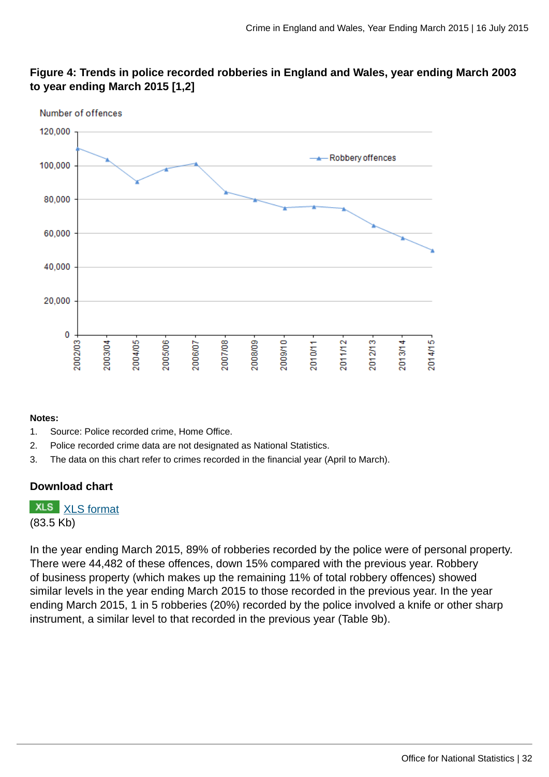

# **Figure 4: Trends in police recorded robberies in England and Wales, year ending March 2003 to year ending March 2015 [1,2]**

#### **Notes:**

- 1. Source: Police recorded crime, Home Office.
- 2. Police recorded crime data are not designated as National Statistics.
- 3. The data on this chart refer to crimes recorded in the financial year (April to March).

#### **Download chart**

**XLS** [XLS format](http://www.ons.gov.uk:80/ons/rel/crime-stats/crime-statistics/year-ending-march-2015/chd-4.xls) (83.5 Kb)

In the year ending March 2015, 89% of robberies recorded by the police were of personal property. There were 44,482 of these offences, down 15% compared with the previous year. Robbery of business property (which makes up the remaining 11% of total robbery offences) showed similar levels in the year ending March 2015 to those recorded in the previous year. In the year ending March 2015, 1 in 5 robberies (20%) recorded by the police involved a knife or other sharp instrument, a similar level to that recorded in the previous year (Table 9b).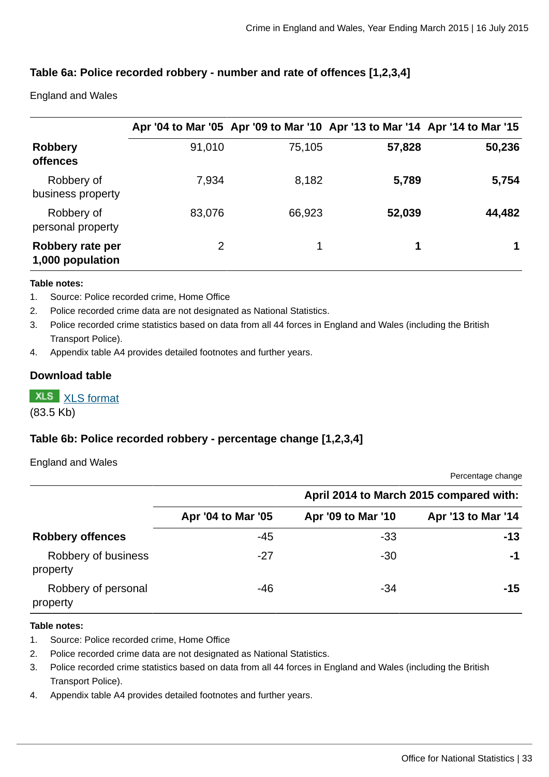## **Table 6a: Police recorded robbery - number and rate of offences [1,2,3,4]**

England and Wales

|                                      |        | Apr '04 to Mar '05 Apr '09 to Mar '10 Apr '13 to Mar '14 Apr '14 to Mar '15 |        |        |
|--------------------------------------|--------|-----------------------------------------------------------------------------|--------|--------|
| <b>Robbery</b><br><b>offences</b>    | 91,010 | 75,105                                                                      | 57,828 | 50,236 |
| Robbery of<br>business property      | 7,934  | 8,182                                                                       | 5,789  | 5,754  |
| Robbery of<br>personal property      | 83,076 | 66,923                                                                      | 52,039 | 44,482 |
| Robbery rate per<br>1,000 population | 2      | 1                                                                           | 1      |        |

#### **Table notes:**

- 1. Source: Police recorded crime, Home Office
- 2. Police recorded crime data are not designated as National Statistics.
- 3. Police recorded crime statistics based on data from all 44 forces in England and Wales (including the British Transport Police).
- 4. Appendix table A4 provides detailed footnotes and further years.

#### **Download table**

**XLS** [XLS format](http://www.ons.gov.uk:80/ons/rel/crime-stats/crime-statistics/year-ending-march-2015/prt-6a.xls)

(83.5 Kb)

## **Table 6b: Police recorded robbery - percentage change [1,2,3,4]**

#### England and Wales

Percentage change

|                                 |                    | April 2014 to March 2015 compared with: |                    |  |
|---------------------------------|--------------------|-----------------------------------------|--------------------|--|
|                                 | Apr '04 to Mar '05 | Apr '09 to Mar '10                      | Apr '13 to Mar '14 |  |
| <b>Robbery offences</b>         | $-45$              | -33                                     | $-13$              |  |
| Robbery of business<br>property | $-27$              | $-30$                                   | $-1$               |  |
| Robbery of personal<br>property | -46                | -34                                     | -15                |  |

#### **Table notes:**

- 1. Source: Police recorded crime, Home Office
- 2. Police recorded crime data are not designated as National Statistics.
- 3. Police recorded crime statistics based on data from all 44 forces in England and Wales (including the British Transport Police).
- 4. Appendix table A4 provides detailed footnotes and further years.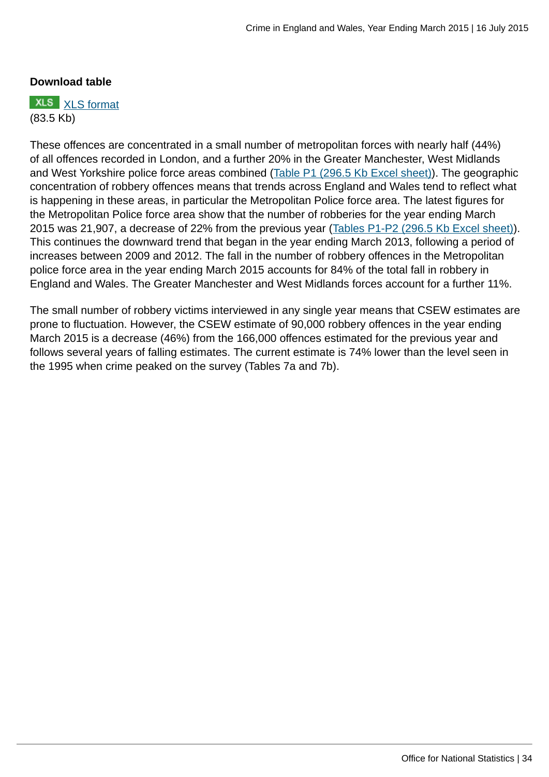#### **Download table**

**XLS** [XLS format](http://www.ons.gov.uk:80/ons/rel/crime-stats/crime-statistics/year-ending-march-2015/prt-6b.xls) (83.5 Kb)

These offences are concentrated in a small number of metropolitan forces with nearly half (44%) of all offences recorded in London, and a further 20% in the Greater Manchester, West Midlands and West Yorkshire police force areas combined [\(Table P1 \(296.5 Kb Excel sheet\)\)](http://www.ons.gov.uk:80/ons/rel/crime-stats/crime-statistics/year-ending-march-2015/rft-5.xls). The geographic concentration of robbery offences means that trends across England and Wales tend to reflect what is happening in these areas, in particular the Metropolitan Police force area. The latest figures for the Metropolitan Police force area show that the number of robberies for the year ending March 2015 was 21,907, a decrease of 22% from the previous year [\(Tables P1-P2 \(296.5 Kb Excel sheet\)](http://www.ons.gov.uk:80/ons/rel/crime-stats/crime-statistics/year-ending-march-2015/rft-5.xls)). This continues the downward trend that began in the year ending March 2013, following a period of increases between 2009 and 2012. The fall in the number of robbery offences in the Metropolitan police force area in the year ending March 2015 accounts for 84% of the total fall in robbery in England and Wales. The Greater Manchester and West Midlands forces account for a further 11%.

The small number of robbery victims interviewed in any single year means that CSEW estimates are prone to fluctuation. However, the CSEW estimate of 90,000 robbery offences in the year ending March 2015 is a decrease (46%) from the 166,000 offences estimated for the previous year and follows several years of falling estimates. The current estimate is 74% lower than the level seen in the 1995 when crime peaked on the survey (Tables 7a and 7b).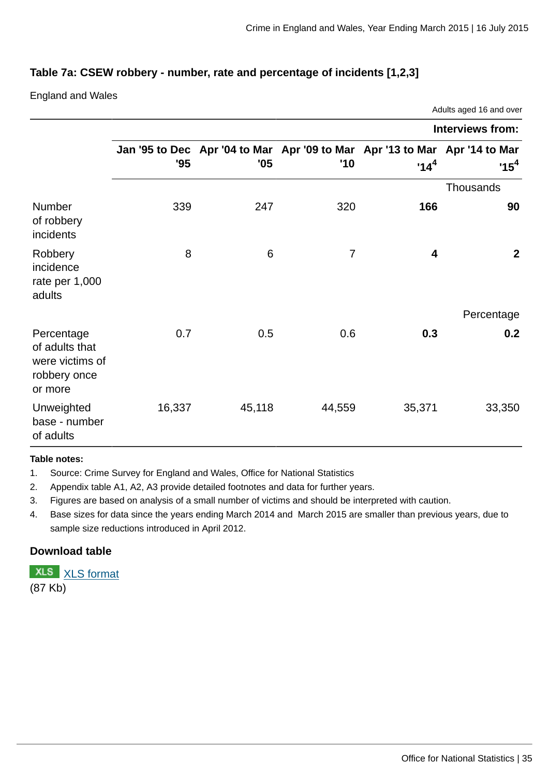## **Table 7a: CSEW robbery - number, rate and percentage of incidents [1,2,3]**

England and Wales

|                                                                            |                         |                 |                                                                                   | Adults aged 16 and over |                |  |  |  |  |  |  |
|----------------------------------------------------------------------------|-------------------------|-----------------|-----------------------------------------------------------------------------------|-------------------------|----------------|--|--|--|--|--|--|
|                                                                            | <b>Interviews from:</b> |                 |                                                                                   |                         |                |  |  |  |  |  |  |
|                                                                            | '95                     | '05             | Jan '95 to Dec Apr '04 to Mar Apr '09 to Mar Apr '13 to Mar Apr '14 to Mar<br>'10 | $14^4$                  | $^1$ 15 $^4$   |  |  |  |  |  |  |
|                                                                            | <b>Thousands</b>        |                 |                                                                                   |                         |                |  |  |  |  |  |  |
| Number<br>of robbery<br>incidents                                          | 339                     | 247             | 320                                                                               | 166                     | 90             |  |  |  |  |  |  |
| Robbery<br>incidence<br>rate per 1,000<br>adults                           | 8                       | $6\phantom{1}6$ | $\overline{7}$                                                                    | $\overline{\mathbf{4}}$ | $\overline{2}$ |  |  |  |  |  |  |
|                                                                            |                         |                 |                                                                                   |                         | Percentage     |  |  |  |  |  |  |
| Percentage<br>of adults that<br>were victims of<br>robbery once<br>or more | 0.7                     | 0.5             | 0.6                                                                               | 0.3                     | 0.2            |  |  |  |  |  |  |
| Unweighted<br>base - number<br>of adults                                   | 16,337                  | 45,118          | 44,559                                                                            | 35,371                  | 33,350         |  |  |  |  |  |  |

#### **Table notes:**

1. Source: Crime Survey for England and Wales, Office for National Statistics

2. Appendix table A1, A2, A3 provide detailed footnotes and data for further years.

3. Figures are based on analysis of a small number of victims and should be interpreted with caution.

4. Base sizes for data since the years ending March 2014 and March 2015 are smaller than previous years, due to sample size reductions introduced in April 2012.

#### **Download table**

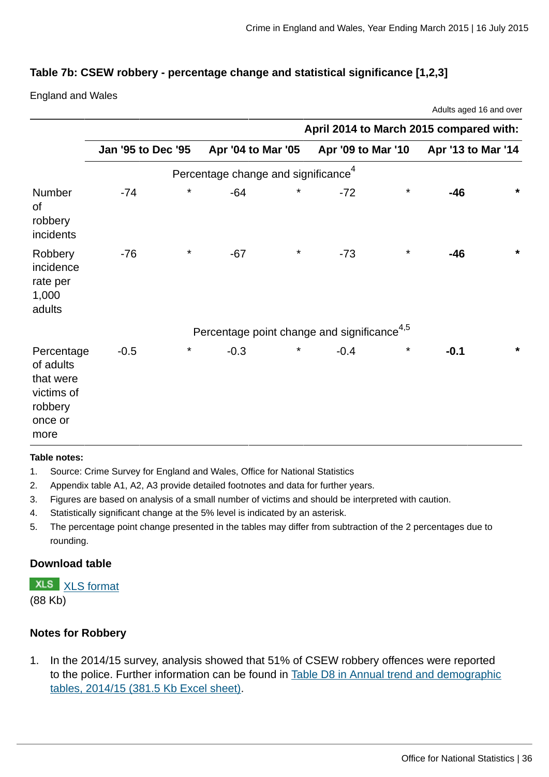Adults aged 16 and over

## **Table 7b: CSEW robbery - percentage change and statistical significance [1,2,3]**

England and Wales

|                                                                                  | April 2014 to March 2015 compared with: |          |                                                         |         |                    |          |                    |         |  |  |
|----------------------------------------------------------------------------------|-----------------------------------------|----------|---------------------------------------------------------|---------|--------------------|----------|--------------------|---------|--|--|
|                                                                                  | <b>Jan '95 to Dec '95</b>               |          | Apr '04 to Mar '05                                      |         | Apr '09 to Mar '10 |          | Apr '13 to Mar '14 |         |  |  |
|                                                                                  |                                         |          | Percentage change and significance <sup>4</sup>         |         |                    |          |                    |         |  |  |
| Number<br>of<br>robbery<br>incidents                                             | -74                                     | $^\star$ | $-64$                                                   | $\star$ | $-72$              | $\star$  | $-46$              | $\star$ |  |  |
| Robbery<br>incidence<br>rate per<br>1,000<br>adults                              | $-76$                                   | $^\star$ | $-67$                                                   | $\star$ | $-73$              | $\star$  | $-46$              | $\star$ |  |  |
|                                                                                  |                                         |          | Percentage point change and significance <sup>4,5</sup> |         |                    |          |                    |         |  |  |
| Percentage<br>of adults<br>that were<br>victims of<br>robbery<br>once or<br>more | $-0.5$                                  | $^\star$ | $-0.3$                                                  | $\star$ | $-0.4$             | $^\star$ | $-0.1$             | $\star$ |  |  |

#### **Table notes:**

- 1. Source: Crime Survey for England and Wales, Office for National Statistics
- 2. Appendix table A1, A2, A3 provide detailed footnotes and data for further years.
- 3. Figures are based on analysis of a small number of victims and should be interpreted with caution.
- 4. Statistically significant change at the 5% level is indicated by an asterisk.
- 5. The percentage point change presented in the tables may differ from subtraction of the 2 percentages due to rounding.

#### **Download table**

**XLS** [XLS format](http://www.ons.gov.uk:80/ons/rel/crime-stats/crime-statistics/year-ending-march-2015/prt-7b.xls)

(88 Kb)

#### **Notes for Robbery**

1. In the 2014/15 survey, analysis showed that 51% of CSEW robbery offences were reported to the police. Further information can be found in [Table D8 in Annual trend and demographic](http://www.ons.gov.uk:80/ons/rel/crime-stats/crime-statistics/year-ending-march-2015/rft-3.xls) [tables, 2014/15 \(381.5 Kb Excel sheet\)](http://www.ons.gov.uk:80/ons/rel/crime-stats/crime-statistics/year-ending-march-2015/rft-3.xls).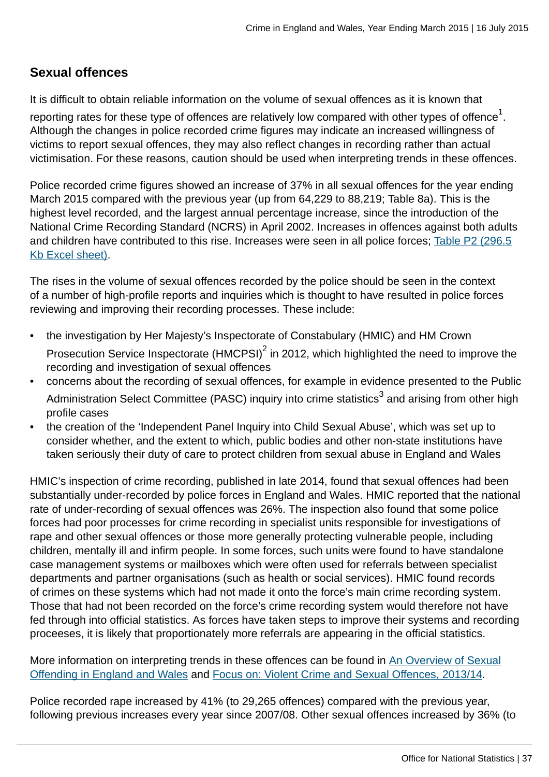# **Sexual offences**

It is difficult to obtain reliable information on the volume of sexual offences as it is known that

reporting rates for these type of offences are relatively low compared with other types of offence $^{\rm 1}.$ Although the changes in police recorded crime figures may indicate an increased willingness of victims to report sexual offences, they may also reflect changes in recording rather than actual victimisation. For these reasons, caution should be used when interpreting trends in these offences.

Police recorded crime figures showed an increase of 37% in all sexual offences for the year ending March 2015 compared with the previous year (up from 64,229 to 88,219; Table 8a). This is the highest level recorded, and the largest annual percentage increase, since the introduction of the National Crime Recording Standard (NCRS) in April 2002. Increases in offences against both adults and children have contributed to this rise. Increases were seen in all police forces; [Table P2 \(296.5](http://www.ons.gov.uk:80/ons/rel/crime-stats/crime-statistics/year-ending-march-2015/rft-5.xls) [Kb Excel sheet\)](http://www.ons.gov.uk:80/ons/rel/crime-stats/crime-statistics/year-ending-march-2015/rft-5.xls).

The rises in the volume of sexual offences recorded by the police should be seen in the context of a number of high-profile reports and inquiries which is thought to have resulted in police forces reviewing and improving their recording processes. These include:

- the investigation by Her Majesty's Inspectorate of Constabulary (HMIC) and HM Crown Prosecution Service Inspectorate (HMCPSI) $^2$  in 2012, which highlighted the need to improve the recording and investigation of sexual offences
- concerns about the recording of sexual offences, for example in evidence presented to the Public Administration Select Committee (PASC) inquiry into crime statistics<sup>3</sup> and arising from other high profile cases
- the creation of the 'Independent Panel Inquiry into Child Sexual Abuse', which was set up to consider whether, and the extent to which, public bodies and other non-state institutions have taken seriously their duty of care to protect children from sexual abuse in England and Wales

HMIC's inspection of crime recording, published in late 2014, found that sexual offences had been substantially under-recorded by police forces in England and Wales. HMIC reported that the national rate of under-recording of sexual offences was 26%. The inspection also found that some police forces had poor processes for crime recording in specialist units responsible for investigations of rape and other sexual offences or those more generally protecting vulnerable people, including children, mentally ill and infirm people. In some forces, such units were found to have standalone case management systems or mailboxes which were often used for referrals between specialist departments and partner organisations (such as health or social services). HMIC found records of crimes on these systems which had not made it onto the force's main crime recording system. Those that had not been recorded on the force's crime recording system would therefore not have fed through into official statistics. As forces have taken steps to improve their systems and recording proceeses, it is likely that proportionately more referrals are appearing in the official statistics.

More information on interpreting trends in these offences can be found in [An Overview of Sexual](http://www.ons.gov.uk/ons/external-links/other-government-departments/moj/moj--sexual-offending-in-e-w.html) [Offending in England and Wales](http://www.ons.gov.uk/ons/external-links/other-government-departments/moj/moj--sexual-offending-in-e-w.html) and [Focus on: Violent Crime and Sexual Offences, 2013/14.](http://www.ons.gov.uk:80/ons/rel/crime-stats/crime-statistics/focus-on-violent-crime-and-sexual-offences--2013-14/index.html)

Police recorded rape increased by 41% (to 29,265 offences) compared with the previous year, following previous increases every year since 2007/08. Other sexual offences increased by 36% (to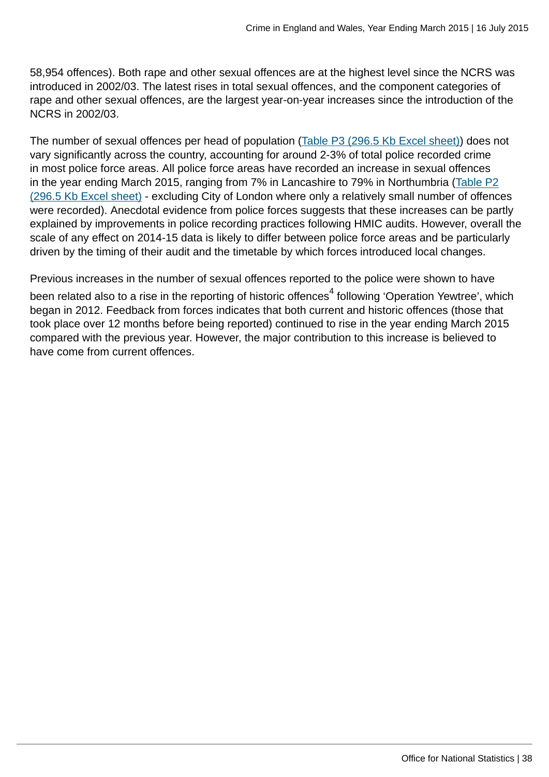58,954 offences). Both rape and other sexual offences are at the highest level since the NCRS was introduced in 2002/03. The latest rises in total sexual offences, and the component categories of rape and other sexual offences, are the largest year-on-year increases since the introduction of the NCRS in 2002/03.

The number of sexual offences per head of population ([Table P3 \(296.5 Kb Excel sheet\)](http://www.ons.gov.uk:80/ons/rel/crime-stats/crime-statistics/year-ending-march-2015/rft-5.xls)) does not vary significantly across the country, accounting for around 2-3% of total police recorded crime in most police force areas. All police force areas have recorded an increase in sexual offences in the year ending March 2015, ranging from 7% in Lancashire to 79% in Northumbria ([Table P2](http://www.ons.gov.uk:80/ons/rel/crime-stats/crime-statistics/year-ending-march-2015/rft-5.xls) [\(296.5 Kb Excel sheet\)](http://www.ons.gov.uk:80/ons/rel/crime-stats/crime-statistics/year-ending-march-2015/rft-5.xls) - excluding City of London where only a relatively small number of offences were recorded). Anecdotal evidence from police forces suggests that these increases can be partly explained by improvements in police recording practices following HMIC audits. However, overall the scale of any effect on 2014-15 data is likely to differ between police force areas and be particularly driven by the timing of their audit and the timetable by which forces introduced local changes.

Previous increases in the number of sexual offences reported to the police were shown to have been related also to a rise in the reporting of historic offences $^{\rm 4}$  following 'Operation Yewtree', which began in 2012. Feedback from forces indicates that both current and historic offences (those that took place over 12 months before being reported) continued to rise in the year ending March 2015 compared with the previous year. However, the major contribution to this increase is believed to have come from current offences.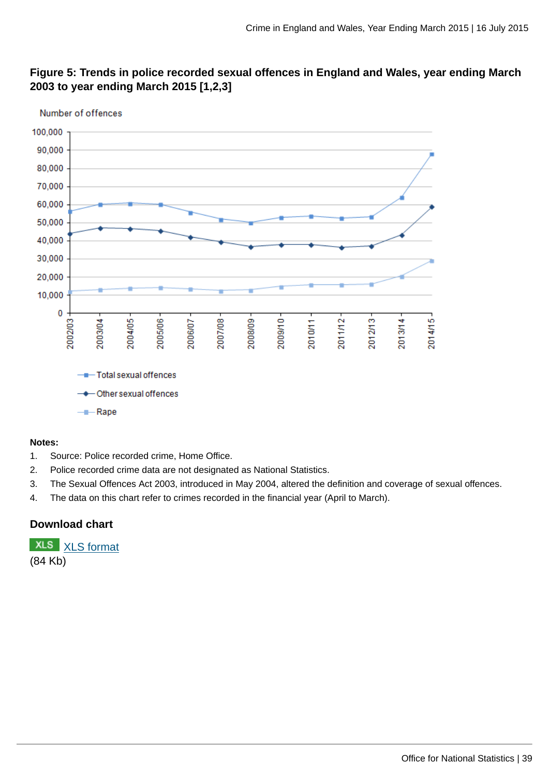

# **Figure 5: Trends in police recorded sexual offences in England and Wales, year ending March 2003 to year ending March 2015 [1,2,3]**

#### **Notes:**

- 1. Source: Police recorded crime, Home Office.
- 2. Police recorded crime data are not designated as National Statistics.
- 3. The Sexual Offences Act 2003, introduced in May 2004, altered the definition and coverage of sexual offences.
- 4. The data on this chart refer to crimes recorded in the financial year (April to March).

### **Download chart**

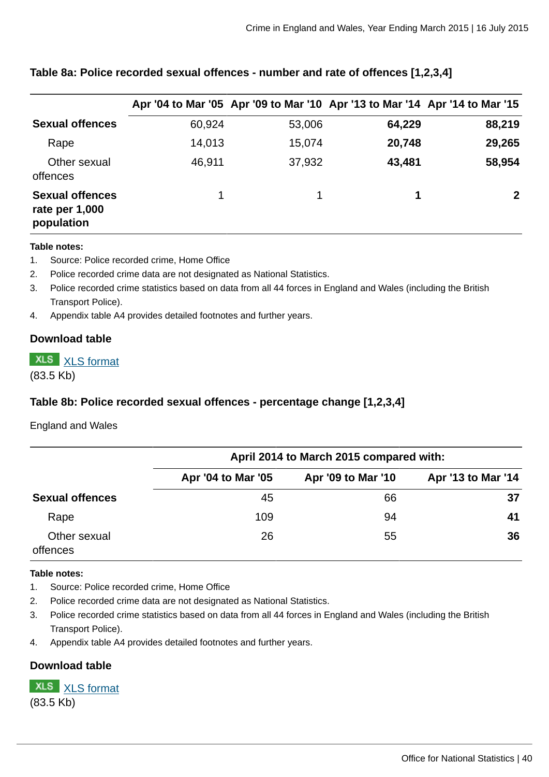|                                                        |        |        | Apr '04 to Mar '05 Apr '09 to Mar '10 Apr '13 to Mar '14 Apr '14 to Mar '15 |              |
|--------------------------------------------------------|--------|--------|-----------------------------------------------------------------------------|--------------|
| <b>Sexual offences</b>                                 | 60,924 | 53,006 | 64,229                                                                      | 88,219       |
| Rape                                                   | 14,013 | 15,074 | 20,748                                                                      | 29,265       |
| Other sexual<br>offences                               | 46,911 | 37,932 | 43,481                                                                      | 58,954       |
| <b>Sexual offences</b><br>rate per 1,000<br>population |        | 1      | 1                                                                           | $\mathbf{2}$ |

# **Table 8a: Police recorded sexual offences - number and rate of offences [1,2,3,4]**

#### **Table notes:**

- 1. Source: Police recorded crime, Home Office
- 2. Police recorded crime data are not designated as National Statistics.
- 3. Police recorded crime statistics based on data from all 44 forces in England and Wales (including the British Transport Police).
- 4. Appendix table A4 provides detailed footnotes and further years.

#### **Download table**

**XLS** [XLS format](http://www.ons.gov.uk:80/ons/rel/crime-stats/crime-statistics/year-ending-march-2015/prt-8a.xls)

(83.5 Kb)

### **Table 8b: Police recorded sexual offences - percentage change [1,2,3,4]**

England and Wales

|                          | April 2014 to March 2015 compared with: |                    |                    |  |  |  |  |  |  |
|--------------------------|-----------------------------------------|--------------------|--------------------|--|--|--|--|--|--|
|                          | Apr '04 to Mar '05                      | Apr '09 to Mar '10 | Apr '13 to Mar '14 |  |  |  |  |  |  |
| <b>Sexual offences</b>   | 45                                      | 66                 | 37                 |  |  |  |  |  |  |
| Rape                     | 109                                     | 94                 | 41                 |  |  |  |  |  |  |
| Other sexual<br>offences | 26                                      | 55                 | 36                 |  |  |  |  |  |  |

#### **Table notes:**

- 1. Source: Police recorded crime, Home Office
- 2. Police recorded crime data are not designated as National Statistics.
- 3. Police recorded crime statistics based on data from all 44 forces in England and Wales (including the British Transport Police).
- 4. Appendix table A4 provides detailed footnotes and further years.

#### **Download table**

**XLS** [XLS format](http://www.ons.gov.uk:80/ons/rel/crime-stats/crime-statistics/year-ending-march-2015/prt-8b.xls) (83.5 Kb)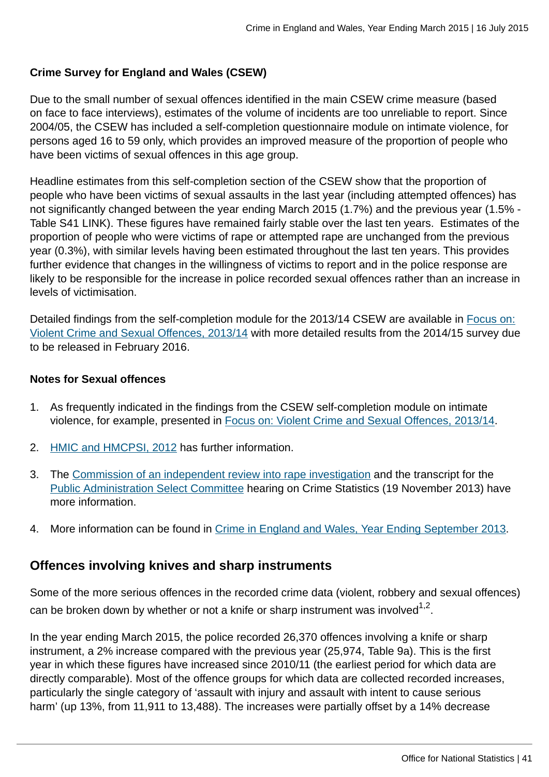### **Crime Survey for England and Wales (CSEW)**

Due to the small number of sexual offences identified in the main CSEW crime measure (based on face to face interviews), estimates of the volume of incidents are too unreliable to report. Since 2004/05, the CSEW has included a self-completion questionnaire module on intimate violence, for persons aged 16 to 59 only, which provides an improved measure of the proportion of people who have been victims of sexual offences in this age group.

Headline estimates from this self-completion section of the CSEW show that the proportion of people who have been victims of sexual assaults in the last year (including attempted offences) has not significantly changed between the year ending March 2015 (1.7%) and the previous year (1.5% - Table S41 LINK). These figures have remained fairly stable over the last ten years. Estimates of the proportion of people who were victims of rape or attempted rape are unchanged from the previous year (0.3%), with similar levels having been estimated throughout the last ten years. This provides further evidence that changes in the willingness of victims to report and in the police response are likely to be responsible for the increase in police recorded sexual offences rather than an increase in levels of victimisation.

Detailed findings from the self-completion module for the 2013/14 CSEW are available in [Focus on:](http://www.ons.gov.uk:80/ons/rel/crime-stats/crime-statistics/focus-on-violent-crime-and-sexual-offences--2013-14/index.html) [Violent Crime and Sexual Offences, 2013/14](http://www.ons.gov.uk:80/ons/rel/crime-stats/crime-statistics/focus-on-violent-crime-and-sexual-offences--2013-14/index.html) with more detailed results from the 2014/15 survey due to be released in February 2016.

### **Notes for Sexual offences**

- 1. As frequently indicated in the findings from the CSEW self-completion module on intimate violence, for example, presented in [Focus on: Violent Crime and Sexual Offences, 2013/14.](http://www.ons.gov.uk:80/ons/rel/crime-stats/crime-statistics/focus-on-violent-crime-and-sexual-offences--2013-14/index.html)
- 2. [HMIC and HMCPSI, 2012](http://www.hmic.gov.uk/publication/forging-the-links-rape-investigation-and-prosecution/) has further information.
- 3. The [Commission of an independent review into rape investigation](http://content.met.police.uk/News/Commission-of-an-independent-review-into-rape-investigation/1400024447530/1257246745756) and the transcript for the [Public Administration Select Committee](http://data.parliament.uk/writtenevidence/WrittenEvidence.svc/EvidenceHtml/4041) hearing on Crime Statistics (19 November 2013) have more information.
- 4. More information can be found in [Crime in England and Wales, Year Ending September 2013](http://www.ons.gov.uk:80/ons/rel/crime-stats/crime-statistics/period-ending-september-2013/index.html).

# **Offences involving knives and sharp instruments**

Some of the more serious offences in the recorded crime data (violent, robbery and sexual offences) can be broken down by whether or not a knife or sharp instrument was involved $^{1,2}.$ 

In the year ending March 2015, the police recorded 26,370 offences involving a knife or sharp instrument, a 2% increase compared with the previous year (25,974, Table 9a). This is the first year in which these figures have increased since 2010/11 (the earliest period for which data are directly comparable). Most of the offence groups for which data are collected recorded increases, particularly the single category of 'assault with injury and assault with intent to cause serious harm' (up 13%, from 11,911 to 13,488). The increases were partially offset by a 14% decrease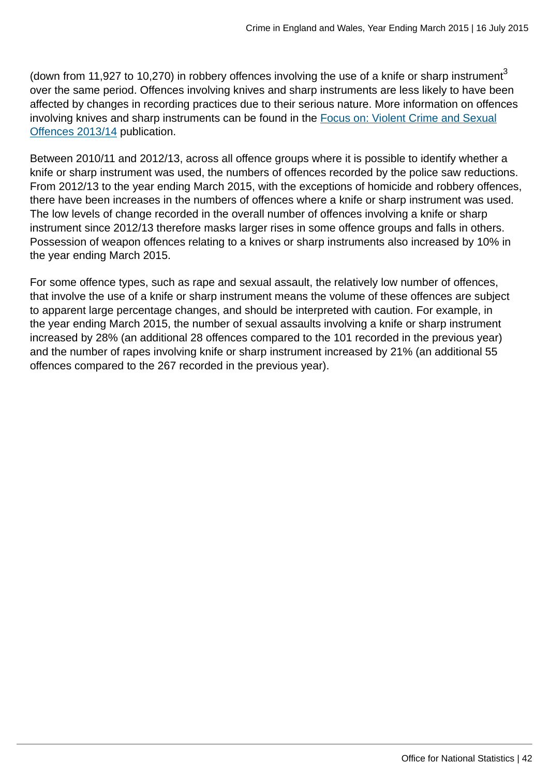(down from 11,927 to 10,270) in robbery offences involving the use of a knife or sharp instrument<sup>3</sup> over the same period. Offences involving knives and sharp instruments are less likely to have been affected by changes in recording practices due to their serious nature. More information on offences involving knives and sharp instruments can be found in the [Focus on: Violent Crime and Sexual](http://www.ons.gov.uk:80/ons/rel/crime-stats/crime-statistics/focus-on-violent-crime-and-sexual-offences--2013-14/index.html) [Offences 2013/14](http://www.ons.gov.uk:80/ons/rel/crime-stats/crime-statistics/focus-on-violent-crime-and-sexual-offences--2013-14/index.html) publication.

Between 2010/11 and 2012/13, across all offence groups where it is possible to identify whether a knife or sharp instrument was used, the numbers of offences recorded by the police saw reductions. From 2012/13 to the year ending March 2015, with the exceptions of homicide and robbery offences, there have been increases in the numbers of offences where a knife or sharp instrument was used. The low levels of change recorded in the overall number of offences involving a knife or sharp instrument since 2012/13 therefore masks larger rises in some offence groups and falls in others. Possession of weapon offences relating to a knives or sharp instruments also increased by 10% in the year ending March 2015.

For some offence types, such as rape and sexual assault, the relatively low number of offences, that involve the use of a knife or sharp instrument means the volume of these offences are subject to apparent large percentage changes, and should be interpreted with caution. For example, in the year ending March 2015, the number of sexual assaults involving a knife or sharp instrument increased by 28% (an additional 28 offences compared to the 101 recorded in the previous year) and the number of rapes involving knife or sharp instrument increased by 21% (an additional 55 offences compared to the 267 recorded in the previous year).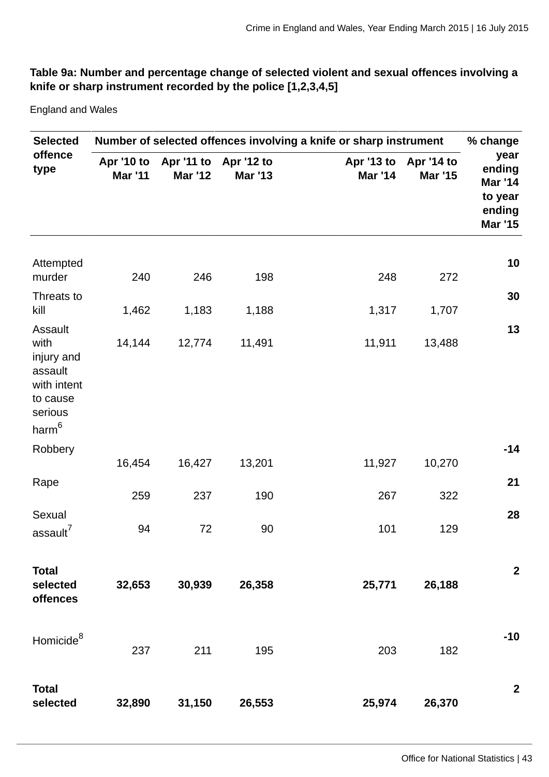# **Table 9a: Number and percentage change of selected violent and sexual offences involving a knife or sharp instrument recorded by the police [1,2,3,4,5]**

England and Wales

| <b>Selected</b>                                                                                    | Number of selected offences involving a knife or sharp instrument<br>% change |                              |                              |                |                                         |                                                                  |  |  |
|----------------------------------------------------------------------------------------------------|-------------------------------------------------------------------------------|------------------------------|------------------------------|----------------|-----------------------------------------|------------------------------------------------------------------|--|--|
| offence<br>type                                                                                    | Apr '10 to<br><b>Mar '11</b>                                                  | Apr '11 to<br><b>Mar '12</b> | Apr '12 to<br><b>Mar '13</b> | <b>Mar '14</b> | Apr '13 to Apr '14 to<br><b>Mar '15</b> | year<br>ending<br>Mar '14<br>to year<br>ending<br><b>Mar '15</b> |  |  |
| Attempted<br>murder                                                                                | 240                                                                           | 246                          | 198                          | 248            | 272                                     | 10                                                               |  |  |
| Threats to<br>kill                                                                                 | 1,462                                                                         | 1,183                        | 1,188                        | 1,317          | 1,707                                   | 30                                                               |  |  |
| Assault<br>with<br>injury and<br>assault<br>with intent<br>to cause<br>serious<br>ham <sup>6</sup> | 14,144                                                                        | 12,774                       | 11,491                       | 11,911         | 13,488                                  | 13                                                               |  |  |
| Robbery                                                                                            | 16,454                                                                        | 16,427                       | 13,201                       | 11,927         | 10,270                                  | $-14$                                                            |  |  |
| Rape                                                                                               | 259                                                                           | 237                          | 190                          | 267            | 322                                     | 21                                                               |  |  |
| Sexual<br>assault <sup>7</sup>                                                                     | 94                                                                            | 72                           | 90                           | 101            | 129                                     | 28                                                               |  |  |
| <b>Total</b><br>selected<br>offences                                                               | 32,653                                                                        | 30,939                       | 26,358                       | 25,771         | 26,188                                  | $\mathbf{2}$                                                     |  |  |
| Homicide <sup>8</sup>                                                                              | 237                                                                           | 211                          | 195                          | 203            | 182                                     | $-10$                                                            |  |  |
| <b>Total</b><br>selected                                                                           | 32,890                                                                        | 31,150                       | 26,553                       | 25,974         | 26,370                                  | $\overline{2}$                                                   |  |  |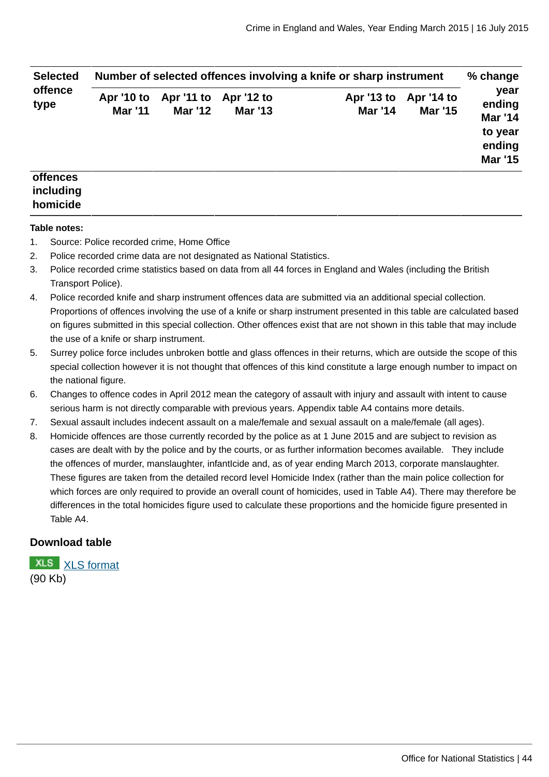| <b>Selected</b> | Number of selected offences involving a knife or sharp instrument |                                         |                |                              |                              |                                                                         |  |  |
|-----------------|-------------------------------------------------------------------|-----------------------------------------|----------------|------------------------------|------------------------------|-------------------------------------------------------------------------|--|--|
| offence<br>type | Apr '10 to<br><b>Mar '11</b>                                      | Apr '11 to Apr '12 to<br><b>Mar '12</b> | <b>Mar '13</b> | Apr '13 to<br><b>Mar '14</b> | Apr '14 to<br><b>Mar '15</b> | year<br>ending<br><b>Mar '14</b><br>to year<br>ending<br><b>Mar '15</b> |  |  |
| <b>offences</b> |                                                                   |                                         |                |                              |                              |                                                                         |  |  |

# **homicide Table notes:**

**including**

- 1. Source: Police recorded crime, Home Office
- 2. Police recorded crime data are not designated as National Statistics.
- 3. Police recorded crime statistics based on data from all 44 forces in England and Wales (including the British Transport Police).
- 4. Police recorded knife and sharp instrument offences data are submitted via an additional special collection. Proportions of offences involving the use of a knife or sharp instrument presented in this table are calculated based on figures submitted in this special collection. Other offences exist that are not shown in this table that may include the use of a knife or sharp instrument.
- 5. Surrey police force includes unbroken bottle and glass offences in their returns, which are outside the scope of this special collection however it is not thought that offences of this kind constitute a large enough number to impact on the national figure.
- 6. Changes to offence codes in April 2012 mean the category of assault with injury and assault with intent to cause serious harm is not directly comparable with previous years. Appendix table A4 contains more details.
- 7. Sexual assault includes indecent assault on a male/female and sexual assault on a male/female (all ages).
- 8. Homicide offences are those currently recorded by the police as at 1 June 2015 and are subject to revision as cases are dealt with by the police and by the courts, or as further information becomes available. They include the offences of murder, manslaughter, infantIcide and, as of year ending March 2013, corporate manslaughter. These figures are taken from the detailed record level Homicide Index (rather than the main police collection for which forces are only required to provide an overall count of homicides, used in Table A4). There may therefore be differences in the total homicides figure used to calculate these proportions and the homicide figure presented in Table A4.

#### **Download table**

[XLS format](http://www.ons.gov.uk:80/ons/rel/crime-stats/crime-statistics/year-ending-march-2015/prt-9a.xls) (90 Kb)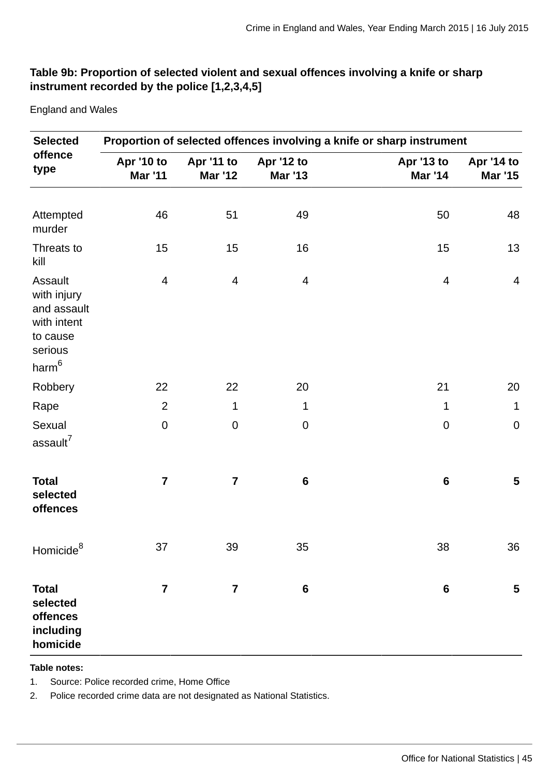### **Table 9b: Proportion of selected violent and sexual offences involving a knife or sharp instrument recorded by the police [1,2,3,4,5]**

England and Wales

| <b>Selected</b>                                                                         | Proportion of selected offences involving a knife or sharp instrument |                         |                              |                              |                              |  |  |  |  |  |  |
|-----------------------------------------------------------------------------------------|-----------------------------------------------------------------------|-------------------------|------------------------------|------------------------------|------------------------------|--|--|--|--|--|--|
| offence<br>type                                                                         | Apr '10 to<br><b>Mar '11</b>                                          | Apr '11 to<br>Mar '12   | Apr '12 to<br><b>Mar '13</b> | Apr '13 to<br><b>Mar '14</b> | Apr '14 to<br><b>Mar '15</b> |  |  |  |  |  |  |
|                                                                                         |                                                                       |                         |                              |                              |                              |  |  |  |  |  |  |
| Attempted<br>murder                                                                     | 46                                                                    | 51                      | 49                           | 50                           | 48                           |  |  |  |  |  |  |
| Threats to<br>kill                                                                      | 15                                                                    | 15                      | 16                           | 15                           | 13                           |  |  |  |  |  |  |
| Assault<br>with injury<br>and assault<br>with intent<br>to cause<br>serious<br>$harm^6$ | 4                                                                     | $\overline{4}$          | $\overline{4}$               | 4                            | $\overline{4}$               |  |  |  |  |  |  |
| Robbery                                                                                 | 22                                                                    | 22                      | 20                           | 21                           | 20                           |  |  |  |  |  |  |
| Rape                                                                                    | $\overline{c}$                                                        | $\mathbf 1$             | $\mathbf 1$                  | $1\,$                        | $\mathbf 1$                  |  |  |  |  |  |  |
| Sexual<br>assault <sup>7</sup>                                                          | $\pmb{0}$                                                             | $\pmb{0}$               | $\boldsymbol{0}$             | $\pmb{0}$                    | $\mathbf 0$                  |  |  |  |  |  |  |
| <b>Total</b><br>selected<br>offences                                                    | $\overline{\mathbf{7}}$                                               | 7                       | $\boldsymbol{6}$             | $6\phantom{1}$               | 5                            |  |  |  |  |  |  |
| Homicide ${}^{8}$                                                                       | 37                                                                    | 39                      | 35                           | 38                           | 36                           |  |  |  |  |  |  |
| <b>Total</b><br>selected<br>offences<br>including<br>homicide                           | $\overline{\mathbf{7}}$                                               | $\overline{\mathbf{7}}$ | $\bf 6$                      | $\bf 6$                      | 5                            |  |  |  |  |  |  |

**Table notes:**

1. Source: Police recorded crime, Home Office

2. Police recorded crime data are not designated as National Statistics.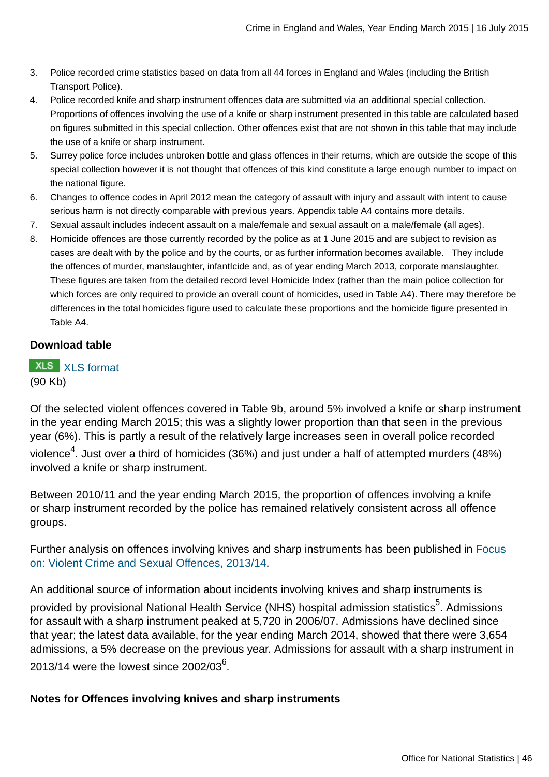- 3. Police recorded crime statistics based on data from all 44 forces in England and Wales (including the British Transport Police).
- 4. Police recorded knife and sharp instrument offences data are submitted via an additional special collection. Proportions of offences involving the use of a knife or sharp instrument presented in this table are calculated based on figures submitted in this special collection. Other offences exist that are not shown in this table that may include the use of a knife or sharp instrument.
- 5. Surrey police force includes unbroken bottle and glass offences in their returns, which are outside the scope of this special collection however it is not thought that offences of this kind constitute a large enough number to impact on the national figure.
- 6. Changes to offence codes in April 2012 mean the category of assault with injury and assault with intent to cause serious harm is not directly comparable with previous years. Appendix table A4 contains more details.
- 7. Sexual assault includes indecent assault on a male/female and sexual assault on a male/female (all ages).
- 8. Homicide offences are those currently recorded by the police as at 1 June 2015 and are subject to revision as cases are dealt with by the police and by the courts, or as further information becomes available. They include the offences of murder, manslaughter, infantIcide and, as of year ending March 2013, corporate manslaughter. These figures are taken from the detailed record level Homicide Index (rather than the main police collection for which forces are only required to provide an overall count of homicides, used in Table A4). There may therefore be differences in the total homicides figure used to calculate these proportions and the homicide figure presented in Table A4.

### **Download table**

### **XLS** [XLS format](http://www.ons.gov.uk:80/ons/rel/crime-stats/crime-statistics/year-ending-march-2015/prt-9b.xls) (90 Kb)

Of the selected violent offences covered in Table 9b, around 5% involved a knife or sharp instrument in the year ending March 2015; this was a slightly lower proportion than that seen in the previous year (6%). This is partly a result of the relatively large increases seen in overall police recorded violence $^4$ . Just over a third of homicides (36%) and just under a half of attempted murders (48%) involved a knife or sharp instrument.

Between 2010/11 and the year ending March 2015, the proportion of offences involving a knife or sharp instrument recorded by the police has remained relatively consistent across all offence groups.

Further analysis on offences involving knives and sharp instruments has been published in [Focus](http://www.ons.gov.uk:80/ons/rel/crime-stats/crime-statistics/focus-on-violent-crime-and-sexual-offences--2013-14/index.html) [on: Violent Crime and Sexual Offences, 2013/14.](http://www.ons.gov.uk:80/ons/rel/crime-stats/crime-statistics/focus-on-violent-crime-and-sexual-offences--2013-14/index.html)

An additional source of information about incidents involving knives and sharp instruments is provided by provisional National Health Service (NHS) hospital admission statistics<sup>5</sup>. Admissions for assault with a sharp instrument peaked at 5,720 in 2006/07. Admissions have declined since that year; the latest data available, for the year ending March 2014, showed that there were 3,654 admissions, a 5% decrease on the previous year. Admissions for assault with a sharp instrument in 2013/14 were the lowest since 2002/03 $^6$ .

### **Notes for Offences involving knives and sharp instruments**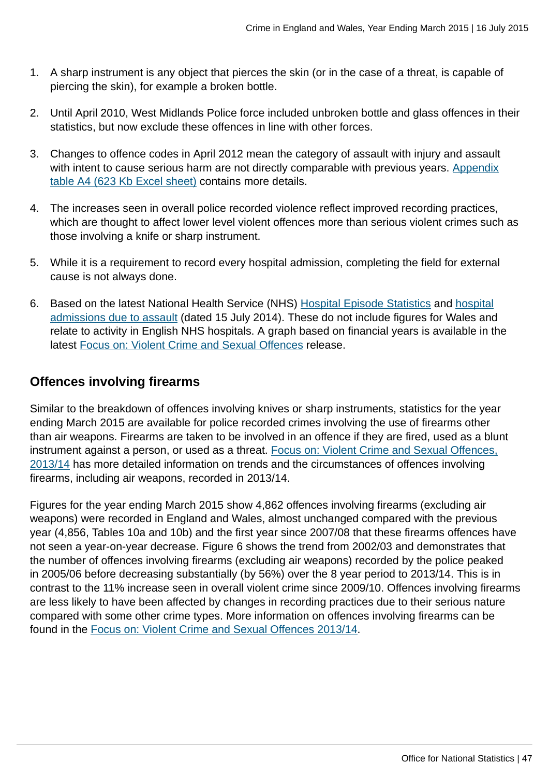- 1. A sharp instrument is any object that pierces the skin (or in the case of a threat, is capable of piercing the skin), for example a broken bottle.
- 2. Until April 2010, West Midlands Police force included unbroken bottle and glass offences in their statistics, but now exclude these offences in line with other forces.
- 3. Changes to offence codes in April 2012 mean the category of assault with injury and assault with intent to cause serious harm are not directly comparable with previous years. [Appendix](http://www.ons.gov.uk:80/ons/rel/crime-stats/crime-statistics/year-ending-march-2015/rft-02.xls) [table A4 \(623 Kb Excel sheet\)](http://www.ons.gov.uk:80/ons/rel/crime-stats/crime-statistics/year-ending-march-2015/rft-02.xls) contains more details.
- 4. The increases seen in overall police recorded violence reflect improved recording practices, which are thought to affect lower level violent offences more than serious violent crimes such as those involving a knife or sharp instrument.
- 5. While it is a requirement to record every hospital admission, completing the field for external cause is not always done.
- 6. Based on the latest National Health Service (NHS) [Hospital Episode Statistics](http://www.hscic.gov.uk/article/2021/Website-Search?productid=14896&q=Provisional+Monthly+Hospital+Episode+Statistics+for+Admitted+Patient+Care%2c+Outpatients+and+Accident+and+Emergency+Data+&sort=Relevance&size=10&page=1&area=both#top) and [hospital](http://www.hscic.gov.uk/suppinfofiles) [admissions due to assault](http://www.hscic.gov.uk/suppinfofiles) (dated 15 July 2014). These do not include figures for Wales and relate to activity in English NHS hospitals. A graph based on financial years is available in the latest [Focus on: Violent Crime and Sexual Offences](http://www.ons.gov.uk:80/ons/rel/crime-stats/crime-statistics/focus-on-violent-crime-and-sexual-offences--2013-14/index.html) release.

# **Offences involving firearms**

Similar to the breakdown of offences involving knives or sharp instruments, statistics for the year ending March 2015 are available for police recorded crimes involving the use of firearms other than air weapons. Firearms are taken to be involved in an offence if they are fired, used as a blunt instrument against a person, or used as a threat. [Focus on: Violent Crime and Sexual Offences,](http://www.ons.gov.uk:80/ons/rel/crime-stats/crime-statistics/focus-on-violent-crime-and-sexual-offences--2013-14/index.html) [2013/14](http://www.ons.gov.uk:80/ons/rel/crime-stats/crime-statistics/focus-on-violent-crime-and-sexual-offences--2013-14/index.html) has more detailed information on trends and the circumstances of offences involving firearms, including air weapons, recorded in 2013/14.

Figures for the year ending March 2015 show 4,862 offences involving firearms (excluding air weapons) were recorded in England and Wales, almost unchanged compared with the previous year (4,856, Tables 10a and 10b) and the first year since 2007/08 that these firearms offences have not seen a year-on-year decrease. Figure 6 shows the trend from 2002/03 and demonstrates that the number of offences involving firearms (excluding air weapons) recorded by the police peaked in 2005/06 before decreasing substantially (by 56%) over the 8 year period to 2013/14. This is in contrast to the 11% increase seen in overall violent crime since 2009/10. Offences involving firearms are less likely to have been affected by changes in recording practices due to their serious nature compared with some other crime types. More information on offences involving firearms can be found in the [Focus on: Violent Crime and Sexual Offences 2013/14](http://www.ons.gov.uk:80/ons/rel/crime-stats/crime-statistics/focus-on-violent-crime-and-sexual-offences--2013-14/index.html).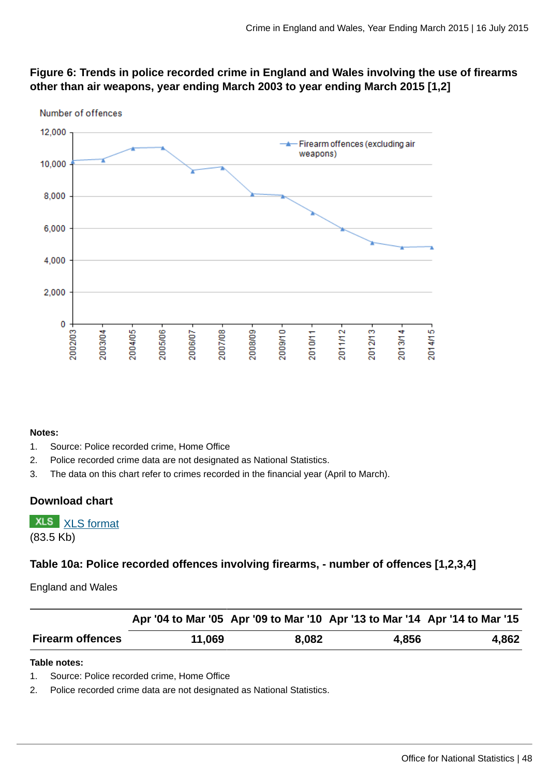



#### **Notes:**

- 1. Source: Police recorded crime, Home Office
- 2. Police recorded crime data are not designated as National Statistics.
- 3. The data on this chart refer to crimes recorded in the financial year (April to March).

#### **Download chart**

```
XLSXLS format
```
(83.5 Kb)

#### **Table 10a: Police recorded offences involving firearms, - number of offences [1,2,3,4]**

England and Wales

|                         |        |       |       | Apr '04 to Mar '05 Apr '09 to Mar '10 Apr '13 to Mar '14 Apr '14 to Mar '15 |
|-------------------------|--------|-------|-------|-----------------------------------------------------------------------------|
| <b>Firearm offences</b> | 11,069 | 8,082 | 4,856 | 4,862                                                                       |

#### **Table notes:**

1. Source: Police recorded crime, Home Office

2. Police recorded crime data are not designated as National Statistics.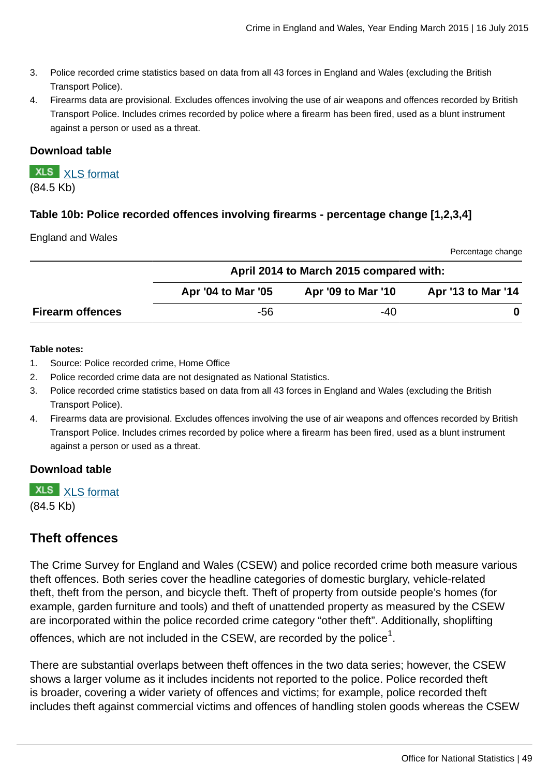- 3. Police recorded crime statistics based on data from all 43 forces in England and Wales (excluding the British Transport Police).
- 4. Firearms data are provisional. Excludes offences involving the use of air weapons and offences recorded by British Transport Police. Includes crimes recorded by police where a firearm has been fired, used as a blunt instrument against a person or used as a threat.

#### **Download table**

**XLS** [XLS format](http://www.ons.gov.uk:80/ons/rel/crime-stats/crime-statistics/year-ending-march-2015/prt-10a.xls) (84.5 Kb)

### **Table 10b: Police recorded offences involving firearms - percentage change [1,2,3,4]**

#### England and Wales

Percentage change

|                         | April 2014 to March 2015 compared with: |                    |                    |  |  |  |  |
|-------------------------|-----------------------------------------|--------------------|--------------------|--|--|--|--|
|                         | Apr '04 to Mar '05                      | Apr '09 to Mar '10 | Apr '13 to Mar '14 |  |  |  |  |
| <b>Firearm offences</b> | -56                                     | -40                |                    |  |  |  |  |

#### **Table notes:**

- 1. Source: Police recorded crime, Home Office
- 2. Police recorded crime data are not designated as National Statistics.
- 3. Police recorded crime statistics based on data from all 43 forces in England and Wales (excluding the British Transport Police).
- 4. Firearms data are provisional. Excludes offences involving the use of air weapons and offences recorded by British Transport Police. Includes crimes recorded by police where a firearm has been fired, used as a blunt instrument against a person or used as a threat.

#### **Download table**

**XLS** [XLS format](http://www.ons.gov.uk:80/ons/rel/crime-stats/crime-statistics/year-ending-march-2015/prt-10b.xls) (84.5 Kb)

# **Theft offences**

The Crime Survey for England and Wales (CSEW) and police recorded crime both measure various theft offences. Both series cover the headline categories of domestic burglary, vehicle-related theft, theft from the person, and bicycle theft. Theft of property from outside people's homes (for example, garden furniture and tools) and theft of unattended property as measured by the CSEW are incorporated within the police recorded crime category "other theft". Additionally, shoplifting offences, which are not included in the CSEW, are recorded by the police $^{\rm 1}.$ 

There are substantial overlaps between theft offences in the two data series; however, the CSEW shows a larger volume as it includes incidents not reported to the police. Police recorded theft is broader, covering a wider variety of offences and victims; for example, police recorded theft includes theft against commercial victims and offences of handling stolen goods whereas the CSEW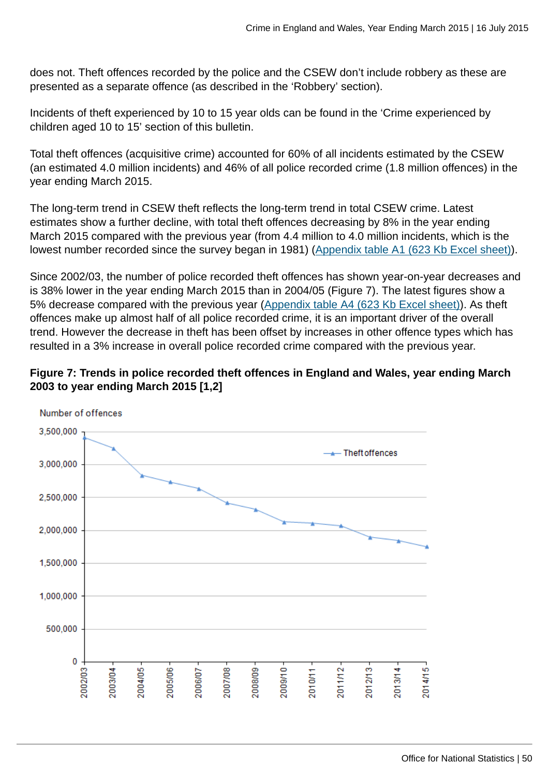does not. Theft offences recorded by the police and the CSEW don't include robbery as these are presented as a separate offence (as described in the 'Robbery' section).

Incidents of theft experienced by 10 to 15 year olds can be found in the 'Crime experienced by children aged 10 to 15' section of this bulletin.

Total theft offences (acquisitive crime) accounted for 60% of all incidents estimated by the CSEW (an estimated 4.0 million incidents) and 46% of all police recorded crime (1.8 million offences) in the year ending March 2015.

The long-term trend in CSEW theft reflects the long-term trend in total CSEW crime. Latest estimates show a further decline, with total theft offences decreasing by 8% in the year ending March 2015 compared with the previous year (from 4.4 million to 4.0 million incidents, which is the lowest number recorded since the survey began in 1981) ([Appendix table A1 \(623 Kb Excel sheet\)\)](http://www.ons.gov.uk:80/ons/rel/crime-stats/crime-statistics/year-ending-march-2015/rft-02.xls).

Since 2002/03, the number of police recorded theft offences has shown year-on-year decreases and is 38% lower in the year ending March 2015 than in 2004/05 (Figure 7). The latest figures show a 5% decrease compared with the previous year [\(Appendix table A4 \(623 Kb Excel sheet\)](http://www.ons.gov.uk:80/ons/rel/crime-stats/crime-statistics/year-ending-march-2015/rft-02.xls)). As theft offences make up almost half of all police recorded crime, it is an important driver of the overall trend. However the decrease in theft has been offset by increases in other offence types which has resulted in a 3% increase in overall police recorded crime compared with the previous year.



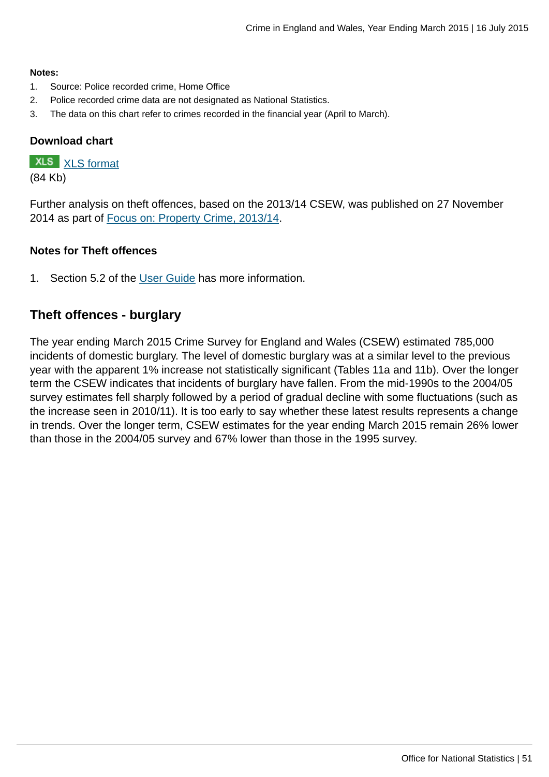#### **Notes:**

- 1. Source: Police recorded crime, Home Office
- 2. Police recorded crime data are not designated as National Statistics.
- 3. The data on this chart refer to crimes recorded in the financial year (April to March).

### **Download chart**

# **XLS** [XLS format](http://www.ons.gov.uk:80/ons/rel/crime-stats/crime-statistics/year-ending-march-2015/chd-7.xls)

(84 Kb)

Further analysis on theft offences, based on the 2013/14 CSEW, was published on 27 November 2014 as part of [Focus on: Property Crime, 2013/14](http://www.ons.gov.uk:80/ons/rel/crime-stats/crime-statistics/focus-on-property-crime--2013-14/index.html).

#### **Notes for Theft offences**

1. Section 5.2 of the [User Guide](http://www.ons.gov.uk:80/ons/guide-method/method-quality/specific/crime-statistics-methodology/user-guides/index.html) has more information.

# **Theft offences - burglary**

The year ending March 2015 Crime Survey for England and Wales (CSEW) estimated 785,000 incidents of domestic burglary. The level of domestic burglary was at a similar level to the previous year with the apparent 1% increase not statistically significant (Tables 11a and 11b). Over the longer term the CSEW indicates that incidents of burglary have fallen. From the mid-1990s to the 2004/05 survey estimates fell sharply followed by a period of gradual decline with some fluctuations (such as the increase seen in 2010/11). It is too early to say whether these latest results represents a change in trends. Over the longer term, CSEW estimates for the year ending March 2015 remain 26% lower than those in the 2004/05 survey and 67% lower than those in the 1995 survey.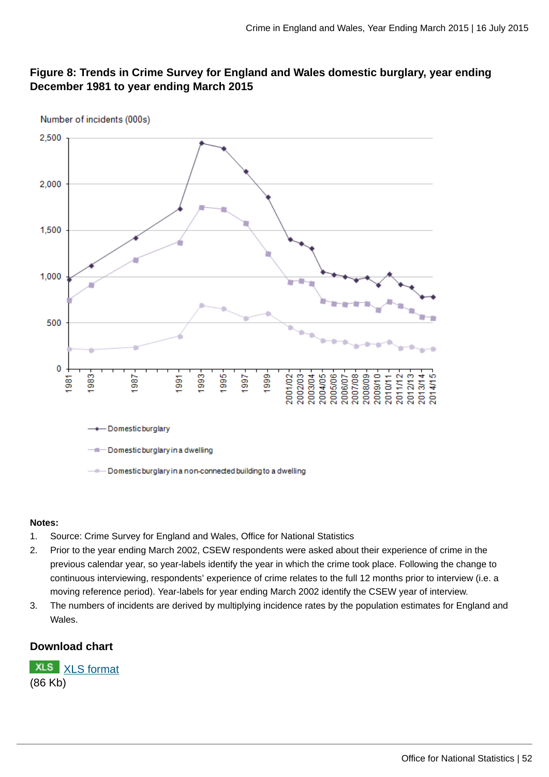### **Figure 8: Trends in Crime Survey for England and Wales domestic burglary, year ending December 1981 to year ending March 2015**



#### **Notes:**

- 1. Source: Crime Survey for England and Wales, Office for National Statistics
- 2. Prior to the year ending March 2002, CSEW respondents were asked about their experience of crime in the previous calendar year, so year-labels identify the year in which the crime took place. Following the change to continuous interviewing, respondents' experience of crime relates to the full 12 months prior to interview (i.e. a moving reference period). Year-labels for year ending March 2002 identify the CSEW year of interview.
- 3. The numbers of incidents are derived by multiplying incidence rates by the population estimates for England and Wales.

#### **Download chart**

**XLS** [XLS format](http://www.ons.gov.uk:80/ons/rel/crime-stats/crime-statistics/year-ending-march-2015/chd-8.xls) (86 Kb)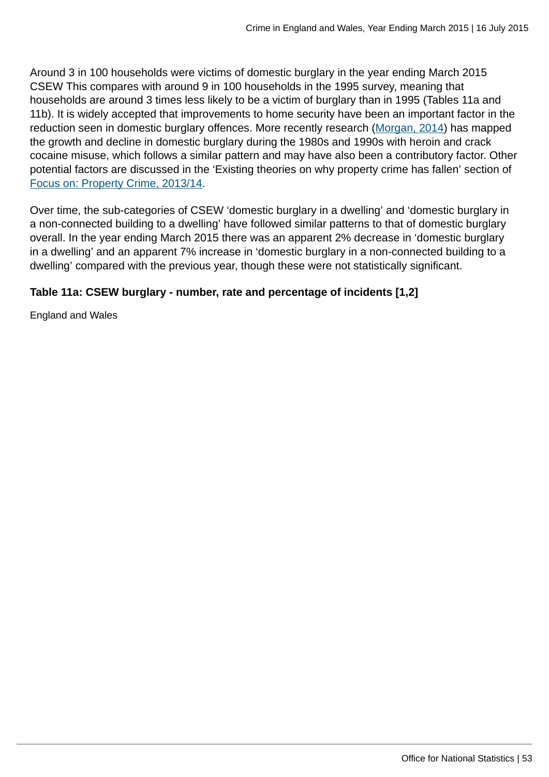Around 3 in 100 households were victims of domestic burglary in the year ending March 2015 CSEW This compares with around 9 in 100 households in the 1995 survey, meaning that households are around 3 times less likely to be a victim of burglary than in 1995 (Tables 11a and 11b). It is widely accepted that improvements to home security have been an important factor in the reduction seen in domestic burglary offences. More recently research ([Morgan, 2014\)](#page-0-0) has mapped the growth and decline in domestic burglary during the 1980s and 1990s with heroin and crack cocaine misuse, which follows a similar pattern and may have also been a contributory factor. Other potential factors are discussed in the 'Existing theories on why property crime has fallen' section of [Focus on: Property Crime, 2013/14](http://www.ons.gov.uk:80/ons/rel/crime-stats/crime-statistics/focus-on-property-crime--2013-14/index.html).

Over time, the sub-categories of CSEW 'domestic burglary in a dwelling' and 'domestic burglary in a non-connected building to a dwelling' have followed similar patterns to that of domestic burglary overall. In the year ending March 2015 there was an apparent 2% decrease in 'domestic burglary in a dwelling' and an apparent 7% increase in 'domestic burglary in a non-connected building to a dwelling' compared with the previous year, though these were not statistically significant.

### **Table 11a: CSEW burglary - number, rate and percentage of incidents [1,2]**

England and Wales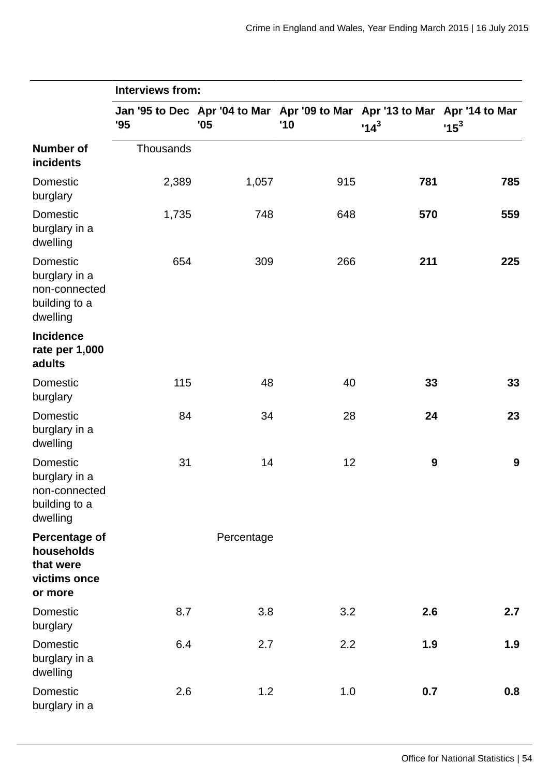|                                                                                | <b>Interviews from:</b> |            |                                                                                   |                  |        |
|--------------------------------------------------------------------------------|-------------------------|------------|-----------------------------------------------------------------------------------|------------------|--------|
|                                                                                | '95                     | '05        | Jan '95 to Dec Apr '04 to Mar Apr '09 to Mar Apr '13 to Mar Apr '14 to Mar<br>'10 | $14^3$           | $15^3$ |
| <b>Number of</b><br>incidents                                                  | Thousands               |            |                                                                                   |                  |        |
| <b>Domestic</b><br>burglary                                                    | 2,389                   | 1,057      | 915                                                                               | 781              | 785    |
| <b>Domestic</b><br>burglary in a<br>dwelling                                   | 1,735                   | 748        | 648                                                                               | 570              | 559    |
| Domestic<br>burglary in a<br>non-connected<br>building to a<br>dwelling        | 654                     | 309        | 266                                                                               | 211              | 225    |
| Incidence<br>rate per 1,000<br>adults                                          |                         |            |                                                                                   |                  |        |
| Domestic<br>burglary                                                           | 115                     | 48         | 40                                                                                | 33               | 33     |
| Domestic<br>burglary in a<br>dwelling                                          | 84                      | 34         | 28                                                                                | 24               | 23     |
| <b>Domestic</b><br>burglary in a<br>non-connected<br>building to a<br>dwelling | 31                      | 14         | 12                                                                                | $\boldsymbol{9}$ | 9      |
| <b>Percentage of</b><br>households<br>that were<br>victims once<br>or more     |                         | Percentage |                                                                                   |                  |        |
| Domestic<br>burglary                                                           | 8.7                     | 3.8        | 3.2                                                                               | 2.6              | 2.7    |
| Domestic<br>burglary in a<br>dwelling                                          | 6.4                     | 2.7        | 2.2                                                                               | 1.9              | 1.9    |
| Domestic<br>burglary in a                                                      | 2.6                     | 1.2        | 1.0                                                                               | 0.7              | 0.8    |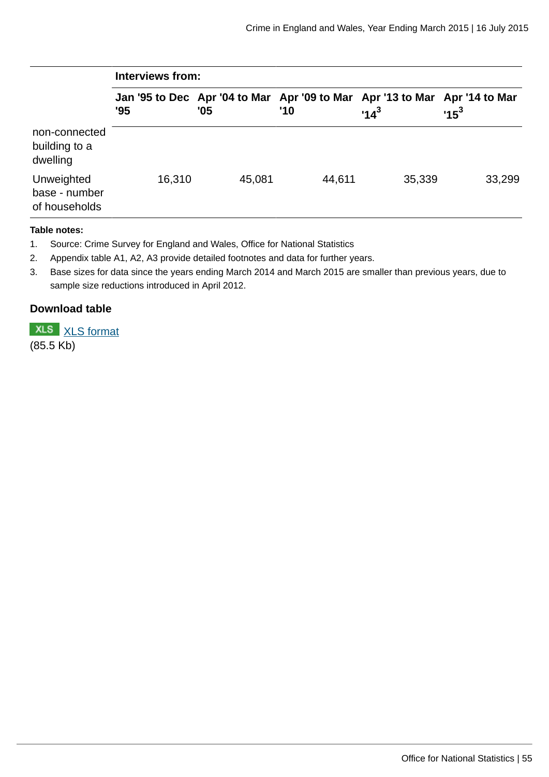|                                              | Interviews from: |        |        |                                                                                      |        |  |  |  |  |
|----------------------------------------------|------------------|--------|--------|--------------------------------------------------------------------------------------|--------|--|--|--|--|
|                                              | '95              | '05    | '10    | Jan '95 to Dec Apr '04 to Mar Apr '09 to Mar Apr '13 to Mar Apr '14 to Mar<br>$14^3$ | $15^3$ |  |  |  |  |
| non-connected<br>building to a<br>dwelling   |                  |        |        |                                                                                      |        |  |  |  |  |
| Unweighted<br>base - number<br>of households | 16,310           | 45,081 | 44,611 | 35,339                                                                               | 33,299 |  |  |  |  |

#### **Table notes:**

- 1. Source: Crime Survey for England and Wales, Office for National Statistics
- 2. Appendix table A1, A2, A3 provide detailed footnotes and data for further years.
- 3. Base sizes for data since the years ending March 2014 and March 2015 are smaller than previous years, due to sample size reductions introduced in April 2012.

### **Download table**

**XLS** [XLS format](http://www.ons.gov.uk:80/ons/rel/crime-stats/crime-statistics/year-ending-march-2015/prt-11a.xls)

(85.5 Kb)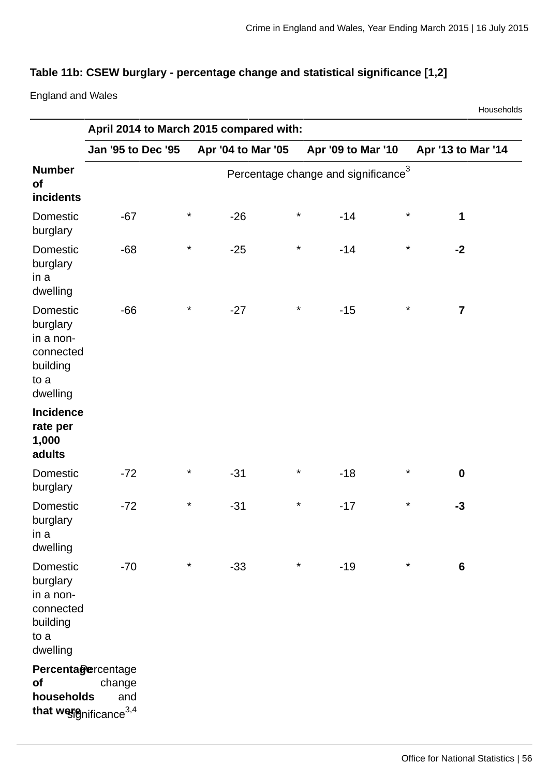Households

# **Table 11b: CSEW burglary - percentage change and statistical significance [1,2]**

England and Wales

|                                                                                | April 2014 to March 2015 compared with: |          |                    |          |                                                 |          |                         |
|--------------------------------------------------------------------------------|-----------------------------------------|----------|--------------------|----------|-------------------------------------------------|----------|-------------------------|
|                                                                                | <b>Jan '95 to Dec '95</b>               |          | Apr '04 to Mar '05 |          | Apr '09 to Mar '10                              |          | Apr '13 to Mar '14      |
| <b>Number</b><br><b>of</b><br>incidents                                        |                                         |          |                    |          | Percentage change and significance <sup>3</sup> |          |                         |
| Domestic<br>burglary                                                           | $-67$                                   | $\star$  | $-26$              | $\star$  | $-14$                                           | $\star$  | $\mathbf{1}$            |
| <b>Domestic</b><br>burglary<br>in a<br>dwelling                                | $-68$                                   | $\star$  | $-25$              | $\ast$   | $-14$                                           | $\star$  | $-2$                    |
| Domestic<br>burglary<br>in a non-<br>connected<br>building<br>to a<br>dwelling | $-66$                                   | $\star$  | $-27$              | $\ast$   | $-15$                                           | $\star$  | $\overline{\mathbf{z}}$ |
| <b>Incidence</b><br>rate per<br>1,000<br>adults                                |                                         |          |                    |          |                                                 |          |                         |
| Domestic<br>burglary                                                           | $-72$                                   | $\star$  | $-31$              | $\ast$   | $-18$                                           | $\star$  | $\boldsymbol{0}$        |
| Domestic<br>burglary<br>in a<br>dwelling                                       | $-72$                                   | $\ast$   | $-31$              | $\ast$   | $-17$                                           | $\star$  | $-3$                    |
| Domestic<br>burglary<br>in a non-<br>connected<br>building<br>to a<br>dwelling | $-70$                                   | $^\star$ | $-33$              | $^\star$ | $-19$                                           | $^\star$ | $\boldsymbol{6}$        |
| Percentagercentage<br>of<br>households<br>that we fignificance <sup>3,4</sup>  | change<br>and                           |          |                    |          |                                                 |          |                         |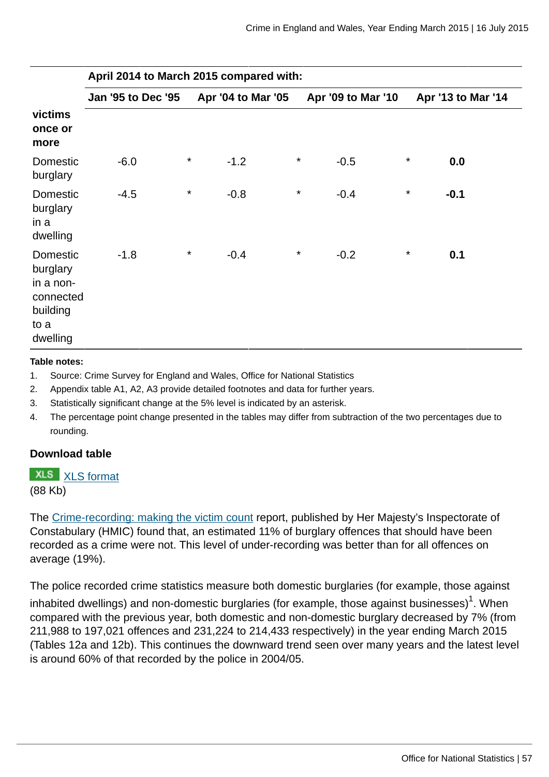|                                                                                       | April 2014 to March 2015 compared with: |          |                    |         |                    |         |                    |  |  |
|---------------------------------------------------------------------------------------|-----------------------------------------|----------|--------------------|---------|--------------------|---------|--------------------|--|--|
|                                                                                       | Jan '95 to Dec '95                      |          | Apr '04 to Mar '05 |         | Apr '09 to Mar '10 |         | Apr '13 to Mar '14 |  |  |
| victims<br>once or<br>more                                                            |                                         |          |                    |         |                    |         |                    |  |  |
| Domestic<br>burglary                                                                  | $-6.0$                                  | $\star$  | $-1.2$             | $\star$ | $-0.5$             | $\star$ | 0.0                |  |  |
| <b>Domestic</b><br>burglary<br>in a<br>dwelling                                       | $-4.5$                                  | $^\star$ | $-0.8$             | $\star$ | $-0.4$             | $\star$ | $-0.1$             |  |  |
| <b>Domestic</b><br>burglary<br>in a non-<br>connected<br>building<br>to a<br>dwelling | $-1.8$                                  | $^\star$ | $-0.4$             | $\star$ | $-0.2$             | $\star$ | 0.1                |  |  |

#### **Table notes:**

- 1. Source: Crime Survey for England and Wales, Office for National Statistics
- 2. Appendix table A1, A2, A3 provide detailed footnotes and data for further years.
- 3. Statistically significant change at the 5% level is indicated by an asterisk.
- 4. The percentage point change presented in the tables may differ from subtraction of the two percentages due to rounding.

#### **Download table**

**XLS** [XLS format](http://www.ons.gov.uk:80/ons/rel/crime-stats/crime-statistics/year-ending-march-2015/prt-11b.xls)

(88 Kb)

The [Crime-recording: making the victim count](https://www.justiceinspectorates.gov.uk/hmic/publication/crime-recording-making-the-victim-count/) report, published by Her Majesty's Inspectorate of Constabulary (HMIC) found that, an estimated 11% of burglary offences that should have been recorded as a crime were not. This level of under-recording was better than for all offences on average (19%).

The police recorded crime statistics measure both domestic burglaries (for example, those against

inhabited dwellings) and non-domestic burglaries (for example, those against businesses) $^{\rm 1}$ . When compared with the previous year, both domestic and non-domestic burglary decreased by 7% (from 211,988 to 197,021 offences and 231,224 to 214,433 respectively) in the year ending March 2015 (Tables 12a and 12b). This continues the downward trend seen over many years and the latest level is around 60% of that recorded by the police in 2004/05.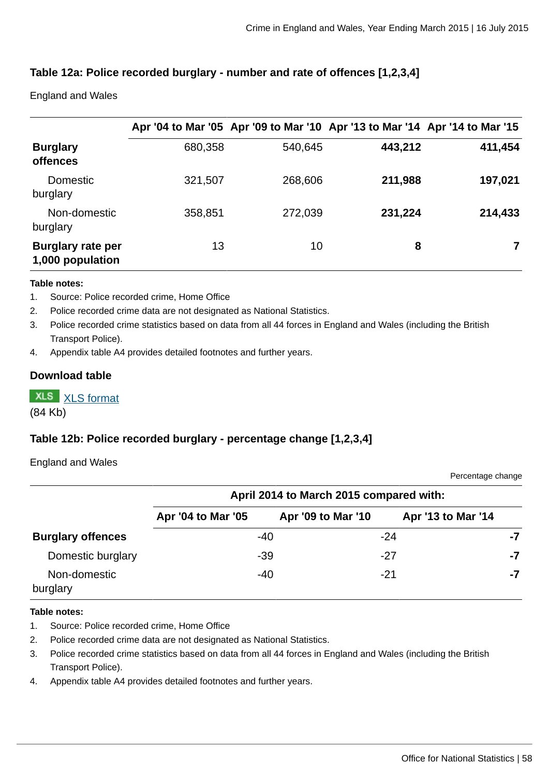### **Table 12a: Police recorded burglary - number and rate of offences [1,2,3,4]**

England and Wales

|                                              |         |         | Apr '04 to Mar '05 Apr '09 to Mar '10 Apr '13 to Mar '14 Apr '14 to Mar '15 |         |
|----------------------------------------------|---------|---------|-----------------------------------------------------------------------------|---------|
| <b>Burglary</b><br><b>offences</b>           | 680,358 | 540,645 | 443,212                                                                     | 411,454 |
| <b>Domestic</b><br>burglary                  | 321,507 | 268,606 | 211,988                                                                     | 197,021 |
| Non-domestic<br>burglary                     | 358,851 | 272,039 | 231,224                                                                     | 214,433 |
| <b>Burglary rate per</b><br>1,000 population | 13      | 10      | 8                                                                           |         |

#### **Table notes:**

- 1. Source: Police recorded crime, Home Office
- 2. Police recorded crime data are not designated as National Statistics.
- 3. Police recorded crime statistics based on data from all 44 forces in England and Wales (including the British Transport Police).
- 4. Appendix table A4 provides detailed footnotes and further years.

#### **Download table**

**XLS** [XLS format](http://www.ons.gov.uk:80/ons/rel/crime-stats/crime-statistics/year-ending-march-2015/prt-12a.xls)

(84 Kb)

### **Table 12b: Police recorded burglary - percentage change [1,2,3,4]**

#### England and Wales

Percentage change

|                          | April 2014 to March 2015 compared with: |                    |                    |    |  |  |
|--------------------------|-----------------------------------------|--------------------|--------------------|----|--|--|
|                          | Apr '04 to Mar '05                      | Apr '09 to Mar '10 | Apr '13 to Mar '14 |    |  |  |
| <b>Burglary offences</b> |                                         | -40                | -24                | -7 |  |  |
| Domestic burglary        |                                         | $-39$              | -27                | -7 |  |  |
| Non-domestic<br>burglary |                                         | $-40$              | $-21$              | -7 |  |  |

#### **Table notes:**

- 1. Source: Police recorded crime, Home Office
- 2. Police recorded crime data are not designated as National Statistics.
- 3. Police recorded crime statistics based on data from all 44 forces in England and Wales (including the British Transport Police).
- 4. Appendix table A4 provides detailed footnotes and further years.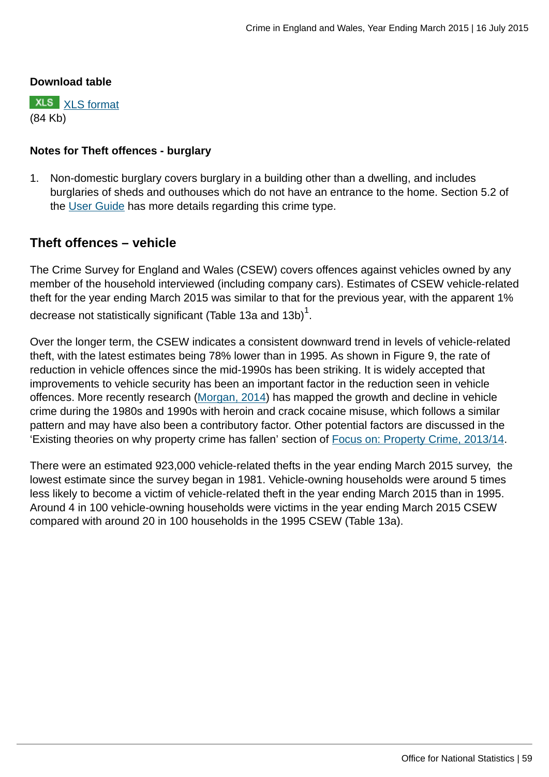#### **Download table**

**XLS** [XLS format](http://www.ons.gov.uk:80/ons/rel/crime-stats/crime-statistics/year-ending-march-2015/prt-12b.xls) (84 Kb)

### **Notes for Theft offences - burglary**

1. Non-domestic burglary covers burglary in a building other than a dwelling, and includes burglaries of sheds and outhouses which do not have an entrance to the home. Section 5.2 of the [User Guide](http://www.ons.gov.uk:80/ons/guide-method/method-quality/specific/crime-statistics-methodology/user-guides/index.html) has more details regarding this crime type.

# **Theft offences – vehicle**

The Crime Survey for England and Wales (CSEW) covers offences against vehicles owned by any member of the household interviewed (including company cars). Estimates of CSEW vehicle-related theft for the year ending March 2015 was similar to that for the previous year, with the apparent 1% decrease not statistically significant (Table 13a and 13b) $^{\rm 1}.$ 

Over the longer term, the CSEW indicates a consistent downward trend in levels of vehicle-related theft, with the latest estimates being 78% lower than in 1995. As shown in Figure 9, the rate of reduction in vehicle offences since the mid-1990s has been striking. It is widely accepted that improvements to vehicle security has been an important factor in the reduction seen in vehicle offences. More recently research [\(Morgan, 2014](#page-0-0)) has mapped the growth and decline in vehicle crime during the 1980s and 1990s with heroin and crack cocaine misuse, which follows a similar pattern and may have also been a contributory factor. Other potential factors are discussed in the 'Existing theories on why property crime has fallen' section of [Focus on: Property Crime, 2013/14](http://www.ons.gov.uk:80/ons/rel/crime-stats/crime-statistics/focus-on-property-crime--2013-14/index.html).

There were an estimated 923,000 vehicle-related thefts in the year ending March 2015 survey, the lowest estimate since the survey began in 1981. Vehicle-owning households were around 5 times less likely to become a victim of vehicle-related theft in the year ending March 2015 than in 1995. Around 4 in 100 vehicle-owning households were victims in the year ending March 2015 CSEW compared with around 20 in 100 households in the 1995 CSEW (Table 13a).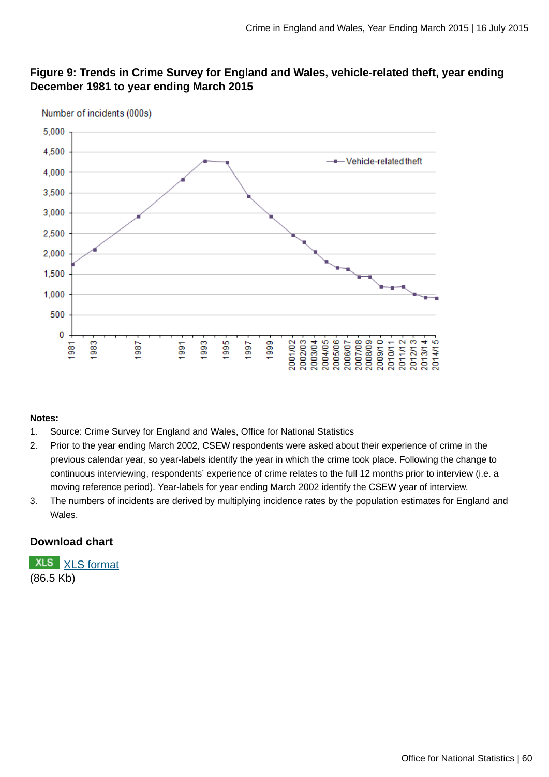### **Figure 9: Trends in Crime Survey for England and Wales, vehicle-related theft, year ending December 1981 to year ending March 2015**



#### **Notes:**

- 1. Source: Crime Survey for England and Wales, Office for National Statistics
- 2. Prior to the year ending March 2002, CSEW respondents were asked about their experience of crime in the previous calendar year, so year-labels identify the year in which the crime took place. Following the change to continuous interviewing, respondents' experience of crime relates to the full 12 months prior to interview (i.e. a moving reference period). Year-labels for year ending March 2002 identify the CSEW year of interview.
- 3. The numbers of incidents are derived by multiplying incidence rates by the population estimates for England and Wales.

#### **Download chart**

**XLS** [XLS format](http://www.ons.gov.uk:80/ons/rel/crime-stats/crime-statistics/year-ending-march-2015/chd-9.xls) (86.5 Kb)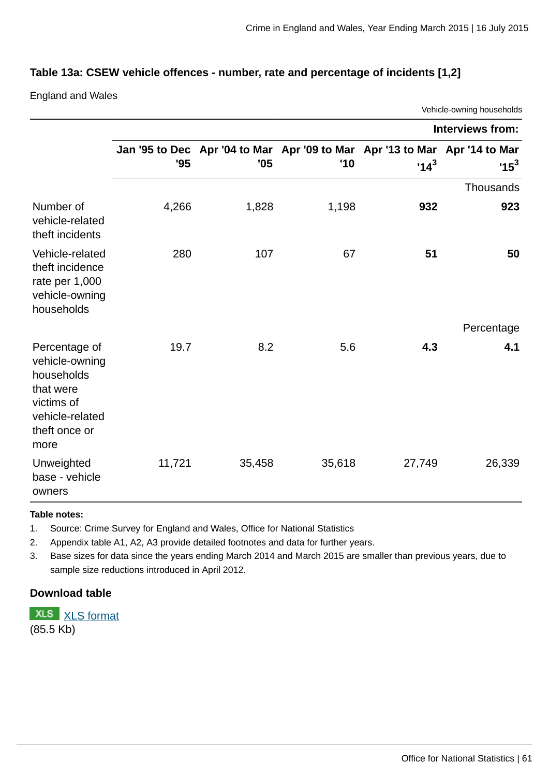Vehicle-owning households

### **Table 13a: CSEW vehicle offences - number, rate and percentage of incidents [1,2]**

England and Wales

|                                                                                                                      |        |                                                                                   |        |        | <b>Interviews from:</b> |
|----------------------------------------------------------------------------------------------------------------------|--------|-----------------------------------------------------------------------------------|--------|--------|-------------------------|
|                                                                                                                      | '95    | Jan '95 to Dec Apr '04 to Mar Apr '09 to Mar Apr '13 to Mar Apr '14 to Mar<br>'05 | '10    | $14^3$ | $15^3$                  |
|                                                                                                                      |        |                                                                                   |        |        | <b>Thousands</b>        |
| Number of<br>vehicle-related<br>theft incidents                                                                      | 4,266  | 1,828                                                                             | 1,198  | 932    | 923                     |
| Vehicle-related<br>theft incidence<br>rate per 1,000<br>vehicle-owning<br>households                                 | 280    | 107                                                                               | 67     | 51     | 50                      |
|                                                                                                                      |        |                                                                                   |        |        | Percentage              |
| Percentage of<br>vehicle-owning<br>households<br>that were<br>victims of<br>vehicle-related<br>theft once or<br>more | 19.7   | 8.2                                                                               | 5.6    | 4.3    | 4.1                     |
| Unweighted<br>base - vehicle<br>owners                                                                               | 11,721 | 35,458                                                                            | 35,618 | 27,749 | 26,339                  |

#### **Table notes:**

1. Source: Crime Survey for England and Wales, Office for National Statistics

2. Appendix table A1, A2, A3 provide detailed footnotes and data for further years.

3. Base sizes for data since the years ending March 2014 and March 2015 are smaller than previous years, due to sample size reductions introduced in April 2012.

### **Download table**

**XLS** [XLS format](http://www.ons.gov.uk:80/ons/rel/crime-stats/crime-statistics/year-ending-march-2015/prt-13a.xls) (85.5 Kb)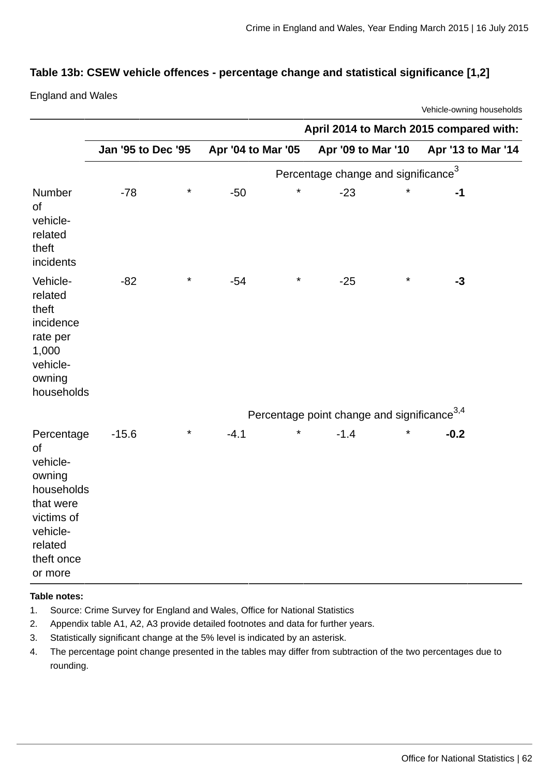### **Table 13b: CSEW vehicle offences - percentage change and statistical significance [1,2]**

England and Wales

Vehicle-owning households

|                                                                                                                                 |                    |          |                    |          | April 2014 to March 2015 compared with:                 |         |                    |  |
|---------------------------------------------------------------------------------------------------------------------------------|--------------------|----------|--------------------|----------|---------------------------------------------------------|---------|--------------------|--|
|                                                                                                                                 | Jan '95 to Dec '95 |          | Apr '04 to Mar '05 |          | Apr '09 to Mar '10                                      |         | Apr '13 to Mar '14 |  |
|                                                                                                                                 |                    |          |                    |          | Percentage change and significance <sup>3</sup>         |         |                    |  |
| Number<br>of<br>vehicle-<br>related<br>theft<br>incidents                                                                       | $-78$              | $^\star$ | $-50$              | $^\star$ | $-23$                                                   | $\star$ | $-1$               |  |
| Vehicle-<br>related<br>theft<br>incidence<br>rate per<br>1,000<br>vehicle-<br>owning<br>households                              | $-82$              | $^\star$ | $-54$              | $\star$  | $-25$                                                   | $\star$ | $-3$               |  |
|                                                                                                                                 |                    |          |                    |          | Percentage point change and significance <sup>3,4</sup> |         |                    |  |
| Percentage<br>of<br>vehicle-<br>owning<br>households<br>that were<br>victims of<br>vehicle-<br>related<br>theft once<br>or more | $-15.6$            | $^\star$ | $-4.1$             | $^\star$ | $-1.4$                                                  | $\star$ | $-0.2$             |  |

#### **Table notes:**

- 1. Source: Crime Survey for England and Wales, Office for National Statistics
- 2. Appendix table A1, A2, A3 provide detailed footnotes and data for further years.
- 3. Statistically significant change at the 5% level is indicated by an asterisk.
- 4. The percentage point change presented in the tables may differ from subtraction of the two percentages due to rounding.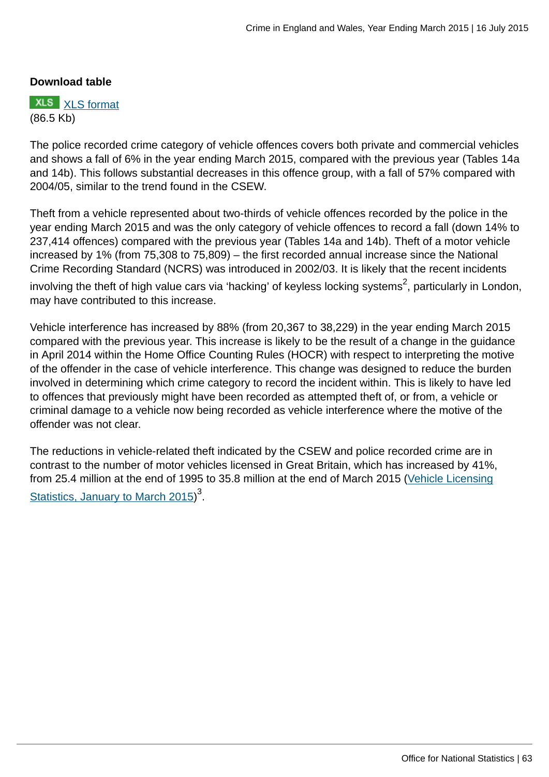#### **Download table**



The police recorded crime category of vehicle offences covers both private and commercial vehicles and shows a fall of 6% in the year ending March 2015, compared with the previous year (Tables 14a and 14b). This follows substantial decreases in this offence group, with a fall of 57% compared with 2004/05, similar to the trend found in the CSEW.

Theft from a vehicle represented about two-thirds of vehicle offences recorded by the police in the year ending March 2015 and was the only category of vehicle offences to record a fall (down 14% to 237,414 offences) compared with the previous year (Tables 14a and 14b). Theft of a motor vehicle increased by 1% (from 75,308 to 75,809) – the first recorded annual increase since the National Crime Recording Standard (NCRS) was introduced in 2002/03. It is likely that the recent incidents involving the theft of high value cars via 'hacking' of keyless locking systems $^2$ , particularly in London, may have contributed to this increase.

Vehicle interference has increased by 88% (from 20,367 to 38,229) in the year ending March 2015 compared with the previous year. This increase is likely to be the result of a change in the guidance in April 2014 within the Home Office Counting Rules (HOCR) with respect to interpreting the motive of the offender in the case of vehicle interference. This change was designed to reduce the burden involved in determining which crime category to record the incident within. This is likely to have led to offences that previously might have been recorded as attempted theft of, or from, a vehicle or criminal damage to a vehicle now being recorded as vehicle interference where the motive of the offender was not clear.

The reductions in vehicle-related theft indicated by the CSEW and police recorded crime are in contrast to the number of motor vehicles licensed in Great Britain, which has increased by 41%, from 25.4 million at the end of 1995 to 35.8 million at the end of March 2015 ([Vehicle Licensing](https://www.gov.uk/government/statistics/vehicle-licensing-statistics-january-to-march-2015) [Statistics, January to March 2015\)](https://www.gov.uk/government/statistics/vehicle-licensing-statistics-january-to-march-2015)<sup>3</sup>.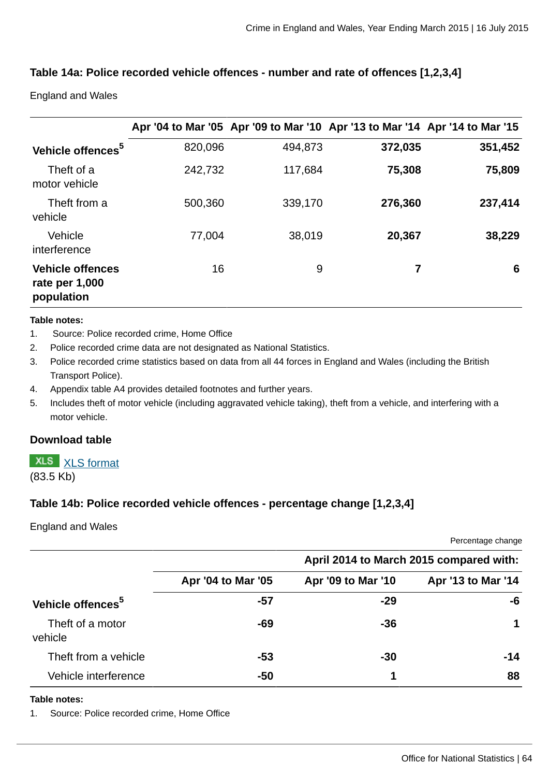### **Table 14a: Police recorded vehicle offences - number and rate of offences [1,2,3,4]**

England and Wales

|                                                         |         |         | Apr '04 to Mar '05 Apr '09 to Mar '10 Apr '13 to Mar '14 Apr '14 to Mar '15 |         |
|---------------------------------------------------------|---------|---------|-----------------------------------------------------------------------------|---------|
| Vehicle offences <sup>5</sup>                           | 820,096 | 494,873 | 372,035                                                                     | 351,452 |
| Theft of a<br>motor vehicle                             | 242,732 | 117,684 | 75,308                                                                      | 75,809  |
| Theft from a<br>vehicle                                 | 500,360 | 339,170 | 276,360                                                                     | 237,414 |
| Vehicle<br>interference                                 | 77,004  | 38,019  | 20,367                                                                      | 38,229  |
| <b>Vehicle offences</b><br>rate per 1,000<br>population | 16      | 9       | 7                                                                           | 6       |

#### **Table notes:**

- 1. Source: Police recorded crime, Home Office
- 2. Police recorded crime data are not designated as National Statistics.
- 3. Police recorded crime statistics based on data from all 44 forces in England and Wales (including the British Transport Police).
- 4. Appendix table A4 provides detailed footnotes and further years.
- 5. Includes theft of motor vehicle (including aggravated vehicle taking), theft from a vehicle, and interfering with a motor vehicle.

#### **Download table**

# **XLS** [XLS format](http://www.ons.gov.uk:80/ons/rel/crime-stats/crime-statistics/year-ending-march-2015/prt-14a.xls)

(83.5 Kb)

#### **Table 14b: Police recorded vehicle offences - percentage change [1,2,3,4]**

#### England and Wales

Percentage change

|                               |                    |                    | April 2014 to March 2015 compared with: |
|-------------------------------|--------------------|--------------------|-----------------------------------------|
|                               | Apr '04 to Mar '05 | Apr '09 to Mar '10 | Apr '13 to Mar '14                      |
| Vehicle offences <sup>5</sup> | -57                | $-29$              | -6                                      |
| Theft of a motor<br>vehicle   | -69                | $-36$              | 1                                       |
| Theft from a vehicle          | -53                | $-30$              | $-14$                                   |
| Vehicle interference          | $-50$              |                    | 88                                      |

#### **Table notes:**

1. Source: Police recorded crime, Home Office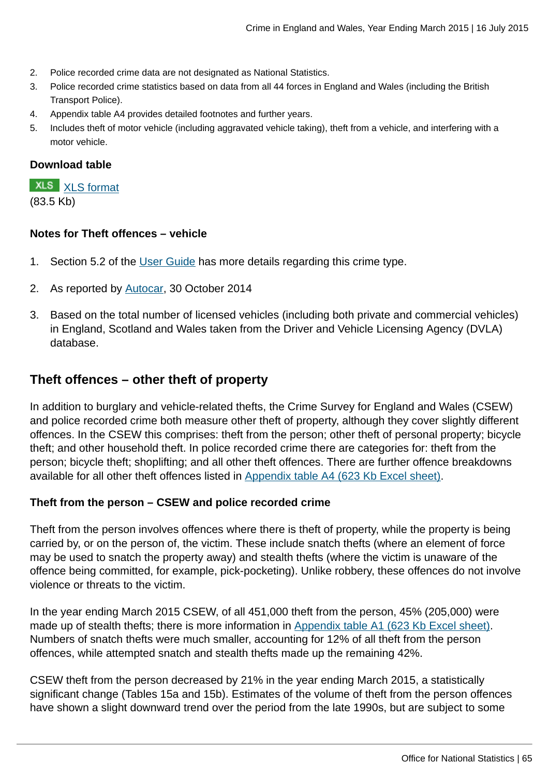- 2. Police recorded crime data are not designated as National Statistics.
- 3. Police recorded crime statistics based on data from all 44 forces in England and Wales (including the British Transport Police).
- 4. Appendix table A4 provides detailed footnotes and further years.
- 5. Includes theft of motor vehicle (including aggravated vehicle taking), theft from a vehicle, and interfering with a motor vehicle.

#### **Download table**

**XLS** [XLS format](http://www.ons.gov.uk:80/ons/rel/crime-stats/crime-statistics/year-ending-march-2015/prt-14b.xls) (83.5 Kb)

#### **Notes for Theft offences – vehicle**

- 1. Section 5.2 of the [User Guide](http://www.ons.gov.uk:80/ons/guide-method/method-quality/specific/crime-statistics-methodology/user-guides/index.html) has more details regarding this crime type.
- 2. As reported by [Autocar](http://www.autocar.co.uk/car-news/industry/high-value-cars-targeted-new-wave-car-crime), 30 October 2014
- 3. Based on the total number of licensed vehicles (including both private and commercial vehicles) in England, Scotland and Wales taken from the Driver and Vehicle Licensing Agency (DVLA) database.

### **Theft offences – other theft of property**

In addition to burglary and vehicle-related thefts, the Crime Survey for England and Wales (CSEW) and police recorded crime both measure other theft of property, although they cover slightly different offences. In the CSEW this comprises: theft from the person; other theft of personal property; bicycle theft; and other household theft. In police recorded crime there are categories for: theft from the person; bicycle theft; shoplifting; and all other theft offences. There are further offence breakdowns available for all other theft offences listed in [Appendix table A4 \(623 Kb Excel sheet\)](http://www.ons.gov.uk:80/ons/rel/crime-stats/crime-statistics/year-ending-march-2015/rft-02.xls).

#### **Theft from the person – CSEW and police recorded crime**

Theft from the person involves offences where there is theft of property, while the property is being carried by, or on the person of, the victim. These include snatch thefts (where an element of force may be used to snatch the property away) and stealth thefts (where the victim is unaware of the offence being committed, for example, pick-pocketing). Unlike robbery, these offences do not involve violence or threats to the victim.

In the year ending March 2015 CSEW, of all 451,000 theft from the person, 45% (205,000) were made up of stealth thefts; there is more information in [Appendix table A1 \(623 Kb Excel sheet\).](http://www.ons.gov.uk:80/ons/rel/crime-stats/crime-statistics/year-ending-march-2015/rft-02.xls) Numbers of snatch thefts were much smaller, accounting for 12% of all theft from the person offences, while attempted snatch and stealth thefts made up the remaining 42%.

CSEW theft from the person decreased by 21% in the year ending March 2015, a statistically significant change (Tables 15a and 15b). Estimates of the volume of theft from the person offences have shown a slight downward trend over the period from the late 1990s, but are subject to some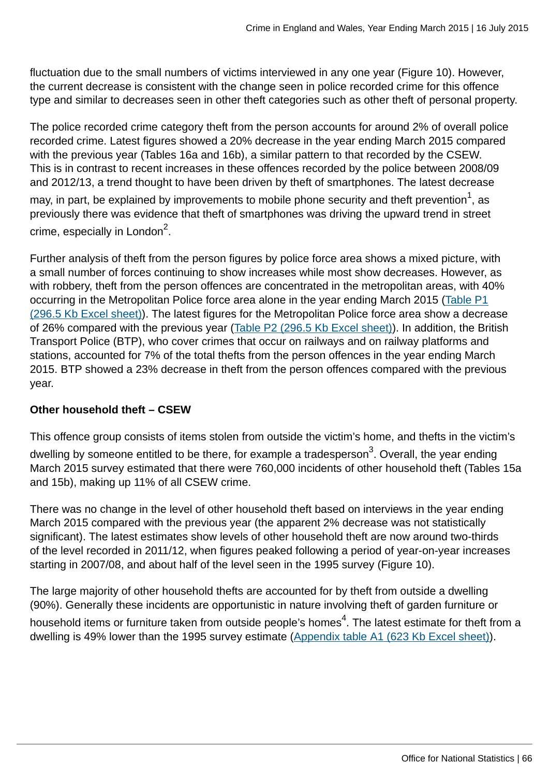fluctuation due to the small numbers of victims interviewed in any one year (Figure 10). However, the current decrease is consistent with the change seen in police recorded crime for this offence type and similar to decreases seen in other theft categories such as other theft of personal property.

The police recorded crime category theft from the person accounts for around 2% of overall police recorded crime. Latest figures showed a 20% decrease in the year ending March 2015 compared with the previous year (Tables 16a and 16b), a similar pattern to that recorded by the CSEW. This is in contrast to recent increases in these offences recorded by the police between 2008/09 and 2012/13, a trend thought to have been driven by theft of smartphones. The latest decrease

may, in part, be explained by improvements to mobile phone security and theft prevention $^{\mathtt{1}},$  as previously there was evidence that theft of smartphones was driving the upward trend in street crime, especially in London $^2$ .

Further analysis of theft from the person figures by police force area shows a mixed picture, with a small number of forces continuing to show increases while most show decreases. However, as with robbery, theft from the person offences are concentrated in the metropolitan areas, with 40% occurring in the Metropolitan Police force area alone in the year ending March 2015 [\(Table P1](http://www.ons.gov.uk:80/ons/rel/crime-stats/crime-statistics/year-ending-march-2015/rft-5.xls) [\(296.5 Kb Excel sheet\)\)](http://www.ons.gov.uk:80/ons/rel/crime-stats/crime-statistics/year-ending-march-2015/rft-5.xls). The latest figures for the Metropolitan Police force area show a decrease of 26% compared with the previous year ([Table P2 \(296.5 Kb Excel sheet\)](http://www.ons.gov.uk:80/ons/rel/crime-stats/crime-statistics/year-ending-march-2015/rft-5.xls)). In addition, the British Transport Police (BTP), who cover crimes that occur on railways and on railway platforms and stations, accounted for 7% of the total thefts from the person offences in the year ending March 2015. BTP showed a 23% decrease in theft from the person offences compared with the previous year.

### **Other household theft – CSEW**

This offence group consists of items stolen from outside the victim's home, and thefts in the victim's dwelling by someone entitled to be there, for example a tradesperson<sup>3</sup>. Overall, the year ending March 2015 survey estimated that there were 760,000 incidents of other household theft (Tables 15a and 15b), making up 11% of all CSEW crime.

There was no change in the level of other household theft based on interviews in the year ending March 2015 compared with the previous year (the apparent 2% decrease was not statistically significant). The latest estimates show levels of other household theft are now around two-thirds of the level recorded in 2011/12, when figures peaked following a period of year-on-year increases starting in 2007/08, and about half of the level seen in the 1995 survey (Figure 10).

The large majority of other household thefts are accounted for by theft from outside a dwelling (90%). Generally these incidents are opportunistic in nature involving theft of garden furniture or household items or furniture taken from outside people's homes $^4$ . The latest estimate for theft from a dwelling is 49% lower than the 1995 survey estimate [\(Appendix table A1 \(623 Kb Excel sheet\)](http://www.ons.gov.uk:80/ons/rel/crime-stats/crime-statistics/year-ending-march-2015/rft-02.xls)).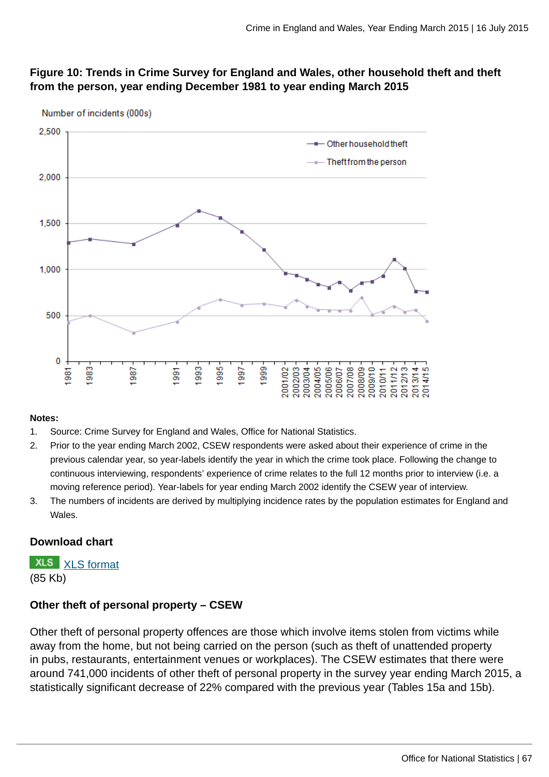### **Figure 10: Trends in Crime Survey for England and Wales, other household theft and theft from the person, year ending December 1981 to year ending March 2015**



Number of incidents (000s)

#### **Notes:**

- 1. Source: Crime Survey for England and Wales, Office for National Statistics.
- 2. Prior to the year ending March 2002, CSEW respondents were asked about their experience of crime in the previous calendar year, so year-labels identify the year in which the crime took place. Following the change to continuous interviewing, respondents' experience of crime relates to the full 12 months prior to interview (i.e. a moving reference period). Year-labels for year ending March 2002 identify the CSEW year of interview.
- 3. The numbers of incidents are derived by multiplying incidence rates by the population estimates for England and Wales.

### **Download chart**

**XLS** [XLS format](http://www.ons.gov.uk:80/ons/rel/crime-stats/crime-statistics/year-ending-march-2015/chd-10.xls) (85 Kb)

### **Other theft of personal property – CSEW**

Other theft of personal property offences are those which involve items stolen from victims while away from the home, but not being carried on the person (such as theft of unattended property in pubs, restaurants, entertainment venues or workplaces). The CSEW estimates that there were around 741,000 incidents of other theft of personal property in the survey year ending March 2015, a statistically significant decrease of 22% compared with the previous year (Tables 15a and 15b).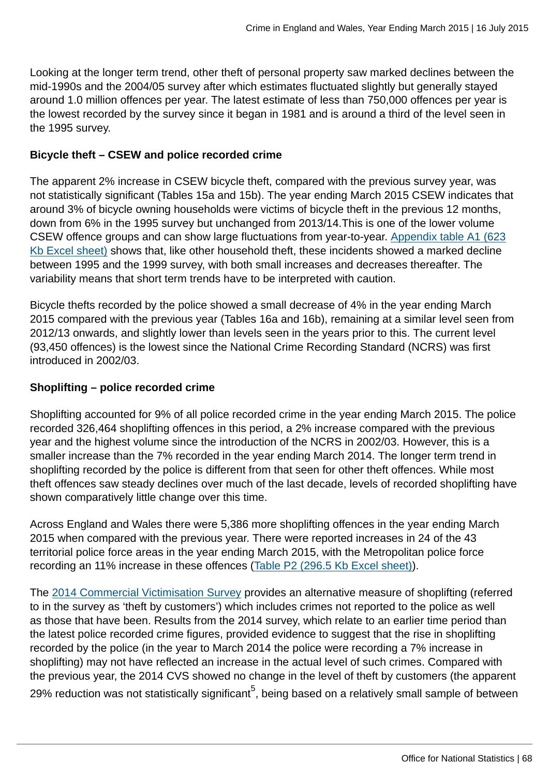Looking at the longer term trend, other theft of personal property saw marked declines between the mid-1990s and the 2004/05 survey after which estimates fluctuated slightly but generally stayed around 1.0 million offences per year. The latest estimate of less than 750,000 offences per year is the lowest recorded by the survey since it began in 1981 and is around a third of the level seen in the 1995 survey.

### **Bicycle theft – CSEW and police recorded crime**

The apparent 2% increase in CSEW bicycle theft, compared with the previous survey year, was not statistically significant (Tables 15a and 15b). The year ending March 2015 CSEW indicates that around 3% of bicycle owning households were victims of bicycle theft in the previous 12 months, down from 6% in the 1995 survey but unchanged from 2013/14.This is one of the lower volume CSEW offence groups and can show large fluctuations from year-to-year. [Appendix table A1 \(623](http://www.ons.gov.uk:80/ons/rel/crime-stats/crime-statistics/year-ending-march-2015/rft-02.xls) [Kb Excel sheet\)](http://www.ons.gov.uk:80/ons/rel/crime-stats/crime-statistics/year-ending-march-2015/rft-02.xls) shows that, like other household theft, these incidents showed a marked decline between 1995 and the 1999 survey, with both small increases and decreases thereafter. The variability means that short term trends have to be interpreted with caution.

Bicycle thefts recorded by the police showed a small decrease of 4% in the year ending March 2015 compared with the previous year (Tables 16a and 16b), remaining at a similar level seen from 2012/13 onwards, and slightly lower than levels seen in the years prior to this. The current level (93,450 offences) is the lowest since the National Crime Recording Standard (NCRS) was first introduced in 2002/03.

### **Shoplifting – police recorded crime**

Shoplifting accounted for 9% of all police recorded crime in the year ending March 2015. The police recorded 326,464 shoplifting offences in this period, a 2% increase compared with the previous year and the highest volume since the introduction of the NCRS in 2002/03. However, this is a smaller increase than the 7% recorded in the year ending March 2014. The longer term trend in shoplifting recorded by the police is different from that seen for other theft offences. While most theft offences saw steady declines over much of the last decade, levels of recorded shoplifting have shown comparatively little change over this time.

Across England and Wales there were 5,386 more shoplifting offences in the year ending March 2015 when compared with the previous year. There were reported increases in 24 of the 43 territorial police force areas in the year ending March 2015, with the Metropolitan police force recording an 11% increase in these offences [\(Table P2 \(296.5 Kb Excel sheet\)\)](http://www.ons.gov.uk:80/ons/rel/crime-stats/crime-statistics/year-ending-march-2015/rft-5.xls).

The [2014 Commercial Victimisation Survey](https://www.gov.uk/government/statistics/crime-against-businesses-findings-from-the-2014-commercial-victimisation-survey) provides an alternative measure of shoplifting (referred to in the survey as 'theft by customers') which includes crimes not reported to the police as well as those that have been. Results from the 2014 survey, which relate to an earlier time period than the latest police recorded crime figures, provided evidence to suggest that the rise in shoplifting recorded by the police (in the year to March 2014 the police were recording a 7% increase in shoplifting) may not have reflected an increase in the actual level of such crimes. Compared with the previous year, the 2014 CVS showed no change in the level of theft by customers (the apparent 29% reduction was not statistically significant<sup>5</sup>, being based on a relatively small sample of between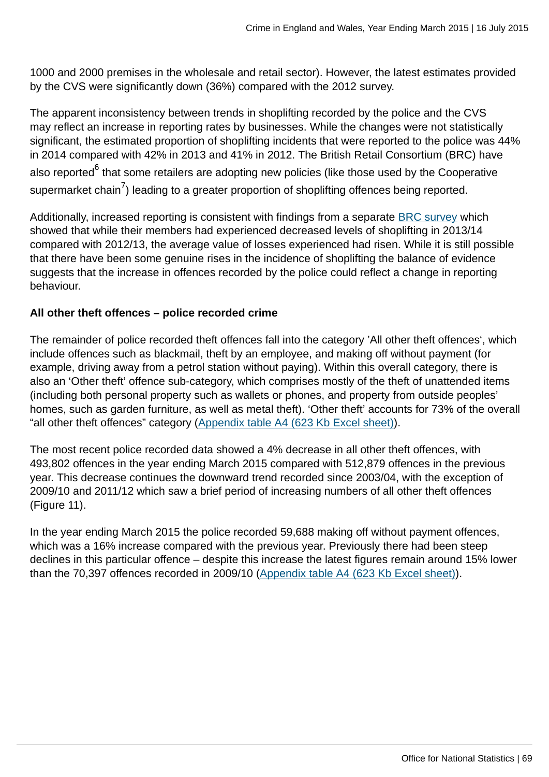1000 and 2000 premises in the wholesale and retail sector). However, the latest estimates provided by the CVS were significantly down (36%) compared with the 2012 survey.

The apparent inconsistency between trends in shoplifting recorded by the police and the CVS may reflect an increase in reporting rates by businesses. While the changes were not statistically significant, the estimated proportion of shoplifting incidents that were reported to the police was 44% in 2014 compared with 42% in 2013 and 41% in 2012. The British Retail Consortium (BRC) have also reported<sup>6</sup> that some retailers are adopting new policies (like those used by the Cooperative supermarket chain $^{7}$ ) leading to a greater proportion of shoplifting offences being reported.

Additionally, increased reporting is consistent with findings from a separate [BRC survey](http://www.brc.org.uk/brc_policy_content.asp?id=263&iCat=48&iSubCat=646&sPolicy=Retail%20Crime&sSubPolicy=BRC%20Retail%20Crime%20Survey) which showed that while their members had experienced decreased levels of shoplifting in 2013/14 compared with 2012/13, the average value of losses experienced had risen. While it is still possible that there have been some genuine rises in the incidence of shoplifting the balance of evidence suggests that the increase in offences recorded by the police could reflect a change in reporting behaviour.

### **All other theft offences – police recorded crime**

The remainder of police recorded theft offences fall into the category 'All other theft offences', which include offences such as blackmail, theft by an employee, and making off without payment (for example, driving away from a petrol station without paying). Within this overall category, there is also an 'Other theft' offence sub-category, which comprises mostly of the theft of unattended items (including both personal property such as wallets or phones, and property from outside peoples' homes, such as garden furniture, as well as metal theft). 'Other theft' accounts for 73% of the overall "all other theft offences" category ([Appendix table A4 \(623 Kb Excel sheet\)\)](http://www.ons.gov.uk:80/ons/rel/crime-stats/crime-statistics/year-ending-march-2015/rft-02.xls).

The most recent police recorded data showed a 4% decrease in all other theft offences, with 493,802 offences in the year ending March 2015 compared with 512,879 offences in the previous year. This decrease continues the downward trend recorded since 2003/04, with the exception of 2009/10 and 2011/12 which saw a brief period of increasing numbers of all other theft offences (Figure 11).

In the year ending March 2015 the police recorded 59,688 making off without payment offences, which was a 16% increase compared with the previous year. Previously there had been steep declines in this particular offence – despite this increase the latest figures remain around 15% lower than the 70,397 offences recorded in 2009/10 ([Appendix table A4 \(623 Kb Excel sheet\)](http://www.ons.gov.uk:80/ons/rel/crime-stats/crime-statistics/year-ending-march-2015/rft-02.xls)).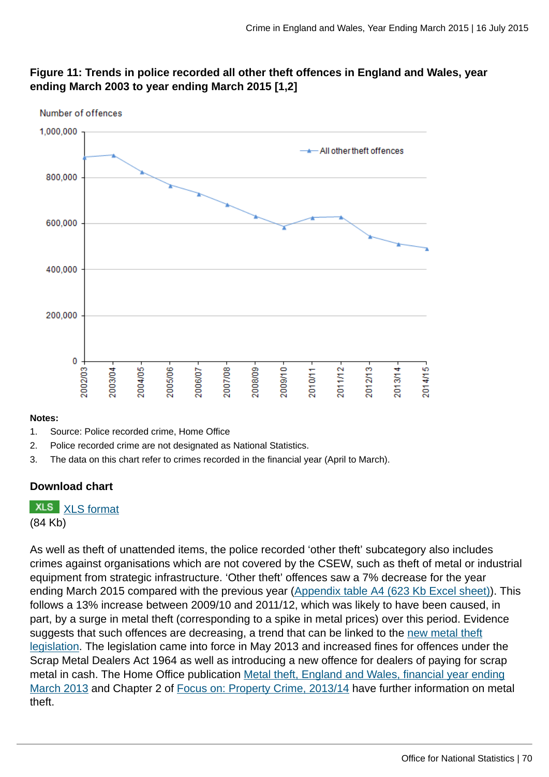### **Figure 11: Trends in police recorded all other theft offences in England and Wales, year ending March 2003 to year ending March 2015 [1,2]**



#### **Notes:**

- 1. Source: Police recorded crime, Home Office
- 2. Police recorded crime are not designated as National Statistics.
- 3. The data on this chart refer to crimes recorded in the financial year (April to March).

#### **Download chart**

**XLS** [XLS format](http://www.ons.gov.uk:80/ons/rel/crime-stats/crime-statistics/year-ending-march-2015/chd-11.xls) (84 Kb)

As well as theft of unattended items, the police recorded 'other theft' subcategory also includes crimes against organisations which are not covered by the CSEW, such as theft of metal or industrial equipment from strategic infrastructure. 'Other theft' offences saw a 7% decrease for the year ending March 2015 compared with the previous year [\(Appendix table A4 \(623 Kb Excel sheet\)](http://www.ons.gov.uk:80/ons/rel/crime-stats/crime-statistics/year-ending-march-2015/rft-02.xls)). This follows a 13% increase between 2009/10 and 2011/12, which was likely to have been caused, in part, by a surge in metal theft (corresponding to a spike in metal prices) over this period. Evidence suggests that such offences are decreasing, a trend that can be linked to the [new metal theft](#page-0-0) [legislation.](#page-0-0) The legislation came into force in May 2013 and increased fines for offences under the Scrap Metal Dealers Act 1964 as well as introducing a new offence for dealers of paying for scrap metal in cash. The Home Office publication [Metal theft, England and Wales, financial year ending](https://www.gov.uk/government/publications/metal-theft-england-and-wales-financial-year-ending-march-2013) [March 2013](https://www.gov.uk/government/publications/metal-theft-england-and-wales-financial-year-ending-march-2013) and Chapter 2 of [Focus on: Property Crime, 2013/14](http://www.ons.gov.uk:80/ons/rel/crime-stats/crime-statistics/focus-on-property-crime--2013-14/index.html) have further information on metal theft.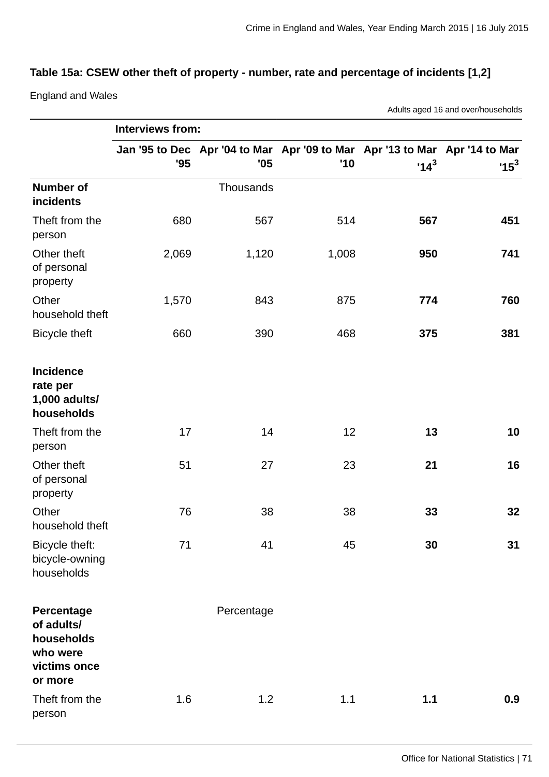### **Table 15a: CSEW other theft of property - number, rate and percentage of incidents [1,2]**

England and Wales

Adults aged 16 and over/households

|                                                                               | Interviews from: |            |       |        |                                                                                      |  |
|-------------------------------------------------------------------------------|------------------|------------|-------|--------|--------------------------------------------------------------------------------------|--|
|                                                                               | '95              | '05        | '10   | $14^3$ | Jan '95 to Dec Apr '04 to Mar Apr '09 to Mar Apr '13 to Mar Apr '14 to Mar<br>$15^3$ |  |
| <b>Number of</b><br>incidents                                                 |                  | Thousands  |       |        |                                                                                      |  |
| Theft from the<br>person                                                      | 680              | 567        | 514   | 567    | 451                                                                                  |  |
| Other theft<br>of personal<br>property                                        | 2,069            | 1,120      | 1,008 | 950    | 741                                                                                  |  |
| Other<br>household theft                                                      | 1,570            | 843        | 875   | 774    | 760                                                                                  |  |
| <b>Bicycle theft</b>                                                          | 660              | 390        | 468   | 375    | 381                                                                                  |  |
| <b>Incidence</b><br>rate per<br>1,000 adults/<br>households                   |                  |            |       |        |                                                                                      |  |
| Theft from the<br>person                                                      | 17               | 14         | 12    | 13     | 10                                                                                   |  |
| Other theft<br>of personal<br>property                                        | 51               | 27         | 23    | 21     | 16                                                                                   |  |
| Other<br>household theft                                                      | 76               | 38         | 38    | 33     | 32                                                                                   |  |
| Bicycle theft:<br>bicycle-owning<br>households                                | 71               | 41         | 45    | 30     | 31                                                                                   |  |
| Percentage<br>of adults/<br>households<br>who were<br>victims once<br>or more |                  | Percentage |       |        |                                                                                      |  |
| Theft from the<br>person                                                      | 1.6              | 1.2        | 1.1   | 1.1    | 0.9                                                                                  |  |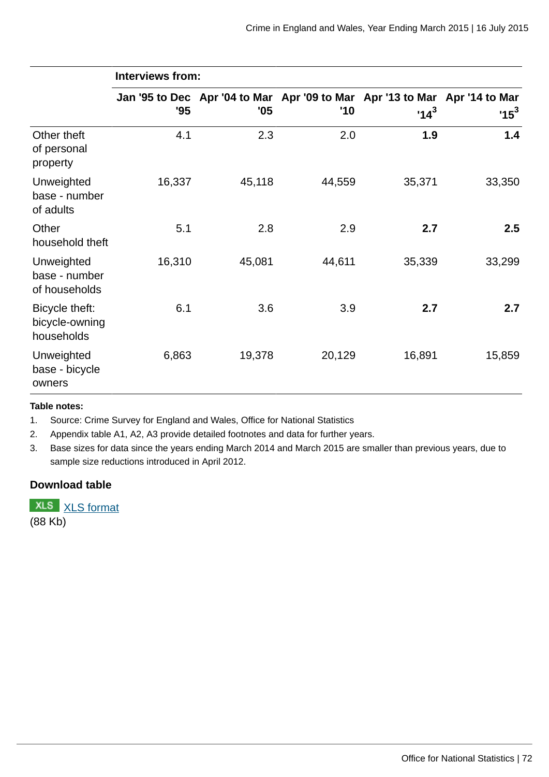|                                                | <b>Interviews from:</b> |                                                                                   |        |        |        |  |
|------------------------------------------------|-------------------------|-----------------------------------------------------------------------------------|--------|--------|--------|--|
|                                                | 95                      | Jan '95 to Dec Apr '04 to Mar Apr '09 to Mar Apr '13 to Mar Apr '14 to Mar<br>'05 | '10    | $14^3$ | $15^3$ |  |
| Other theft<br>of personal<br>property         | 4.1                     | 2.3                                                                               | 2.0    | 1.9    | 1.4    |  |
| Unweighted<br>base - number<br>of adults       | 16,337                  | 45,118                                                                            | 44,559 | 35,371 | 33,350 |  |
| Other<br>household theft                       | 5.1                     | 2.8                                                                               | 2.9    | 2.7    | 2.5    |  |
| Unweighted<br>base - number<br>of households   | 16,310                  | 45,081                                                                            | 44,611 | 35,339 | 33,299 |  |
| Bicycle theft:<br>bicycle-owning<br>households | 6.1                     | 3.6                                                                               | 3.9    | 2.7    | 2.7    |  |
| Unweighted<br>base - bicycle<br>owners         | 6,863                   | 19,378                                                                            | 20,129 | 16,891 | 15,859 |  |

#### **Table notes:**

1. Source: Crime Survey for England and Wales, Office for National Statistics

2. Appendix table A1, A2, A3 provide detailed footnotes and data for further years.

3. Base sizes for data since the years ending March 2014 and March 2015 are smaller than previous years, due to sample size reductions introduced in April 2012.

### **Download table**

**XLS** [XLS format](http://www.ons.gov.uk:80/ons/rel/crime-stats/crime-statistics/year-ending-march-2015/prt-15a.xls) (88 Kb)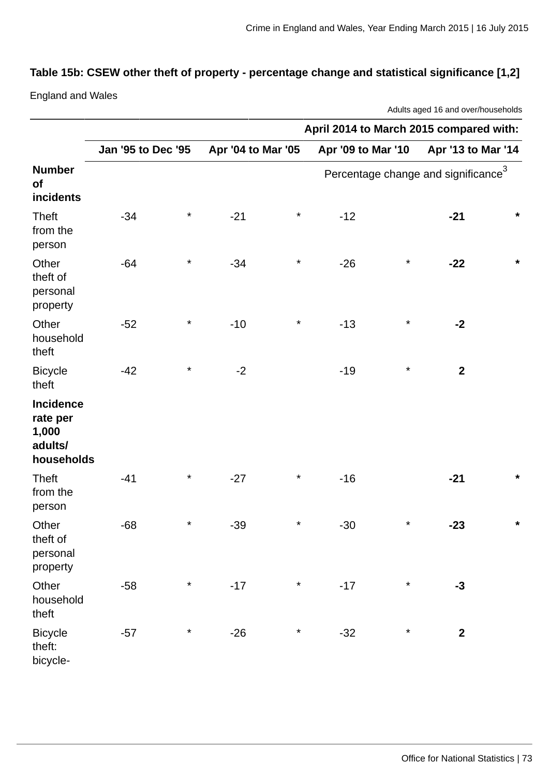# **Table 15b: CSEW other theft of property - percentage change and statistical significance [1,2]**

England and Wales

Adults aged 16 and over/households

|                                                         |                    |          |                    |          | April 2014 to March 2015 compared with: |          |                                                 |         |
|---------------------------------------------------------|--------------------|----------|--------------------|----------|-----------------------------------------|----------|-------------------------------------------------|---------|
|                                                         | Jan '95 to Dec '95 |          | Apr '04 to Mar '05 |          | Apr '09 to Mar '10                      |          | Apr '13 to Mar '14                              |         |
| <b>Number</b><br>of<br>incidents                        |                    |          |                    |          |                                         |          | Percentage change and significance <sup>3</sup> |         |
| <b>Theft</b><br>from the<br>person                      | $-34$              | $\star$  | $-21$              | $\star$  | $-12$                                   |          | $-21$                                           | $\star$ |
| Other<br>theft of<br>personal<br>property               | $-64$              | $\star$  | $-34$              | $\star$  | $-26$                                   | $\star$  | $-22$                                           | $\star$ |
| Other<br>household<br>theft                             | $-52$              | $\star$  | $-10$              | $\ast$   | $-13$                                   | $\star$  | $-2$                                            |         |
| <b>Bicycle</b><br>theft                                 | $-42$              | $\ast$   | $-2$               |          | $-19$                                   | $\star$  | $\mathbf{2}$                                    |         |
| Incidence<br>rate per<br>1,000<br>adults/<br>households |                    |          |                    |          |                                         |          |                                                 |         |
| <b>Theft</b><br>from the<br>person                      | $-41$              | $^\star$ | $-27$              | $^\star$ | $-16$                                   |          | $-21$                                           | $\star$ |
| Other<br>theft of<br>personal<br>property               | $-68$              | $^\star$ | $-39$              | $^\star$ | $-30$                                   | $^\star$ | $-23$                                           | $\star$ |
| Other<br>household<br>theft                             | $-58$              | $\star$  | $-17$              | $\star$  | $-17$                                   | $\star$  | $-3$                                            |         |
| <b>Bicycle</b><br>theft:<br>bicycle-                    | $-57$              | $\star$  | $-26$              | $\star$  | $-32$                                   | $\star$  | $\mathbf{2}$                                    |         |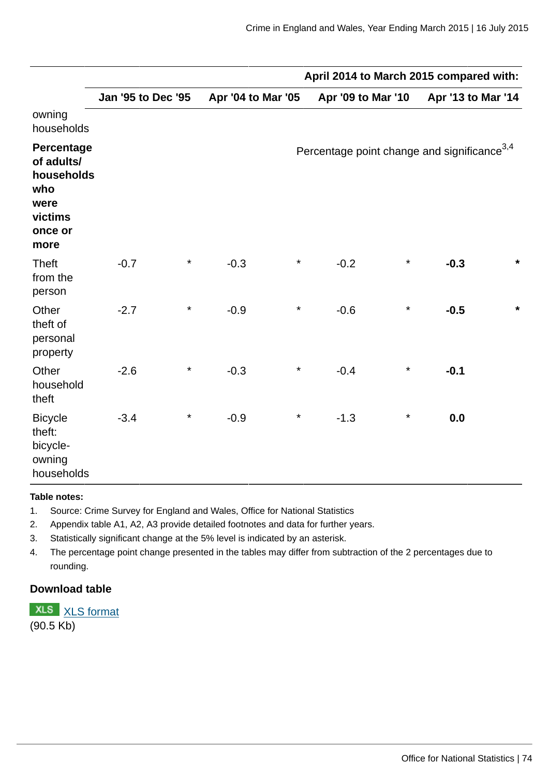|                                                                                     |                    |          |                    |          | April 2014 to March 2015 compared with:                 |          |                    |         |
|-------------------------------------------------------------------------------------|--------------------|----------|--------------------|----------|---------------------------------------------------------|----------|--------------------|---------|
|                                                                                     | Jan '95 to Dec '95 |          | Apr '04 to Mar '05 |          | Apr '09 to Mar '10                                      |          | Apr '13 to Mar '14 |         |
| owning<br>households                                                                |                    |          |                    |          |                                                         |          |                    |         |
| Percentage<br>of adults/<br>households<br>who<br>were<br>victims<br>once or<br>more |                    |          |                    |          | Percentage point change and significance <sup>3,4</sup> |          |                    |         |
| <b>Theft</b><br>from the<br>person                                                  | $-0.7$             | $^\star$ | $-0.3$             | $^\star$ | $-0.2$                                                  | $^\star$ | $-0.3$             | $\star$ |
| Other<br>theft of<br>personal<br>property                                           | $-2.7$             | $\star$  | $-0.9$             | $^\star$ | $-0.6$                                                  | $^\star$ | $-0.5$             | $\star$ |
| Other<br>household<br>theft                                                         | $-2.6$             | $^\star$ | $-0.3$             | $^\star$ | $-0.4$                                                  | $^\star$ | $-0.1$             |         |
| <b>Bicycle</b><br>theft:<br>bicycle-<br>owning<br>households                        | $-3.4$             | $\star$  | $-0.9$             | $^\star$ | $-1.3$                                                  | $^\star$ | 0.0                |         |

#### **Table notes:**

- 1. Source: Crime Survey for England and Wales, Office for National Statistics
- 2. Appendix table A1, A2, A3 provide detailed footnotes and data for further years.
- 3. Statistically significant change at the 5% level is indicated by an asterisk.
- 4. The percentage point change presented in the tables may differ from subtraction of the 2 percentages due to rounding.

# **Download table**

**XLS** [XLS format](http://www.ons.gov.uk:80/ons/rel/crime-stats/crime-statistics/year-ending-march-2015/prt-15b.xls) (90.5 Kb)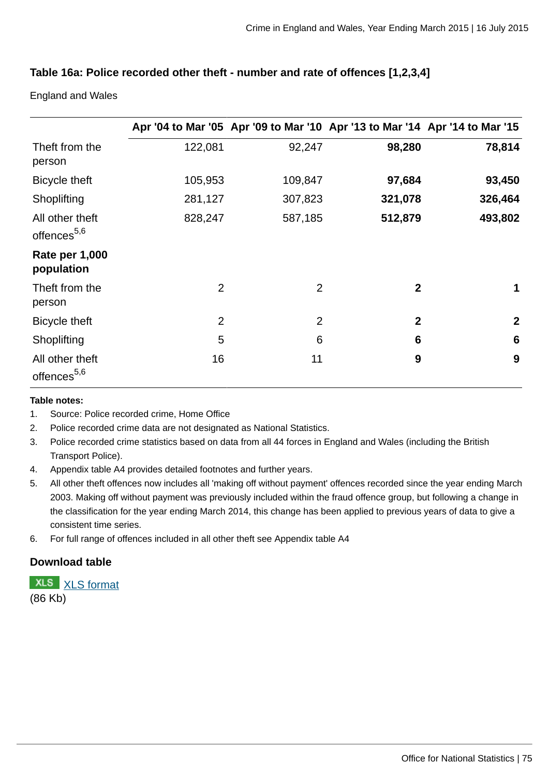# **Table 16a: Police recorded other theft - number and rate of offences [1,2,3,4]**

England and Wales

|                                            |                |                | Apr '04 to Mar '05 Apr '09 to Mar '10 Apr '13 to Mar '14 Apr '14 to Mar '15 |                 |
|--------------------------------------------|----------------|----------------|-----------------------------------------------------------------------------|-----------------|
| Theft from the<br>person                   | 122,081        | 92,247         | 98,280                                                                      | 78,814          |
| <b>Bicycle theft</b>                       | 105,953        | 109,847        | 97,684                                                                      | 93,450          |
| Shoplifting                                | 281,127        | 307,823        | 321,078                                                                     | 326,464         |
| All other theft<br>offences <sup>5,6</sup> | 828,247        | 587,185        | 512,879                                                                     | 493,802         |
| <b>Rate per 1,000</b><br>population        |                |                |                                                                             |                 |
| Theft from the<br>person                   | $\overline{2}$ | $\overline{2}$ | $\overline{2}$                                                              | 1               |
| Bicycle theft                              | $\overline{2}$ | $\overline{2}$ | $\mathbf{2}$                                                                | $\mathbf{2}$    |
| Shoplifting                                | 5              | 6              | 6                                                                           | $6\phantom{1}6$ |
| All other theft<br>offences <sup>5,6</sup> | 16             | 11             | 9                                                                           | 9               |

#### **Table notes:**

- 1. Source: Police recorded crime, Home Office
- 2. Police recorded crime data are not designated as National Statistics.
- 3. Police recorded crime statistics based on data from all 44 forces in England and Wales (including the British Transport Police).
- 4. Appendix table A4 provides detailed footnotes and further years.
- 5. All other theft offences now includes all 'making off without payment' offences recorded since the year ending March 2003. Making off without payment was previously included within the fraud offence group, but following a change in the classification for the year ending March 2014, this change has been applied to previous years of data to give a consistent time series.
- 6. For full range of offences included in all other theft see Appendix table A4

# **Download table**

**XLS** [XLS format](http://www.ons.gov.uk:80/ons/rel/crime-stats/crime-statistics/year-ending-march-2015/prt-16a.xls) (86 Kb)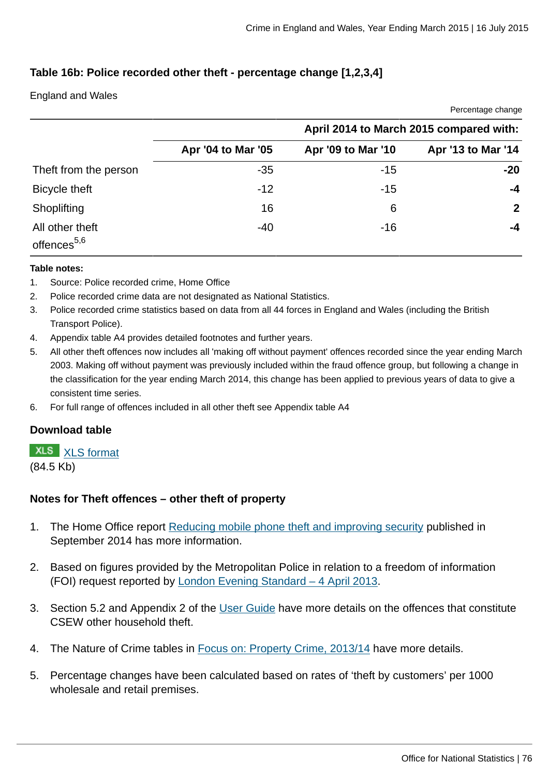Percentage change

# **Table 16b: Police recorded other theft - percentage change [1,2,3,4]**

#### England and Wales

|                                            |                    |                    | $\bullet$ . $\bullet$ $\bullet$ . $\bullet$ . $\bullet$ . $\bullet$ . $\bullet$ . $\bullet$ . $\bullet$ . $\bullet$ . $\bullet$ . $\bullet$ |  |  |
|--------------------------------------------|--------------------|--------------------|---------------------------------------------------------------------------------------------------------------------------------------------|--|--|
|                                            |                    |                    | April 2014 to March 2015 compared with:                                                                                                     |  |  |
|                                            | Apr '04 to Mar '05 | Apr '09 to Mar '10 | Apr '13 to Mar '14                                                                                                                          |  |  |
| Theft from the person                      | $-35$              | $-15$              | $-20$                                                                                                                                       |  |  |
| Bicycle theft                              | $-12$              | $-15$              | -4                                                                                                                                          |  |  |
| Shoplifting                                | 16                 | 6                  | $\mathbf{2}$                                                                                                                                |  |  |
| All other theft<br>offences <sup>5,6</sup> | $-40$              | $-16$              | -4                                                                                                                                          |  |  |

#### **Table notes:**

- 1. Source: Police recorded crime, Home Office
- 2. Police recorded crime data are not designated as National Statistics.
- 3. Police recorded crime statistics based on data from all 44 forces in England and Wales (including the British Transport Police).
- 4. Appendix table A4 provides detailed footnotes and further years.
- 5. All other theft offences now includes all 'making off without payment' offences recorded since the year ending March 2003. Making off without payment was previously included within the fraud offence group, but following a change in the classification for the year ending March 2014, this change has been applied to previous years of data to give a consistent time series.
- 6. For full range of offences included in all other theft see Appendix table A4

## **Download table**

#### **XLS** [XLS format](http://www.ons.gov.uk:80/ons/rel/crime-stats/crime-statistics/year-ending-march-2015/prt-16b.xls)

(84.5 Kb)

## **Notes for Theft offences – other theft of property**

- 1. The Home Office report [Reducing mobile phone theft and improving security](https://www.gov.uk/government/publications/reducing-mobile-phone-theft-and-improving-security) published in September 2014 has more information.
- 2. Based on figures provided by the Metropolitan Police in relation to a freedom of information (FOI) request reported by [London Evening Standard – 4 April 2013](http://www.standard.co.uk/news/crime/bike-mugger-phone-thefts-in-london-soar-to-3754-in-a-year-8559784.html).
- 3. Section 5.2 and Appendix 2 of the [User Guide](http://www.ons.gov.uk:80/ons/guide-method/method-quality/specific/crime-statistics-methodology/user-guides/index.html) have more details on the offences that constitute CSEW other household theft.
- 4. The Nature of Crime tables in [Focus on: Property Crime, 2013/14](http://www.ons.gov.uk:80/ons/rel/crime-stats/crime-statistics/focus-on-property-crime--2013-14/index.html) have more details.
- 5. Percentage changes have been calculated based on rates of 'theft by customers' per 1000 wholesale and retail premises.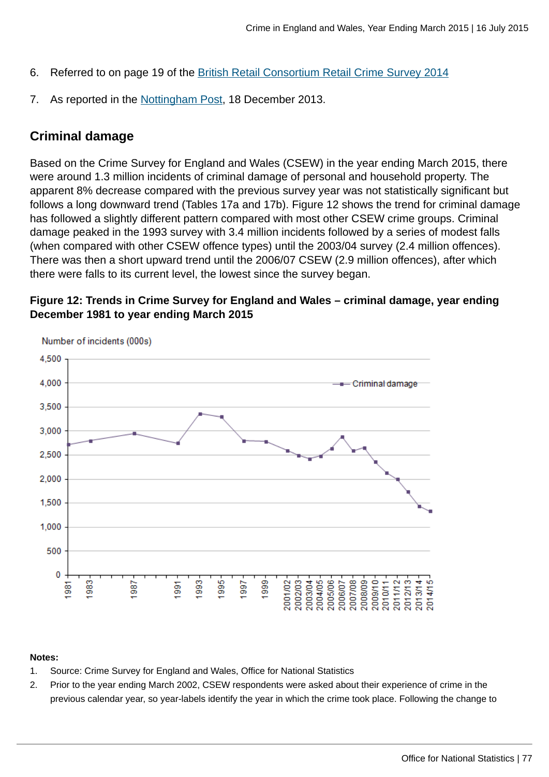- 6. Referred to on page 19 of the [British Retail Consortium Retail Crime Survey 2014](http://www.brc.org.uk/brc_policy_content.asp?iCat=48&iSubCat=646&spolicy=Retail+Crime&sSubPolicy=BRC+Retail+Crime+Survey)
- 7. As reported in the [Nottingham Post](http://www.nottinghampost.com/Nottingham-op-stores-tough-shoplifters/story-20335256-detail/story.html), 18 December 2013.

# **Criminal damage**

Based on the Crime Survey for England and Wales (CSEW) in the year ending March 2015, there were around 1.3 million incidents of criminal damage of personal and household property. The apparent 8% decrease compared with the previous survey year was not statistically significant but follows a long downward trend (Tables 17a and 17b). Figure 12 shows the trend for criminal damage has followed a slightly different pattern compared with most other CSEW crime groups. Criminal damage peaked in the 1993 survey with 3.4 million incidents followed by a series of modest falls (when compared with other CSEW offence types) until the 2003/04 survey (2.4 million offences). There was then a short upward trend until the 2006/07 CSEW (2.9 million offences), after which there were falls to its current level, the lowest since the survey began.





#### **Notes:**

- 1. Source: Crime Survey for England and Wales, Office for National Statistics
- 2. Prior to the year ending March 2002, CSEW respondents were asked about their experience of crime in the previous calendar year, so year-labels identify the year in which the crime took place. Following the change to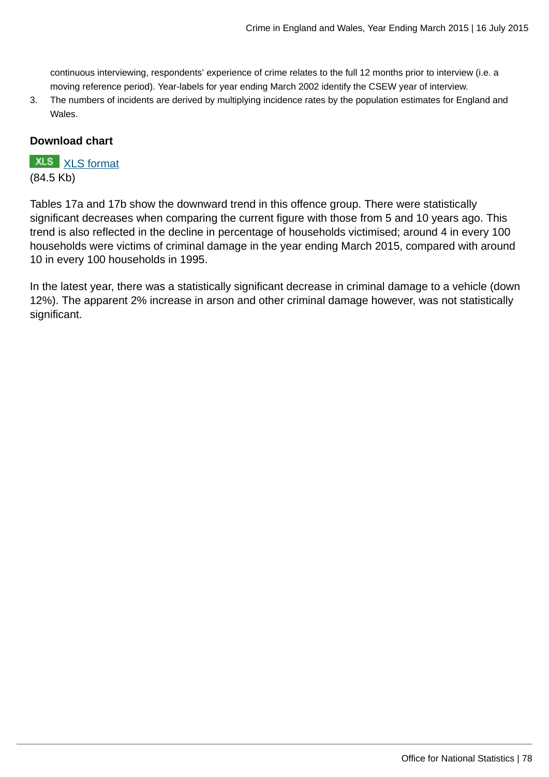continuous interviewing, respondents' experience of crime relates to the full 12 months prior to interview (i.e. a moving reference period). Year-labels for year ending March 2002 identify the CSEW year of interview.

3. The numbers of incidents are derived by multiplying incidence rates by the population estimates for England and Wales.

## **Download chart**

# **XLS** [XLS format](http://www.ons.gov.uk:80/ons/rel/crime-stats/crime-statistics/year-ending-march-2015/chd-12.xls)

(84.5 Kb)

Tables 17a and 17b show the downward trend in this offence group. There were statistically significant decreases when comparing the current figure with those from 5 and 10 years ago. This trend is also reflected in the decline in percentage of households victimised; around 4 in every 100 households were victims of criminal damage in the year ending March 2015, compared with around 10 in every 100 households in 1995.

In the latest year, there was a statistically significant decrease in criminal damage to a vehicle (down 12%). The apparent 2% increase in arson and other criminal damage however, was not statistically significant.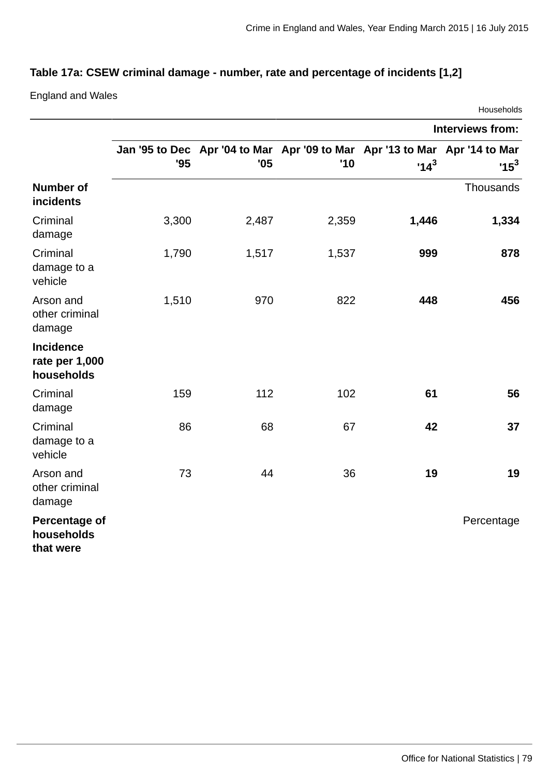# **Table 17a: CSEW criminal damage - number, rate and percentage of incidents [1,2]**

England and Wales

|                                                  |       |                                                                                   |       |        | Households              |
|--------------------------------------------------|-------|-----------------------------------------------------------------------------------|-------|--------|-------------------------|
|                                                  |       |                                                                                   |       |        | <b>Interviews from:</b> |
|                                                  | '95   | Jan '95 to Dec Apr '04 to Mar Apr '09 to Mar Apr '13 to Mar Apr '14 to Mar<br>'05 | '10   | $14^3$ | $15^3$                  |
| <b>Number of</b><br>incidents                    |       |                                                                                   |       |        | Thousands               |
| Criminal<br>damage                               | 3,300 | 2,487                                                                             | 2,359 | 1,446  | 1,334                   |
| Criminal<br>damage to a<br>vehicle               | 1,790 | 1,517                                                                             | 1,537 | 999    | 878                     |
| Arson and<br>other criminal<br>damage            | 1,510 | 970                                                                               | 822   | 448    | 456                     |
| <b>Incidence</b><br>rate per 1,000<br>households |       |                                                                                   |       |        |                         |
| Criminal<br>damage                               | 159   | 112                                                                               | 102   | 61     | 56                      |
| Criminal<br>damage to a<br>vehicle               | 86    | 68                                                                                | 67    | 42     | 37                      |
| Arson and<br>other criminal<br>damage            | 73    | 44                                                                                | 36    | 19     | 19                      |
| <b>Percentage of</b><br>households<br>that were  |       |                                                                                   |       |        | Percentage              |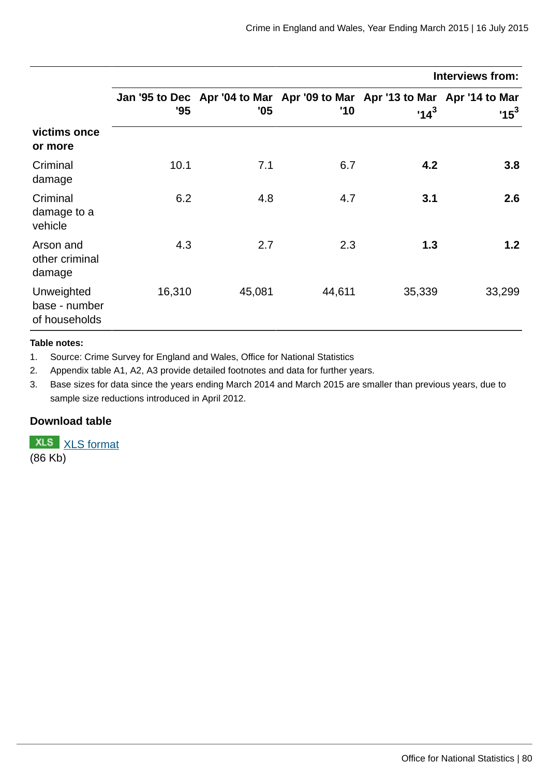|                                              |        |        |        |                                                                                      | Interviews from: |
|----------------------------------------------|--------|--------|--------|--------------------------------------------------------------------------------------|------------------|
|                                              | '95    | '05    | '10    | Jan '95 to Dec Apr '04 to Mar Apr '09 to Mar Apr '13 to Mar Apr '14 to Mar<br>$14^3$ | $15^3$           |
| victims once<br>or more                      |        |        |        |                                                                                      |                  |
| Criminal<br>damage                           | 10.1   | 7.1    | 6.7    | 4.2                                                                                  | 3.8              |
| Criminal<br>damage to a<br>vehicle           | 6.2    | 4.8    | 4.7    | 3.1                                                                                  | 2.6              |
| Arson and<br>other criminal<br>damage        | 4.3    | 2.7    | 2.3    | 1.3                                                                                  | 1.2              |
| Unweighted<br>base - number<br>of households | 16,310 | 45,081 | 44,611 | 35,339                                                                               | 33,299           |

#### **Table notes:**

1. Source: Crime Survey for England and Wales, Office for National Statistics

2. Appendix table A1, A2, A3 provide detailed footnotes and data for further years.

3. Base sizes for data since the years ending March 2014 and March 2015 are smaller than previous years, due to sample size reductions introduced in April 2012.

## **Download table**

**XLS** [XLS format](http://www.ons.gov.uk:80/ons/rel/crime-stats/crime-statistics/year-ending-march-2015/prt-17a.xls) (86 Kb)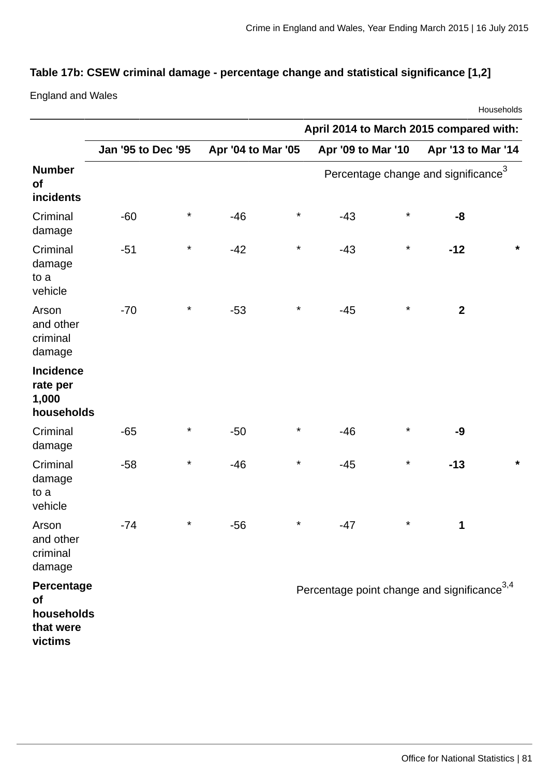# **Table 17b: CSEW criminal damage - percentage change and statistical significance [1,2]**

England and Wales

|                                                        |                           |          |                    |          |                                                         |          |                                                 | Households |
|--------------------------------------------------------|---------------------------|----------|--------------------|----------|---------------------------------------------------------|----------|-------------------------------------------------|------------|
|                                                        |                           |          |                    |          | April 2014 to March 2015 compared with:                 |          |                                                 |            |
|                                                        | <b>Jan '95 to Dec '95</b> |          | Apr '04 to Mar '05 |          | Apr '09 to Mar '10                                      |          | Apr '13 to Mar '14                              |            |
| <b>Number</b><br>of<br>incidents                       |                           |          |                    |          |                                                         |          | Percentage change and significance <sup>3</sup> |            |
| Criminal<br>damage                                     | $-60$                     | $^\star$ | $-46$              | $^\star$ | $-43$                                                   | $\star$  | $-8$                                            |            |
| Criminal<br>damage<br>to a<br>vehicle                  | $-51$                     | $^\star$ | $-42$              | $^\star$ | $-43$                                                   | $\star$  | $-12$                                           | *          |
| Arson<br>and other<br>criminal<br>damage               | $-70$                     | $^\star$ | $-53$              | $^\star$ | $-45$                                                   | $\star$  | $\overline{2}$                                  |            |
| <b>Incidence</b><br>rate per<br>1,000<br>households    |                           |          |                    |          |                                                         |          |                                                 |            |
| Criminal<br>damage                                     | $-65$                     | $^\star$ | $-50$              | $^\star$ | $-46$                                                   | $\star$  | $-9$                                            |            |
| Criminal<br>damage<br>to a<br>vehicle                  | $-58$                     | $^\star$ | $-46$              | $^\star$ | $-45$                                                   | $\star$  | $-13$                                           | $\star$    |
| Arson<br>and other<br>criminal<br>damage               | $-74$                     | $^\star$ | -56                | $^\star$ | $-47$                                                   | $^\star$ | $\mathbf{1}$                                    |            |
| Percentage<br>of<br>households<br>that were<br>victims |                           |          |                    |          | Percentage point change and significance <sup>3,4</sup> |          |                                                 |            |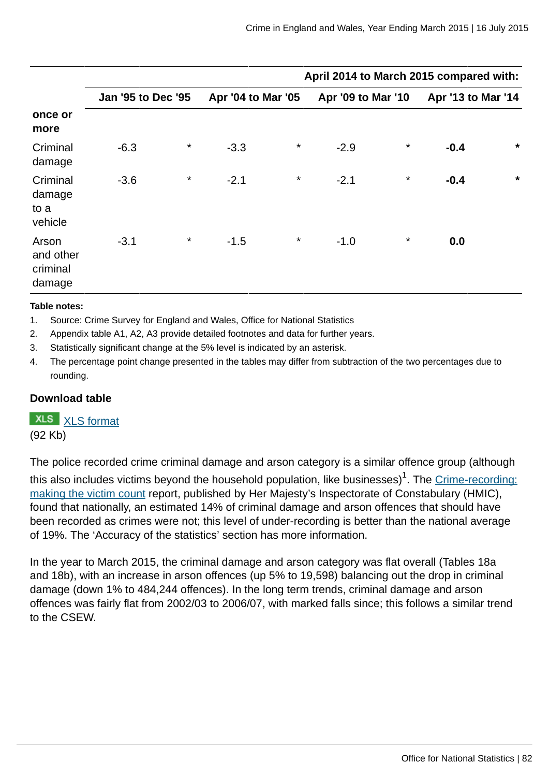|                                          |                           |          |                    |         | April 2014 to March 2015 compared with: |          |                    |         |
|------------------------------------------|---------------------------|----------|--------------------|---------|-----------------------------------------|----------|--------------------|---------|
|                                          | <b>Jan '95 to Dec '95</b> |          | Apr '04 to Mar '05 |         | Apr '09 to Mar '10                      |          | Apr '13 to Mar '14 |         |
| once or<br>more                          |                           |          |                    |         |                                         |          |                    |         |
| Criminal<br>damage                       | $-6.3$                    | $\star$  | $-3.3$             | $\star$ | $-2.9$                                  | $\star$  | $-0.4$             | $\star$ |
| Criminal<br>damage<br>to a<br>vehicle    | $-3.6$                    | $^\star$ | $-2.1$             | $\star$ | $-2.1$                                  | $\star$  | $-0.4$             | $\star$ |
| Arson<br>and other<br>criminal<br>damage | $-3.1$                    | $^\star$ | $-1.5$             | $\star$ | $-1.0$                                  | $^\star$ | 0.0                |         |

#### **Table notes:**

- 1. Source: Crime Survey for England and Wales, Office for National Statistics
- 2. Appendix table A1, A2, A3 provide detailed footnotes and data for further years.
- 3. Statistically significant change at the 5% level is indicated by an asterisk.
- 4. The percentage point change presented in the tables may differ from subtraction of the two percentages due to rounding.

## **Download table**

# **XLS** [XLS format](http://www.ons.gov.uk:80/ons/rel/crime-stats/crime-statistics/year-ending-march-2015/prt-17b.xls)

(92 Kb)

The police recorded crime criminal damage and arson category is a similar offence group (although this also includes victims beyond the household population, like businesses) $^{\rm 1}$ . The <u>Crime-recording:</u> [making the victim count](https://www.justiceinspectorates.gov.uk/hmic/publication/crime-recording-making-the-victim-count/) report, published by Her Majesty's Inspectorate of Constabulary (HMIC), found that nationally, an estimated 14% of criminal damage and arson offences that should have been recorded as crimes were not; this level of under-recording is better than the national average of 19%. The 'Accuracy of the statistics' section has more information.

In the year to March 2015, the criminal damage and arson category was flat overall (Tables 18a and 18b), with an increase in arson offences (up 5% to 19,598) balancing out the drop in criminal damage (down 1% to 484,244 offences). In the long term trends, criminal damage and arson offences was fairly flat from 2002/03 to 2006/07, with marked falls since; this follows a similar trend to the CSEW.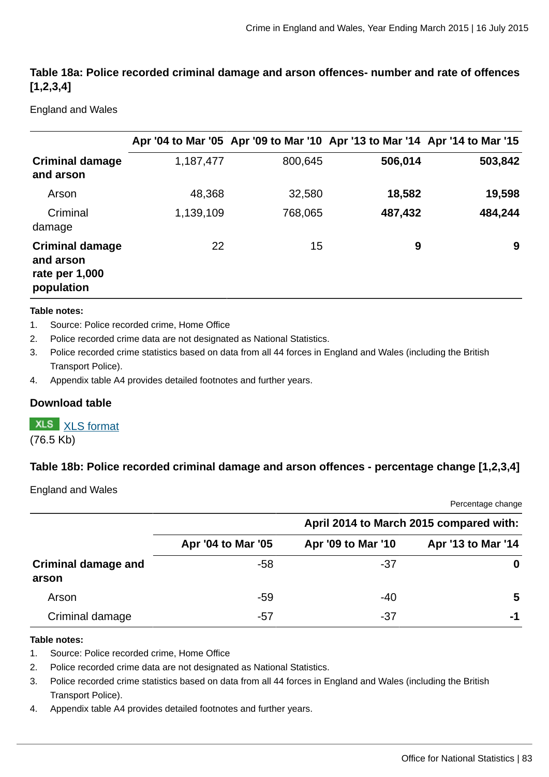# **Table 18a: Police recorded criminal damage and arson offences- number and rate of offences [1,2,3,4]**

England and Wales

|                                                                     |           |         | Apr '04 to Mar '05 Apr '09 to Mar '10 Apr '13 to Mar '14 Apr '14 to Mar '15 |         |
|---------------------------------------------------------------------|-----------|---------|-----------------------------------------------------------------------------|---------|
| <b>Criminal damage</b><br>and arson                                 | 1,187,477 | 800,645 | 506,014                                                                     | 503,842 |
| Arson                                                               | 48,368    | 32,580  | 18,582                                                                      | 19,598  |
| Criminal<br>damage                                                  | 1,139,109 | 768,065 | 487,432                                                                     | 484,244 |
| <b>Criminal damage</b><br>and arson<br>rate per 1,000<br>population | 22        | 15      | 9                                                                           | 9       |

#### **Table notes:**

- 1. Source: Police recorded crime, Home Office
- 2. Police recorded crime data are not designated as National Statistics.
- 3. Police recorded crime statistics based on data from all 44 forces in England and Wales (including the British Transport Police).
- 4. Appendix table A4 provides detailed footnotes and further years.

## **Download table**

# **XLS** [XLS format](http://www.ons.gov.uk:80/ons/rel/crime-stats/crime-statistics/year-ending-march-2015/prt-18a.xls)

(76.5 Kb)

## **Table 18b: Police recorded criminal damage and arson offences - percentage change [1,2,3,4]**

England and Wales

Percentage change

|                                     |                    |                    | April 2014 to March 2015 compared with: |
|-------------------------------------|--------------------|--------------------|-----------------------------------------|
|                                     | Apr '04 to Mar '05 | Apr '09 to Mar '10 | Apr '13 to Mar '14                      |
| <b>Criminal damage and</b><br>arson | -58                | -37                | 0                                       |
| Arson                               | -59                | $-40$              | 5                                       |
| Criminal damage                     | -57                | -37                | -1                                      |

#### **Table notes:**

- 1. Source: Police recorded crime, Home Office
- 2. Police recorded crime data are not designated as National Statistics.
- 3. Police recorded crime statistics based on data from all 44 forces in England and Wales (including the British Transport Police).
- 4. Appendix table A4 provides detailed footnotes and further years.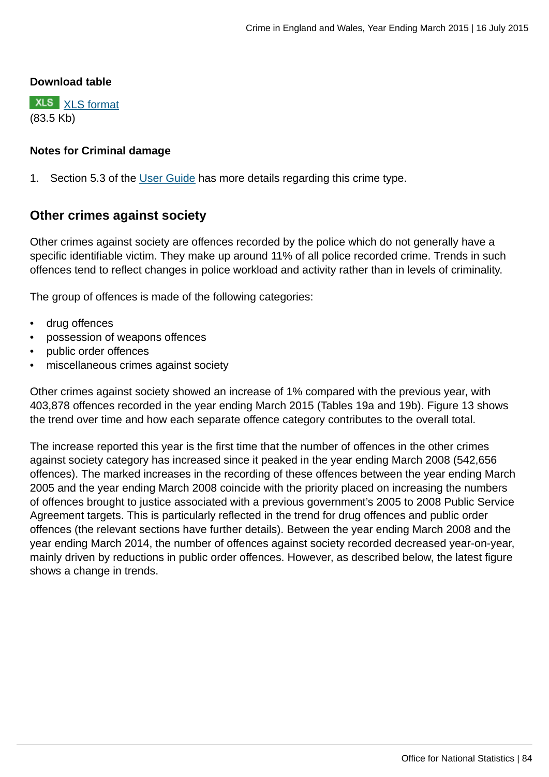#### **Download table**

**XLS** [XLS format](http://www.ons.gov.uk:80/ons/rel/crime-stats/crime-statistics/year-ending-march-2015/prt-18b.xls) (83.5 Kb)

## **Notes for Criminal damage**

1. Section 5.3 of the [User Guide](http://www.ons.gov.uk:80/ons/guide-method/method-quality/specific/crime-statistics-methodology/user-guides/index.html) has more details regarding this crime type.

# **Other crimes against society**

Other crimes against society are offences recorded by the police which do not generally have a specific identifiable victim. They make up around 11% of all police recorded crime. Trends in such offences tend to reflect changes in police workload and activity rather than in levels of criminality.

The group of offences is made of the following categories:

- drug offences
- possession of weapons offences
- public order offences
- miscellaneous crimes against society

Other crimes against society showed an increase of 1% compared with the previous year, with 403,878 offences recorded in the year ending March 2015 (Tables 19a and 19b). Figure 13 shows the trend over time and how each separate offence category contributes to the overall total.

The increase reported this year is the first time that the number of offences in the other crimes against society category has increased since it peaked in the year ending March 2008 (542,656 offences). The marked increases in the recording of these offences between the year ending March 2005 and the year ending March 2008 coincide with the priority placed on increasing the numbers of offences brought to justice associated with a previous government's 2005 to 2008 Public Service Agreement targets. This is particularly reflected in the trend for drug offences and public order offences (the relevant sections have further details). Between the year ending March 2008 and the year ending March 2014, the number of offences against society recorded decreased year-on-year, mainly driven by reductions in public order offences. However, as described below, the latest figure shows a change in trends.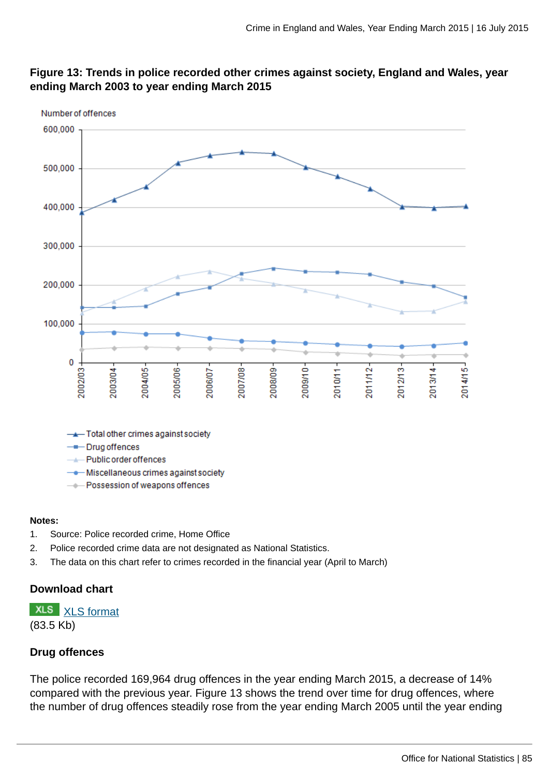

## **Figure 13: Trends in police recorded other crimes against society, England and Wales, year ending March 2003 to year ending March 2015**

#### **Notes:**

- 1. Source: Police recorded crime, Home Office
- 2. Police recorded crime data are not designated as National Statistics.
- 3. The data on this chart refer to crimes recorded in the financial year (April to March)

## **Download chart**

**XLS** [XLS format](http://www.ons.gov.uk:80/ons/rel/crime-stats/crime-statistics/year-ending-march-2015/chd-13.xls) (83.5 Kb)

## **Drug offences**

The police recorded 169,964 drug offences in the year ending March 2015, a decrease of 14% compared with the previous year. Figure 13 shows the trend over time for drug offences, where the number of drug offences steadily rose from the year ending March 2005 until the year ending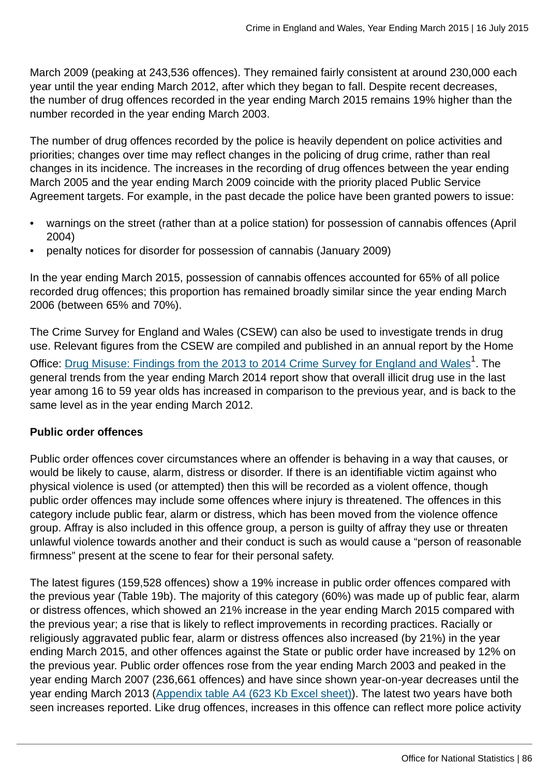March 2009 (peaking at 243,536 offences). They remained fairly consistent at around 230,000 each year until the year ending March 2012, after which they began to fall. Despite recent decreases, the number of drug offences recorded in the year ending March 2015 remains 19% higher than the number recorded in the year ending March 2003.

The number of drug offences recorded by the police is heavily dependent on police activities and priorities; changes over time may reflect changes in the policing of drug crime, rather than real changes in its incidence. The increases in the recording of drug offences between the year ending March 2005 and the year ending March 2009 coincide with the priority placed Public Service Agreement targets. For example, in the past decade the police have been granted powers to issue:

- warnings on the street (rather than at a police station) for possession of cannabis offences (April 2004)
- penalty notices for disorder for possession of cannabis (January 2009)

In the year ending March 2015, possession of cannabis offences accounted for 65% of all police recorded drug offences; this proportion has remained broadly similar since the year ending March 2006 (between 65% and 70%).

The Crime Survey for England and Wales (CSEW) can also be used to investigate trends in drug use. Relevant figures from the CSEW are compiled and published in an annual report by the Home Office: [Drug Misuse: Findings from the 2013 to 2014 Crime Survey for England and Wales](https://www.gov.uk/government/statistics/drug-misuse-findings-from-the-2013-to-2014-csew)<sup>1</sup>. The general trends from the year ending March 2014 report show that overall illicit drug use in the last year among 16 to 59 year olds has increased in comparison to the previous year, and is back to the same level as in the year ending March 2012.

# **Public order offences**

Public order offences cover circumstances where an offender is behaving in a way that causes, or would be likely to cause, alarm, distress or disorder. If there is an identifiable victim against who physical violence is used (or attempted) then this will be recorded as a violent offence, though public order offences may include some offences where injury is threatened. The offences in this category include public fear, alarm or distress, which has been moved from the violence offence group. Affray is also included in this offence group, a person is guilty of affray they use or threaten unlawful violence towards another and their conduct is such as would cause a "person of reasonable firmness" present at the scene to fear for their personal safety.

The latest figures (159,528 offences) show a 19% increase in public order offences compared with the previous year (Table 19b). The majority of this category (60%) was made up of public fear, alarm or distress offences, which showed an 21% increase in the year ending March 2015 compared with the previous year; a rise that is likely to reflect improvements in recording practices. Racially or religiously aggravated public fear, alarm or distress offences also increased (by 21%) in the year ending March 2015, and other offences against the State or public order have increased by 12% on the previous year. Public order offences rose from the year ending March 2003 and peaked in the year ending March 2007 (236,661 offences) and have since shown year-on-year decreases until the year ending March 2013 [\(Appendix table A4 \(623 Kb Excel sheet\)](http://www.ons.gov.uk:80/ons/rel/crime-stats/crime-statistics/year-ending-march-2015/rft-02.xls)). The latest two years have both seen increases reported. Like drug offences, increases in this offence can reflect more police activity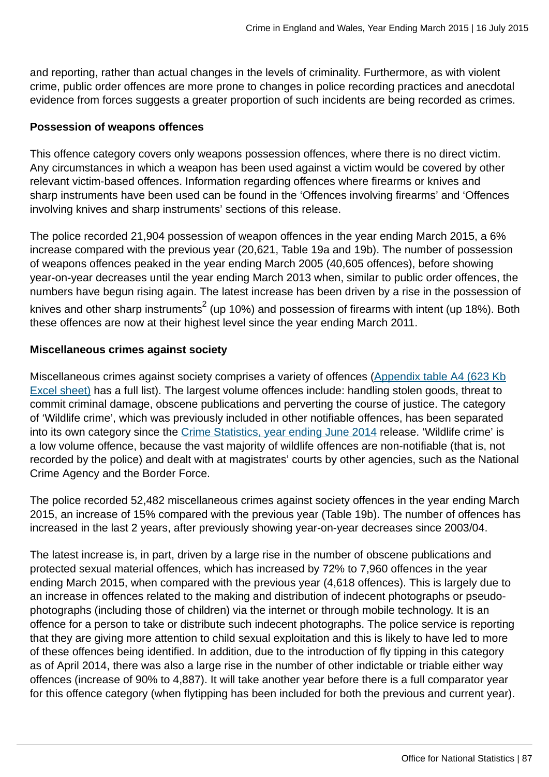and reporting, rather than actual changes in the levels of criminality. Furthermore, as with violent crime, public order offences are more prone to changes in police recording practices and anecdotal evidence from forces suggests a greater proportion of such incidents are being recorded as crimes.

## **Possession of weapons offences**

This offence category covers only weapons possession offences, where there is no direct victim. Any circumstances in which a weapon has been used against a victim would be covered by other relevant victim-based offences. Information regarding offences where firearms or knives and sharp instruments have been used can be found in the 'Offences involving firearms' and 'Offences involving knives and sharp instruments' sections of this release.

The police recorded 21,904 possession of weapon offences in the year ending March 2015, a 6% increase compared with the previous year (20,621, Table 19a and 19b). The number of possession of weapons offences peaked in the year ending March 2005 (40,605 offences), before showing year-on-year decreases until the year ending March 2013 when, similar to public order offences, the numbers have begun rising again. The latest increase has been driven by a rise in the possession of knives and other sharp instruments $^2$  (up 10%) and possession of firearms with intent (up 18%). Both these offences are now at their highest level since the year ending March 2011.

## **Miscellaneous crimes against society**

Miscellaneous crimes against society comprises a variety of offences [\(Appendix table A4 \(623 Kb](http://www.ons.gov.uk:80/ons/rel/crime-stats/crime-statistics/year-ending-march-2015/rft-02.xls) [Excel sheet\)](http://www.ons.gov.uk:80/ons/rel/crime-stats/crime-statistics/year-ending-march-2015/rft-02.xls) has a full list). The largest volume offences include: handling stolen goods, threat to commit criminal damage, obscene publications and perverting the course of justice. The category of 'Wildlife crime', which was previously included in other notifiable offences, has been separated into its own category since the [Crime Statistics, year ending June 2014](http://www.ons.gov.uk:80/ons/rel/crime-stats/crime-statistics/period-ending-june-2014/index.html) release. 'Wildlife crime' is a low volume offence, because the vast majority of wildlife offences are non-notifiable (that is, not recorded by the police) and dealt with at magistrates' courts by other agencies, such as the National Crime Agency and the Border Force.

The police recorded 52,482 miscellaneous crimes against society offences in the year ending March 2015, an increase of 15% compared with the previous year (Table 19b). The number of offences has increased in the last 2 years, after previously showing year-on-year decreases since 2003/04.

The latest increase is, in part, driven by a large rise in the number of obscene publications and protected sexual material offences, which has increased by 72% to 7,960 offences in the year ending March 2015, when compared with the previous year (4,618 offences). This is largely due to an increase in offences related to the making and distribution of indecent photographs or pseudophotographs (including those of children) via the internet or through mobile technology. It is an offence for a person to take or distribute such indecent photographs. The police service is reporting that they are giving more attention to child sexual exploitation and this is likely to have led to more of these offences being identified. In addition, due to the introduction of fly tipping in this category as of April 2014, there was also a large rise in the number of other indictable or triable either way offences (increase of 90% to 4,887). It will take another year before there is a full comparator year for this offence category (when flytipping has been included for both the previous and current year).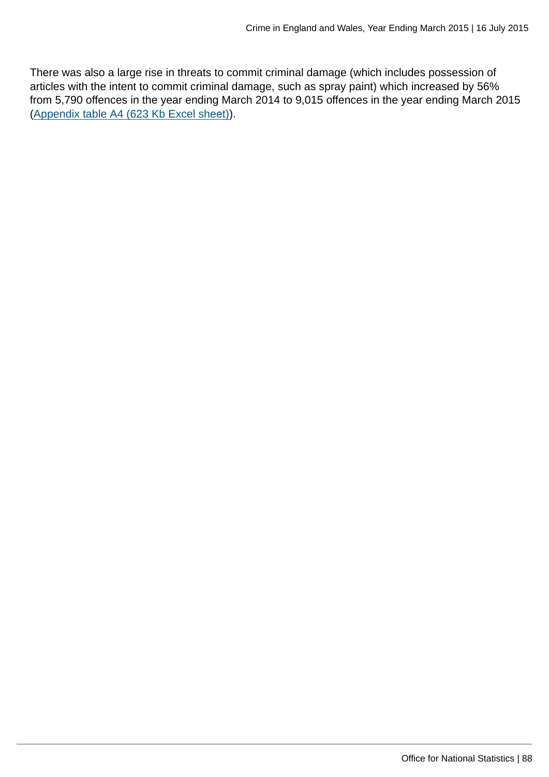There was also a large rise in threats to commit criminal damage (which includes possession of articles with the intent to commit criminal damage, such as spray paint) which increased by 56% from 5,790 offences in the year ending March 2014 to 9,015 offences in the year ending March 2015 [\(Appendix table A4 \(623 Kb Excel sheet\)](http://www.ons.gov.uk:80/ons/rel/crime-stats/crime-statistics/year-ending-march-2015/rft-02.xls)).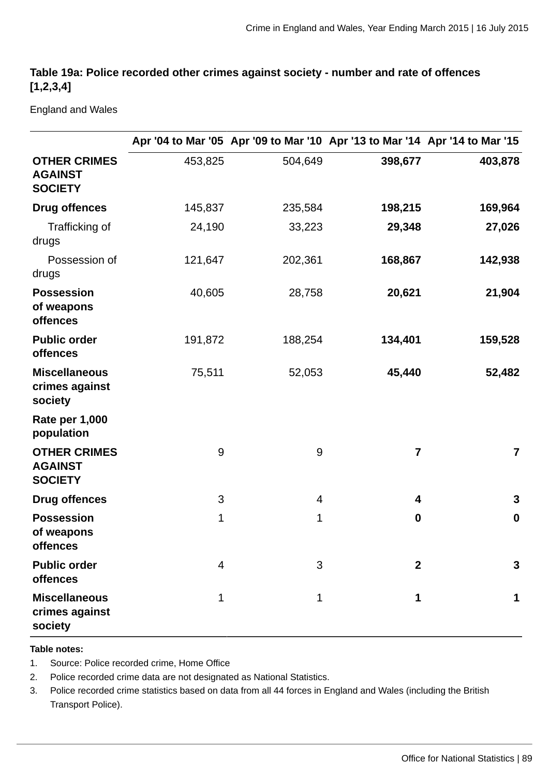# **Table 19a: Police recorded other crimes against society - number and rate of offences [1,2,3,4]**

England and Wales

|                                                         |             |              | Apr '04 to Mar '05 Apr '09 to Mar '10 Apr '13 to Mar '14 Apr '14 to Mar '15 |                         |
|---------------------------------------------------------|-------------|--------------|-----------------------------------------------------------------------------|-------------------------|
| <b>OTHER CRIMES</b><br><b>AGAINST</b><br><b>SOCIETY</b> | 453,825     | 504,649      | 398,677                                                                     | 403,878                 |
| <b>Drug offences</b>                                    | 145,837     | 235,584      | 198,215                                                                     | 169,964                 |
| Trafficking of<br>drugs                                 | 24,190      | 33,223       | 29,348                                                                      | 27,026                  |
| Possession of<br>drugs                                  | 121,647     | 202,361      | 168,867                                                                     | 142,938                 |
| <b>Possession</b><br>of weapons<br>offences             | 40,605      | 28,758       | 20,621                                                                      | 21,904                  |
| <b>Public order</b><br>offences                         | 191,872     | 188,254      | 134,401                                                                     | 159,528                 |
| <b>Miscellaneous</b><br>crimes against<br>society       | 75,511      | 52,053       | 45,440                                                                      | 52,482                  |
| <b>Rate per 1,000</b><br>population                     |             |              |                                                                             |                         |
| <b>OTHER CRIMES</b><br><b>AGAINST</b><br><b>SOCIETY</b> | $9\,$       | 9            | 7                                                                           | $\overline{\mathbf{z}}$ |
| <b>Drug offences</b>                                    | 3           | 4            | 4                                                                           | 3                       |
| <b>Possession</b><br>of weapons<br>offences             | $\mathbf 1$ | $\mathbf 1$  | $\bf{0}$                                                                    | $\boldsymbol{0}$        |
| <b>Public order</b><br>offences                         | 4           | 3            | $\overline{2}$                                                              | 3                       |
| <b>Miscellaneous</b><br>crimes against<br>society       | $\mathbf 1$ | $\mathbf{1}$ | $\mathbf{1}$                                                                | 1                       |

#### **Table notes:**

- 1. Source: Police recorded crime, Home Office
- 2. Police recorded crime data are not designated as National Statistics.
- 3. Police recorded crime statistics based on data from all 44 forces in England and Wales (including the British Transport Police).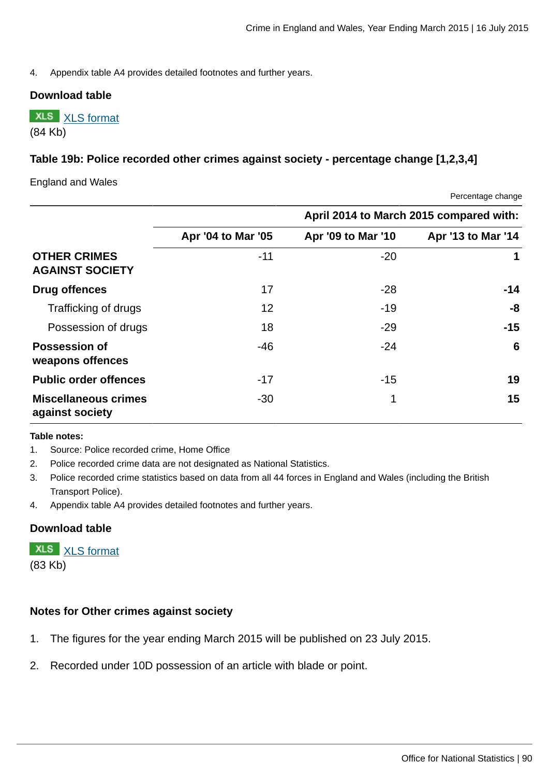4. Appendix table A4 provides detailed footnotes and further years.

#### **Download table**

**XLS** [XLS format](http://www.ons.gov.uk:80/ons/rel/crime-stats/crime-statistics/year-ending-march-2015/prt-19a.xls) (84 Kb)

## **Table 19b: Police recorded other crimes against society - percentage change [1,2,3,4]**

England and Wales

Percentage change

|                                                |                    |                    | April 2014 to March 2015 compared with: |
|------------------------------------------------|--------------------|--------------------|-----------------------------------------|
|                                                | Apr '04 to Mar '05 | Apr '09 to Mar '10 | Apr '13 to Mar '14                      |
| <b>OTHER CRIMES</b><br><b>AGAINST SOCIETY</b>  | $-11$              | $-20$              | 1                                       |
| <b>Drug offences</b>                           | 17                 | $-28$              | $-14$                                   |
| Trafficking of drugs                           | 12                 | $-19$              | -8                                      |
| Possession of drugs                            | 18                 | $-29$              | $-15$                                   |
| <b>Possession of</b><br>weapons offences       | $-46$              | $-24$              | 6                                       |
| <b>Public order offences</b>                   | $-17$              | $-15$              | 19                                      |
| <b>Miscellaneous crimes</b><br>against society | $-30$              | 1                  | 15                                      |

#### **Table notes:**

1. Source: Police recorded crime, Home Office

- 2. Police recorded crime data are not designated as National Statistics.
- 3. Police recorded crime statistics based on data from all 44 forces in England and Wales (including the British Transport Police).
- 4. Appendix table A4 provides detailed footnotes and further years.

## **Download table**

**XLS** [XLS format](http://www.ons.gov.uk:80/ons/rel/crime-stats/crime-statistics/year-ending-march-2015/prt-19b.xls)

(83 Kb)

## **Notes for Other crimes against society**

- 1. The figures for the year ending March 2015 will be published on 23 July 2015.
- 2. Recorded under 10D possession of an article with blade or point.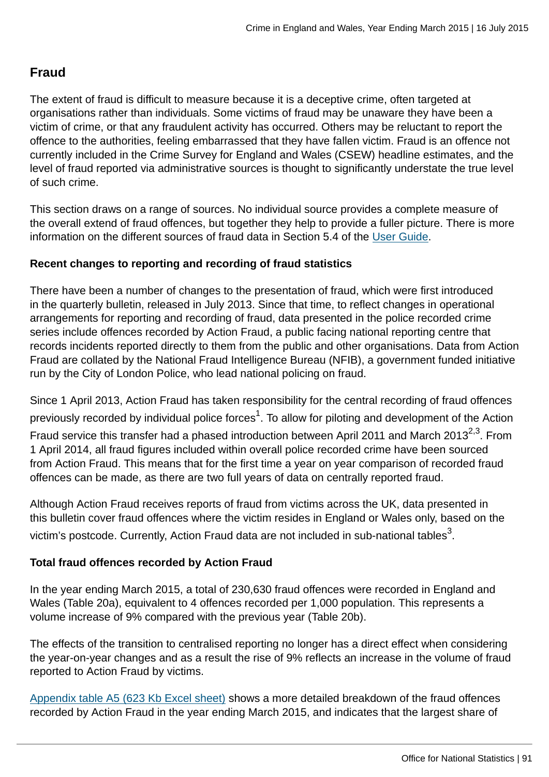# **Fraud**

The extent of fraud is difficult to measure because it is a deceptive crime, often targeted at organisations rather than individuals. Some victims of fraud may be unaware they have been a victim of crime, or that any fraudulent activity has occurred. Others may be reluctant to report the offence to the authorities, feeling embarrassed that they have fallen victim. Fraud is an offence not currently included in the Crime Survey for England and Wales (CSEW) headline estimates, and the level of fraud reported via administrative sources is thought to significantly understate the true level of such crime.

This section draws on a range of sources. No individual source provides a complete measure of the overall extend of fraud offences, but together they help to provide a fuller picture. There is more information on the different sources of fraud data in Section 5.4 of the [User Guide](http://www.ons.gov.uk:80/ons/guide-method/method-quality/specific/crime-statistics-methodology/user-guides/index.html).

## **Recent changes to reporting and recording of fraud statistics**

There have been a number of changes to the presentation of fraud, which were first introduced in the quarterly bulletin, released in July 2013. Since that time, to reflect changes in operational arrangements for reporting and recording of fraud, data presented in the police recorded crime series include offences recorded by Action Fraud, a public facing national reporting centre that records incidents reported directly to them from the public and other organisations. Data from Action Fraud are collated by the National Fraud Intelligence Bureau (NFIB), a government funded initiative run by the City of London Police, who lead national policing on fraud.

Since 1 April 2013, Action Fraud has taken responsibility for the central recording of fraud offences previously recorded by individual police forces $^1$ . To allow for piloting and development of the Action Fraud service this transfer had a phased introduction between April 2011 and March 2013<sup>2,3</sup>. From 1 April 2014, all fraud figures included within overall police recorded crime have been sourced from Action Fraud. This means that for the first time a year on year comparison of recorded fraud offences can be made, as there are two full years of data on centrally reported fraud.

Although Action Fraud receives reports of fraud from victims across the UK, data presented in this bulletin cover fraud offences where the victim resides in England or Wales only, based on the victim's postcode. Currently, Action Fraud data are not included in sub-national tables $^3\!$ 

# **Total fraud offences recorded by Action Fraud**

In the year ending March 2015, a total of 230,630 fraud offences were recorded in England and Wales (Table 20a), equivalent to 4 offences recorded per 1,000 population. This represents a volume increase of 9% compared with the previous year (Table 20b).

The effects of the transition to centralised reporting no longer has a direct effect when considering the year-on-year changes and as a result the rise of 9% reflects an increase in the volume of fraud reported to Action Fraud by victims.

[Appendix table A5 \(623 Kb Excel sheet\)](http://www.ons.gov.uk:80/ons/rel/crime-stats/crime-statistics/year-ending-march-2015/rft-02.xls) shows a more detailed breakdown of the fraud offences recorded by Action Fraud in the year ending March 2015, and indicates that the largest share of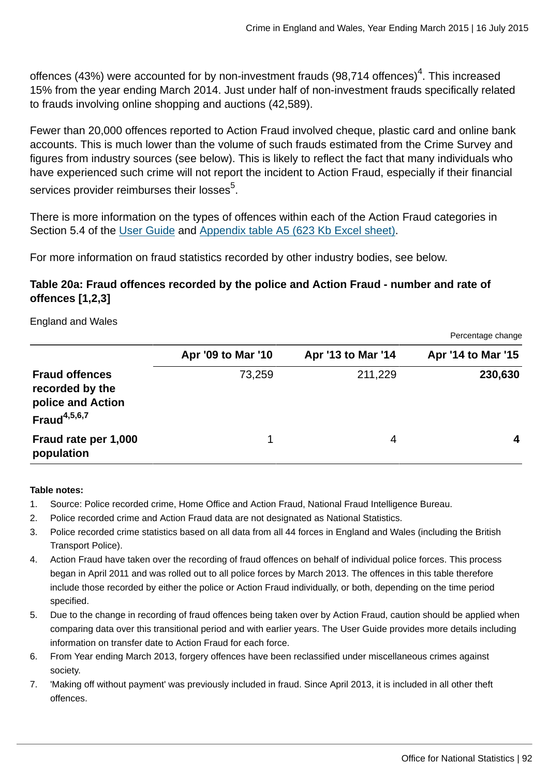offences (43%) were accounted for by non-investment frauds (98,714 offences) $^{\rm 4}$ . This increased 15% from the year ending March 2014. Just under half of non-investment frauds specifically related to frauds involving online shopping and auctions (42,589).

Fewer than 20,000 offences reported to Action Fraud involved cheque, plastic card and online bank accounts. This is much lower than the volume of such frauds estimated from the Crime Survey and figures from industry sources (see below). This is likely to reflect the fact that many individuals who have experienced such crime will not report the incident to Action Fraud, especially if their financial services provider reimburses their losses $^5$ .

There is more information on the types of offences within each of the Action Fraud categories in Section 5.4 of the [User Guide](http://www.ons.gov.uk:80/ons/guide-method/method-quality/specific/crime-statistics-methodology/user-guides/index.html) and [Appendix table A5 \(623 Kb Excel sheet\)](http://www.ons.gov.uk:80/ons/rel/crime-stats/crime-statistics/year-ending-march-2015/rft-02.xls).

For more information on fraud statistics recorded by other industry bodies, see below.

# **Table 20a: Fraud offences recorded by the police and Action Fraud - number and rate of offences [1,2,3]**

England and Wales

|                                                                                  |                    |                    | Percentage change  |
|----------------------------------------------------------------------------------|--------------------|--------------------|--------------------|
|                                                                                  | Apr '09 to Mar '10 | Apr '13 to Mar '14 | Apr '14 to Mar '15 |
| <b>Fraud offences</b><br>recorded by the<br>police and Action<br>Fraud $4,5,6,7$ | 73,259             | 211,229            | 230,630            |
| Fraud rate per 1,000<br>population                                               | 1                  | 4                  | 4                  |

#### **Table notes:**

- 1. Source: Police recorded crime, Home Office and Action Fraud, National Fraud Intelligence Bureau.
- 2. Police recorded crime and Action Fraud data are not designated as National Statistics.
- 3. Police recorded crime statistics based on all data from all 44 forces in England and Wales (including the British Transport Police).
- 4. Action Fraud have taken over the recording of fraud offences on behalf of individual police forces. This process began in April 2011 and was rolled out to all police forces by March 2013. The offences in this table therefore include those recorded by either the police or Action Fraud individually, or both, depending on the time period specified.
- 5. Due to the change in recording of fraud offences being taken over by Action Fraud, caution should be applied when comparing data over this transitional period and with earlier years. The User Guide provides more details including information on transfer date to Action Fraud for each force.
- 6. From Year ending March 2013, forgery offences have been reclassified under miscellaneous crimes against society.
- 7. 'Making off without payment' was previously included in fraud. Since April 2013, it is included in all other theft offences.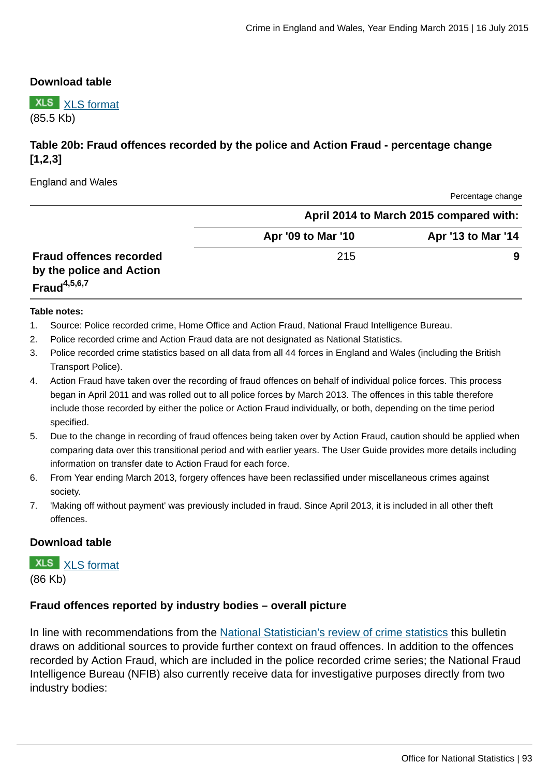#### **Download table**

**XLS** [XLS format](http://www.ons.gov.uk:80/ons/rel/crime-stats/crime-statistics/year-ending-march-2015/prt-20-a.xls) (85.5 Kb)

# **Table 20b: Fraud offences recorded by the police and Action Fraud - percentage change [1,2,3]**

England and Wales

Percentage change

|                                             | April 2014 to March 2015 compared with: |                    |  |  |
|---------------------------------------------|-----------------------------------------|--------------------|--|--|
|                                             | Apr '09 to Mar '10                      | Apr '13 to Mar '14 |  |  |
| <b>Fraud offences recorded</b>              | 215                                     | 9                  |  |  |
| by the police and Action<br>Fraud $4,5,6,7$ |                                         |                    |  |  |

#### **Table notes:**

- 1. Source: Police recorded crime, Home Office and Action Fraud, National Fraud Intelligence Bureau.
- 2. Police recorded crime and Action Fraud data are not designated as National Statistics.
- 3. Police recorded crime statistics based on all data from all 44 forces in England and Wales (including the British Transport Police).
- 4. Action Fraud have taken over the recording of fraud offences on behalf of individual police forces. This process began in April 2011 and was rolled out to all police forces by March 2013. The offences in this table therefore include those recorded by either the police or Action Fraud individually, or both, depending on the time period specified.
- 5. Due to the change in recording of fraud offences being taken over by Action Fraud, caution should be applied when comparing data over this transitional period and with earlier years. The User Guide provides more details including information on transfer date to Action Fraud for each force.
- 6. From Year ending March 2013, forgery offences have been reclassified under miscellaneous crimes against society.
- 7. 'Making off without payment' was previously included in fraud. Since April 2013, it is included in all other theft offences.

#### **Download table**

**XLS** [XLS format](http://www.ons.gov.uk:80/ons/rel/crime-stats/crime-statistics/year-ending-march-2015/prt-20b.xls)

(86 Kb)

#### **Fraud offences reported by industry bodies – overall picture**

In line with recommendations from the [National Statistician's review of crime statistics](http://www.statisticsauthority.gov.uk/national-statistician/ns-reports--reviews-and-guidance/national-statistician-s-reviews/national-statistician-s-review-of-crime-statistics.html) this bulletin draws on additional sources to provide further context on fraud offences. In addition to the offences recorded by Action Fraud, which are included in the police recorded crime series; the National Fraud Intelligence Bureau (NFIB) also currently receive data for investigative purposes directly from two industry bodies: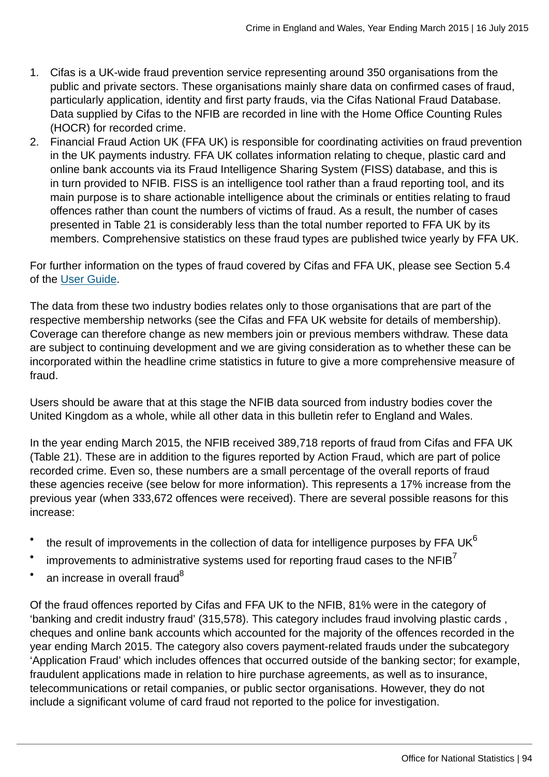- 1. Cifas is a UK-wide fraud prevention service representing around 350 organisations from the public and private sectors. These organisations mainly share data on confirmed cases of fraud, particularly application, identity and first party frauds, via the Cifas National Fraud Database. Data supplied by Cifas to the NFIB are recorded in line with the Home Office Counting Rules (HOCR) for recorded crime.
- 2. Financial Fraud Action UK (FFA UK) is responsible for coordinating activities on fraud prevention in the UK payments industry. FFA UK collates information relating to cheque, plastic card and online bank accounts via its Fraud Intelligence Sharing System (FISS) database, and this is in turn provided to NFIB. FISS is an intelligence tool rather than a fraud reporting tool, and its main purpose is to share actionable intelligence about the criminals or entities relating to fraud offences rather than count the numbers of victims of fraud. As a result, the number of cases presented in Table 21 is considerably less than the total number reported to FFA UK by its members. Comprehensive statistics on these fraud types are published twice yearly by FFA UK.

For further information on the types of fraud covered by Cifas and FFA UK, please see Section 5.4 of the [User Guide](http://www.ons.gov.uk:80/ons/guide-method/method-quality/specific/crime-statistics-methodology/user-guides/index.html).

The data from these two industry bodies relates only to those organisations that are part of the respective membership networks (see the Cifas and FFA UK website for details of membership). Coverage can therefore change as new members join or previous members withdraw. These data are subject to continuing development and we are giving consideration as to whether these can be incorporated within the headline crime statistics in future to give a more comprehensive measure of fraud.

Users should be aware that at this stage the NFIB data sourced from industry bodies cover the United Kingdom as a whole, while all other data in this bulletin refer to England and Wales.

In the year ending March 2015, the NFIB received 389,718 reports of fraud from Cifas and FFA UK (Table 21). These are in addition to the figures reported by Action Fraud, which are part of police recorded crime. Even so, these numbers are a small percentage of the overall reports of fraud these agencies receive (see below for more information). This represents a 17% increase from the previous year (when 333,672 offences were received). There are several possible reasons for this increase:

- the result of improvements in the collection of data for intelligence purposes by FFA UK $^6$
- improvements to administrative systems used for reporting fraud cases to the  $NFB<sup>7</sup>$
- an increase in overall fraud<sup>8</sup>

Of the fraud offences reported by Cifas and FFA UK to the NFIB, 81% were in the category of 'banking and credit industry fraud' (315,578). This category includes fraud involving plastic cards , cheques and online bank accounts which accounted for the majority of the offences recorded in the year ending March 2015. The category also covers payment-related frauds under the subcategory 'Application Fraud' which includes offences that occurred outside of the banking sector; for example, fraudulent applications made in relation to hire purchase agreements, as well as to insurance, telecommunications or retail companies, or public sector organisations. However, they do not include a significant volume of card fraud not reported to the police for investigation.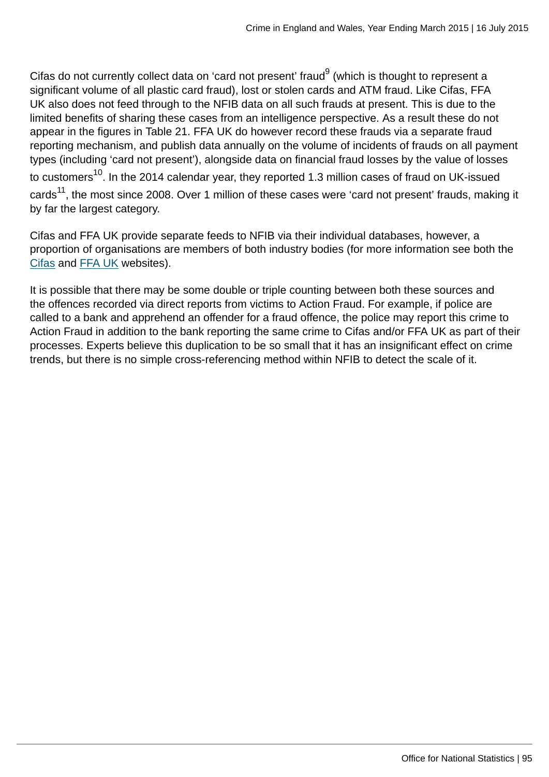Cifas do not currently collect data on 'card not present' fraud $^9$  (which is thought to represent a significant volume of all plastic card fraud), lost or stolen cards and ATM fraud. Like Cifas, FFA UK also does not feed through to the NFIB data on all such frauds at present. This is due to the limited benefits of sharing these cases from an intelligence perspective. As a result these do not appear in the figures in Table 21. FFA UK do however record these frauds via a separate fraud reporting mechanism, and publish data annually on the volume of incidents of frauds on all payment types (including 'card not present'), alongside data on financial fraud losses by the value of losses to customers<sup>10</sup>. In the 2014 calendar year, they reported 1.3 million cases of fraud on UK-issued cards<sup>11</sup>, the most since 2008. Over 1 million of these cases were 'card not present' frauds, making it by far the largest category.

Cifas and FFA UK provide separate feeds to NFIB via their individual databases, however, a proportion of organisations are members of both industry bodies (for more information see both the [Cifas](http://www.cifas.org.uk/cifas_members) and [FFA UK](http://www.financialfraudaction.org.uk/downloads.asp?genre=consumer) websites).

It is possible that there may be some double or triple counting between both these sources and the offences recorded via direct reports from victims to Action Fraud. For example, if police are called to a bank and apprehend an offender for a fraud offence, the police may report this crime to Action Fraud in addition to the bank reporting the same crime to Cifas and/or FFA UK as part of their processes. Experts believe this duplication to be so small that it has an insignificant effect on crime trends, but there is no simple cross-referencing method within NFIB to detect the scale of it.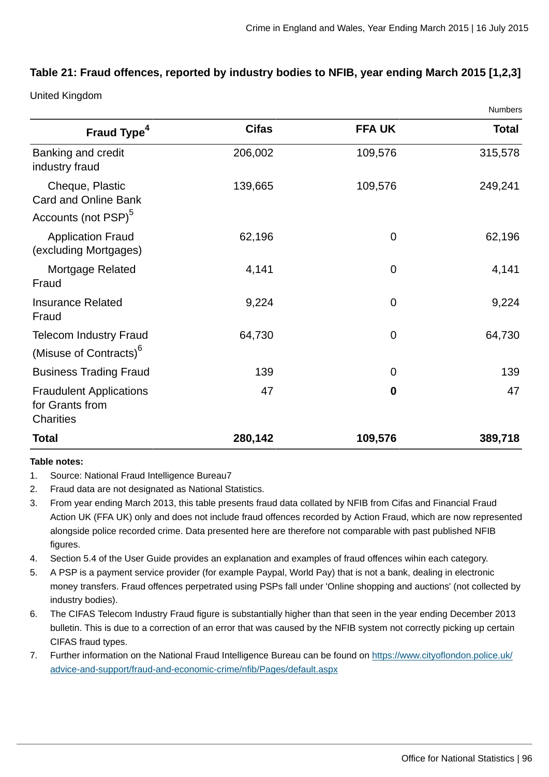Numbers

# **Table 21: Fraud offences, reported by industry bodies to NFIB, year ending March 2015 [1,2,3]**

United Kingdom

|                                                                                   |              |                | <b>NUTILIBETS</b> |
|-----------------------------------------------------------------------------------|--------------|----------------|-------------------|
| Fraud Type <sup>4</sup>                                                           | <b>Cifas</b> | <b>FFA UK</b>  | <b>Total</b>      |
| Banking and credit<br>industry fraud                                              | 206,002      | 109,576        | 315,578           |
| Cheque, Plastic<br><b>Card and Online Bank</b><br>Accounts (not PSP) <sup>5</sup> | 139,665      | 109,576        | 249,241           |
| <b>Application Fraud</b><br>(excluding Mortgages)                                 | 62,196       | 0              | 62,196            |
| Mortgage Related<br>Fraud                                                         | 4,141        | $\overline{0}$ | 4,141             |
| <b>Insurance Related</b><br>Fraud                                                 | 9,224        | $\overline{0}$ | 9,224             |
| <b>Telecom Industry Fraud</b><br>(Misuse of Contracts) <sup>6</sup>               | 64,730       | 0              | 64,730            |
| <b>Business Trading Fraud</b>                                                     | 139          | 0              | 139               |
| <b>Fraudulent Applications</b><br>for Grants from<br><b>Charities</b>             | 47           | $\mathbf 0$    | 47                |
| <b>Total</b>                                                                      | 280,142      | 109,576        | 389,718           |

#### **Table notes:**

- 1. Source: National Fraud Intelligence Bureau7
- 2. Fraud data are not designated as National Statistics.
- 3. From year ending March 2013, this table presents fraud data collated by NFIB from Cifas and Financial Fraud Action UK (FFA UK) only and does not include fraud offences recorded by Action Fraud, which are now represented alongside police recorded crime. Data presented here are therefore not comparable with past published NFIB figures.
- 4. Section 5.4 of the User Guide provides an explanation and examples of fraud offences wihin each category.
- 5. A PSP is a payment service provider (for example Paypal, World Pay) that is not a bank, dealing in electronic money transfers. Fraud offences perpetrated using PSPs fall under 'Online shopping and auctions' (not collected by industry bodies).
- 6. The CIFAS Telecom Industry Fraud figure is substantially higher than that seen in the year ending December 2013 bulletin. This is due to a correction of an error that was caused by the NFIB system not correctly picking up certain CIFAS fraud types.
- 7. Further information on the National Fraud Intelligence Bureau can be found on [https://www.cityoflondon.police.uk/](https://www.cityoflondon.police.uk/advice-and-support/fraud-and-economic-crime/nfib/Pages/default.aspx) [advice-and-support/fraud-and-economic-crime/nfib/Pages/default.aspx](https://www.cityoflondon.police.uk/advice-and-support/fraud-and-economic-crime/nfib/Pages/default.aspx)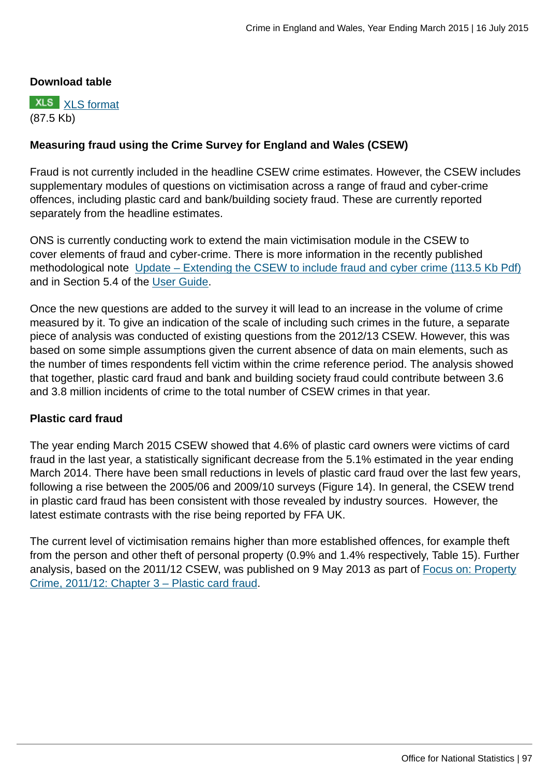## **Download table**



# **Measuring fraud using the Crime Survey for England and Wales (CSEW)**

Fraud is not currently included in the headline CSEW crime estimates. However, the CSEW includes supplementary modules of questions on victimisation across a range of fraud and cyber-crime offences, including plastic card and bank/building society fraud. These are currently reported separately from the headline estimates.

ONS is currently conducting work to extend the main victimisation module in the CSEW to cover elements of fraud and cyber-crime. There is more information in the recently published methodological note [Update – Extending the CSEW to include fraud and cyber crime \(113.5 Kb Pdf\)](http://www.ons.gov.uk:80/ons/guide-method/method-quality/specific/crime-statistics-methodology/methodological-notes/update---extending-the-csew-to-include-fraud-and-cyber-crime.pdf) and in Section 5.4 of the [User Guide.](http://www.ons.gov.uk:80/ons/guide-method/method-quality/specific/crime-statistics-methodology/user-guides/index.html)

Once the new questions are added to the survey it will lead to an increase in the volume of crime measured by it. To give an indication of the scale of including such crimes in the future, a separate piece of analysis was conducted of existing questions from the 2012/13 CSEW. However, this was based on some simple assumptions given the current absence of data on main elements, such as the number of times respondents fell victim within the crime reference period. The analysis showed that together, plastic card fraud and bank and building society fraud could contribute between 3.6 and 3.8 million incidents of crime to the total number of CSEW crimes in that year.

## **Plastic card fraud**

The year ending March 2015 CSEW showed that 4.6% of plastic card owners were victims of card fraud in the last year, a statistically significant decrease from the 5.1% estimated in the year ending March 2014. There have been small reductions in levels of plastic card fraud over the last few years, following a rise between the 2005/06 and 2009/10 surveys (Figure 14). In general, the CSEW trend in plastic card fraud has been consistent with those revealed by industry sources. However, the latest estimate contrasts with the rise being reported by FFA UK.

The current level of victimisation remains higher than more established offences, for example theft from the person and other theft of personal property (0.9% and 1.4% respectively, Table 15). Further analysis, based on the 2011/12 CSEW, was published on 9 May 2013 as part of [Focus on: Property](http://www.ons.gov.uk:80/ons/rel/crime-stats/crime-statistics/focus-on-property-crime--2011-12/rpt-chapter-3---plastic-card-fraud.html) [Crime, 2011/12: Chapter 3 – Plastic card fraud.](http://www.ons.gov.uk:80/ons/rel/crime-stats/crime-statistics/focus-on-property-crime--2011-12/rpt-chapter-3---plastic-card-fraud.html)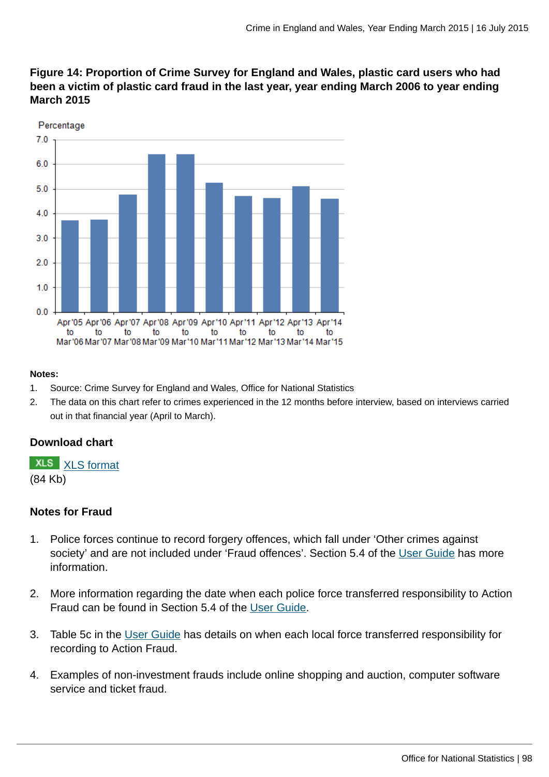



#### **Notes:**

- 1. Source: Crime Survey for England and Wales, Office for National Statistics
- 2. The data on this chart refer to crimes experienced in the 12 months before interview, based on interviews carried out in that financial year (April to March).

## **Download chart**



## **Notes for Fraud**

- 1. Police forces continue to record forgery offences, which fall under 'Other crimes against society' and are not included under 'Fraud offences'. Section 5.4 of the [User Guide](http://www.ons.gov.uk:80/ons/guide-method/method-quality/specific/crime-statistics-methodology/user-guides/index.html) has more information.
- 2. More information regarding the date when each police force transferred responsibility to Action Fraud can be found in Section 5.4 of the [User Guide.](http://www.ons.gov.uk:80/ons/guide-method/method-quality/specific/crime-statistics-methodology/user-guides/index.html)
- 3. Table 5c in the [User Guide](http://www.ons.gov.uk:80/ons/guide-method/method-quality/specific/crime-statistics-methodology/user-guides/index.html) has details on when each local force transferred responsibility for recording to Action Fraud.
- 4. Examples of non-investment frauds include online shopping and auction, computer software service and ticket fraud.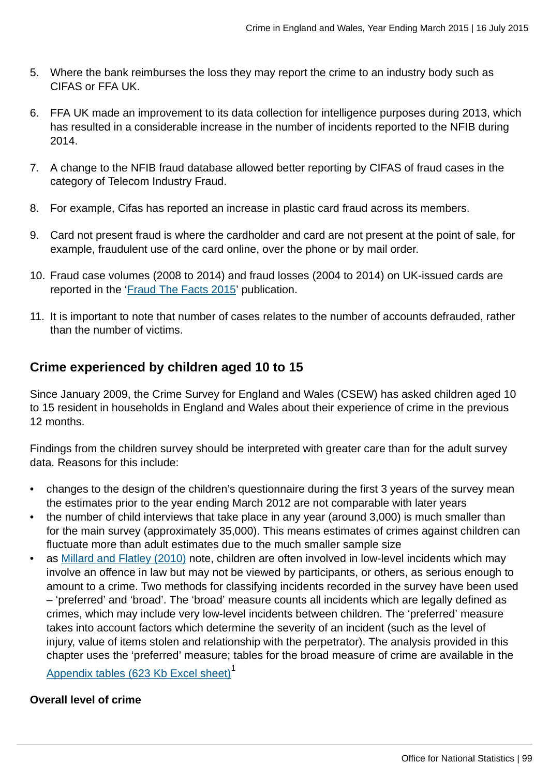- 5. Where the bank reimburses the loss they may report the crime to an industry body such as CIFAS or FFA UK.
- 6. FFA UK made an improvement to its data collection for intelligence purposes during 2013, which has resulted in a considerable increase in the number of incidents reported to the NFIB during 2014.
- 7. A change to the NFIB fraud database allowed better reporting by CIFAS of fraud cases in the category of Telecom Industry Fraud.
- 8. For example, Cifas has reported an increase in plastic card fraud across its members.
- 9. Card not present fraud is where the cardholder and card are not present at the point of sale, for example, fraudulent use of the card online, over the phone or by mail order.
- 10. Fraud case volumes (2008 to 2014) and fraud losses (2004 to 2014) on UK-issued cards are reported in the '[Fraud The Facts 2015'](http://www.financialfraudaction.org.uk/downloads.asp?genre=consumer) publication.
- 11. It is important to note that number of cases relates to the number of accounts defrauded, rather than the number of victims.

# **Crime experienced by children aged 10 to 15**

Since January 2009, the Crime Survey for England and Wales (CSEW) has asked children aged 10 to 15 resident in households in England and Wales about their experience of crime in the previous 12 months.

Findings from the children survey should be interpreted with greater care than for the adult survey data. Reasons for this include:

- changes to the design of the children's questionnaire during the first 3 years of the survey mean the estimates prior to the year ending March 2012 are not comparable with later years
- the number of child interviews that take place in any year (around 3,000) is much smaller than for the main survey (approximately 35,000). This means estimates of crimes against children can fluctuate more than adult estimates due to the much smaller sample size
- as [Millard and Flatley \(2010\)](#page-0-0) note, children are often involved in low-level incidents which may involve an offence in law but may not be viewed by participants, or others, as serious enough to amount to a crime. Two methods for classifying incidents recorded in the survey have been used – 'preferred' and 'broad'. The 'broad' measure counts all incidents which are legally defined as crimes, which may include very low-level incidents between children. The 'preferred' measure takes into account factors which determine the severity of an incident (such as the level of injury, value of items stolen and relationship with the perpetrator). The analysis provided in this chapter uses the 'preferred' measure; tables for the broad measure of crime are available in the

[Appendix tables \(623 Kb Excel sheet\)](http://www.ons.gov.uk:80/ons/rel/crime-stats/crime-statistics/year-ending-march-2015/rft-02.xls)<sup>1</sup>

## **Overall level of crime**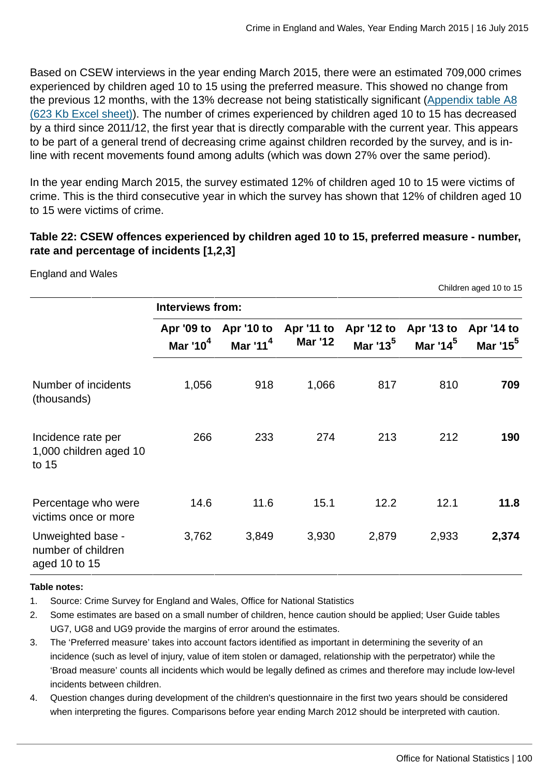Based on CSEW interviews in the year ending March 2015, there were an estimated 709,000 crimes experienced by children aged 10 to 15 using the preferred measure. This showed no change from the previous 12 months, with the 13% decrease not being statistically significant ([Appendix table A8](http://www.ons.gov.uk:80/ons/rel/crime-stats/crime-statistics/year-ending-march-2015/rft-02.xls) [\(623 Kb Excel sheet\)\)](http://www.ons.gov.uk:80/ons/rel/crime-stats/crime-statistics/year-ending-march-2015/rft-02.xls). The number of crimes experienced by children aged 10 to 15 has decreased by a third since 2011/12, the first year that is directly comparable with the current year. This appears to be part of a general trend of decreasing crime against children recorded by the survey, and is inline with recent movements found among adults (which was down 27% over the same period).

In the year ending March 2015, the survey estimated 12% of children aged 10 to 15 were victims of crime. This is the third consecutive year in which the survey has shown that 12% of children aged 10 to 15 were victims of crime.

# **Table 22: CSEW offences experienced by children aged 10 to 15, preferred measure - number, rate and percentage of incidents [1,2,3]**

England and Wales

Children aged 10 to 15

|                                                          | <b>Interviews from:</b>   |                          |                              |                      |                                               |                                    |  |
|----------------------------------------------------------|---------------------------|--------------------------|------------------------------|----------------------|-----------------------------------------------|------------------------------------|--|
|                                                          | Apr '09 to<br>Mar '10 $4$ | Apr '10 to<br>Mar $11^4$ | Apr '11 to<br><b>Mar '12</b> | Mar '13 <sup>5</sup> | Apr '12 to Apr '13 to<br>Mar '14 <sup>5</sup> | Apr '14 to<br>Mar '15 <sup>5</sup> |  |
| Number of incidents<br>(thousands)                       | 1,056                     | 918                      | 1,066                        | 817                  | 810                                           | 709                                |  |
| Incidence rate per<br>1,000 children aged 10<br>to 15    | 266                       | 233                      | 274                          | 213                  | 212                                           | 190                                |  |
| Percentage who were<br>victims once or more              | 14.6                      | 11.6                     | 15.1                         | 12.2                 | 12.1                                          | 11.8                               |  |
| Unweighted base -<br>number of children<br>aged 10 to 15 | 3,762                     | 3,849                    | 3,930                        | 2,879                | 2,933                                         | 2,374                              |  |

#### **Table notes:**

1. Source: Crime Survey for England and Wales, Office for National Statistics

- 2. Some estimates are based on a small number of children, hence caution should be applied; User Guide tables UG7, UG8 and UG9 provide the margins of error around the estimates.
- 3. The 'Preferred measure' takes into account factors identified as important in determining the severity of an incidence (such as level of injury, value of item stolen or damaged, relationship with the perpetrator) while the 'Broad measure' counts all incidents which would be legally defined as crimes and therefore may include low-level incidents between children.
- 4. Question changes during development of the children's questionnaire in the first two years should be considered when interpreting the figures. Comparisons before year ending March 2012 should be interpreted with caution.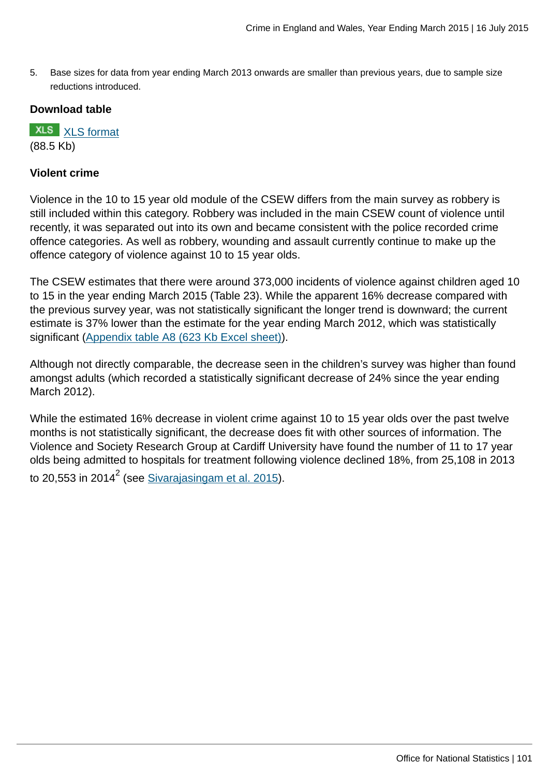5. Base sizes for data from year ending March 2013 onwards are smaller than previous years, due to sample size reductions introduced.

## **Download table**

**XLS** [XLS format](http://www.ons.gov.uk:80/ons/rel/crime-stats/crime-statistics/year-ending-march-2015/prt-22.xls) (88.5 Kb)

## **Violent crime**

Violence in the 10 to 15 year old module of the CSEW differs from the main survey as robbery is still included within this category. Robbery was included in the main CSEW count of violence until recently, it was separated out into its own and became consistent with the police recorded crime offence categories. As well as robbery, wounding and assault currently continue to make up the offence category of violence against 10 to 15 year olds.

The CSEW estimates that there were around 373,000 incidents of violence against children aged 10 to 15 in the year ending March 2015 (Table 23). While the apparent 16% decrease compared with the previous survey year, was not statistically significant the longer trend is downward; the current estimate is 37% lower than the estimate for the year ending March 2012, which was statistically significant [\(Appendix table A8 \(623 Kb Excel sheet\)](http://www.ons.gov.uk:80/ons/rel/crime-stats/crime-statistics/year-ending-march-2015/rft-02.xls)).

Although not directly comparable, the decrease seen in the children's survey was higher than found amongst adults (which recorded a statistically significant decrease of 24% since the year ending March 2012).

While the estimated 16% decrease in violent crime against 10 to 15 year olds over the past twelve months is not statistically significant, the decrease does fit with other sources of information. The Violence and Society Research Group at Cardiff University have found the number of 11 to 17 year olds being admitted to hospitals for treatment following violence declined 18%, from 25,108 in 2013

to 20,553 in 2014 $^2$  (see <u>Sivarajasingam et al. 2015</u>).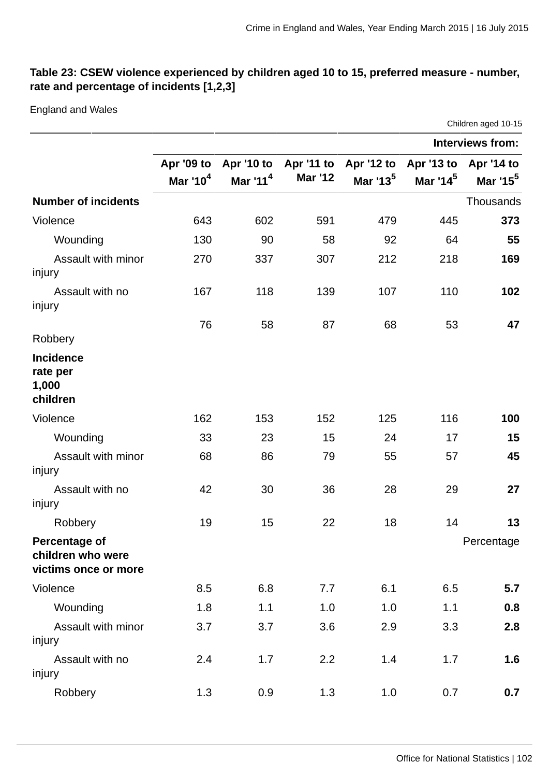# **Table 23: CSEW violence experienced by children aged 10 to 15, preferred measure - number, rate and percentage of incidents [1,2,3]**

#### England and Wales

Children aged 10-15

|                                                                   |                                    |                          |                | <b>Interviews from:</b>                                             |                      |                      |
|-------------------------------------------------------------------|------------------------------------|--------------------------|----------------|---------------------------------------------------------------------|----------------------|----------------------|
|                                                                   | Apr '09 to<br>Mar '10 <sup>4</sup> | Apr '10 to<br>Mar $11^4$ | <b>Mar '12</b> | Apr '11 to Apr '12 to Apr '13 to Apr '14 to<br>Mar '13 <sup>5</sup> | Mar '14 <sup>5</sup> | Mar '15 <sup>5</sup> |
| <b>Number of incidents</b>                                        |                                    |                          |                |                                                                     |                      | Thousands            |
| Violence                                                          | 643                                | 602                      | 591            | 479                                                                 | 445                  | 373                  |
| Wounding                                                          | 130                                | 90                       | 58             | 92                                                                  | 64                   | 55                   |
| Assault with minor<br>injury                                      | 270                                | 337                      | 307            | 212                                                                 | 218                  | 169                  |
| Assault with no<br>injury                                         | 167                                | 118                      | 139            | 107                                                                 | 110                  | 102                  |
| Robbery                                                           | 76                                 | 58                       | 87             | 68                                                                  | 53                   | 47                   |
| <b>Incidence</b><br>rate per<br>1,000<br>children                 |                                    |                          |                |                                                                     |                      |                      |
| Violence                                                          | 162                                | 153                      | 152            | 125                                                                 | 116                  | 100                  |
| Wounding                                                          | 33                                 | 23                       | 15             | 24                                                                  | 17                   | 15                   |
| Assault with minor<br>injury                                      | 68                                 | 86                       | 79             | 55                                                                  | 57                   | 45                   |
| Assault with no<br>injury                                         | 42                                 | 30                       | 36             | 28                                                                  | 29                   | 27                   |
| Robbery                                                           | 19                                 | 15                       | 22             | 18                                                                  | 14                   | 13                   |
| <b>Percentage of</b><br>children who were<br>victims once or more |                                    |                          |                |                                                                     |                      | Percentage           |
| Violence                                                          | 8.5                                | 6.8                      | 7.7            | 6.1                                                                 | 6.5                  | 5.7                  |
| Wounding                                                          | 1.8                                | 1.1                      | 1.0            | 1.0                                                                 | 1.1                  | 0.8                  |
| Assault with minor<br>injury                                      | 3.7                                | 3.7                      | 3.6            | 2.9                                                                 | 3.3                  | 2.8                  |
| Assault with no<br>injury                                         | 2.4                                | 1.7                      | 2.2            | 1.4                                                                 | 1.7                  | 1.6                  |
| Robbery                                                           | 1.3                                | 0.9                      | 1.3            | 1.0                                                                 | 0.7                  | 0.7                  |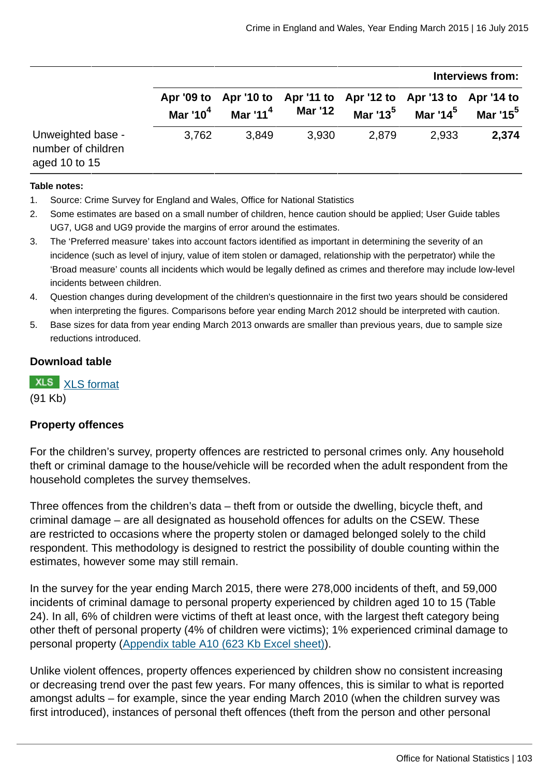|                                                          |             |              |                |                                                                   | Interviews from:          |                      |
|----------------------------------------------------------|-------------|--------------|----------------|-------------------------------------------------------------------|---------------------------|----------------------|
|                                                          | Mar '10 $4$ | Mar '11 $^4$ | <b>Mar '12</b> | Apr '09 to Apr '10 to Apr '11 to Apr '12 to Apr '13 to Apr '14 to | Mar '13 $^5$ Mar '14 $^5$ | Mar '15 <sup>5</sup> |
| Unweighted base -<br>number of children<br>aged 10 to 15 | 3,762       | 3.849        | 3.930          | 2,879                                                             | 2.933                     | 2,374                |

#### **Table notes:**

- 1. Source: Crime Survey for England and Wales, Office for National Statistics
- 2. Some estimates are based on a small number of children, hence caution should be applied; User Guide tables UG7, UG8 and UG9 provide the margins of error around the estimates.
- 3. The 'Preferred measure' takes into account factors identified as important in determining the severity of an incidence (such as level of injury, value of item stolen or damaged, relationship with the perpetrator) while the 'Broad measure' counts all incidents which would be legally defined as crimes and therefore may include low-level incidents between children.
- 4. Question changes during development of the children's questionnaire in the first two years should be considered when interpreting the figures. Comparisons before year ending March 2012 should be interpreted with caution.
- 5. Base sizes for data from year ending March 2013 onwards are smaller than previous years, due to sample size reductions introduced.

#### **Download table**

**XLS** [XLS format](http://www.ons.gov.uk:80/ons/rel/crime-stats/crime-statistics/year-ending-march-2015/prt-23.xls) (91 Kb)

## **Property offences**

For the children's survey, property offences are restricted to personal crimes only. Any household theft or criminal damage to the house/vehicle will be recorded when the adult respondent from the household completes the survey themselves.

Three offences from the children's data – theft from or outside the dwelling, bicycle theft, and criminal damage – are all designated as household offences for adults on the CSEW. These are restricted to occasions where the property stolen or damaged belonged solely to the child respondent. This methodology is designed to restrict the possibility of double counting within the estimates, however some may still remain.

In the survey for the year ending March 2015, there were 278,000 incidents of theft, and 59,000 incidents of criminal damage to personal property experienced by children aged 10 to 15 (Table 24). In all, 6% of children were victims of theft at least once, with the largest theft category being other theft of personal property (4% of children were victims); 1% experienced criminal damage to personal property [\(Appendix table A10 \(623 Kb Excel sheet\)\)](http://www.ons.gov.uk:80/ons/rel/crime-stats/crime-statistics/year-ending-march-2015/rft-02.xls).

Unlike violent offences, property offences experienced by children show no consistent increasing or decreasing trend over the past few years. For many offences, this is similar to what is reported amongst adults – for example, since the year ending March 2010 (when the children survey was first introduced), instances of personal theft offences (theft from the person and other personal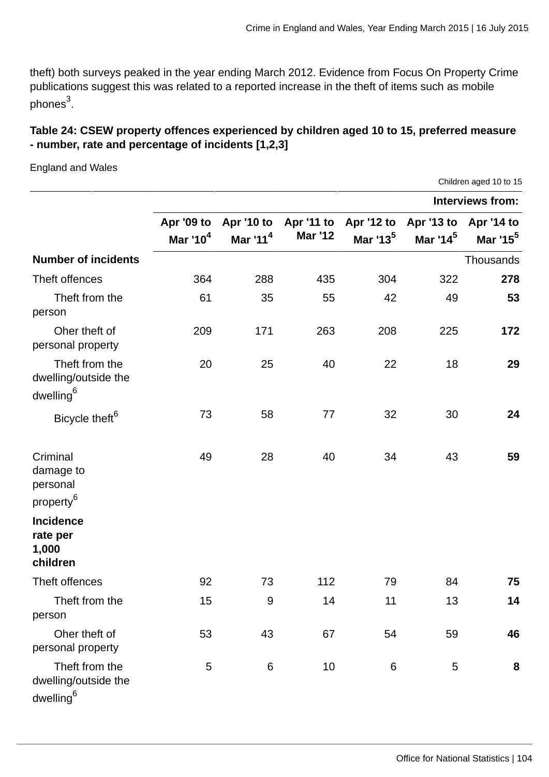Children aged 10 to 15

theft) both surveys peaked in the year ending March 2012. Evidence from Focus On Property Crime publications suggest this was related to a reported increase in the theft of items such as mobile phones<sup>3</sup>.

# **Table 24: CSEW property offences experienced by children aged 10 to 15, preferred measure - number, rate and percentage of incidents [1,2,3]**

England and Wales

**Interviews from: Apr '09 to Mar '10<sup>4</sup> Apr '10 to Mar '11<sup>4</sup> Apr '11 to Mar '12 Apr '12 to Mar '13<sup>5</sup> Apr '13 to Mar '14<sup>5</sup> Apr '14 to Mar '15<sup>5</sup> Number of incidents** Thousands Thousands Thousands Thousands Thousands Thousands Thousands Thousands Thousands Thousands Thousands Thousands Thousands Thousands Thousands Thousands Thousands Thousands Thousands Thousands Theft offences 364 288 435 304 322 **278** Theft from the person 61 35 55 42 49 **53** Oher theft of personal property 209 171 263 208 225 **172** Theft from the dwelling/outside the dwelling<sup>6</sup> 20 25 40 22 18 **29** Bicycle theft<sup>6</sup> 73 58 77 32 30 24 Criminal damage to personal property<sup>6</sup> 49 28 40 34 43 **59 Incidence rate per 1,000 children** Theft offences 92 73 112 79 84 **75** Theft from the person 15 9 14 11 13 **14** Oher theft of personal property 53 43 67 54 59 **46** Theft from the dwelling/outside the dwelling<sup>6</sup> 5 6 10 6 5 **8**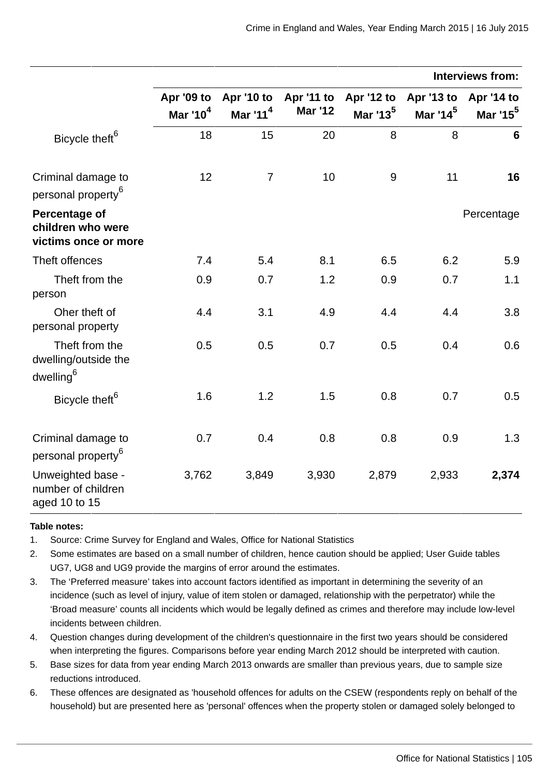|                                                                 | <b>Interviews from:</b>            |                          |                              |                      |                                               |                                    |
|-----------------------------------------------------------------|------------------------------------|--------------------------|------------------------------|----------------------|-----------------------------------------------|------------------------------------|
|                                                                 | Apr '09 to<br>Mar '10 <sup>4</sup> | Apr '10 to<br>Mar $11^4$ | Apr '11 to<br><b>Mar '12</b> | Mar '13 <sup>5</sup> | Apr '12 to Apr '13 to<br>Mar '14 <sup>5</sup> | Apr '14 to<br>Mar '15 <sup>5</sup> |
| Bicycle theft <sup>6</sup>                                      | 18                                 | 15                       | 20                           | 8                    | 8                                             | $6\phantom{1}$                     |
| Criminal damage to<br>personal property <sup>6</sup>            | 12                                 | $\overline{7}$           | 10                           | $9\,$                | 11                                            | 16                                 |
| Percentage of<br>children who were<br>victims once or more      |                                    |                          |                              |                      |                                               | Percentage                         |
| Theft offences                                                  | 7.4                                | 5.4                      | 8.1                          | 6.5                  | 6.2                                           | 5.9                                |
| Theft from the<br>person                                        | 0.9                                | 0.7                      | 1.2                          | 0.9                  | 0.7                                           | 1.1                                |
| Oher theft of<br>personal property                              | 4.4                                | 3.1                      | 4.9                          | 4.4                  | 4.4                                           | 3.8                                |
| Theft from the<br>dwelling/outside the<br>dwelling <sup>6</sup> | 0.5                                | 0.5                      | 0.7                          | 0.5                  | 0.4                                           | 0.6                                |
| Bicycle theft <sup>6</sup>                                      | 1.6                                | 1.2                      | 1.5                          | 0.8                  | 0.7                                           | 0.5                                |
| Criminal damage to<br>personal property <sup>6</sup>            | 0.7                                | 0.4                      | 0.8                          | 0.8                  | 0.9                                           | 1.3                                |
| Unweighted base -<br>number of children<br>aged 10 to 15        | 3,762                              | 3,849                    | 3,930                        | 2,879                | 2,933                                         | 2,374                              |

#### **Table notes:**

- 1. Source: Crime Survey for England and Wales, Office for National Statistics
- 2. Some estimates are based on a small number of children, hence caution should be applied; User Guide tables UG7, UG8 and UG9 provide the margins of error around the estimates.
- 3. The 'Preferred measure' takes into account factors identified as important in determining the severity of an incidence (such as level of injury, value of item stolen or damaged, relationship with the perpetrator) while the 'Broad measure' counts all incidents which would be legally defined as crimes and therefore may include low-level incidents between children.
- 4. Question changes during development of the children's questionnaire in the first two years should be considered when interpreting the figures. Comparisons before year ending March 2012 should be interpreted with caution.
- 5. Base sizes for data from year ending March 2013 onwards are smaller than previous years, due to sample size reductions introduced.
- 6. These offences are designated as 'household offences for adults on the CSEW (respondents reply on behalf of the household) but are presented here as 'personal' offences when the property stolen or damaged solely belonged to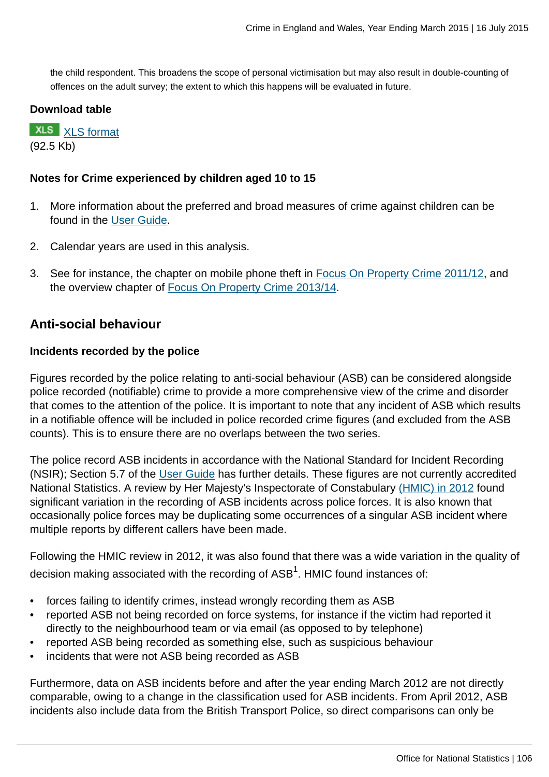the child respondent. This broadens the scope of personal victimisation but may also result in double-counting of offences on the adult survey; the extent to which this happens will be evaluated in future.

## **Download table**

**XLS** [XLS format](http://www.ons.gov.uk:80/ons/rel/crime-stats/crime-statistics/year-ending-march-2015/prt-24.xls) (92.5 Kb)

## **Notes for Crime experienced by children aged 10 to 15**

- 1. More information about the preferred and broad measures of crime against children can be found in the [User Guide](http://www.ons.gov.uk:80/ons/guide-method/method-quality/specific/crime-statistics-methodology/user-guides/index.html).
- 2. Calendar years are used in this analysis.
- 3. See for instance, the chapter on mobile phone theft in [Focus On Property Crime 2011/12](http://www.ons.gov.uk:80/ons/rel/crime-stats/crime-statistics/focus-on-property-crime--2011-12/rpt-section-2---focus-on-mobile-phone-theft.html), and the overview chapter of [Focus On Property Crime 2013/14](http://www.ons.gov.uk:80/ons/rel/crime-stats/crime-statistics/focus-on-property-crime--2013-14/index.html).

# **Anti-social behaviour**

## **Incidents recorded by the police**

Figures recorded by the police relating to anti-social behaviour (ASB) can be considered alongside police recorded (notifiable) crime to provide a more comprehensive view of the crime and disorder that comes to the attention of the police. It is important to note that any incident of ASB which results in a notifiable offence will be included in police recorded crime figures (and excluded from the ASB counts). This is to ensure there are no overlaps between the two series.

The police record ASB incidents in accordance with the National Standard for Incident Recording (NSIR); Section 5.7 of the [User Guide](http://www.ons.gov.uk:80/ons/guide-method/method-quality/specific/crime-statistics-methodology/user-guides/index.html) has further details. These figures are not currently accredited National Statistics. A review by Her Majesty's Inspectorate of Constabulary [\(HMIC\) in 2012](http://www.hmic.gov.uk/publication/review-police-crime-incident-reports-20120125/) found significant variation in the recording of ASB incidents across police forces. It is also known that occasionally police forces may be duplicating some occurrences of a singular ASB incident where multiple reports by different callers have been made.

Following the HMIC review in 2012, it was also found that there was a wide variation in the quality of decision making associated with the recording of ASB $^{\rm 1}$ . HMIC found instances of:

- forces failing to identify crimes, instead wrongly recording them as ASB
- reported ASB not being recorded on force systems, for instance if the victim had reported it directly to the neighbourhood team or via email (as opposed to by telephone)
- reported ASB being recorded as something else, such as suspicious behaviour
- incidents that were not ASB being recorded as ASB

Furthermore, data on ASB incidents before and after the year ending March 2012 are not directly comparable, owing to a change in the classification used for ASB incidents. From April 2012, ASB incidents also include data from the British Transport Police, so direct comparisons can only be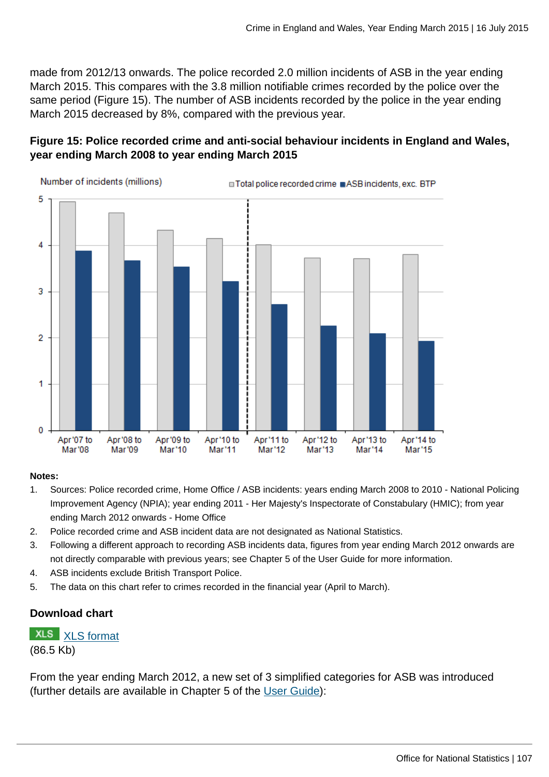made from 2012/13 onwards. The police recorded 2.0 million incidents of ASB in the year ending March 2015. This compares with the 3.8 million notifiable crimes recorded by the police over the same period (Figure 15). The number of ASB incidents recorded by the police in the year ending March 2015 decreased by 8%, compared with the previous year.

# **Figure 15: Police recorded crime and anti-social behaviour incidents in England and Wales, year ending March 2008 to year ending March 2015**



#### **Notes:**

- 1. Sources: Police recorded crime, Home Office / ASB incidents: years ending March 2008 to 2010 National Policing Improvement Agency (NPIA); year ending 2011 - Her Majesty's Inspectorate of Constabulary (HMIC); from year ending March 2012 onwards - Home Office
- 2. Police recorded crime and ASB incident data are not designated as National Statistics.
- 3. Following a different approach to recording ASB incidents data, figures from year ending March 2012 onwards are not directly comparable with previous years; see Chapter 5 of the User Guide for more information.
- 4. ASB incidents exclude British Transport Police.
- 5. The data on this chart refer to crimes recorded in the financial year (April to March).

# **Download chart**

## **XLS** [XLS format](http://www.ons.gov.uk:80/ons/rel/crime-stats/crime-statistics/year-ending-march-2015/chd-15.xls) (86.5 Kb)

From the year ending March 2012, a new set of 3 simplified categories for ASB was introduced (further details are available in Chapter 5 of the [User Guide](http://www.ons.gov.uk:80/ons/guide-method/method-quality/specific/crime-statistics-methodology/user-guides/index.html)):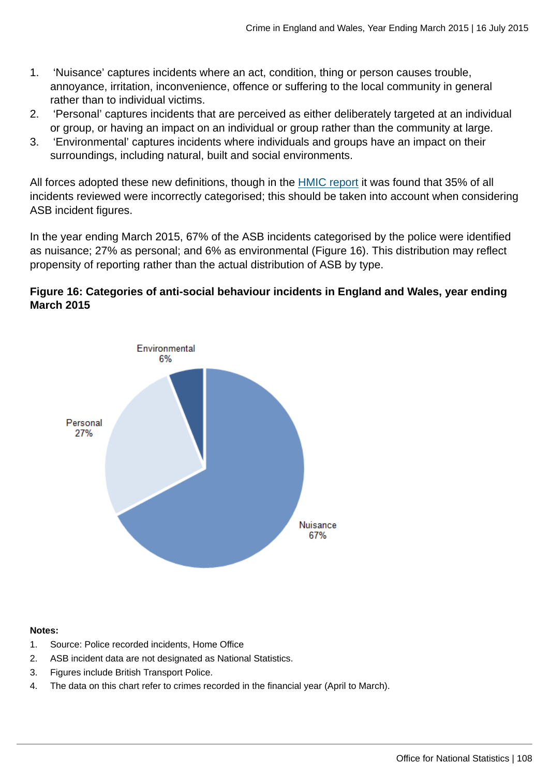- 1. 'Nuisance' captures incidents where an act, condition, thing or person causes trouble, annoyance, irritation, inconvenience, offence or suffering to the local community in general rather than to individual victims.
- 2. 'Personal' captures incidents that are perceived as either deliberately targeted at an individual or group, or having an impact on an individual or group rather than the community at large.
- 3. 'Environmental' captures incidents where individuals and groups have an impact on their surroundings, including natural, built and social environments.

All forces adopted these new definitions, though in the [HMIC report](http://www.hmic.gov.uk/media/a-step-in-the-right-direction-the-policing-of-anti-social-behaviour.pdf) it was found that 35% of all incidents reviewed were incorrectly categorised; this should be taken into account when considering ASB incident figures.

In the year ending March 2015, 67% of the ASB incidents categorised by the police were identified as nuisance; 27% as personal; and 6% as environmental (Figure 16). This distribution may reflect propensity of reporting rather than the actual distribution of ASB by type.

# **Figure 16: Categories of anti-social behaviour incidents in England and Wales, year ending March 2015**



#### **Notes:**

- 1. Source: Police recorded incidents, Home Office
- 2. ASB incident data are not designated as National Statistics.
- 3. Figures include British Transport Police.
- 4. The data on this chart refer to crimes recorded in the financial year (April to March).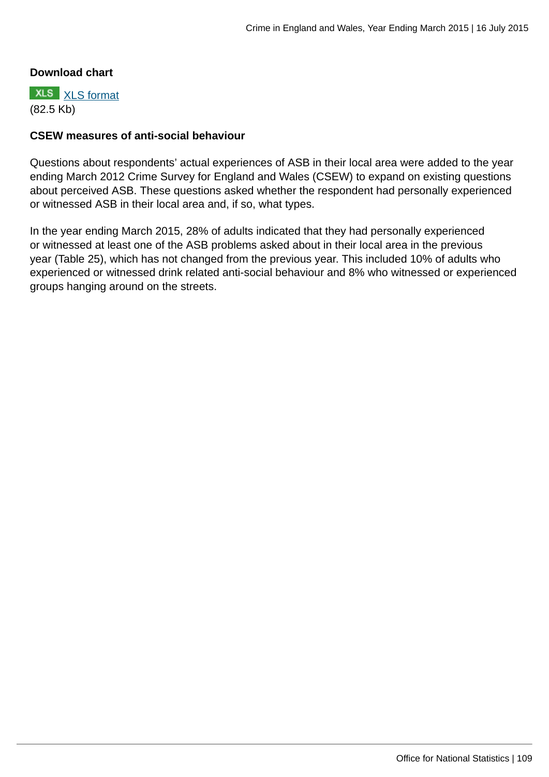#### **Download chart**

**XLS** [XLS format](http://www.ons.gov.uk:80/ons/rel/crime-stats/crime-statistics/year-ending-march-2015/chd-16.xls) (82.5 Kb)

#### **CSEW measures of anti-social behaviour**

Questions about respondents' actual experiences of ASB in their local area were added to the year ending March 2012 Crime Survey for England and Wales (CSEW) to expand on existing questions about perceived ASB. These questions asked whether the respondent had personally experienced or witnessed ASB in their local area and, if so, what types.

In the year ending March 2015, 28% of adults indicated that they had personally experienced or witnessed at least one of the ASB problems asked about in their local area in the previous year (Table 25), which has not changed from the previous year. This included 10% of adults who experienced or witnessed drink related anti-social behaviour and 8% who witnessed or experienced groups hanging around on the streets.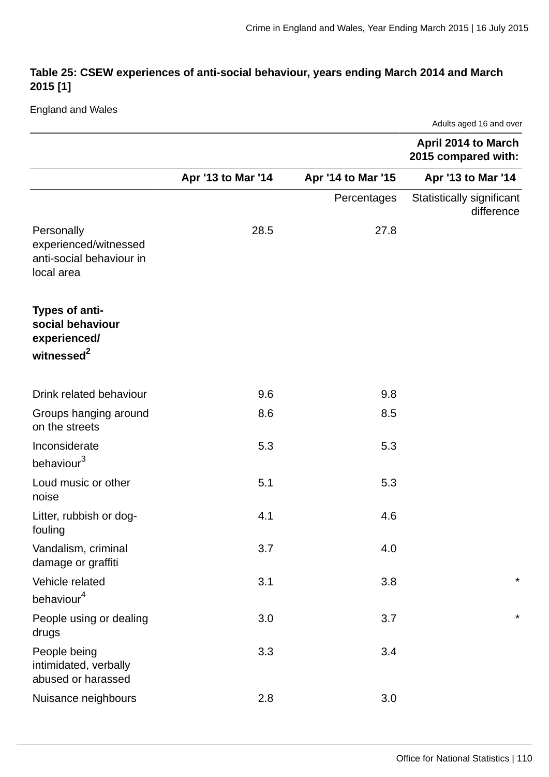## **Table 25: CSEW experiences of anti-social behaviour, years ending March 2014 and March 2015 [1]**

England and Wales

|                                                                               |                    |                    | Adults aged 16 and over                    |
|-------------------------------------------------------------------------------|--------------------|--------------------|--------------------------------------------|
|                                                                               |                    |                    | April 2014 to March<br>2015 compared with: |
|                                                                               | Apr '13 to Mar '14 | Apr '14 to Mar '15 | Apr '13 to Mar '14                         |
|                                                                               |                    | Percentages        | Statistically significant<br>difference    |
| Personally<br>experienced/witnessed<br>anti-social behaviour in<br>local area | 28.5               | 27.8               |                                            |
| Types of anti-<br>social behaviour<br>experienced/<br>witnessed <sup>2</sup>  |                    |                    |                                            |
|                                                                               |                    |                    |                                            |
| Drink related behaviour<br>Groups hanging around<br>on the streets            | 9.6<br>8.6         | 9.8<br>8.5         |                                            |
| Inconsiderate<br>behaviour <sup>3</sup>                                       | 5.3                | 5.3                |                                            |
| Loud music or other<br>noise                                                  | 5.1                | 5.3                |                                            |
| Litter, rubbish or dog-<br>fouling                                            | 4.1                | 4.6                |                                            |
| Vandalism, criminal<br>damage or graffiti                                     | 3.7                | 4.0                |                                            |
| Vehicle related<br>behaviour <sup>4</sup>                                     | 3.1                | 3.8                | $\star$                                    |
| People using or dealing<br>drugs                                              | 3.0                | 3.7                | $\star$                                    |
| People being<br>intimidated, verbally<br>abused or harassed                   | 3.3                | 3.4                |                                            |
| Nuisance neighbours                                                           | 2.8                | 3.0                |                                            |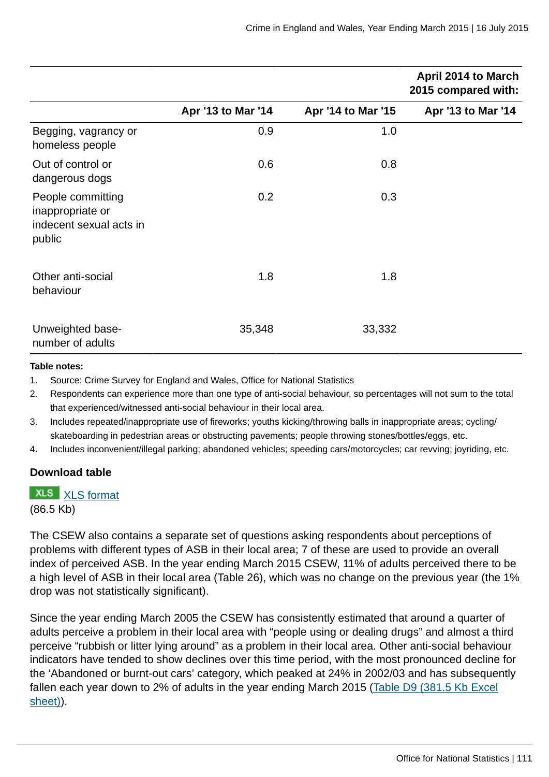|                                                                            |                    |                    | <b>April 2014 to March</b><br>2015 compared with: |
|----------------------------------------------------------------------------|--------------------|--------------------|---------------------------------------------------|
|                                                                            | Apr '13 to Mar '14 | Apr '14 to Mar '15 | Apr '13 to Mar '14                                |
| Begging, vagrancy or<br>homeless people                                    | 0.9                | 1.0                |                                                   |
| Out of control or<br>dangerous dogs                                        | 0.6                | 0.8                |                                                   |
| People committing<br>inappropriate or<br>indecent sexual acts in<br>public | 0.2                | 0.3                |                                                   |
| Other anti-social<br>behaviour                                             | 1.8                | 1.8                |                                                   |
| Unweighted base-<br>number of adults                                       | 35,348             | 33,332             |                                                   |

#### **Table notes:**

1. Source: Crime Survey for England and Wales, Office for National Statistics

- 2. Respondents can experience more than one type of anti-social behaviour, so percentages will not sum to the total that experienced/witnessed anti-social behaviour in their local area.
- 3. Includes repeated/inappropriate use of fireworks; youths kicking/throwing balls in inappropriate areas; cycling/ skateboarding in pedestrian areas or obstructing pavements; people throwing stones/bottles/eggs, etc.
- 4. Includes inconvenient/illegal parking; abandoned vehicles; speeding cars/motorcycles; car revving; joyriding, etc.

#### **Download table**

# **XLS** [XLS format](http://www.ons.gov.uk:80/ons/rel/crime-stats/crime-statistics/year-ending-march-2015/prt-25.xls)

(86.5 Kb)

The CSEW also contains a separate set of questions asking respondents about perceptions of problems with different types of ASB in their local area; 7 of these are used to provide an overall index of perceived ASB. In the year ending March 2015 CSEW, 11% of adults perceived there to be a high level of ASB in their local area (Table 26), which was no change on the previous year (the 1% drop was not statistically significant).

Since the year ending March 2005 the CSEW has consistently estimated that around a quarter of adults perceive a problem in their local area with "people using or dealing drugs" and almost a third perceive "rubbish or litter lying around" as a problem in their local area. Other anti-social behaviour indicators have tended to show declines over this time period, with the most pronounced decline for the 'Abandoned or burnt-out cars' category, which peaked at 24% in 2002/03 and has subsequently fallen each year down to 2% of adults in the year ending March 2015 [\(Table D9 \(381.5 Kb Excel](http://www.ons.gov.uk:80/ons/rel/crime-stats/crime-statistics/year-ending-march-2015/rft-3.xls) [sheet\)\)](http://www.ons.gov.uk:80/ons/rel/crime-stats/crime-statistics/year-ending-march-2015/rft-3.xls).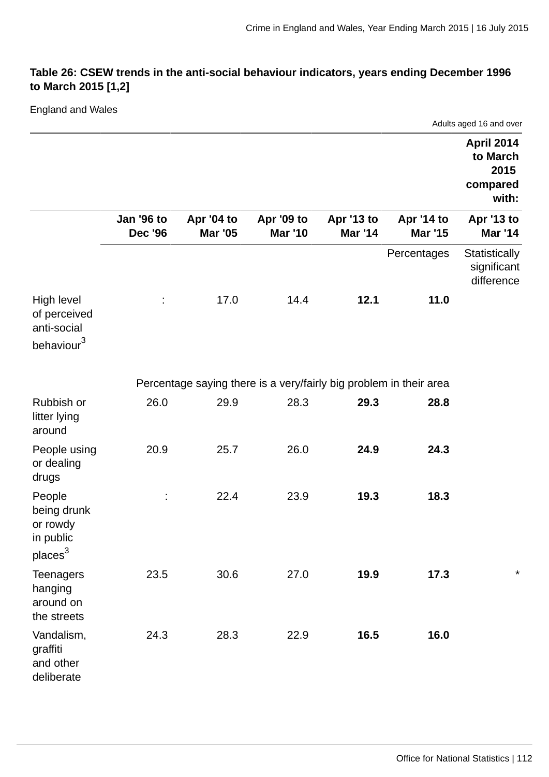## **Table 26: CSEW trends in the anti-social behaviour indicators, years ending December 1996 to March 2015 [1,2]**

## England and Wales

|                                                                       |                                     |                                                                    |                              |                              |                              | Adults aged 16 and over                                    |
|-----------------------------------------------------------------------|-------------------------------------|--------------------------------------------------------------------|------------------------------|------------------------------|------------------------------|------------------------------------------------------------|
|                                                                       |                                     |                                                                    |                              |                              |                              | <b>April 2014</b><br>to March<br>2015<br>compared<br>with: |
|                                                                       | <b>Jan '96 to</b><br><b>Dec '96</b> | Apr '04 to<br><b>Mar '05</b>                                       | Apr '09 to<br><b>Mar '10</b> | Apr '13 to<br><b>Mar '14</b> | Apr '14 to<br><b>Mar '15</b> | Apr '13 to<br><b>Mar '14</b>                               |
|                                                                       |                                     |                                                                    |                              |                              | Percentages                  | Statistically<br>significant<br>difference                 |
| High level<br>of perceived<br>anti-social<br>behaviour <sup>3</sup>   |                                     | 17.0                                                               | 14.4                         | 12.1                         | 11.0                         |                                                            |
|                                                                       |                                     | Percentage saying there is a very/fairly big problem in their area |                              |                              |                              |                                                            |
| Rubbish or<br>litter lying<br>around                                  | 26.0                                | 29.9                                                               | 28.3                         | 29.3                         | 28.8                         |                                                            |
| People using<br>or dealing<br>drugs                                   | 20.9                                | 25.7                                                               | 26.0                         | 24.9                         | 24.3                         |                                                            |
| People<br>being drunk<br>or rowdy<br>in public<br>places <sup>3</sup> |                                     | 22.4                                                               | 23.9                         | 19.3                         | 18.3                         |                                                            |
| <b>Teenagers</b><br>hanging<br>around on<br>the streets               | 23.5                                | 30.6                                                               | 27.0                         | 19.9                         | 17.3                         | $^\star$                                                   |
| Vandalism,<br>graffiti<br>and other<br>deliberate                     | 24.3                                | 28.3                                                               | 22.9                         | 16.5                         | 16.0                         |                                                            |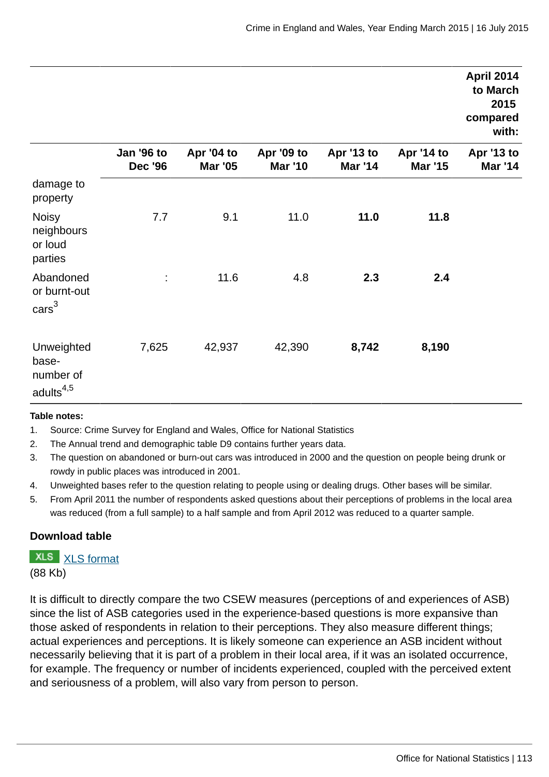|                                                           |                              |                              |                              |                              |                              | <b>April 2014</b><br>to March<br>2015<br>compared<br>with: |
|-----------------------------------------------------------|------------------------------|------------------------------|------------------------------|------------------------------|------------------------------|------------------------------------------------------------|
|                                                           | Jan '96 to<br><b>Dec '96</b> | Apr '04 to<br><b>Mar '05</b> | Apr '09 to<br><b>Mar '10</b> | Apr '13 to<br><b>Mar '14</b> | Apr '14 to<br><b>Mar '15</b> | Apr '13 to<br><b>Mar '14</b>                               |
| damage to<br>property                                     |                              |                              |                              |                              |                              |                                                            |
| <b>Noisy</b><br>neighbours<br>or loud<br>parties          | 7.7                          | 9.1                          | 11.0                         | 11.0                         | 11.8                         |                                                            |
| Abandoned<br>or burnt-out<br>$\text{cars}^3$              | ÷,                           | 11.6                         | 4.8                          | 2.3                          | 2.4                          |                                                            |
| Unweighted<br>base-<br>number of<br>adults <sup>4,5</sup> | 7,625                        | 42,937                       | 42,390                       | 8,742                        | 8,190                        |                                                            |

#### **Table notes:**

- 1. Source: Crime Survey for England and Wales, Office for National Statistics
- 2. The Annual trend and demographic table D9 contains further years data.
- 3. The question on abandoned or burn-out cars was introduced in 2000 and the question on people being drunk or rowdy in public places was introduced in 2001.
- 4. Unweighted bases refer to the question relating to people using or dealing drugs. Other bases will be similar.
- 5. From April 2011 the number of respondents asked questions about their perceptions of problems in the local area was reduced (from a full sample) to a half sample and from April 2012 was reduced to a quarter sample.

#### **Download table**

**XLS** [XLS format](http://www.ons.gov.uk:80/ons/rel/crime-stats/crime-statistics/year-ending-march-2015/prt-26.xls)

(88 Kb)

It is difficult to directly compare the two CSEW measures (perceptions of and experiences of ASB) since the list of ASB categories used in the experience-based questions is more expansive than those asked of respondents in relation to their perceptions. They also measure different things; actual experiences and perceptions. It is likely someone can experience an ASB incident without necessarily believing that it is part of a problem in their local area, if it was an isolated occurrence, for example. The frequency or number of incidents experienced, coupled with the perceived extent and seriousness of a problem, will also vary from person to person.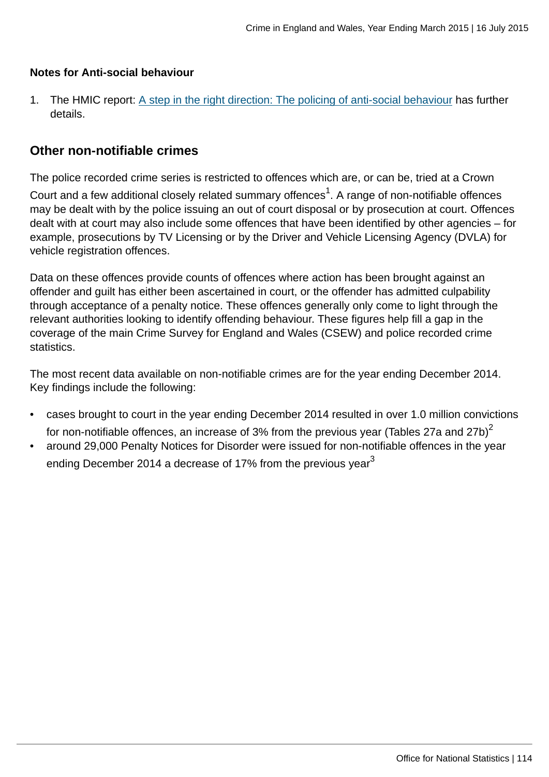### **Notes for Anti-social behaviour**

1. The HMIC report: [A step in the right direction: The policing of anti-social behaviour](http://www.hmic.gov.uk/media/a-step-in-the-right-direction-the-policing-of-anti-social-behaviour.pdf) has further details.

## **Other non-notifiable crimes**

The police recorded crime series is restricted to offences which are, or can be, tried at a Crown

Court and a few additional closely related summary offences $^1$ . A range of non-notifiable offences may be dealt with by the police issuing an out of court disposal or by prosecution at court. Offences dealt with at court may also include some offences that have been identified by other agencies – for example, prosecutions by TV Licensing or by the Driver and Vehicle Licensing Agency (DVLA) for vehicle registration offences.

Data on these offences provide counts of offences where action has been brought against an offender and guilt has either been ascertained in court, or the offender has admitted culpability through acceptance of a penalty notice. These offences generally only come to light through the relevant authorities looking to identify offending behaviour. These figures help fill a gap in the coverage of the main Crime Survey for England and Wales (CSEW) and police recorded crime statistics.

The most recent data available on non-notifiable crimes are for the year ending December 2014. Key findings include the following:

- cases brought to court in the year ending December 2014 resulted in over 1.0 million convictions for non-notifiable offences, an increase of 3% from the previous year (Tables 27a and 27b)<sup>2</sup>
- around 29,000 Penalty Notices for Disorder were issued for non-notifiable offences in the year ending December 2014 a decrease of 17% from the previous vear $3$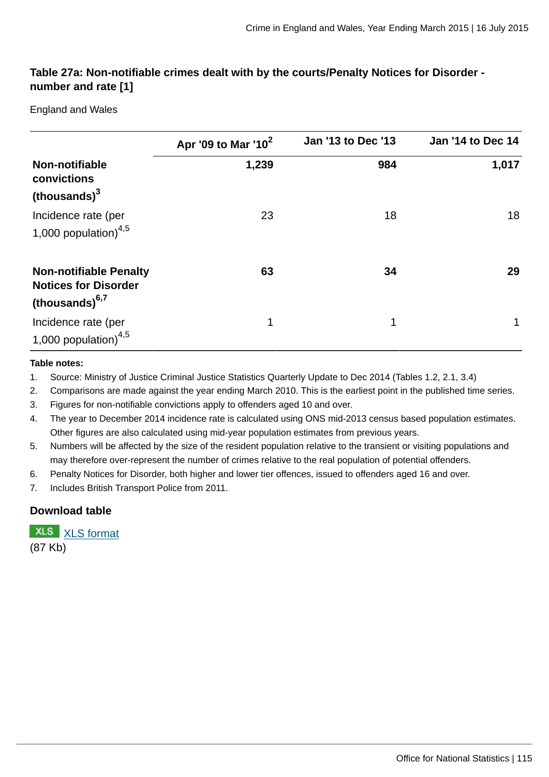## **Table 27a: Non-notifiable crimes dealt with by the courts/Penalty Notices for Disorder number and rate [1]**

England and Wales

|                                                                                   | Apr '09 to Mar '10 <sup>2</sup> | <b>Jan '13 to Dec '13</b> | <b>Jan '14 to Dec 14</b> |
|-----------------------------------------------------------------------------------|---------------------------------|---------------------------|--------------------------|
| Non-notifiable<br>convictions                                                     | 1,239                           | 984                       | 1,017                    |
| (thousands) <sup>3</sup>                                                          |                                 |                           |                          |
| Incidence rate (per                                                               | 23                              | 18                        | 18                       |
| 1,000 population) $4,5$                                                           |                                 |                           |                          |
| <b>Non-notifiable Penalty</b><br><b>Notices for Disorder</b><br>(thousands) $6,7$ | 63                              | 34                        | 29                       |
| Incidence rate (per<br>1,000 population) $4,5$                                    | 1                               | 1                         |                          |

#### **Table notes:**

1. Source: Ministry of Justice Criminal Justice Statistics Quarterly Update to Dec 2014 (Tables 1.2, 2.1, 3.4)

2. Comparisons are made against the year ending March 2010. This is the earliest point in the published time series.

3. Figures for non-notifiable convictions apply to offenders aged 10 and over.

- 4. The year to December 2014 incidence rate is calculated using ONS mid-2013 census based population estimates. Other figures are also calculated using mid-year population estimates from previous years.
- 5. Numbers will be affected by the size of the resident population relative to the transient or visiting populations and may therefore over-represent the number of crimes relative to the real population of potential offenders.
- 6. Penalty Notices for Disorder, both higher and lower tier offences, issued to offenders aged 16 and over.

7. Includes British Transport Police from 2011.

#### **Download table**

**XLS** [XLS format](http://www.ons.gov.uk:80/ons/rel/crime-stats/crime-statistics/year-ending-march-2015/prt-27a.xls) (87 Kb)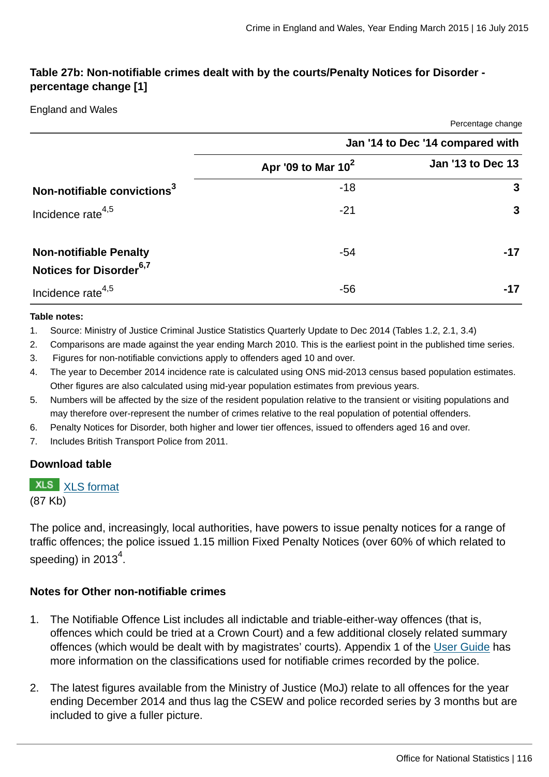Percentage change

## **Table 27b: Non-notifiable crimes dealt with by the courts/Penalty Notices for Disorder percentage change [1]**

#### England and Wales

|                                                                      |                                  | <b>TURNING ORIGINAL</b> |  |  |
|----------------------------------------------------------------------|----------------------------------|-------------------------|--|--|
|                                                                      | Jan '14 to Dec '14 compared with |                         |  |  |
|                                                                      | Apr '09 to Mar $10^2$            | Jan '13 to Dec 13       |  |  |
| Non-notifiable convictions <sup>3</sup>                              | $-18$                            | 3                       |  |  |
| Incidence rate <sup>4,5</sup>                                        | $-21$                            | 3                       |  |  |
| <b>Non-notifiable Penalty</b><br>Notices for Disorder <sup>6,7</sup> | -54                              | $-17$                   |  |  |
| Incidence rate <sup>4,5</sup>                                        | -56                              |                         |  |  |

#### **Table notes:**

- 1. Source: Ministry of Justice Criminal Justice Statistics Quarterly Update to Dec 2014 (Tables 1.2, 2.1, 3.4)
- 2. Comparisons are made against the year ending March 2010. This is the earliest point in the published time series.
- 3. Figures for non-notifiable convictions apply to offenders aged 10 and over.
- 4. The year to December 2014 incidence rate is calculated using ONS mid-2013 census based population estimates. Other figures are also calculated using mid-year population estimates from previous years.
- 5. Numbers will be affected by the size of the resident population relative to the transient or visiting populations and may therefore over-represent the number of crimes relative to the real population of potential offenders.
- 6. Penalty Notices for Disorder, both higher and lower tier offences, issued to offenders aged 16 and over.
- 7. Includes British Transport Police from 2011.

#### **Download table**

#### **XLS** [XLS format](http://www.ons.gov.uk:80/ons/rel/crime-stats/crime-statistics/year-ending-march-2015/prt-27b.xls)

(87 Kb)

The police and, increasingly, local authorities, have powers to issue penalty notices for a range of traffic offences; the police issued 1.15 million Fixed Penalty Notices (over 60% of which related to speeding) in 2013 $^4$ .

#### **Notes for Other non-notifiable crimes**

- 1. The Notifiable Offence List includes all indictable and triable-either-way offences (that is, offences which could be tried at a Crown Court) and a few additional closely related summary offences (which would be dealt with by magistrates' courts). Appendix 1 of the [User Guide](http://www.ons.gov.uk:80/ons/guide-method/method-quality/specific/crime-statistics-methodology/user-guides/index.html) has more information on the classifications used for notifiable crimes recorded by the police.
- 2. The latest figures available from the Ministry of Justice (MoJ) relate to all offences for the year ending December 2014 and thus lag the CSEW and police recorded series by 3 months but are included to give a fuller picture.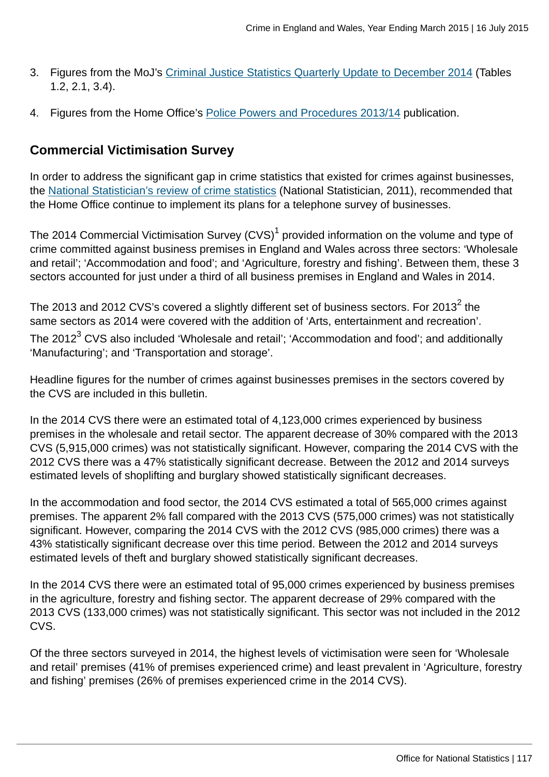- 3. Figures from the MoJ's [Criminal Justice Statistics Quarterly Update to December 2014](https://www.gov.uk/government/statistics/criminal-justice-system-statistics-quarterly-december-2014) (Tables 1.2, 2.1, 3.4).
- 4. Figures from the Home Office's [Police Powers and Procedures 2013/14](https://www.gov.uk/government/publications/police-powers-and-procedures-england-and-wales-year-ending-31-march-2014/police-powers-and-procedures-england-and-wales-year-ending-31-march-2014) publication.

# **Commercial Victimisation Survey**

In order to address the significant gap in crime statistics that existed for crimes against businesses, the [National Statistician's review of crime statistics](http://www.statisticsauthority.gov.uk/national-statistician/ns-reports--reviews-and-guidance/national-statistician-s-reviews/national-statistician-s-review-of-crime-statistics.html) (National Statistician, 2011), recommended that the Home Office continue to implement its plans for a telephone survey of businesses.

The 2014 Commercial Victimisation Survey (CVS) $^{\rm 1}$  provided information on the volume and type of crime committed against business premises in England and Wales across three sectors: 'Wholesale and retail'; 'Accommodation and food'; and 'Agriculture, forestry and fishing'. Between them, these 3 sectors accounted for just under a third of all business premises in England and Wales in 2014.

The 2013 and 2012 CVS's covered a slightly different set of business sectors. For 2013 $^2$  the same sectors as 2014 were covered with the addition of 'Arts, entertainment and recreation'. The 2012 $^3$  CVS also included 'Wholesale and retail'; 'Accommodation and food'; and additionally 'Manufacturing'; and 'Transportation and storage'.

Headline figures for the number of crimes against businesses premises in the sectors covered by the CVS are included in this bulletin.

In the 2014 CVS there were an estimated total of 4,123,000 crimes experienced by business premises in the wholesale and retail sector. The apparent decrease of 30% compared with the 2013 CVS (5,915,000 crimes) was not statistically significant. However, comparing the 2014 CVS with the 2012 CVS there was a 47% statistically significant decrease. Between the 2012 and 2014 surveys estimated levels of shoplifting and burglary showed statistically significant decreases.

In the accommodation and food sector, the 2014 CVS estimated a total of 565,000 crimes against premises. The apparent 2% fall compared with the 2013 CVS (575,000 crimes) was not statistically significant. However, comparing the 2014 CVS with the 2012 CVS (985,000 crimes) there was a 43% statistically significant decrease over this time period. Between the 2012 and 2014 surveys estimated levels of theft and burglary showed statistically significant decreases.

In the 2014 CVS there were an estimated total of 95,000 crimes experienced by business premises in the agriculture, forestry and fishing sector. The apparent decrease of 29% compared with the 2013 CVS (133,000 crimes) was not statistically significant. This sector was not included in the 2012 CVS.

Of the three sectors surveyed in 2014, the highest levels of victimisation were seen for 'Wholesale and retail' premises (41% of premises experienced crime) and least prevalent in 'Agriculture, forestry and fishing' premises (26% of premises experienced crime in the 2014 CVS).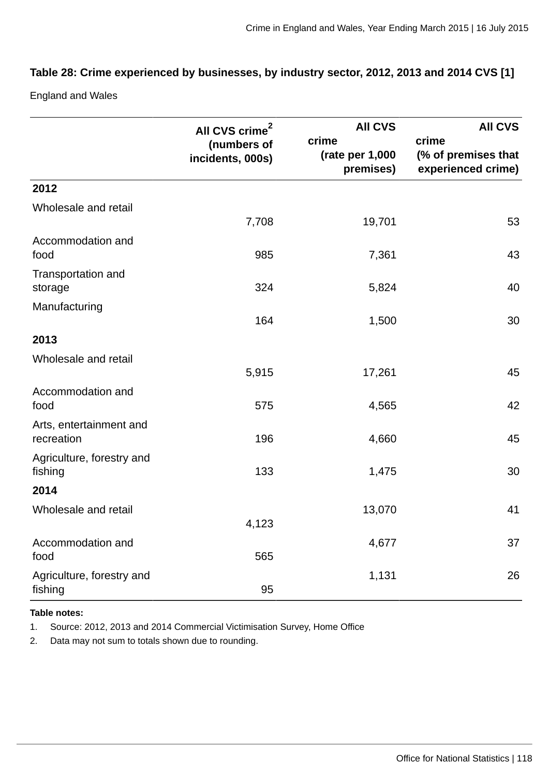## **Table 28: Crime experienced by businesses, by industry sector, 2012, 2013 and 2014 CVS [1]**

England and Wales

|                                       | All CVS crime <sup>2</sup>      | <b>AII CVS</b>                          | <b>AII CVS</b>                                     |
|---------------------------------------|---------------------------------|-----------------------------------------|----------------------------------------------------|
|                                       | (numbers of<br>incidents, 000s) | crime<br>(rate per $1,000$<br>premises) | crime<br>(% of premises that<br>experienced crime) |
| 2012                                  |                                 |                                         |                                                    |
| Wholesale and retail                  | 7,708                           | 19,701                                  | 53                                                 |
| Accommodation and<br>food             | 985                             | 7,361                                   | 43                                                 |
| Transportation and<br>storage         | 324                             | 5,824                                   | 40                                                 |
| Manufacturing                         | 164                             | 1,500                                   | 30                                                 |
| 2013                                  |                                 |                                         |                                                    |
| Wholesale and retail                  | 5,915                           | 17,261                                  | 45                                                 |
| Accommodation and<br>food             | 575                             | 4,565                                   | 42                                                 |
| Arts, entertainment and<br>recreation | 196                             | 4,660                                   | 45                                                 |
| Agriculture, forestry and<br>fishing  | 133                             | 1,475                                   | 30                                                 |
| 2014                                  |                                 |                                         |                                                    |
| Wholesale and retail                  | 4,123                           | 13,070                                  | 41                                                 |
| Accommodation and<br>food             | 565                             | 4,677                                   | 37                                                 |
| Agriculture, forestry and<br>fishing  | 95                              | 1,131                                   | 26                                                 |

#### **Table notes:**

1. Source: 2012, 2013 and 2014 Commercial Victimisation Survey, Home Office

2. Data may not sum to totals shown due to rounding.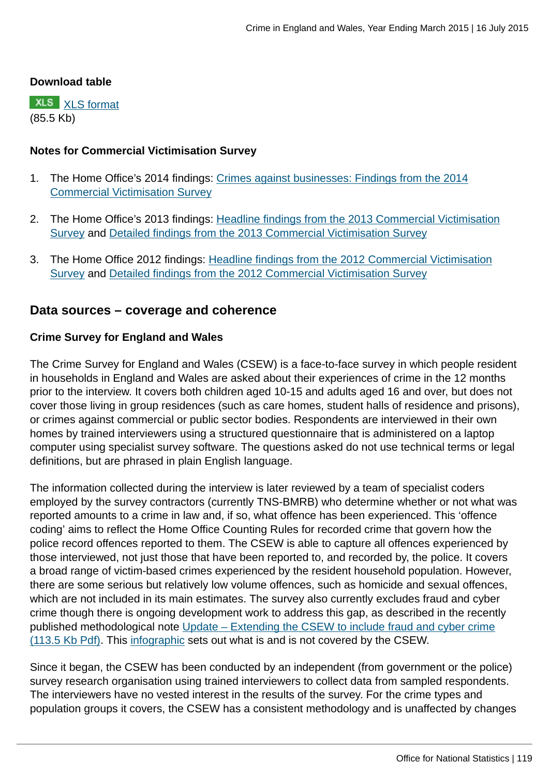#### **Download table**

**XLS** [XLS format](http://www.ons.gov.uk:80/ons/rel/crime-stats/crime-statistics/year-ending-march-2015/prt-28.xls) (85.5 Kb)

### **Notes for Commercial Victimisation Survey**

- 1. The Home Office's 2014 findings: [Crimes against businesses: Findings from the 2014](https://www.gov.uk/government/statistics/crime-against-businesses-findings-from-the-2014-commercial-victimisation-survey) [Commercial Victimisation Survey](https://www.gov.uk/government/statistics/crime-against-businesses-findings-from-the-2014-commercial-victimisation-survey)
- 2. The Home Office's 2013 findings: [Headline findings from the 2013 Commercial Victimisation](https://www.gov.uk/government/publications/crime-against-businesses-headline-findings-from-the-2013-commercial-victimisation-survey) [Survey](https://www.gov.uk/government/publications/crime-against-businesses-headline-findings-from-the-2013-commercial-victimisation-survey) and [Detailed findings from the 2013 Commercial Victimisation Survey](https://www.gov.uk/government/publications/crime-against-businesses-detailed-findings-from-the-2013-commercial-victimisation-survey)
- 3. The Home Office 2012 findings: [Headline findings from the 2012 Commercial Victimisation](https://www.gov.uk/government/publications/crime-against-businesses-headline-findings-from-the-2012-commercial-victimisation-survey--2) [Survey](https://www.gov.uk/government/publications/crime-against-businesses-headline-findings-from-the-2012-commercial-victimisation-survey--2) and [Detailed findings from the 2012 Commercial Victimisation Survey](https://www.gov.uk/government/publications/crime-against-businesses-detailed-findings-from-the-2012-commercial-victimisation-survey)

## **Data sources – coverage and coherence**

### **Crime Survey for England and Wales**

The Crime Survey for England and Wales (CSEW) is a face-to-face survey in which people resident in households in England and Wales are asked about their experiences of crime in the 12 months prior to the interview. It covers both children aged 10-15 and adults aged 16 and over, but does not cover those living in group residences (such as care homes, student halls of residence and prisons), or crimes against commercial or public sector bodies. Respondents are interviewed in their own homes by trained interviewers using a structured questionnaire that is administered on a laptop computer using specialist survey software. The questions asked do not use technical terms or legal definitions, but are phrased in plain English language.

The information collected during the interview is later reviewed by a team of specialist coders employed by the survey contractors (currently TNS-BMRB) who determine whether or not what was reported amounts to a crime in law and, if so, what offence has been experienced. This 'offence coding' aims to reflect the Home Office Counting Rules for recorded crime that govern how the police record offences reported to them. The CSEW is able to capture all offences experienced by those interviewed, not just those that have been reported to, and recorded by, the police. It covers a broad range of victim-based crimes experienced by the resident household population. However, there are some serious but relatively low volume offences, such as homicide and sexual offences, which are not included in its main estimates. The survey also currently excludes fraud and cyber crime though there is ongoing development work to address this gap, as described in the recently published methodological note [Update – Extending the CSEW to include fraud and cyber crime](http://www.ons.gov.uk:80/ons/guide-method/method-quality/specific/crime-statistics-methodology/methodological-notes/update---extending-the-csew-to-include-fraud-and-cyber-crime.pdf) [\(113.5 Kb Pdf\).](http://www.ons.gov.uk:80/ons/guide-method/method-quality/specific/crime-statistics-methodology/methodological-notes/update---extending-the-csew-to-include-fraud-and-cyber-crime.pdf) This [infographic](http://www.ons.gov.uk:80/ons/rel/crime-stats/crime-statistics/period-ending-june-2014/info-what-does-csew-cover.html) sets out what is and is not covered by the CSEW.

Since it began, the CSEW has been conducted by an independent (from government or the police) survey research organisation using trained interviewers to collect data from sampled respondents. The interviewers have no vested interest in the results of the survey. For the crime types and population groups it covers, the CSEW has a consistent methodology and is unaffected by changes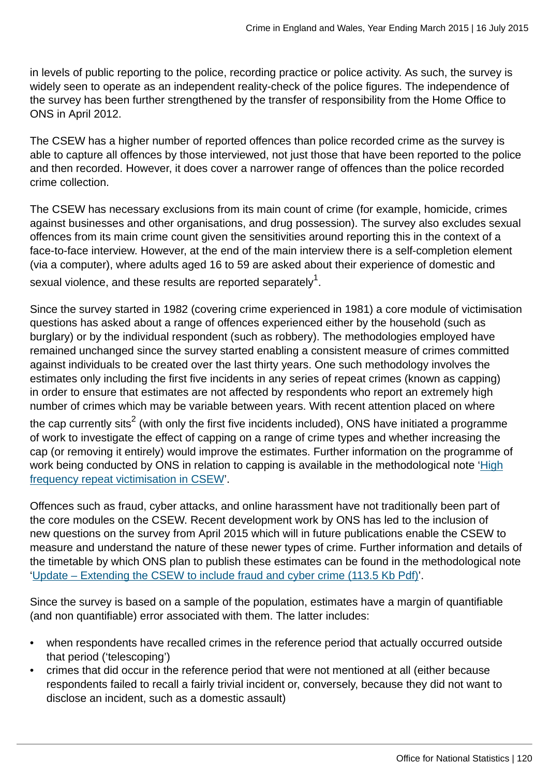in levels of public reporting to the police, recording practice or police activity. As such, the survey is widely seen to operate as an independent reality-check of the police figures. The independence of the survey has been further strengthened by the transfer of responsibility from the Home Office to ONS in April 2012.

The CSEW has a higher number of reported offences than police recorded crime as the survey is able to capture all offences by those interviewed, not just those that have been reported to the police and then recorded. However, it does cover a narrower range of offences than the police recorded crime collection.

The CSEW has necessary exclusions from its main count of crime (for example, homicide, crimes against businesses and other organisations, and drug possession). The survey also excludes sexual offences from its main crime count given the sensitivities around reporting this in the context of a face-to-face interview. However, at the end of the main interview there is a self-completion element (via a computer), where adults aged 16 to 59 are asked about their experience of domestic and sexual violence, and these results are reported separately $^{\rm 1}$ .

Since the survey started in 1982 (covering crime experienced in 1981) a core module of victimisation questions has asked about a range of offences experienced either by the household (such as burglary) or by the individual respondent (such as robbery). The methodologies employed have remained unchanged since the survey started enabling a consistent measure of crimes committed against individuals to be created over the last thirty years. One such methodology involves the estimates only including the first five incidents in any series of repeat crimes (known as capping) in order to ensure that estimates are not affected by respondents who report an extremely high number of crimes which may be variable between years. With recent attention placed on where

the cap currently sits $^2$  (with only the first five incidents included), ONS have initiated a programme of work to investigate the effect of capping on a range of crime types and whether increasing the cap (or removing it entirely) would improve the estimates. Further information on the programme of work being conducted by ONS in relation to capping is available in the methodological note ['High](http://www.ons.gov.uk:80/ons/guide-method/method-quality/specific/crime-statistics-methodology/methodological-notes/index.html) [frequency repeat victimisation in CSEW](http://www.ons.gov.uk:80/ons/guide-method/method-quality/specific/crime-statistics-methodology/methodological-notes/index.html)'.

Offences such as fraud, cyber attacks, and online harassment have not traditionally been part of the core modules on the CSEW. Recent development work by ONS has led to the inclusion of new questions on the survey from April 2015 which will in future publications enable the CSEW to measure and understand the nature of these newer types of crime. Further information and details of the timetable by which ONS plan to publish these estimates can be found in the methodological note ['Update – Extending the CSEW to include fraud and cyber crime \(113.5 Kb Pdf\)](http://www.ons.gov.uk:80/ons/guide-method/method-quality/specific/crime-statistics-methodology/methodological-notes/update---extending-the-csew-to-include-fraud-and-cyber-crime.pdf)'.

Since the survey is based on a sample of the population, estimates have a margin of quantifiable (and non quantifiable) error associated with them. The latter includes:

- when respondents have recalled crimes in the reference period that actually occurred outside that period ('telescoping')
- crimes that did occur in the reference period that were not mentioned at all (either because respondents failed to recall a fairly trivial incident or, conversely, because they did not want to disclose an incident, such as a domestic assault)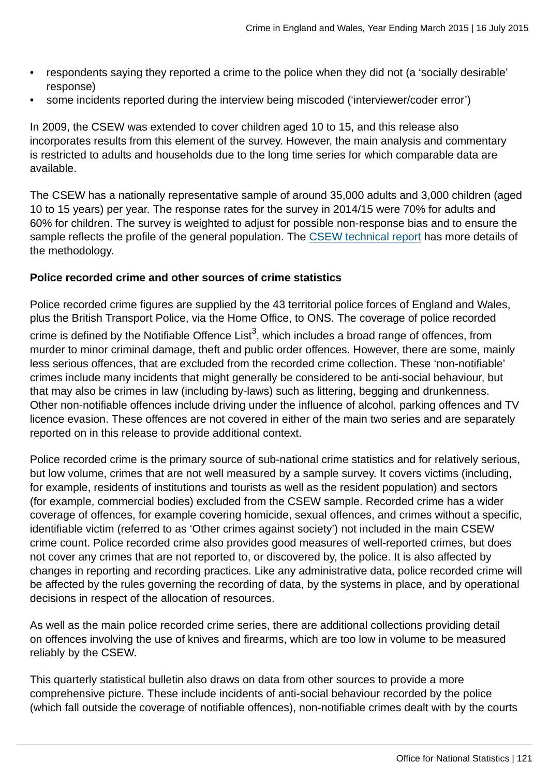- respondents saying they reported a crime to the police when they did not (a 'socially desirable' response)
- some incidents reported during the interview being miscoded ('interviewer/coder error')

In 2009, the CSEW was extended to cover children aged 10 to 15, and this release also incorporates results from this element of the survey. However, the main analysis and commentary is restricted to adults and households due to the long time series for which comparable data are available.

The CSEW has a nationally representative sample of around 35,000 adults and 3,000 children (aged 10 to 15 years) per year. The response rates for the survey in 2014/15 were 70% for adults and 60% for children. The survey is weighted to adjust for possible non-response bias and to ensure the sample reflects the profile of the general population. The [CSEW technical report](http://www.ons.gov.uk:80/ons/guide-method/method-quality/specific/crime-statistics-methodology/user-guides/index.html) has more details of the methodology.

## **Police recorded crime and other sources of crime statistics**

Police recorded crime figures are supplied by the 43 territorial police forces of England and Wales, plus the British Transport Police, via the Home Office, to ONS. The coverage of police recorded crime is defined by the Notifiable Offence List $^3$ , which includes a broad range of offences, from murder to minor criminal damage, theft and public order offences. However, there are some, mainly less serious offences, that are excluded from the recorded crime collection. These 'non-notifiable' crimes include many incidents that might generally be considered to be anti-social behaviour, but that may also be crimes in law (including by-laws) such as littering, begging and drunkenness. Other non-notifiable offences include driving under the influence of alcohol, parking offences and TV licence evasion. These offences are not covered in either of the main two series and are separately reported on in this release to provide additional context.

Police recorded crime is the primary source of sub-national crime statistics and for relatively serious, but low volume, crimes that are not well measured by a sample survey. It covers victims (including, for example, residents of institutions and tourists as well as the resident population) and sectors (for example, commercial bodies) excluded from the CSEW sample. Recorded crime has a wider coverage of offences, for example covering homicide, sexual offences, and crimes without a specific, identifiable victim (referred to as 'Other crimes against society') not included in the main CSEW crime count. Police recorded crime also provides good measures of well-reported crimes, but does not cover any crimes that are not reported to, or discovered by, the police. It is also affected by changes in reporting and recording practices. Like any administrative data, police recorded crime will be affected by the rules governing the recording of data, by the systems in place, and by operational decisions in respect of the allocation of resources.

As well as the main police recorded crime series, there are additional collections providing detail on offences involving the use of knives and firearms, which are too low in volume to be measured reliably by the CSEW.

This quarterly statistical bulletin also draws on data from other sources to provide a more comprehensive picture. These include incidents of anti-social behaviour recorded by the police (which fall outside the coverage of notifiable offences), non-notifiable crimes dealt with by the courts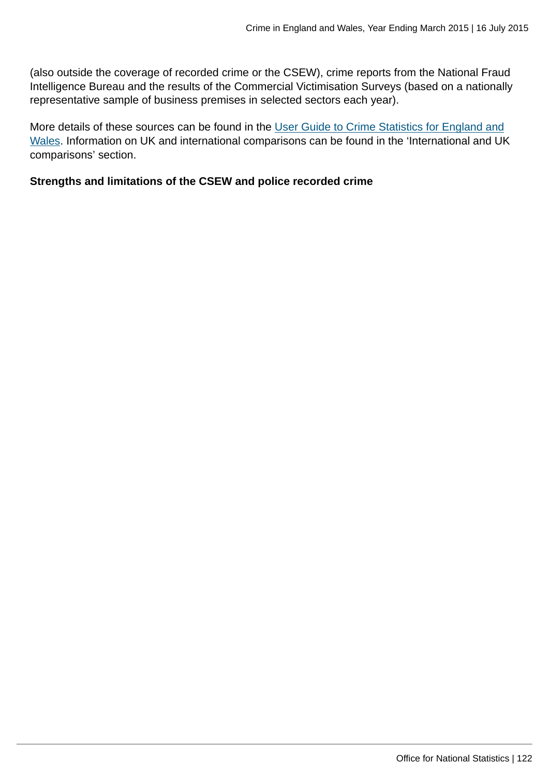(also outside the coverage of recorded crime or the CSEW), crime reports from the National Fraud Intelligence Bureau and the results of the Commercial Victimisation Surveys (based on a nationally representative sample of business premises in selected sectors each year).

More details of these sources can be found in the [User Guide to Crime Statistics for England and](http://www.ons.gov.uk:80/ons/guide-method/method-quality/specific/crime-statistics-methodology/user-guides/index.html) [Wales](http://www.ons.gov.uk:80/ons/guide-method/method-quality/specific/crime-statistics-methodology/user-guides/index.html). Information on UK and international comparisons can be found in the 'International and UK comparisons' section.

#### **Strengths and limitations of the CSEW and police recorded crime**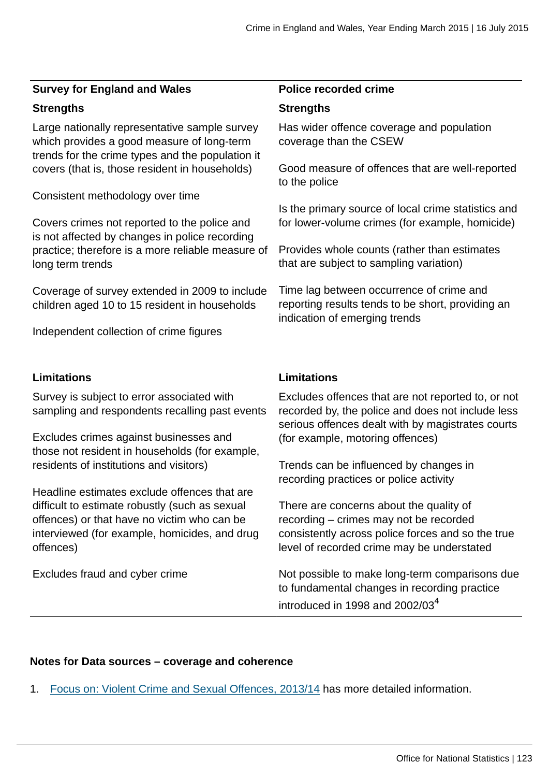#### **Survey for England and Wales Police recorded crime**

#### **Strengths Strengths**

Large nationally representative sample survey which provides a good measure of long-term trends for the crime types and the population it covers (that is, those resident in households)

Consistent methodology over time

Covers crimes not reported to the police and is not affected by changes in police recording practice; therefore is a more reliable measure of long term trends

Coverage of survey extended in 2009 to include children aged 10 to 15 resident in households

Independent collection of crime figures

### **Limitations Limitations**

Survey is subject to error associated with sampling and respondents recalling past events

Excludes crimes against businesses and those not resident in households (for example, residents of institutions and visitors)

Headline estimates exclude offences that are difficult to estimate robustly (such as sexual offences) or that have no victim who can be interviewed (for example, homicides, and drug offences)

Excludes fraud and cyber crime

Has wider offence coverage and population coverage than the CSEW

Good measure of offences that are well-reported to the police

Is the primary source of local crime statistics and for lower-volume crimes (for example, homicide)

Provides whole counts (rather than estimates that are subject to sampling variation)

Time lag between occurrence of crime and reporting results tends to be short, providing an indication of emerging trends

Excludes offences that are not reported to, or not recorded by, the police and does not include less serious offences dealt with by magistrates courts (for example, motoring offences)

Trends can be influenced by changes in recording practices or police activity

There are concerns about the quality of recording – crimes may not be recorded consistently across police forces and so the true level of recorded crime may be understated

Not possible to make long-term comparisons due to fundamental changes in recording practice introduced in 1998 and 2002/03 $4$ 

## **Notes for Data sources – coverage and coherence**

1. [Focus on: Violent Crime and Sexual Offences, 2013/14](http://www.ons.gov.uk:80/ons/rel/crime-stats/crime-statistics/focus-on-violent-crime-and-sexual-offences--2013-14/index.html) has more detailed information.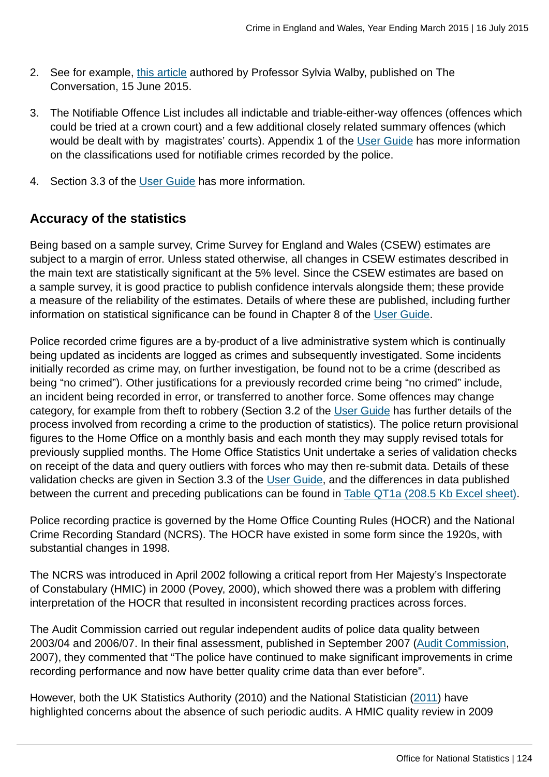- 2. See for example, [this article](https://theconversation.com/official-statistics-mask-extent-of-domestic-violence-in-the-uk-43087) authored by Professor Sylvia Walby, published on The Conversation, 15 June 2015.
- 3. The Notifiable Offence List includes all indictable and triable-either-way offences (offences which could be tried at a crown court) and a few additional closely related summary offences (which would be dealt with by magistrates' courts). Appendix 1 of the [User Guide](http://www.ons.gov.uk:80/ons/guide-method/method-quality/specific/crime-statistics-methodology/user-guides/index.html) has more information on the classifications used for notifiable crimes recorded by the police.
- 4. Section 3.3 of the [User Guide](http://www.ons.gov.uk:80/ons/guide-method/method-quality/specific/crime-statistics-methodology/user-guides/index.html) has more information.

# **Accuracy of the statistics**

Being based on a sample survey, Crime Survey for England and Wales (CSEW) estimates are subject to a margin of error. Unless stated otherwise, all changes in CSEW estimates described in the main text are statistically significant at the 5% level. Since the CSEW estimates are based on a sample survey, it is good practice to publish confidence intervals alongside them; these provide a measure of the reliability of the estimates. Details of where these are published, including further information on statistical significance can be found in Chapter 8 of the [User Guide.](http://www.ons.gov.uk:80/ons/guide-method/method-quality/specific/crime-statistics-methodology/user-guides/index.html)

Police recorded crime figures are a by-product of a live administrative system which is continually being updated as incidents are logged as crimes and subsequently investigated. Some incidents initially recorded as crime may, on further investigation, be found not to be a crime (described as being "no crimed"). Other justifications for a previously recorded crime being "no crimed" include, an incident being recorded in error, or transferred to another force. Some offences may change category, for example from theft to robbery (Section 3.2 of the [User Guide](http://www.ons.gov.uk:80/ons/guide-method/method-quality/specific/crime-statistics-methodology/user-guides/index.html) has further details of the process involved from recording a crime to the production of statistics). The police return provisional figures to the Home Office on a monthly basis and each month they may supply revised totals for previously supplied months. The Home Office Statistics Unit undertake a series of validation checks on receipt of the data and query outliers with forces who may then re-submit data. Details of these validation checks are given in Section 3.3 of the [User Guide,](http://www.ons.gov.uk:80/ons/guide-method/method-quality/specific/crime-statistics-methodology/user-guides/index.html) and the differences in data published between the current and preceding publications can be found in [Table QT1a \(208.5 Kb Excel sheet\).](http://www.ons.gov.uk:80/ons/rel/crime-stats/crime-statistics/year-ending-march-2015/rft-4.xls)

Police recording practice is governed by the Home Office Counting Rules (HOCR) and the National Crime Recording Standard (NCRS). The HOCR have existed in some form since the 1920s, with substantial changes in 1998.

The NCRS was introduced in April 2002 following a critical report from Her Majesty's Inspectorate of Constabulary (HMIC) in 2000 (Povey, 2000), which showed there was a problem with differing interpretation of the HOCR that resulted in inconsistent recording practices across forces.

The Audit Commission carried out regular independent audits of police data quality between 2003/04 and 2006/07. In their final assessment, published in September 2007 ([Audit Commission](http://webarchive.nationalarchives.gov.uk/20150216142613/http:/archive.audit-commission.gov.uk/auditcommission/nationalstudies/communitysafety/Pages/policedataquality0607.aspx.html), 2007), they commented that "The police have continued to make significant improvements in crime recording performance and now have better quality crime data than ever before".

However, both the UK Statistics Authority (2010) and the National Statistician [\(2011](http://www.statisticsauthority.gov.uk/national-statistician/ns-reports--reviews-and-guidance/national-statistician-s-reviews/national-statistician-s-review-of-crime-statistics.html)) have highlighted concerns about the absence of such periodic audits. A HMIC quality review in 2009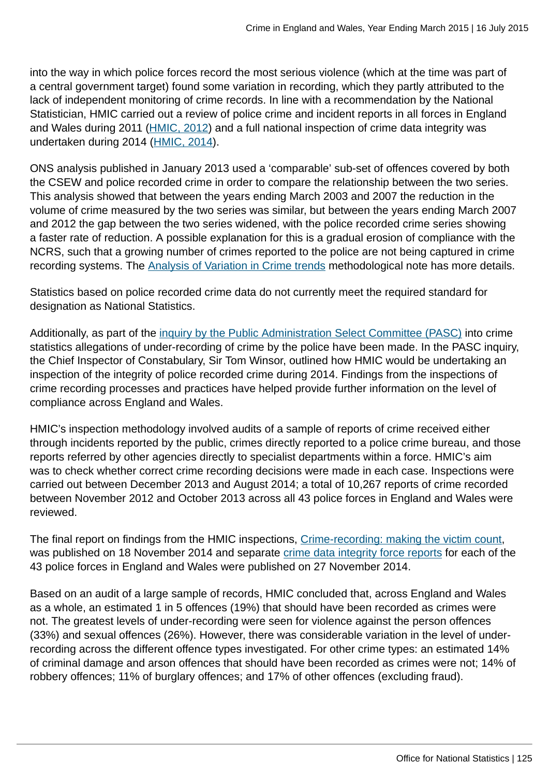into the way in which police forces record the most serious violence (which at the time was part of a central government target) found some variation in recording, which they partly attributed to the lack of independent monitoring of crime records. In line with a recommendation by the National Statistician, HMIC carried out a review of police crime and incident reports in all forces in England and Wales during 2011 ([HMIC, 2012\)](http://www.hmic.gov.uk/publication/review-police-crime-incident-reports-20120125/) and a full national inspection of crime data integrity was undertaken during 2014 [\(HMIC, 2014](https://www.justiceinspectorates.gov.uk/hmic/publication/crime-recording-making-the-victim-count/)).

ONS analysis published in January 2013 used a 'comparable' sub-set of offences covered by both the CSEW and police recorded crime in order to compare the relationship between the two series. This analysis showed that between the years ending March 2003 and 2007 the reduction in the volume of crime measured by the two series was similar, but between the years ending March 2007 and 2012 the gap between the two series widened, with the police recorded crime series showing a faster rate of reduction. A possible explanation for this is a gradual erosion of compliance with the NCRS, such that a growing number of crimes reported to the police are not being captured in crime recording systems. The [Analysis of Variation in Crime trends](http://www.ons.gov.uk:80/ons/guide-method/method-quality/specific/crime-statistics-methodology/methodological-notes/index.html) methodological note has more details.

Statistics based on police recorded crime data do not currently meet the required standard for designation as National Statistics.

Additionally, as part of the [inquiry by the Public Administration Select Committee \(PASC\)](http://www.parliament.uk/business/committees/committees-a-z/commons-select/public-administration-select-committee/news/crime-stats-substantive/) into crime statistics allegations of under-recording of crime by the police have been made. In the PASC inquiry, the Chief Inspector of Constabulary, Sir Tom Winsor, outlined how HMIC would be undertaking an inspection of the integrity of police recorded crime during 2014. Findings from the inspections of crime recording processes and practices have helped provide further information on the level of compliance across England and Wales.

HMIC's inspection methodology involved audits of a sample of reports of crime received either through incidents reported by the public, crimes directly reported to a police crime bureau, and those reports referred by other agencies directly to specialist departments within a force. HMIC's aim was to check whether correct crime recording decisions were made in each case. Inspections were carried out between December 2013 and August 2014; a total of 10,267 reports of crime recorded between November 2012 and October 2013 across all 43 police forces in England and Wales were reviewed.

The final report on findings from the HMIC inspections, [Crime-recording: making the victim count,](https://www.justiceinspectorates.gov.uk/hmic/publication/crime-recording-making-the-victim-count/) was published on 18 November 2014 and separate [crime data integrity force reports](https://www.justiceinspectorates.gov.uk/hmic/publication/crime-data-integrity-force-reports/) for each of the 43 police forces in England and Wales were published on 27 November 2014.

Based on an audit of a large sample of records, HMIC concluded that, across England and Wales as a whole, an estimated 1 in 5 offences (19%) that should have been recorded as crimes were not. The greatest levels of under-recording were seen for violence against the person offences (33%) and sexual offences (26%). However, there was considerable variation in the level of underrecording across the different offence types investigated. For other crime types: an estimated 14% of criminal damage and arson offences that should have been recorded as crimes were not; 14% of robbery offences; 11% of burglary offences; and 17% of other offences (excluding fraud).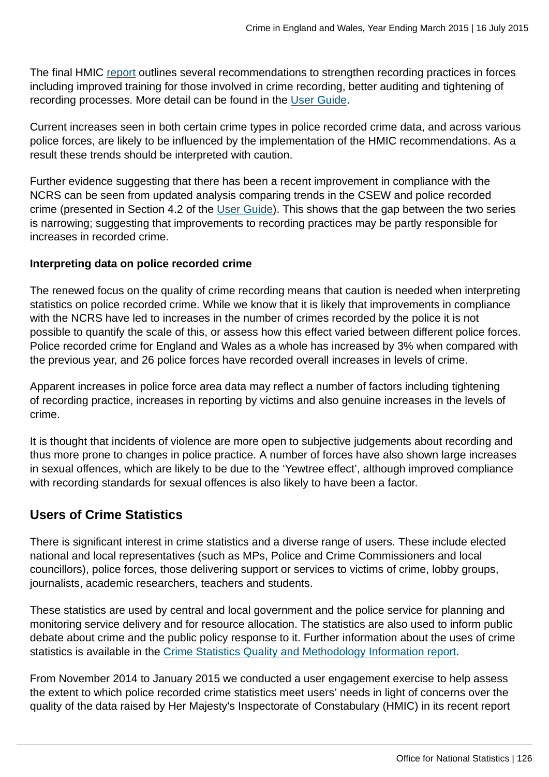The final HMIC [report](https://www.justiceinspectorates.gov.uk/hmic/publication/crime-recording-making-the-victim-count/) outlines several recommendations to strengthen recording practices in forces including improved training for those involved in crime recording, better auditing and tightening of recording processes. More detail can be found in the [User Guide.](http://www.ons.gov.uk:80/ons/guide-method/method-quality/specific/crime-statistics-methodology/user-guides/index.html)

Current increases seen in both certain crime types in police recorded crime data, and across various police forces, are likely to be influenced by the implementation of the HMIC recommendations. As a result these trends should be interpreted with caution.

Further evidence suggesting that there has been a recent improvement in compliance with the NCRS can be seen from updated analysis comparing trends in the CSEW and police recorded crime (presented in Section 4.2 of the [User Guide\)](http://www.ons.gov.uk:80/ons/guide-method/method-quality/specific/crime-statistics-methodology/user-guides/index.html). This shows that the gap between the two series is narrowing; suggesting that improvements to recording practices may be partly responsible for increases in recorded crime.

## **Interpreting data on police recorded crime**

The renewed focus on the quality of crime recording means that caution is needed when interpreting statistics on police recorded crime. While we know that it is likely that improvements in compliance with the NCRS have led to increases in the number of crimes recorded by the police it is not possible to quantify the scale of this, or assess how this effect varied between different police forces. Police recorded crime for England and Wales as a whole has increased by 3% when compared with the previous year, and 26 police forces have recorded overall increases in levels of crime.

Apparent increases in police force area data may reflect a number of factors including tightening of recording practice, increases in reporting by victims and also genuine increases in the levels of crime.

It is thought that incidents of violence are more open to subjective judgements about recording and thus more prone to changes in police practice. A number of forces have also shown large increases in sexual offences, which are likely to be due to the 'Yewtree effect', although improved compliance with recording standards for sexual offences is also likely to have been a factor.

# **Users of Crime Statistics**

There is significant interest in crime statistics and a diverse range of users. These include elected national and local representatives (such as MPs, Police and Crime Commissioners and local councillors), police forces, those delivering support or services to victims of crime, lobby groups, journalists, academic researchers, teachers and students.

These statistics are used by central and local government and the police service for planning and monitoring service delivery and for resource allocation. The statistics are also used to inform public debate about crime and the public policy response to it. Further information about the uses of crime statistics is available in the [Crime Statistics Quality and Methodology Information report](http://www.ons.gov.uk:80/ons/guide-method/method-quality/quality/quality-information/crime-and-justice/index.html).

From November 2014 to January 2015 we conducted a user engagement exercise to help assess the extent to which police recorded crime statistics meet users' needs in light of concerns over the quality of the data raised by Her Majesty's Inspectorate of Constabulary (HMIC) in its recent report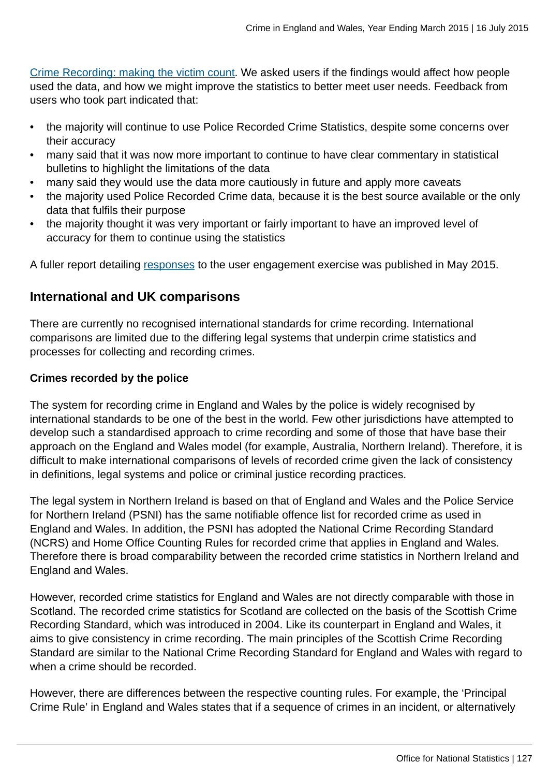[Crime Recording: making the victim count](http://www.justiceinspectorates.gov.uk/hmic/wp-content/uploads/crime-recording-making-the-victim-count.pdf). We asked users if the findings would affect how people used the data, and how we might improve the statistics to better meet user needs. Feedback from users who took part indicated that:

- the majority will continue to use Police Recorded Crime Statistics, despite some concerns over their accuracy
- many said that it was now more important to continue to have clear commentary in statistical bulletins to highlight the limitations of the data
- many said they would use the data more cautiously in future and apply more caveats
- the majority used Police Recorded Crime data, because it is the best source available or the only data that fulfils their purpose
- the majority thought it was very important or fairly important to have an improved level of accuracy for them to continue using the statistics

A fuller report detailing [responses](http://www.ons.gov.uk:80/ons/about-ons/get-involved/consultations-and-user-surveys/satisfaction-surveys/crime-statistics-survey/index.html) to the user engagement exercise was published in May 2015.

## **International and UK comparisons**

There are currently no recognised international standards for crime recording. International comparisons are limited due to the differing legal systems that underpin crime statistics and processes for collecting and recording crimes.

## **Crimes recorded by the police**

The system for recording crime in England and Wales by the police is widely recognised by international standards to be one of the best in the world. Few other jurisdictions have attempted to develop such a standardised approach to crime recording and some of those that have base their approach on the England and Wales model (for example, Australia, Northern Ireland). Therefore, it is difficult to make international comparisons of levels of recorded crime given the lack of consistency in definitions, legal systems and police or criminal justice recording practices.

The legal system in Northern Ireland is based on that of England and Wales and the Police Service for Northern Ireland (PSNI) has the same notifiable offence list for recorded crime as used in England and Wales. In addition, the PSNI has adopted the National Crime Recording Standard (NCRS) and Home Office Counting Rules for recorded crime that applies in England and Wales. Therefore there is broad comparability between the recorded crime statistics in Northern Ireland and England and Wales.

However, recorded crime statistics for England and Wales are not directly comparable with those in Scotland. The recorded crime statistics for Scotland are collected on the basis of the Scottish Crime Recording Standard, which was introduced in 2004. Like its counterpart in England and Wales, it aims to give consistency in crime recording. The main principles of the Scottish Crime Recording Standard are similar to the National Crime Recording Standard for England and Wales with regard to when a crime should be recorded.

However, there are differences between the respective counting rules. For example, the 'Principal Crime Rule' in England and Wales states that if a sequence of crimes in an incident, or alternatively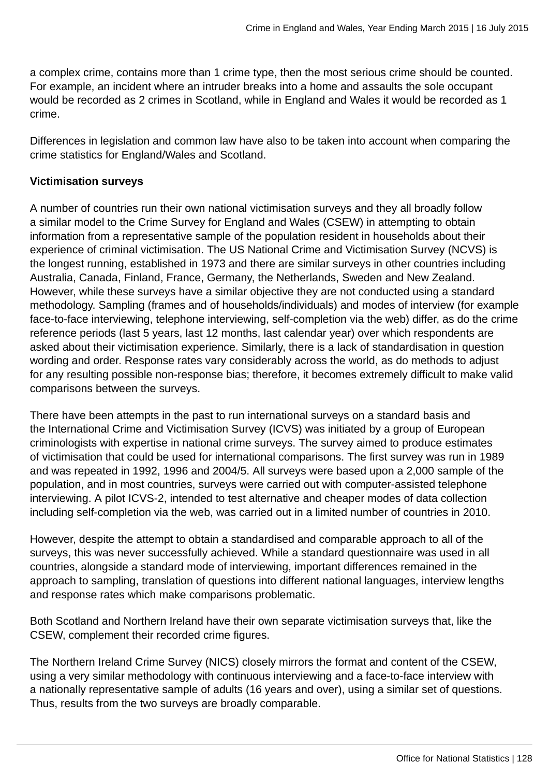a complex crime, contains more than 1 crime type, then the most serious crime should be counted. For example, an incident where an intruder breaks into a home and assaults the sole occupant would be recorded as 2 crimes in Scotland, while in England and Wales it would be recorded as 1 crime.

Differences in legislation and common law have also to be taken into account when comparing the crime statistics for England/Wales and Scotland.

## **Victimisation surveys**

A number of countries run their own national victimisation surveys and they all broadly follow a similar model to the Crime Survey for England and Wales (CSEW) in attempting to obtain information from a representative sample of the population resident in households about their experience of criminal victimisation. The US National Crime and Victimisation Survey (NCVS) is the longest running, established in 1973 and there are similar surveys in other countries including Australia, Canada, Finland, France, Germany, the Netherlands, Sweden and New Zealand. However, while these surveys have a similar objective they are not conducted using a standard methodology. Sampling (frames and of households/individuals) and modes of interview (for example face-to-face interviewing, telephone interviewing, self-completion via the web) differ, as do the crime reference periods (last 5 years, last 12 months, last calendar year) over which respondents are asked about their victimisation experience. Similarly, there is a lack of standardisation in question wording and order. Response rates vary considerably across the world, as do methods to adjust for any resulting possible non-response bias; therefore, it becomes extremely difficult to make valid comparisons between the surveys.

There have been attempts in the past to run international surveys on a standard basis and the International Crime and Victimisation Survey (ICVS) was initiated by a group of European criminologists with expertise in national crime surveys. The survey aimed to produce estimates of victimisation that could be used for international comparisons. The first survey was run in 1989 and was repeated in 1992, 1996 and 2004/5. All surveys were based upon a 2,000 sample of the population, and in most countries, surveys were carried out with computer-assisted telephone interviewing. A pilot ICVS-2, intended to test alternative and cheaper modes of data collection including self-completion via the web, was carried out in a limited number of countries in 2010.

However, despite the attempt to obtain a standardised and comparable approach to all of the surveys, this was never successfully achieved. While a standard questionnaire was used in all countries, alongside a standard mode of interviewing, important differences remained in the approach to sampling, translation of questions into different national languages, interview lengths and response rates which make comparisons problematic.

Both Scotland and Northern Ireland have their own separate victimisation surveys that, like the CSEW, complement their recorded crime figures.

The Northern Ireland Crime Survey (NICS) closely mirrors the format and content of the CSEW, using a very similar methodology with continuous interviewing and a face-to-face interview with a nationally representative sample of adults (16 years and over), using a similar set of questions. Thus, results from the two surveys are broadly comparable.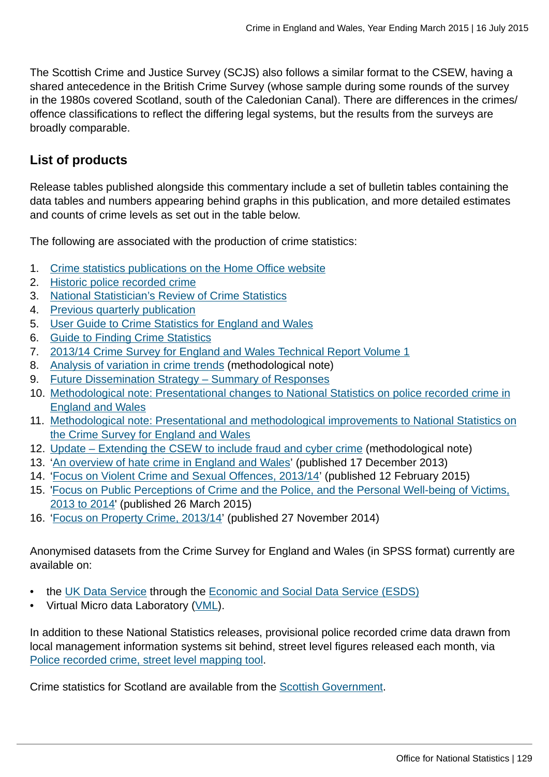The Scottish Crime and Justice Survey (SCJS) also follows a similar format to the CSEW, having a shared antecedence in the British Crime Survey (whose sample during some rounds of the survey in the 1980s covered Scotland, south of the Caledonian Canal). There are differences in the crimes/ offence classifications to reflect the differing legal systems, but the results from the surveys are broadly comparable.

# **List of products**

Release tables published alongside this commentary include a set of bulletin tables containing the data tables and numbers appearing behind graphs in this publication, and more detailed estimates and counts of crime levels as set out in the table below.

The following are associated with the production of crime statistics:

- 1. [Crime statistics publications on the Home Office website](https://www.gov.uk/government/organisations/home-office/series/crime-statistics)
- 2. [Historic police recorded crime](https://www.gov.uk/government/publications/historical-crime-data)
- 3. [National Statistician's Review of Crime Statistics](http://www.statisticsauthority.gov.uk/national-statistician/ns-reports--reviews-and-guidance/national-statistician-s-reviews/national-statistician-s-review-of-crime-statistics.html)
- 4. [Previous quarterly publication](http://www.ons.gov.uk:80/ons/rel/crime-stats/crime-statistics/year-ending-december-2014/index.html)
- 5. [User Guide to Crime Statistics for England and Wales](http://www.ons.gov.uk:80/ons/guide-method/method-quality/specific/crime-statistics-methodology/user-guides/index.html)
- 6. [Guide to Finding Crime Statistics](http://www.ons.gov.uk:80/ons/guide-method/method-quality/specific/crime-statistics-methodology/guide-to-finding-crime-statistics/index.html)
- 7. [2013/14 Crime Survey for England and Wales Technical Report Volume 1](http://www.ons.gov.uk:80/ons/guide-method/method-quality/specific/crime-statistics-methodology/user-guides/index.html)
- 8. [Analysis of variation in crime trends](http://www.ons.gov.uk:80/ons/guide-method/method-quality/specific/crime-statistics-methodology/methodological-notes/index.html) (methodological note)
- 9. [Future Dissemination Strategy Summary of Responses](http://www.ons.gov.uk:80/ons/about-ons/get-involved/consultations-and-user-surveys/consultations/future-dissemination-strategy-for-the-publication-of-national-statistics-on-crime-in-england-and-wales/index.html)
- 10. [Methodological note: Presentational changes to National Statistics on police recorded crime in](http://www.ons.gov.uk:80/ons/guide-method/method-quality/specific/crime-statistics-methodology/methodological-notes/index.html) [England and Wales](http://www.ons.gov.uk:80/ons/guide-method/method-quality/specific/crime-statistics-methodology/methodological-notes/index.html)
- 11. [Methodological note: Presentational and methodological improvements to National Statistics on](http://www.ons.gov.uk:80/ons/guide-method/method-quality/specific/crime-statistics-methodology/methodological-notes/index.html) [the Crime Survey for England and Wales](http://www.ons.gov.uk:80/ons/guide-method/method-quality/specific/crime-statistics-methodology/methodological-notes/index.html)
- 12. [Update Extending the CSEW to include fraud and cyber crime](http://www.ons.gov.uk:80/ons/guide-method/method-quality/specific/crime-statistics-methodology/methodological-notes/index.html) (methodological note)
- 13. ['An overview of hate crime in England and Wales'](https://www.gov.uk/government/publications/an-overview-of-hate-crime-in-england-and-wales) (published 17 December 2013)
- 14. ['Focus on Violent Crime and Sexual Offences, 2013/14'](http://www.ons.gov.uk:80/ons/rel/crime-stats/crime-statistics/focus-on-violent-crime-and-sexual-offences--2013-14/index.html) (published 12 February 2015)
- 15. '[Focus on Public Perceptions of Crime and the Police, and the Personal Well-being of Victims,](http://www.ons.gov.uk:80/ons/rel/crime-stats/crime-statistics/focus-on-public-perceptions-of-crime-and-the-police--and-the-personal-well-being-of-victims--2013-to-2014/index.html) [2013 to 2014](http://www.ons.gov.uk:80/ons/rel/crime-stats/crime-statistics/focus-on-public-perceptions-of-crime-and-the-police--and-the-personal-well-being-of-victims--2013-to-2014/index.html)' (published 26 March 2015)
- 16. ['Focus on Property Crime, 2013/14](http://www.ons.gov.uk:80/ons/rel/crime-stats/crime-statistics/focus-on-property-crime--2013-14/index.html)' (published 27 November 2014)

Anonymised datasets from the Crime Survey for England and Wales (in SPSS format) currently are available on:

- the [UK Data Service](http://ukdataservice.ac.uk/) through the [Economic and Social Data Service \(ESDS\)](http://www.esds.ac.uk/government/)
- Virtual Micro data Laboratory [\(VML](http://www.ons.gov.uk:80/ons/about-ons/business-transparency/freedom-of-information/what-can-i-request/virtual-microdata-laboratory--vml-/index.html)).

In addition to these National Statistics releases, provisional police recorded crime data drawn from local management information systems sit behind, street level figures released each month, via [Police recorded crime, street level mapping tool](http://www.police.uk/).

Crime statistics for Scotland are available from the [Scottish Government.](http://www.scotland.gov.uk/Topics/Statistics/Browse/Crime-Justice/PubRecordedCrime)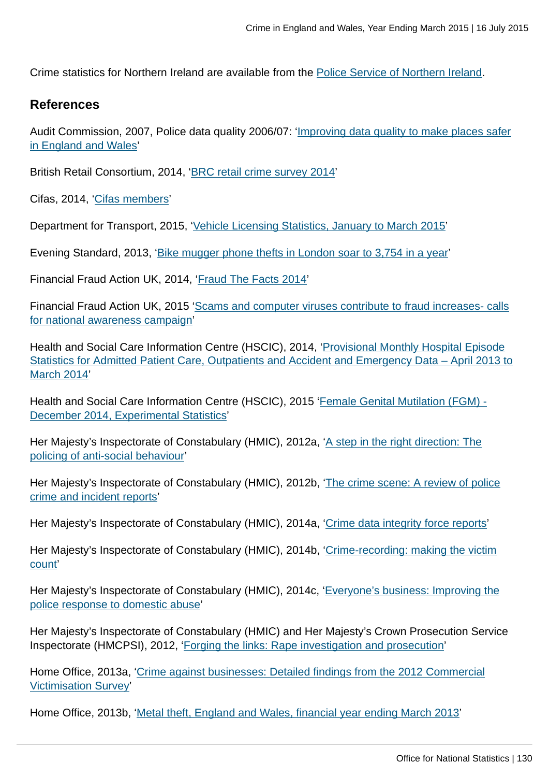Crime statistics for Northern Ireland are available from the [Police Service of Northern Ireland](http://www.psni.police.uk/directory/updates/updates_statistics/update_crime_statistics.htm).

## **References**

Audit Commission, 2007, Police data quality 2006/07: ['Improving data quality to make places safer](http://archive.audit-commission.gov.uk/auditcommission/nationalstudies/communitysafety/Pages/policedataquality0607.aspx.html) [in England and Wales'](http://archive.audit-commission.gov.uk/auditcommission/nationalstudies/communitysafety/Pages/policedataquality0607.aspx.html)

British Retail Consortium, 2014, '[BRC retail crime survey 2014'](http://www.brc.org.uk/brc_policy_content.asp?id=263&iCat=48&iSubCat=646&sPolicy=Retail%20Crime&sSubPolicy=BRC%20Retail%20Crime%20Survey)

Cifas, 2014, ['Cifas members](http://www.cifas.org.uk/cifas_members)'

Department for Transport, 2015, ['Vehicle Licensing Statistics, January to March 2015'](https://www.gov.uk/government/statistics/vehicle-licensing-statistics-january-to-march-2015)

Evening Standard, 2013, ['Bike mugger phone thefts in London soar to 3,754 in a year'](http://www.standard.co.uk/news/crime/bike-mugger-phone-thefts-in-london-soar-to-3754-in-a-year-8559784.html)

Financial Fraud Action UK, 2014, ['Fraud The Facts 2014](http://www.financialfraudaction.org.uk/Fraud-the-Facts-2014.asp)'

Financial Fraud Action UK, 2015 ['Scams and computer viruses contribute to fraud increases- calls](http://www.financialfraudaction.org.uk/cms/assets/1/2014%20annual%20fraud%20figures%20release%20-%20final.pdf) [for national awareness campaign](http://www.financialfraudaction.org.uk/cms/assets/1/2014%20annual%20fraud%20figures%20release%20-%20final.pdf)'

Health and Social Care Information Centre (HSCIC), 2014, '[Provisional Monthly Hospital Episode](http://www.hscic.gov.uk/article/2021/Website-Search?productid=14896&q=Provisional+Monthly+Hospital+Episode+Statistics+for+Admitted+Patient+Care%2c+Outpatients+and+Accident+and+Emergency+Data+&sort=Relevance&size=10&page=1&area=both#top) [Statistics for Admitted Patient Care, Outpatients and Accident and Emergency Data – April 2013 to](http://www.hscic.gov.uk/article/2021/Website-Search?productid=14896&q=Provisional+Monthly+Hospital+Episode+Statistics+for+Admitted+Patient+Care%2c+Outpatients+and+Accident+and+Emergency+Data+&sort=Relevance&size=10&page=1&area=both#top) [March 2014'](http://www.hscic.gov.uk/article/2021/Website-Search?productid=14896&q=Provisional+Monthly+Hospital+Episode+Statistics+for+Admitted+Patient+Care%2c+Outpatients+and+Accident+and+Emergency+Data+&sort=Relevance&size=10&page=1&area=both#top)

Health and Social Care Information Centre (HSCIC), 2015 ['Female Genital Mutilation \(FGM\) -](http://www.hscic.gov.uk/catalogue/PUB16773/fgm-dec-2014-exp-qual.pdf) [December 2014, Experimental Statistics'](http://www.hscic.gov.uk/catalogue/PUB16773/fgm-dec-2014-exp-qual.pdf)

Her Majesty's Inspectorate of Constabulary (HMIC), 2012a, '[A step in the right direction: The](http://www.hmic.gov.uk/publication/a-step-in-the-right-direction-the-policing-of-anti-social-behaviour/) [policing of anti-social behaviour'](http://www.hmic.gov.uk/publication/a-step-in-the-right-direction-the-policing-of-anti-social-behaviour/)

Her Majesty's Inspectorate of Constabulary (HMIC), 2012b, '[The crime scene: A review of police](http://www.hmic.gov.uk/publication/review-police-crime-incident-reports-20120125/) [crime and incident reports](http://www.hmic.gov.uk/publication/review-police-crime-incident-reports-20120125/)'

Her Majesty's Inspectorate of Constabulary (HMIC), 2014a, '[Crime data integrity force reports](https://www.justiceinspectorates.gov.uk/hmic/publication/crime-data-integrity-force-reports/)'

Her Majesty's Inspectorate of Constabulary (HMIC), 2014b, '[Crime-recording: making the victim](https://www.justiceinspectorates.gov.uk/hmic/publication/crime-recording-making-the-victim-count/) [count'](https://www.justiceinspectorates.gov.uk/hmic/publication/crime-recording-making-the-victim-count/)

Her Majesty's Inspectorate of Constabulary (HMIC), 2014c, ['Everyone's business: Improving the](http://www.hmic.gov.uk/publication/improving-the-police-response-to-domestic-abuse/) [police response to domestic abuse](http://www.hmic.gov.uk/publication/improving-the-police-response-to-domestic-abuse/)'

Her Majesty's Inspectorate of Constabulary (HMIC) and Her Majesty's Crown Prosecution Service Inspectorate (HMCPSI), 2012, '[Forging the links: Rape investigation and prosecution'](http://www.hmic.gov.uk/publication/forging-the-links-rape-investigation-and-prosecution/)

Home Office, 2013a, ['Crime against businesses: Detailed findings from the 2012 Commercial](https://www.gov.uk/government/publications/crime-against-businesses-detailed-findings-from-the-2012-commercial-victimisation-survey) [Victimisation Survey](https://www.gov.uk/government/publications/crime-against-businesses-detailed-findings-from-the-2012-commercial-victimisation-survey)'

Home Office, 2013b, ['Metal theft, England and Wales, financial year ending March 2013'](https://www.gov.uk/government/publications/metal-theft-england-and-wales-financial-year-ending-march-2013)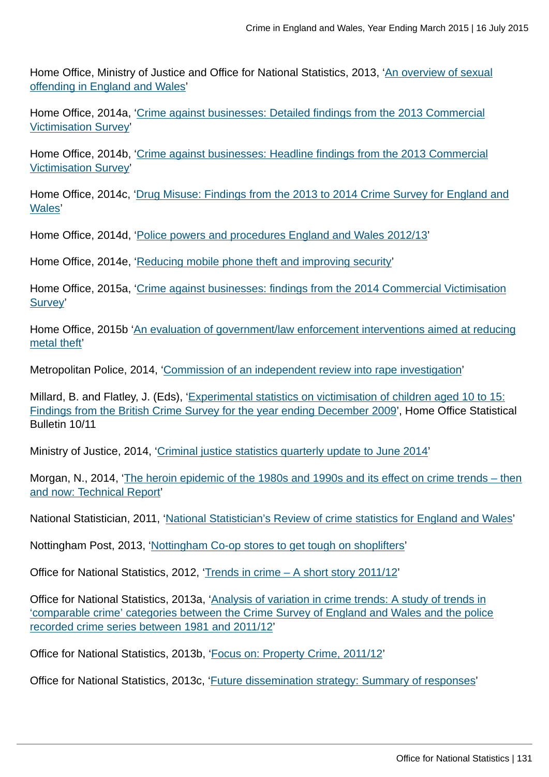Home Office, Ministry of Justice and Office for National Statistics, 2013, ['An overview of sexual](https://www.gov.uk/government/publications/an-overview-of-sexual-offending-in-england-and-wales) [offending in England and Wales](https://www.gov.uk/government/publications/an-overview-of-sexual-offending-in-england-and-wales)'

Home Office, 2014a, ['Crime against businesses: Detailed findings from the 2013 Commercial](https://www.gov.uk/government/publications/crime-against-businesses-detailed-findings-from-the-2013-commercial-victimisation-survey) [Victimisation Survey](https://www.gov.uk/government/publications/crime-against-businesses-detailed-findings-from-the-2013-commercial-victimisation-survey)'

Home Office, 2014b, ['Crime against businesses: Headline findings from the 2013 Commercial](https://www.gov.uk/government/publications/crime-against-businesses-headline-findings-from-the-2013-commercial-victimisation-survey) [Victimisation Survey](https://www.gov.uk/government/publications/crime-against-businesses-headline-findings-from-the-2013-commercial-victimisation-survey)'

Home Office, 2014c, ['Drug Misuse: Findings from the 2013 to 2014 Crime Survey for England and](https://www.gov.uk/government/statistics/drug-misuse-findings-from-the-2013-to-2014-csew) [Wales](https://www.gov.uk/government/statistics/drug-misuse-findings-from-the-2013-to-2014-csew)'

Home Office, 2014d, ['Police powers and procedures England and Wales 2012/13](https://www.gov.uk/government/publications/police-powers-and-procedures-england-and-wales-2012-to-2013)'

Home Office, 2014e, ['Reducing mobile phone theft and improving security](https://www.gov.uk/government/publications/reducing-mobile-phone-theft-and-improving-security)'

Home Office, 2015a, ['Crime against businesses: findings from the 2014 Commercial Victimisation](https://www.gov.uk/government/publications/crime-against-businesses-headline-findings-from-the-2013-commercial-victimisation-survey) [Survey'](https://www.gov.uk/government/publications/crime-against-businesses-headline-findings-from-the-2013-commercial-victimisation-survey)

Home Office, 2015b '[An evaluation of government/law enforcement interventions aimed at reducing](#page-0-0) [metal theft](#page-0-0)'

Metropolitan Police, 2014, ['Commission of an independent review into rape investigation](http://content.met.police.uk/News/Commission-of-an-independent-review-into-rape-investigation/1400024447530/1257246745756)'

Millard, B. and Flatley, J. (Eds), ['Experimental statistics on victimisation of children aged 10 to 15:](http://https://www.gov.uk/government/publications/experimental-statistics-on-victimisation-of-children-aged-10-to-15-british-crime-survey-year-ending-december-2009) [Findings from the British Crime Survey for the year ending December 2009'](http://https://www.gov.uk/government/publications/experimental-statistics-on-victimisation-of-children-aged-10-to-15-british-crime-survey-year-ending-december-2009), Home Office Statistical Bulletin 10/11

Ministry of Justice, 2014, ['Criminal justice statistics quarterly update to June 2014'](https://www.gov.uk/government/statistics/criminal-justice-system-quarterly-statistics-june-2014)

Morgan, N., 2014, ['The heroin epidemic of the 1980s and 1990s and its effect on crime trends – then](#page-0-0) [and now: Technical Report'](#page-0-0)

National Statistician, 2011, ['National Statistician's Review of crime statistics for England and Wales](http://www.statisticsauthority.gov.uk/national-statistician/ns-reports--reviews-and-guidance/national-statistician-s-reviews/national-statistician-s-review-of-crime-statistics.html)'

Nottingham Post, 2013, '[Nottingham Co-op stores to get tough on shoplifters](http://www.nottinghampost.com/Nottingham-op-stores-tough-shoplifters/story-20335256-detail/story.html)'

Office for National Statistics, 2012, ['Trends in crime – A short story 2011/12'](http://www.ons.gov.uk:80/ons/rel/crime-stats/crime-statistics/period-ending-march-2012/trends-in-crime--a-short-story.html)

Office for National Statistics, 2013a, '[Analysis of variation in crime trends: A study of trends in](http://www.ons.gov.uk:80/ons/guide-method/method-quality/specific/crime-statistics-methodology/methodological-notes/index.html) ['comparable crime' categories between the Crime Survey of England and Wales and the police](http://www.ons.gov.uk:80/ons/guide-method/method-quality/specific/crime-statistics-methodology/methodological-notes/index.html) [recorded crime series between 1981 and 2011/12'](http://www.ons.gov.uk:80/ons/guide-method/method-quality/specific/crime-statistics-methodology/methodological-notes/index.html)

Office for National Statistics, 2013b, '[Focus on: Property Crime, 2011/12](http://www.ons.gov.uk:80/ons/rel/crime-stats/crime-statistics/focus-on-property-crime--2011-12/index.html)'

Office for National Statistics, 2013c, ['Future dissemination strategy: Summary of responses](http://www.ons.gov.uk:80/ons/about-ons/get-involved/consultations-and-user-surveys/consultations/future-dissemination-strategy-for-the-publication-of-national-statistics-on-crime-in-england-and-wales/index.html)'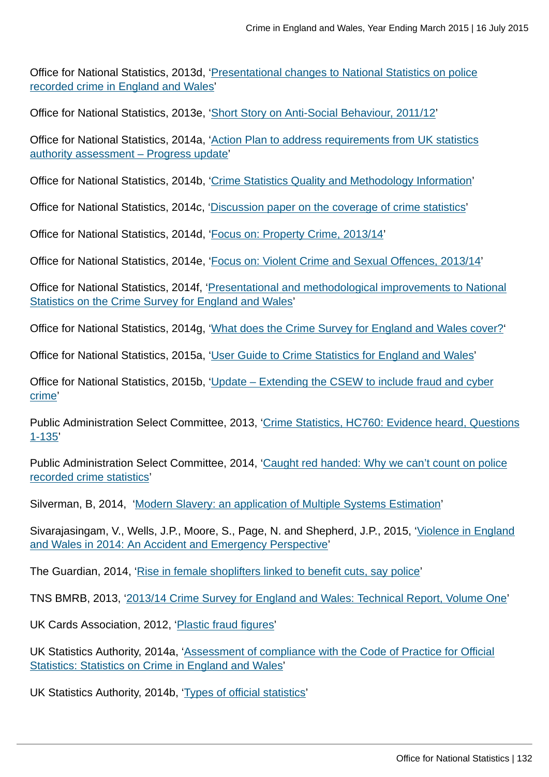Office for National Statistics, 2013d, '[Presentational changes to National Statistics on police](http://www.ons.gov.uk:80/ons/guide-method/method-quality/specific/crime-statistics-methodology/methodological-notes/index.html) [recorded crime in England and Wales'](http://www.ons.gov.uk:80/ons/guide-method/method-quality/specific/crime-statistics-methodology/methodological-notes/index.html)

Office for National Statistics, 2013e, '[Short Story on Anti-Social Behaviour, 2011/12'](http://www.ons.gov.uk:80/ons/rel/crime-stats/crime-statistics/short-story-on-anti-social-behaviour--2011-12/index.html)

Office for National Statistics, 2014a, '[Action Plan to address requirements from UK statistics](http://www.ons.gov.uk:80/ons/guide-method/method-quality/specific/crime-statistics-methodology/uk-statistics-authority-assessment/index.html) [authority assessment – Progress update](http://www.ons.gov.uk:80/ons/guide-method/method-quality/specific/crime-statistics-methodology/uk-statistics-authority-assessment/index.html)'

Office for National Statistics, 2014b, '[Crime Statistics Quality and Methodology Information](http://www.ons.gov.uk:80/ons/guide-method/method-quality/quality/quality-information/crime-and-justice/index.html)'

Office for National Statistics, 2014c, ['Discussion paper on the coverage of crime statistics'](http://www.ons.gov.uk:80/ons/guide-method/method-quality/specific/crime-statistics-methodology/methodological-notes/index.html)

Office for National Statistics, 2014d, '[Focus on: Property Crime, 2013/14](http://www.ons.gov.uk:80/ons/rel/crime-stats/crime-statistics/focus-on-property-crime--2013-14/index.html)'

Office for National Statistics, 2014e, '[Focus on: Violent Crime and Sexual Offences, 2013/14'](http://www.ons.gov.uk:80/ons/rel/crime-stats/crime-statistics/focus-on-violent-crime-and-sexual-offences--2013-14/index.html)

Office for National Statistics, 2014f, ['Presentational and methodological improvements to National](http://www.ons.gov.uk:80/ons/guide-method/method-quality/specific/crime-statistics-methodology/methodological-notes/index.html) [Statistics on the Crime Survey for England and Wales](http://www.ons.gov.uk:80/ons/guide-method/method-quality/specific/crime-statistics-methodology/methodological-notes/index.html)'

Office for National Statistics, 2014g, '[What does the Crime Survey for England and Wales cover?'](http://www.ons.gov.uk:80/ons/rel/crime-stats/crime-statistics/period-ending-june-2014/info-what-does-csew-cover.html)

Office for National Statistics, 2015a, '[User Guide to Crime Statistics for England and Wales'](http://www.ons.gov.uk:80/ons/guide-method/method-quality/specific/crime-statistics-methodology/user-guides/index.html)

Office for National Statistics, 2015b, '[Update – Extending the CSEW to include fraud and cyber](http://www.ons.gov.uk:80/ons/guide-method/method-quality/specific/crime-statistics-methodology/methodological-notes/index.html) [crime'](http://www.ons.gov.uk:80/ons/guide-method/method-quality/specific/crime-statistics-methodology/methodological-notes/index.html)

Public Administration Select Committee, 2013, '[Crime Statistics, HC760: Evidence heard, Questions](http://data.parliament.uk/writtenevidence/WrittenEvidence.svc/EvidenceHtml/4041) [1-135](http://data.parliament.uk/writtenevidence/WrittenEvidence.svc/EvidenceHtml/4041)'

Public Administration Select Committee, 2014, '[Caught red handed: Why we can't count on police](http://www.publications.parliament.uk/pa/cm201314/cmselect/cmpubadm/760/760.pdf) [recorded crime statistics'](http://www.publications.parliament.uk/pa/cm201314/cmselect/cmpubadm/760/760.pdf)

Silverman, B, 2014, ['Modern Slavery: an application of Multiple Systems Estimation'](#page-0-0)

Sivarajasingam, V., Wells, J.P., Moore, S., Page, N. and Shepherd, J.P., 2015, '[Violence in England](http://www.cardiff.ac.uk/__data/assets/pdf_file/0009/95778/nvit_2014.pdf) [and Wales in 2014: An Accident and Emergency Perspective](http://www.cardiff.ac.uk/__data/assets/pdf_file/0009/95778/nvit_2014.pdf)'

The Guardian, 2014, ['Rise in female shoplifters linked to benefit cuts, say police'](http://www.theguardian.com/uk-news/2014/jan/23/rise-female-shoplifters-benefit-cuts-police)

TNS BMRB, 2013, '[2013/14 Crime Survey for England and Wales: Technical Report, Volume One](http://www.ons.gov.uk:80/ons/guide-method/method-quality/specific/crime-statistics-methodology/user-guides/index.html)'

UK Cards Association, 2012, '[Plastic fraud figures'](http://www.theukcardsassociation.org.uk/plastic_fraud_figures/index.asp)

UK Statistics Authority, 2014a, ['Assessment of compliance with the Code of Practice for Official](http://www.statisticsauthority.gov.uk/assessment/assessment/assessment-reports/assessment-report-268---statistics-on-crime-in-england-and-wales.pdf) [Statistics: Statistics on Crime in England and Wales'](http://www.statisticsauthority.gov.uk/assessment/assessment/assessment-reports/assessment-report-268---statistics-on-crime-in-england-and-wales.pdf)

UK Statistics Authority, 2014b, ['Types of official statistics](http://www.statisticsauthority.gov.uk/national-statistician/types-of-official-statistics/index.html)'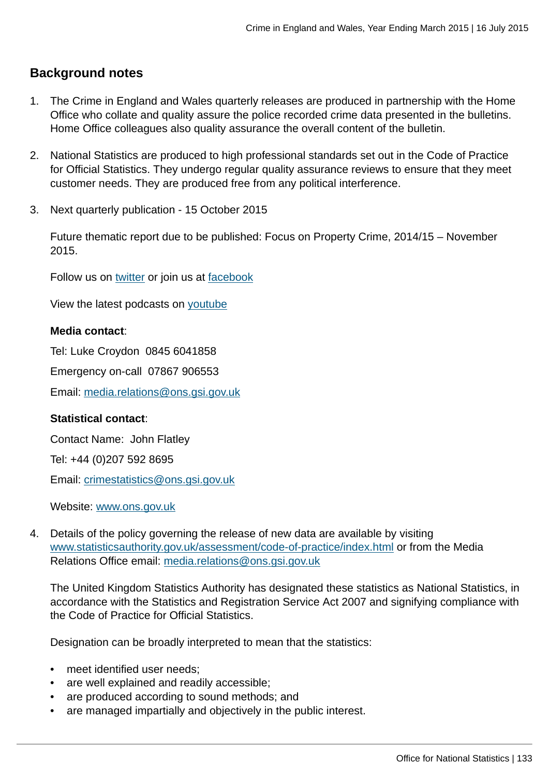# **Background notes**

- 1. The Crime in England and Wales quarterly releases are produced in partnership with the Home Office who collate and quality assure the police recorded crime data presented in the bulletins. Home Office colleagues also quality assurance the overall content of the bulletin.
- 2. National Statistics are produced to high professional standards set out in the Code of Practice for Official Statistics. They undergo regular quality assurance reviews to ensure that they meet customer needs. They are produced free from any political interference.
- 3. Next quarterly publication 15 October 2015

Future thematic report due to be published: Focus on Property Crime, 2014/15 – November 2015.

Follow us on [twitter](http://www.ons.gov.uk:80/ons/external-links/social-media/twitter.html) or join us at [facebook](http://www.ons.gov.uk:80/ons/external-links/social-media/index.html)

View the latest podcasts on [youtube](http://www.ons.gov.uk:80/ons/external-links/social-media/youtube.html)

### **Media contact**:

Tel: Luke Croydon 0845 6041858

Emergency on-call 07867 906553

Email: [media.relations@ons.gsi.gov.uk](mailto:media.relations@ons.gsi.gov.uk)

#### **Statistical contact**:

Contact Name: John Flatley

Tel: +44 (0)207 592 8695

Email: [crimestatistics@ons.gsi.gov.uk](mailto:crimestatistics@ons.gsi.gov.uk)

Website: [www.ons.gov.uk](http://www.ons.gov.uk)

4. Details of the policy governing the release of new data are available by visiting [www.statisticsauthority.gov.uk/assessment/code-of-practice/index.html](http://www.statisticsauthority.gov.uk/assessment/code-of-practice/index.html) or from the Media Relations Office email: [media.relations@ons.gsi.gov.uk](mailto:media.relations@ons.gsi.gov.uk)

The United Kingdom Statistics Authority has designated these statistics as National Statistics, in accordance with the Statistics and Registration Service Act 2007 and signifying compliance with the Code of Practice for Official Statistics.

Designation can be broadly interpreted to mean that the statistics:

- meet identified user needs;
- are well explained and readily accessible;
- are produced according to sound methods; and
- are managed impartially and objectively in the public interest.